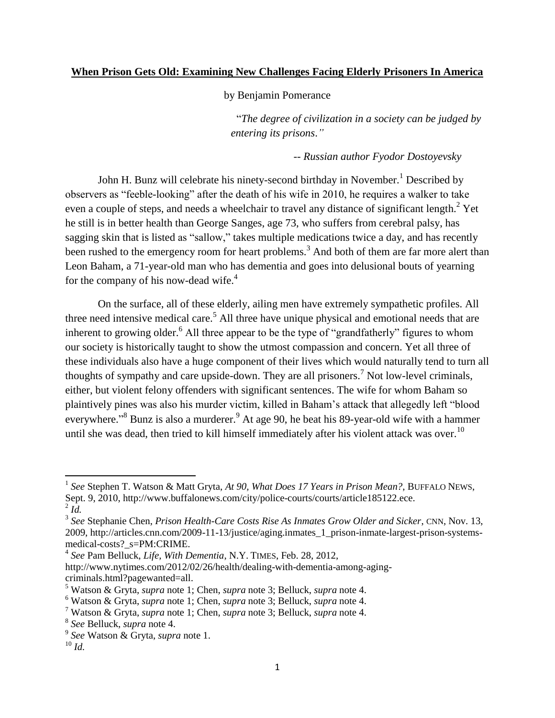### **When Prison Gets Old: Examining New Challenges Facing Elderly Prisoners In America**

by Benjamin Pomerance

―*The degree of civilization in a society can be judged by entering its prisons*.*"* 

*-- Russian author Fyodor Dostoyevsky*

John H. Bunz will celebrate his ninety-second birthday in November.<sup>1</sup> Described by observers as "feeble-looking" after the death of his wife in 2010, he requires a walker to take even a couple of steps, and needs a wheelchair to travel any distance of significant length.<sup>2</sup> Yet he still is in better health than George Sanges, age 73, who suffers from cerebral palsy, has sagging skin that is listed as "sallow," takes multiple medications twice a day, and has recently been rushed to the emergency room for heart problems.<sup>3</sup> And both of them are far more alert than Leon Baham, a 71-year-old man who has dementia and goes into delusional bouts of yearning for the company of his now-dead wife. $4$ 

On the surface, all of these elderly, ailing men have extremely sympathetic profiles. All three need intensive medical care.<sup>5</sup> All three have unique physical and emotional needs that are inherent to growing older.<sup>6</sup> All three appear to be the type of "grandfatherly" figures to whom our society is historically taught to show the utmost compassion and concern. Yet all three of these individuals also have a huge component of their lives which would naturally tend to turn all thoughts of sympathy and care upside-down. They are all prisoners.<sup>7</sup> Not low-level criminals, either, but violent felony offenders with significant sentences. The wife for whom Baham so plaintively pines was also his murder victim, killed in Baham's attack that allegedly left "blood everywhere."<sup>8</sup> Bunz is also a murderer.<sup>9</sup> At age 90, he beat his 89-year-old wife with a hammer until she was dead, then tried to kill himself immediately after his violent attack was over.<sup>10</sup>

<sup>&</sup>lt;sup>1</sup> See Stephen T. Watson & Matt Gryta, *At 90, What Does 17 Years in Prison Mean?*, BUFFALO NEWS, Sept. 9, 2010, http://www.buffalonews.com/city/police-courts/courts/article185122.ece.  $^2$  *Id.* 

<sup>3</sup> *See* Stephanie Chen, *Prison Health-Care Costs Rise As Inmates Grow Older and Sicker*, CNN, Nov. 13, 2009, http://articles.cnn.com/2009-11-13/justice/aging.inmates\_1\_prison-inmate-largest-prison-systemsmedical-costs?\_s=PM:CRIME.

<sup>4</sup> *See* Pam Belluck, *Life, With Dementia*, N.Y. TIMES, Feb. 28, 2012,

http://www.nytimes.com/2012/02/26/health/dealing-with-dementia-among-agingcriminals.html?pagewanted=all.

<sup>5</sup> Watson & Gryta, *supra* note 1; Chen, *supra* note 3; Belluck, *supra* note 4.

<sup>6</sup> Watson & Gryta, *supra* note 1; Chen, *supra* note 3; Belluck, *supra* note 4.

<sup>7</sup> Watson & Gryta, *supra* note 1; Chen, *supra* note 3; Belluck, *supra* note 4.

<sup>8</sup> *See* Belluck, *supra* note 4.

<sup>9</sup> *See* Watson & Gryta, *supra* note 1.

 $^{10}$  *Id.*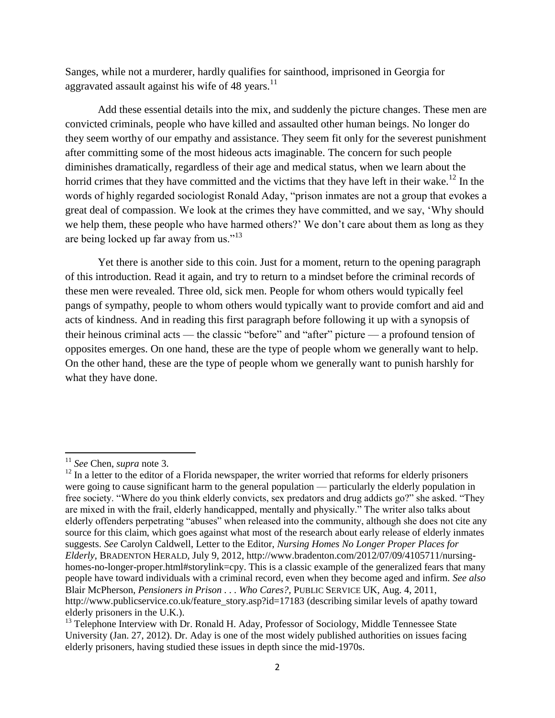Sanges, while not a murderer, hardly qualifies for sainthood, imprisoned in Georgia for aggravated assault against his wife of 48 years. $^{11}$ 

Add these essential details into the mix, and suddenly the picture changes. These men are convicted criminals, people who have killed and assaulted other human beings. No longer do they seem worthy of our empathy and assistance. They seem fit only for the severest punishment after committing some of the most hideous acts imaginable. The concern for such people diminishes dramatically, regardless of their age and medical status, when we learn about the horrid crimes that they have committed and the victims that they have left in their wake.<sup>12</sup> In the words of highly regarded sociologist Ronald Aday, "prison inmates are not a group that evokes a great deal of compassion. We look at the crimes they have committed, and we say, ‗Why should we help them, these people who have harmed others?' We don't care about them as long as they are being locked up far away from us." $13$ 

Yet there is another side to this coin. Just for a moment, return to the opening paragraph of this introduction. Read it again, and try to return to a mindset before the criminal records of these men were revealed. Three old, sick men. People for whom others would typically feel pangs of sympathy, people to whom others would typically want to provide comfort and aid and acts of kindness. And in reading this first paragraph before following it up with a synopsis of their heinous criminal acts — the classic "before" and "after" picture — a profound tension of opposites emerges. On one hand, these are the type of people whom we generally want to help. On the other hand, these are the type of people whom we generally want to punish harshly for what they have done.

<sup>11</sup> *See* Chen, *supra* note 3.

 $12$  In a letter to the editor of a Florida newspaper, the writer worried that reforms for elderly prisoners were going to cause significant harm to the general population — particularly the elderly population in free society. "Where do you think elderly convicts, sex predators and drug addicts go?" she asked. "They are mixed in with the frail, elderly handicapped, mentally and physically." The writer also talks about elderly offenders perpetrating "abuses" when released into the community, although she does not cite any source for this claim, which goes against what most of the research about early release of elderly inmates suggests. *See* Carolyn Caldwell, Letter to the Editor, *Nursing Homes No Longer Proper Places for Elderly*, BRADENTON HERALD, July 9, 2012, http://www.bradenton.com/2012/07/09/4105711/nursinghomes-no-longer-proper.html#storylink=cpy. This is a classic example of the generalized fears that many people have toward individuals with a criminal record, even when they become aged and infirm. *See also*  Blair McPherson, *Pensioners in Prison . . . Who Cares?,* PUBLIC SERVICE UK, Aug. 4, 2011, http://www.publicservice.co.uk/feature\_story.asp?id=17183 (describing similar levels of apathy toward elderly prisoners in the U.K.).

 $<sup>13</sup>$  Telephone Interview with Dr. Ronald H. Aday, Professor of Sociology, Middle Tennessee State</sup> University (Jan. 27, 2012). Dr. Aday is one of the most widely published authorities on issues facing elderly prisoners, having studied these issues in depth since the mid-1970s.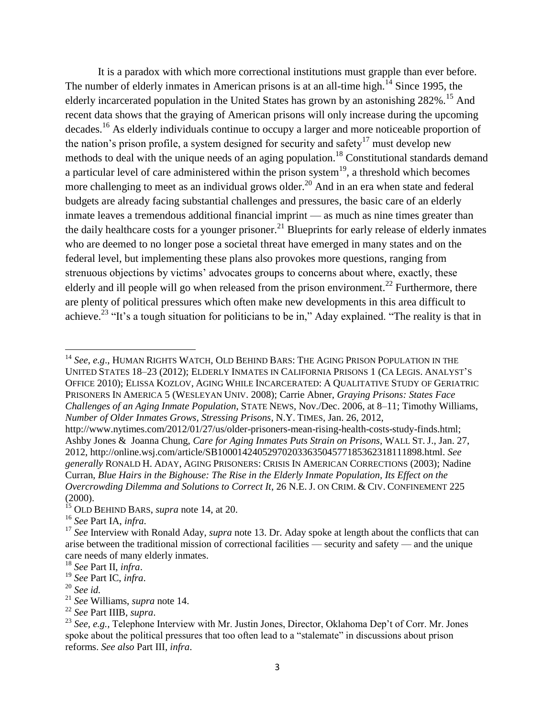It is a paradox with which more correctional institutions must grapple than ever before. The number of elderly inmates in American prisons is at an all-time high.<sup>14</sup> Since 1995, the elderly incarcerated population in the United States has grown by an astonishing 282%.<sup>15</sup> And recent data shows that the graying of American prisons will only increase during the upcoming decades.<sup>16</sup> As elderly individuals continue to occupy a larger and more noticeable proportion of the nation's prison profile, a system designed for security and safety<sup>17</sup> must develop new methods to deal with the unique needs of an aging population.<sup>18</sup> Constitutional standards demand a particular level of care administered within the prison system<sup>19</sup>, a threshold which becomes more challenging to meet as an individual grows older.<sup>20</sup> And in an era when state and federal budgets are already facing substantial challenges and pressures, the basic care of an elderly inmate leaves a tremendous additional financial imprint — as much as nine times greater than the daily healthcare costs for a younger prisoner.<sup>21</sup> Blueprints for early release of elderly inmates who are deemed to no longer pose a societal threat have emerged in many states and on the federal level, but implementing these plans also provokes more questions, ranging from strenuous objections by victims' advocates groups to concerns about where, exactly, these elderly and ill people will go when released from the prison environment.<sup>22</sup> Furthermore, there are plenty of political pressures which often make new developments in this area difficult to achieve.<sup>23</sup> "It's a tough situation for politicians to be in," Aday explained. "The reality is that in

<sup>14</sup> *See*, *e.g*., HUMAN RIGHTS WATCH, OLD BEHIND BARS: THE AGING PRISON POPULATION IN THE UNITED STATES 18–23 (2012); ELDERLY INMATES IN CALIFORNIA PRISONS 1 (CA LEGIS. ANALYST'S OFFICE 2010); ELISSA KOZLOV, AGING WHILE INCARCERATED: A QUALITATIVE STUDY OF GERIATRIC PRISONERS IN AMERICA 5 (WESLEYAN UNIV. 2008); Carrie Abner, *Graying Prisons: States Face Challenges of an Aging Inmate Population*, STATE NEWS, Nov./Dec. 2006, at 8–11; Timothy Williams, *Number of Older Inmates Grows, Stressing Prisons*, N.Y. TIMES, Jan. 26, 2012,

http://www.nytimes.com/2012/01/27/us/older-prisoners-mean-rising-health-costs-study-finds.html; Ashby Jones & Joanna Chung, *Care for Aging Inmates Puts Strain on Prisons*, WALL ST. J., Jan. 27, 2012, http://online.wsj.com/article/SB10001424052970203363504577185362318111898.html. *See generally* RONALD H. ADAY, AGING PRISONERS: CRISIS IN AMERICAN CORRECTIONS (2003); Nadine Curran, *Blue Hairs in the Bighouse: The Rise in the Elderly Inmate Population, Its Effect on the Overcrowding Dilemma and Solutions to Correct It*, 26 N.E. J. ON CRIM. & CIV. CONFINEMENT 225 (2000).

<sup>15</sup> OLD BEHIND BARS, *supra* note 14, at 20.

<sup>16</sup> *See* Part IA, *infra*.

<sup>17</sup> *See* Interview with Ronald Aday, *supra* note 13. Dr. Aday spoke at length about the conflicts that can arise between the traditional mission of correctional facilities — security and safety — and the unique care needs of many elderly inmates.

<sup>18</sup> *See* Part II, *infra*.

<sup>19</sup> *See* Part IC, *infra*.

<sup>20</sup> *See id.*

<sup>21</sup> *See* Williams, *supra* note 14.

<sup>22</sup> *See* Part IIIB, *supra*.

<sup>23</sup> *See, e.g.,* Telephone Interview with Mr. Justin Jones, Director, Oklahoma Dep't of Corr. Mr. Jones spoke about the political pressures that too often lead to a "stalemate" in discussions about prison reforms. *See also* Part III, *infra*.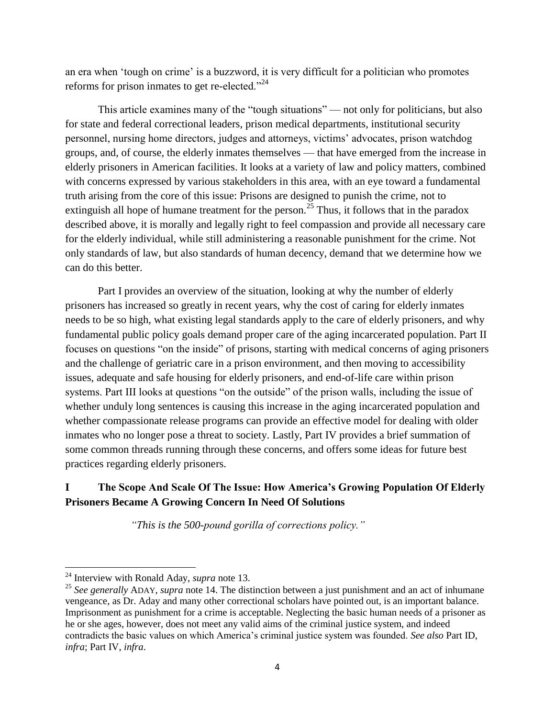an era when 'tough on crime' is a buzzword, it is very difficult for a politician who promotes reforms for prison inmates to get re-elected. $^{224}$ 

This article examines many of the "tough situations" — not only for politicians, but also for state and federal correctional leaders, prison medical departments, institutional security personnel, nursing home directors, judges and attorneys, victims' advocates, prison watchdog groups, and, of course, the elderly inmates themselves — that have emerged from the increase in elderly prisoners in American facilities. It looks at a variety of law and policy matters, combined with concerns expressed by various stakeholders in this area, with an eye toward a fundamental truth arising from the core of this issue: Prisons are designed to punish the crime, not to extinguish all hope of humane treatment for the person.<sup>25</sup> Thus, it follows that in the paradox described above, it is morally and legally right to feel compassion and provide all necessary care for the elderly individual, while still administering a reasonable punishment for the crime. Not only standards of law, but also standards of human decency, demand that we determine how we can do this better.

Part I provides an overview of the situation, looking at why the number of elderly prisoners has increased so greatly in recent years, why the cost of caring for elderly inmates needs to be so high, what existing legal standards apply to the care of elderly prisoners, and why fundamental public policy goals demand proper care of the aging incarcerated population. Part II focuses on questions "on the inside" of prisons, starting with medical concerns of aging prisoners and the challenge of geriatric care in a prison environment, and then moving to accessibility issues, adequate and safe housing for elderly prisoners, and end-of-life care within prison systems. Part III looks at questions "on the outside" of the prison walls, including the issue of whether unduly long sentences is causing this increase in the aging incarcerated population and whether compassionate release programs can provide an effective model for dealing with older inmates who no longer pose a threat to society. Lastly, Part IV provides a brief summation of some common threads running through these concerns, and offers some ideas for future best practices regarding elderly prisoners.

# **I The Scope And Scale Of The Issue: How America's Growing Population Of Elderly Prisoners Became A Growing Concern In Need Of Solutions**

*"This is the 500-pound gorilla of corrections policy."* 

<sup>24</sup> Interview with Ronald Aday, *supra* note 13.

<sup>25</sup> *See generally* ADAY, *supra* note 14. The distinction between a just punishment and an act of inhumane vengeance, as Dr. Aday and many other correctional scholars have pointed out, is an important balance. Imprisonment as punishment for a crime is acceptable. Neglecting the basic human needs of a prisoner as he or she ages, however, does not meet any valid aims of the criminal justice system, and indeed contradicts the basic values on which America's criminal justice system was founded. *See also* Part ID, *infra*; Part IV, *infra*.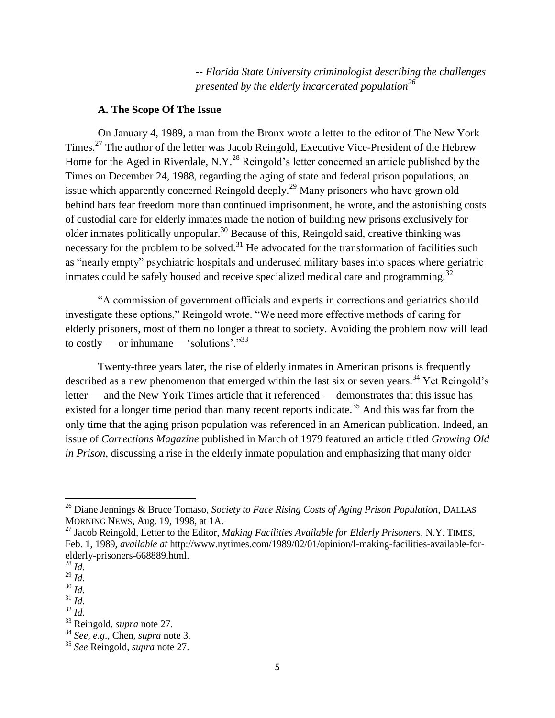*-- Florida State University criminologist describing the challenges presented by the elderly incarcerated population<sup>26</sup>*

#### **A. The Scope Of The Issue**

On January 4, 1989, a man from the Bronx wrote a letter to the editor of The New York Times.<sup>27</sup> The author of the letter was Jacob Reingold, Executive Vice-President of the Hebrew Home for the Aged in Riverdale, N.Y.<sup>28</sup> Reingold's letter concerned an article published by the Times on December 24, 1988, regarding the aging of state and federal prison populations, an issue which apparently concerned Reingold deeply.<sup>29</sup> Many prisoners who have grown old behind bars fear freedom more than continued imprisonment, he wrote, and the astonishing costs of custodial care for elderly inmates made the notion of building new prisons exclusively for older inmates politically unpopular.<sup>30</sup> Because of this, Reingold said, creative thinking was necessary for the problem to be solved. $31$  He advocated for the transformation of facilities such as "nearly empty" psychiatric hospitals and underused military bases into spaces where geriatric inmates could be safely housed and receive specialized medical care and programming.<sup>32</sup>

―A commission of government officials and experts in corrections and geriatrics should investigate these options," Reingold wrote. "We need more effective methods of caring for elderly prisoners, most of them no longer a threat to society. Avoiding the problem now will lead to costly — or inhumane — 'solutions'. $\cdot$ <sup>33</sup>

Twenty-three years later, the rise of elderly inmates in American prisons is frequently described as a new phenomenon that emerged within the last six or seven years.<sup>34</sup> Yet Reingold's letter — and the New York Times article that it referenced — demonstrates that this issue has existed for a longer time period than many recent reports indicate.<sup>35</sup> And this was far from the only time that the aging prison population was referenced in an American publication. Indeed, an issue of *Corrections Magazine* published in March of 1979 featured an article titled *Growing Old in Prison*, discussing a rise in the elderly inmate population and emphasizing that many older

<sup>26</sup> Diane Jennings & Bruce Tomaso, *Society to Face Rising Costs of Aging Prison Population*, DALLAS MORNING NEWS, Aug. 19, 1998, at 1A.

<sup>27</sup> Jacob Reingold, Letter to the Editor, *Making Facilities Available for Elderly Prisoners*, N.Y. TIMES, Feb. 1, 1989, *available at* http://www.nytimes.com/1989/02/01/opinion/l-making-facilities-available-forelderly-prisoners-668889.html.

<sup>28</sup> *Id.* 

<sup>29</sup> *Id.* 

<sup>30</sup> *Id.* 

 $31$  *Id.* 

<sup>32</sup> *Id.* 

<sup>33</sup> Reingold, *supra* note 27.

<sup>34</sup> *See, e.g*., Chen, *supra* note 3.

<sup>35</sup> *See* Reingold, *supra* note 27.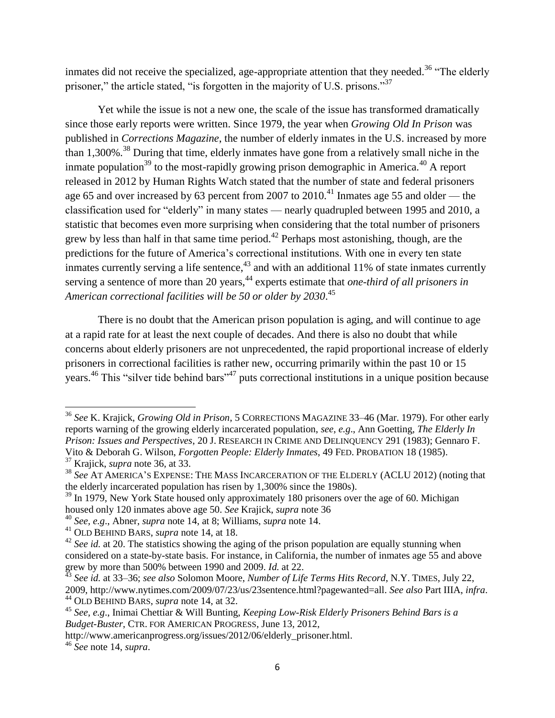inmates did not receive the specialized, age-appropriate attention that they needed.<sup>36</sup> "The elderly prisoner," the article stated, "is forgotten in the majority of U.S. prisons." $37$ 

Yet while the issue is not a new one, the scale of the issue has transformed dramatically since those early reports were written. Since 1979, the year when *Growing Old In Prison* was published in *Corrections Magazine*, the number of elderly inmates in the U.S. increased by more than 1,300%<sup>38</sup> During that time, elderly inmates have gone from a relatively small niche in the inmate population<sup>39</sup> to the most-rapidly growing prison demographic in America.<sup>40</sup> A report released in 2012 by Human Rights Watch stated that the number of state and federal prisoners age 65 and over increased by 63 percent from 2007 to 2010.<sup>41</sup> Inmates age 55 and older — the classification used for "elderly" in many states — nearly quadrupled between 1995 and 2010, a statistic that becomes even more surprising when considering that the total number of prisoners grew by less than half in that same time period.<sup>42</sup> Perhaps most astonishing, though, are the predictions for the future of America's correctional institutions. With one in every ten state inmates currently serving a life sentence,  $43$  and with an additional 11% of state inmates currently serving a sentence of more than 20 years,<sup>44</sup> experts estimate that *one-third of all prisoners in American correctional facilities will be 50 or older by 2030*. 45

There is no doubt that the American prison population is aging, and will continue to age at a rapid rate for at least the next couple of decades. And there is also no doubt that while concerns about elderly prisoners are not unprecedented, the rapid proportional increase of elderly prisoners in correctional facilities is rather new, occurring primarily within the past 10 or 15 years.<sup>46</sup> This "silver tide behind bars"<sup>47</sup> puts correctional institutions in a unique position because

<sup>36</sup> *See* K. Krajick, *Growing Old in Prison*, 5 CORRECTIONS MAGAZINE 33–46 (Mar. 1979). For other early reports warning of the growing elderly incarcerated population, *see*, *e.g*., Ann Goetting, *The Elderly In Prison: Issues and Perspectives*, 20 J. RESEARCH IN CRIME AND DELINQUENCY 291 (1983); Gennaro F. Vito & Deborah G. Wilson, *Forgotten People: Elderly Inmates*, 49 FED. PROBATION 18 (1985). <sup>37</sup> Krajick, *supra* note 36, at 33.

<sup>38</sup> *See* AT AMERICA'S EXPENSE: THE MASS INCARCERATION OF THE ELDERLY (ACLU 2012) (noting that the elderly incarcerated population has risen by 1,300% since the 1980s).

<sup>&</sup>lt;sup>39</sup> In 1979, New York State housed only approximately 180 prisoners over the age of 60. Michigan housed only 120 inmates above age 50. *See* Krajick, *supra* note 36

<sup>40</sup> *See, e.g*., Abner, *supra* note 14, at 8; Williams, *supra* note 14.

<sup>41</sup> OLD BEHIND BARS, *supra* note 14, at 18.

<sup>&</sup>lt;sup>42</sup> See id. at 20. The statistics showing the aging of the prison population are equally stunning when considered on a state-by-state basis. For instance, in California, the number of inmates age 55 and above grew by more than 500% between 1990 and 2009. *Id.* at 22.

<sup>43</sup> *See id.* at 33–36; *see also* Solomon Moore, *Number of Life Terms Hits Record*, N.Y. TIMES, July 22, 2009, http://www.nytimes.com/2009/07/23/us/23sentence.html?pagewanted=all. *See also* Part IIIA, *infra*. <sup>44</sup> OLD BEHIND BARS, *supra* note 14, at 32.

<sup>45</sup> *See, e.g*., Inimai Chettiar & Will Bunting, *Keeping Low-Risk Elderly Prisoners Behind Bars is a Budget-Buster*, CTR. FOR AMERICAN PROGRESS, June 13, 2012,

http://www.americanprogress.org/issues/2012/06/elderly\_prisoner.html.

<sup>46</sup> *See* note 14, *supra*.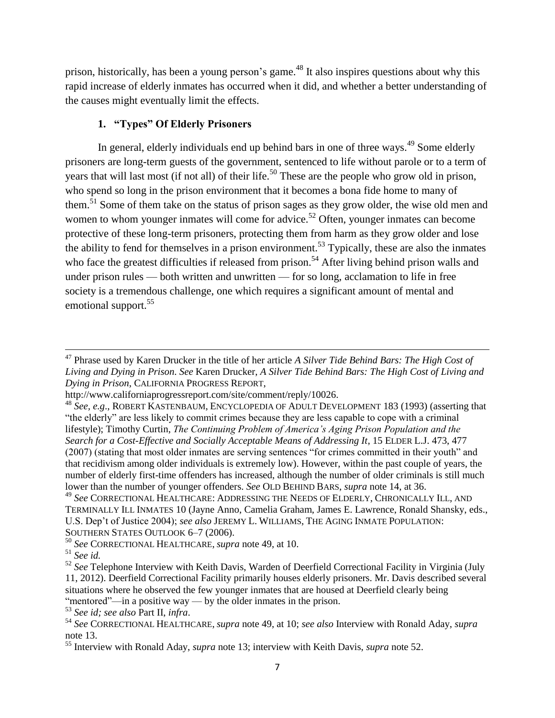prison, historically, has been a young person's game.<sup>48</sup> It also inspires questions about why this rapid increase of elderly inmates has occurred when it did, and whether a better understanding of the causes might eventually limit the effects.

## **1. "Types" Of Elderly Prisoners**

In general, elderly individuals end up behind bars in one of three ways.<sup>49</sup> Some elderly prisoners are long-term guests of the government, sentenced to life without parole or to a term of years that will last most (if not all) of their life.<sup>50</sup> These are the people who grow old in prison, who spend so long in the prison environment that it becomes a bona fide home to many of them.<sup>51</sup> Some of them take on the status of prison sages as they grow older, the wise old men and women to whom younger inmates will come for advice.<sup>52</sup> Often, younger inmates can become protective of these long-term prisoners, protecting them from harm as they grow older and lose the ability to fend for themselves in a prison environment.<sup>53</sup> Typically, these are also the inmates who face the greatest difficulties if released from prison.<sup>54</sup> After living behind prison walls and under prison rules — both written and unwritten — for so long, acclamation to life in free society is a tremendous challenge, one which requires a significant amount of mental and emotional support.<sup>55</sup>

<sup>47</sup> Phrase used by Karen Drucker in the title of her article *A Silver Tide Behind Bars: The High Cost of Living and Dying in Prison*. *See* Karen Drucker, *A Silver Tide Behind Bars: The High Cost of Living and Dying in Prison*, CALIFORNIA PROGRESS REPORT,

http://www.californiaprogressreport.com/site/comment/reply/10026.

<sup>48</sup> *See, e.g*., ROBERT KASTENBAUM, ENCYCLOPEDIA OF ADULT DEVELOPMENT 183 (1993) (asserting that "the elderly" are less likely to commit crimes because they are less capable to cope with a criminal lifestyle); Timothy Curtin, *The Continuing Problem of America"s Aging Prison Population and the Search for a Cost-Effective and Socially Acceptable Means of Addressing It*, 15 ELDER L.J. 473, 477 (2007) (stating that most older inmates are serving sentences "for crimes committed in their youth" and that recidivism among older individuals is extremely low). However, within the past couple of years, the number of elderly first-time offenders has increased, although the number of older criminals is still much lower than the number of younger offenders. *See* OLD BEHIND BARS, *supra* note 14, at 36.

<sup>49</sup> *See* CORRECTIONAL HEALTHCARE: ADDRESSING THE NEEDS OF ELDERLY, CHRONICALLY ILL, AND TERMINALLY ILL INMATES 10 (Jayne Anno, Camelia Graham, James E. Lawrence, Ronald Shansky, eds., U.S. Dep't of Justice 2004); *see also* JEREMY L. WILLIAMS, THE AGING INMATE POPULATION: SOUTHERN STATES OUTLOOK 6–7 (2006).

<sup>50</sup> *See* CORRECTIONAL HEALTHCARE, *supra* note 49, at 10.

<sup>51</sup> *See id.*

<sup>52</sup> *See* Telephone Interview with Keith Davis, Warden of Deerfield Correctional Facility in Virginia (July 11, 2012). Deerfield Correctional Facility primarily houses elderly prisoners. Mr. Davis described several situations where he observed the few younger inmates that are housed at Deerfield clearly being "mentored"—in a positive way — by the older inmates in the prison.

<sup>53</sup> *See id; see also* Part II, *infra*.

<sup>54</sup> *See* CORRECTIONAL HEALTHCARE, *supra* note 49, at 10; *see also* Interview with Ronald Aday, *supra*  note 13.

<sup>55</sup> Interview with Ronald Aday, *supra* note 13; interview with Keith Davis, *supra* note 52.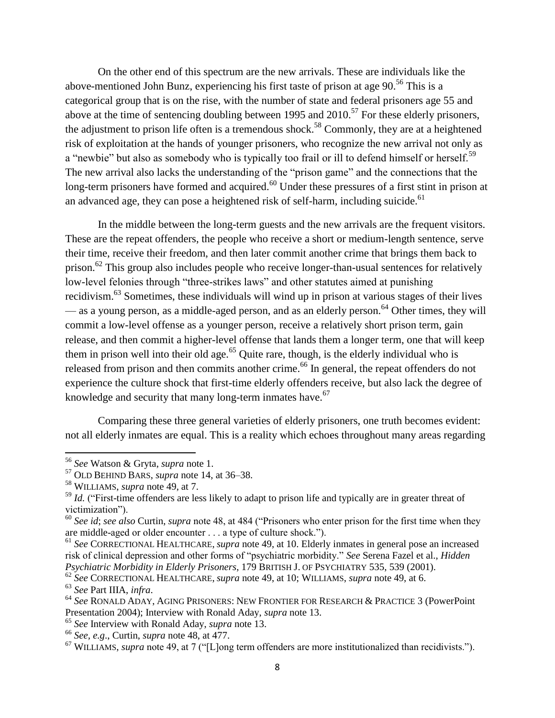On the other end of this spectrum are the new arrivals. These are individuals like the above-mentioned John Bunz, experiencing his first taste of prison at age  $90<sup>56</sup>$  This is a categorical group that is on the rise, with the number of state and federal prisoners age 55 and above at the time of sentencing doubling between 1995 and  $2010$ .<sup>57</sup> For these elderly prisoners, the adjustment to prison life often is a tremendous shock.<sup>58</sup> Commonly, they are at a heightened risk of exploitation at the hands of younger prisoners, who recognize the new arrival not only as a "newbie" but also as somebody who is typically too frail or ill to defend himself or herself.<sup>59</sup> The new arrival also lacks the understanding of the "prison game" and the connections that the long-term prisoners have formed and acquired.<sup>60</sup> Under these pressures of a first stint in prison at an advanced age, they can pose a heightened risk of self-harm, including suicide. $^{61}$ 

In the middle between the long-term guests and the new arrivals are the frequent visitors. These are the repeat offenders, the people who receive a short or medium-length sentence, serve their time, receive their freedom, and then later commit another crime that brings them back to prison.<sup>62</sup> This group also includes people who receive longer-than-usual sentences for relatively low-level felonies through "three-strikes laws" and other statutes aimed at punishing recidivism.<sup>63</sup> Sometimes, these individuals will wind up in prison at various stages of their lives — as a young person, as a middle-aged person, and as an elderly person.<sup>64</sup> Other times, they will commit a low-level offense as a younger person, receive a relatively short prison term, gain release, and then commit a higher-level offense that lands them a longer term, one that will keep them in prison well into their old age.<sup>65</sup> Quite rare, though, is the elderly individual who is released from prison and then commits another crime.<sup>66</sup> In general, the repeat offenders do not experience the culture shock that first-time elderly offenders receive, but also lack the degree of knowledge and security that many long-term inmates have.<sup>67</sup>

Comparing these three general varieties of elderly prisoners, one truth becomes evident: not all elderly inmates are equal. This is a reality which echoes throughout many areas regarding

<sup>56</sup> *See* Watson & Gryta, *supra* note 1.

<sup>57</sup> OLD BEHIND BARS, *supra* note 14, at 36–38.

<sup>58</sup> WILLIAMS, *supra* note 49, at 7.

<sup>&</sup>lt;sup>59</sup> *Id.* ("First-time offenders are less likely to adapt to prison life and typically are in greater threat of victimization").

<sup>&</sup>lt;sup>60</sup> See id; see also Curtin, *supra* note 48, at 484 ("Prisoners who enter prison for the first time when they are middle-aged or older encounter . . . a type of culture shock.").

<sup>61</sup> *See* CORRECTIONAL HEALTHCARE, *supra* note 49, at 10. Elderly inmates in general pose an increased risk of clinical depression and other forms of "psychiatric morbidity." See Serena Fazel et al., *Hidden Psychiatric Morbidity in Elderly Prisoners*, 179 BRITISH J. OF PSYCHIATRY 535, 539 (2001).

<sup>62</sup> *See* CORRECTIONAL HEALTHCARE, *supra* note 49, at 10; WILLIAMS, *supra* note 49, at 6.

<sup>63</sup> *See* Part IIIA, *infra*.

<sup>64</sup> *See* RONALD ADAY, AGING PRISONERS: NEW FRONTIER FOR RESEARCH & PRACTICE 3 (PowerPoint Presentation 2004); Interview with Ronald Aday, *supra* note 13.

<sup>65</sup> *See* Interview with Ronald Aday, *supra* note 13.

<sup>66</sup> *See, e.g*., Curtin, *supra* note 48, at 477.

<sup>&</sup>lt;sup>67</sup> WILLIAMS, *supra* note 49, at 7 ("[L]ong term offenders are more institutionalized than recidivists.").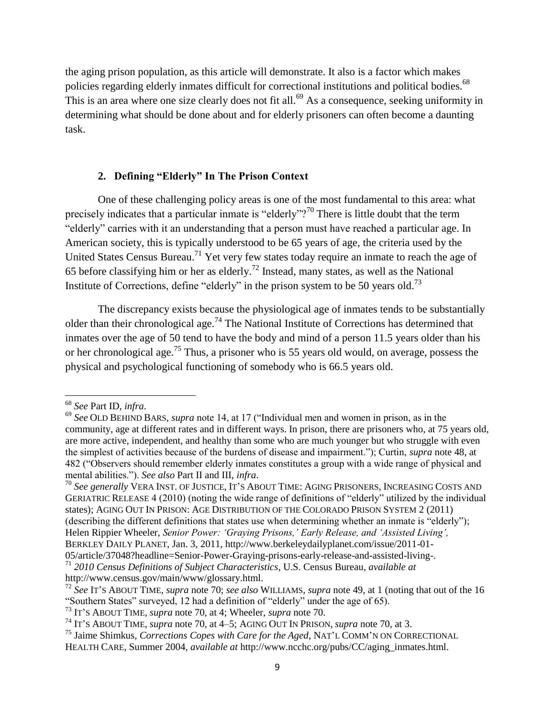the aging prison population, as this article will demonstrate. It also is a factor which makes policies regarding elderly inmates difficult for correctional institutions and political bodies.<sup>68</sup> This is an area where one size clearly does not fit all.<sup>69</sup> As a consequence, seeking uniformity in determining what should be done about and for elderly prisoners can often become a daunting task.

## **2. Defining "Elderly" In The Prison Context**

One of these challenging policy areas is one of the most fundamental to this area: what precisely indicates that a particular inmate is "elderly"?<sup>70</sup> There is little doubt that the term "elderly" carries with it an understanding that a person must have reached a particular age. In American society, this is typically understood to be 65 years of age, the criteria used by the United States Census Bureau.<sup>71</sup> Yet very few states today require an inmate to reach the age of 65 before classifying him or her as elderly.<sup>72</sup> Instead, many states, as well as the National Institute of Corrections, define "elderly" in the prison system to be 50 years old.<sup>73</sup>

The discrepancy exists because the physiological age of inmates tends to be substantially older than their chronological age.<sup>74</sup> The National Institute of Corrections has determined that inmates over the age of 50 tend to have the body and mind of a person 11.5 years older than his or her chronological age.<sup>75</sup> Thus, a prisoner who is 55 years old would, on average, possess the physical and psychological functioning of somebody who is 66.5 years old.

 $\overline{a}$ 

<sup>70</sup> *See generally* VERA INST. OF JUSTICE, IT'S ABOUT TIME: AGING PRISONERS, INCREASING COSTS AND GERIATRIC RELEASE 4 (2010) (noting the wide range of definitions of "elderly" utilized by the individual states); AGING OUT IN PRISON: AGE DISTRIBUTION OF THE COLORADO PRISON SYSTEM 2 (2011) (describing the different definitions that states use when determining whether an inmate is "elderly"); Helen Rippier Wheeler, *Senior Power: "Graying Prisons," Early Release, and "Assisted Living",*  BERKLEY DAILY PLANET, Jan. 3, 2011, http://www.berkeleydailyplanet.com/issue/2011-01-

<sup>68</sup> *See* Part ID, *infra*.

<sup>&</sup>lt;sup>69</sup> See OLD BEHIND BARS, *supra* note 14, at 17 ("Individual men and women in prison, as in the community, age at different rates and in different ways. In prison, there are prisoners who, at 75 years old, are more active, independent, and healthy than some who are much younger but who struggle with even the simplest of activities because of the burdens of disease and impairment.‖); Curtin, *supra* note 48, at 482 ("Observers should remember elderly inmates constitutes a group with a wide range of physical and mental abilities.‖). *See also* Part II and III, *infra*.

<sup>05/</sup>article/37048?headline=Senior-Power-Graying-prisons-early-release-and-assisted-living-.

<sup>71</sup> *2010 Census Definitions of Subject Characteristics*, U.S. Census Bureau, *available at*  http://www.census.gov/main/www/glossary.html.

<sup>72</sup> *See* IT'S ABOUT TIME, *supra* note 70; *see also* WILLIAMS, *supra* note 49, at 1 (noting that out of the 16 "Southern States" surveyed, 12 had a definition of "elderly" under the age of 65).

<sup>73</sup> IT'S ABOUT TIME, *supra* note 70, at 4; Wheeler, *supra* note 70.

<sup>74</sup> IT'S ABOUT TIME, *supra* note 70, at 4–5; AGING OUT IN PRISON, *supra* note 70, at 3.

<sup>75</sup> Jaime Shimkus, *Corrections Copes with Care for the Aged*, NAT'L COMM'N ON CORRECTIONAL HEALTH CARE, Summer 2004, *available at* http://www.ncchc.org/pubs/CC/aging\_inmates.html.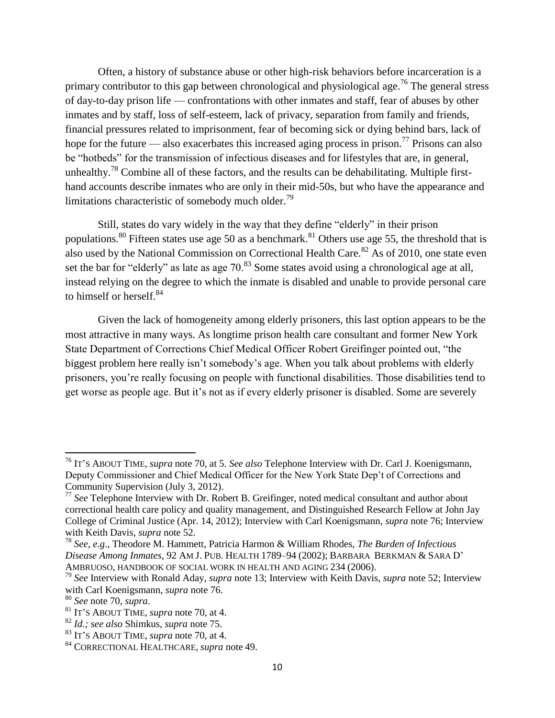Often, a history of substance abuse or other high-risk behaviors before incarceration is a primary contributor to this gap between chronological and physiological age.<sup>76</sup> The general stress of day-to-day prison life — confrontations with other inmates and staff, fear of abuses by other inmates and by staff, loss of self-esteem, lack of privacy, separation from family and friends, financial pressures related to imprisonment, fear of becoming sick or dying behind bars, lack of hope for the future — also exacerbates this increased aging process in prison.<sup>77</sup> Prisons can also be "hotbeds" for the transmission of infectious diseases and for lifestyles that are, in general, unhealthy.<sup>78</sup> Combine all of these factors, and the results can be dehabilitating. Multiple firsthand accounts describe inmates who are only in their mid-50s, but who have the appearance and limitations characteristic of somebody much older.<sup>79</sup>

Still, states do vary widely in the way that they define "elderly" in their prison populations.<sup>80</sup> Fifteen states use age 50 as a benchmark.<sup>81</sup> Others use age 55, the threshold that is also used by the National Commission on Correctional Health Care.<sup>82</sup> As of 2010, one state even set the bar for "elderly" as late as age  $70<sup>83</sup>$  Some states avoid using a chronological age at all, instead relying on the degree to which the inmate is disabled and unable to provide personal care to himself or herself.<sup>84</sup>

Given the lack of homogeneity among elderly prisoners, this last option appears to be the most attractive in many ways. As longtime prison health care consultant and former New York State Department of Corrections Chief Medical Officer Robert Greifinger pointed out, "the biggest problem here really isn't somebody's age. When you talk about problems with elderly prisoners, you're really focusing on people with functional disabilities. Those disabilities tend to get worse as people age. But it's not as if every elderly prisoner is disabled. Some are severely

<sup>76</sup> IT'S ABOUT TIME, *supra* note 70, at 5. *See also* Telephone Interview with Dr. Carl J. Koenigsmann, Deputy Commissioner and Chief Medical Officer for the New York State Dep't of Corrections and Community Supervision (July 3, 2012).

<sup>77</sup> *See* Telephone Interview with Dr. Robert B. Greifinger, noted medical consultant and author about correctional health care policy and quality management, and Distinguished Research Fellow at John Jay College of Criminal Justice (Apr. 14, 2012); Interview with Carl Koenigsmann, *supra* note 76; Interview with Keith Davis, *supra* note 52.

<sup>78</sup> *See*, *e.g*., Theodore M. Hammett, Patricia Harmon & William Rhodes, *The Burden of Infectious Disease Among Inmates*, 92 AM J. PUB. HEALTH 1789–94 (2002); BARBARA BERKMAN & SARA D' AMBRUOSO, HANDBOOK OF SOCIAL WORK IN HEALTH AND AGING 234 (2006).

<sup>79</sup> *See* Interview with Ronald Aday, *supra* note 13; Interview with Keith Davis, *supra* note 52; Interview with Carl Koenigsmann, *supra* note 76.

<sup>80</sup> *See* note 70, *supra*.

<sup>81</sup> IT'S ABOUT TIME, *supra* note 70, at 4.

<sup>82</sup> *Id.; see also* Shimkus, *supra* note 75.

<sup>83</sup> IT'S ABOUT TIME, *supra* note 70, at 4.

<sup>84</sup> CORRECTIONAL HEALTHCARE, *supra* note 49.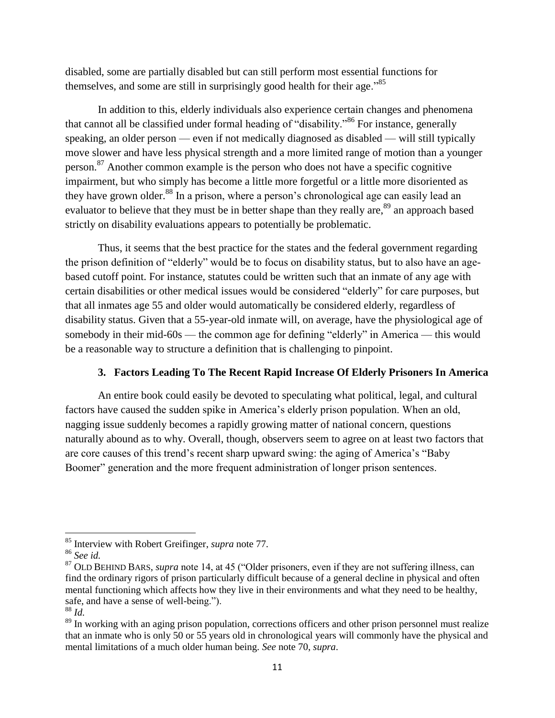disabled, some are partially disabled but can still perform most essential functions for themselves, and some are still in surprisingly good health for their age.<sup>85</sup>

In addition to this, elderly individuals also experience certain changes and phenomena that cannot all be classified under formal heading of "disability."<sup>86</sup> For instance, generally speaking, an older person — even if not medically diagnosed as disabled — will still typically move slower and have less physical strength and a more limited range of motion than a younger person.<sup>87</sup> Another common example is the person who does not have a specific cognitive impairment, but who simply has become a little more forgetful or a little more disoriented as they have grown older.<sup>88</sup> In a prison, where a person's chronological age can easily lead an evaluator to believe that they must be in better shape than they really are,<sup>89</sup> an approach based strictly on disability evaluations appears to potentially be problematic.

Thus, it seems that the best practice for the states and the federal government regarding the prison definition of "elderly" would be to focus on disability status, but to also have an agebased cutoff point. For instance, statutes could be written such that an inmate of any age with certain disabilities or other medical issues would be considered "elderly" for care purposes, but that all inmates age 55 and older would automatically be considered elderly, regardless of disability status. Given that a 55-year-old inmate will, on average, have the physiological age of somebody in their mid-60s — the common age for defining "elderly" in America — this would be a reasonable way to structure a definition that is challenging to pinpoint.

## **3. Factors Leading To The Recent Rapid Increase Of Elderly Prisoners In America**

An entire book could easily be devoted to speculating what political, legal, and cultural factors have caused the sudden spike in America's elderly prison population. When an old, nagging issue suddenly becomes a rapidly growing matter of national concern, questions naturally abound as to why. Overall, though, observers seem to agree on at least two factors that are core causes of this trend's recent sharp upward swing: the aging of America's "Baby Boomer" generation and the more frequent administration of longer prison sentences.

<sup>85</sup> Interview with Robert Greifinger, *supra* note 77.

<sup>86</sup> *See id.*

<sup>&</sup>lt;sup>87</sup> OLD BEHIND BARS, *supra* note 14, at 45 ("Older prisoners, even if they are not suffering illness, can find the ordinary rigors of prison particularly difficult because of a general decline in physical and often mental functioning which affects how they live in their environments and what they need to be healthy, safe, and have a sense of well-being.").

<sup>88</sup> *Id.* 

<sup>&</sup>lt;sup>89</sup> In working with an aging prison population, corrections officers and other prison personnel must realize that an inmate who is only 50 or 55 years old in chronological years will commonly have the physical and mental limitations of a much older human being. *See* note 70, *supra*.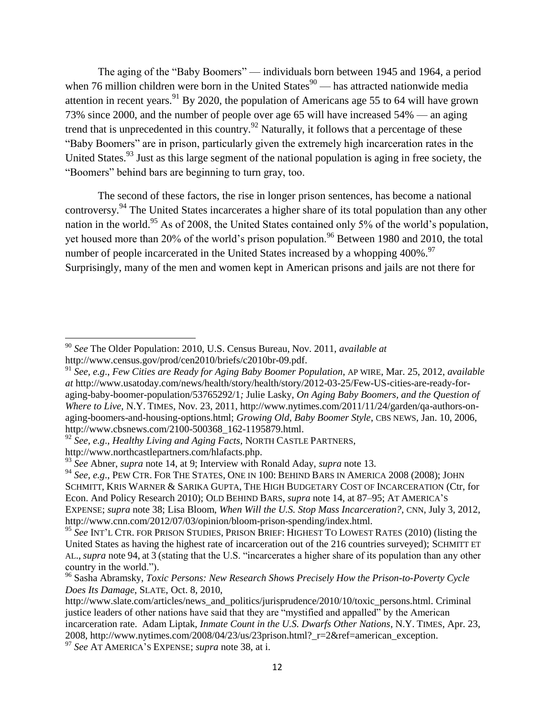The aging of the "Baby Boomers" — individuals born between 1945 and 1964, a period when 76 million children were born in the United States $90$  — has attracted nationwide media attention in recent years.<sup>91</sup> By 2020, the population of Americans age 55 to 64 will have grown 73% since 2000, and the number of people over age 65 will have increased 54% — an aging trend that is unprecedented in this country.<sup>92</sup> Naturally, it follows that a percentage of these ―Baby Boomers‖ are in prison, particularly given the extremely high incarceration rates in the United States.<sup>93</sup> Just as this large segment of the national population is aging in free society, the "Boomers" behind bars are beginning to turn gray, too.

The second of these factors, the rise in longer prison sentences, has become a national controversy.<sup>94</sup> The United States incarcerates a higher share of its total population than any other nation in the world.<sup>95</sup> As of 2008, the United States contained only 5% of the world's population, yet housed more than 20% of the world's prison population.<sup>96</sup> Between 1980 and 2010, the total number of people incarcerated in the United States increased by a whopping  $400\%$ .<sup>97</sup> Surprisingly, many of the men and women kept in American prisons and jails are not there for

<sup>90</sup> *See* The Older Population: 2010, U.S. Census Bureau, Nov. 2011, *available at*  http://www.census.gov/prod/cen2010/briefs/c2010br-09.pdf.

<sup>91</sup> *See, e.g*., *Few Cities are Ready for Aging Baby Boomer Population*, AP WIRE, Mar. 25, 2012, *available at* http://www.usatoday.com/news/health/story/health/story/2012-03-25/Few-US-cities-are-ready-foraging-baby-boomer-population/53765292/1*;* Julie Lasky, *On Aging Baby Boomers, and the Question of Where to Live*, N.Y. TIMES, Nov. 23, 2011, http://www.nytimes.com/2011/11/24/garden/qa-authors-onaging-boomers-and-housing-options.html; *Growing Old, Baby Boomer Style*, CBS NEWS, Jan. 10, 2006, http://www.cbsnews.com/2100-500368\_162-1195879.html.

<sup>92</sup> *See, e.g*., *Healthy Living and Aging Facts*, NORTH CASTLE PARTNERS,

http://www.northcastlepartners.com/hlafacts.php.

<sup>93</sup> *See* Abner, *supra* note 14, at 9; Interview with Ronald Aday, *supra* note 13.

<sup>&</sup>lt;sup>94</sup> See, e.g., PEW CTR. FOR THE STATES, ONE IN 100: BEHIND BARS IN AMERICA 2008 (2008); JOHN SCHMITT, KRIS WARNER & SARIKA GUPTA, THE HIGH BUDGETARY COST OF INCARCERATION (Ctr, for Econ. And Policy Research 2010); OLD BEHIND BARS, *supra* note 14, at 87–95; AT AMERICA'S EXPENSE; *supra* note 38; Lisa Bloom, *When Will the U.S. Stop Mass Incarceration?*, CNN, July 3, 2012, http://www.cnn.com/2012/07/03/opinion/bloom-prison-spending/index.html.

<sup>&</sup>lt;sup>95</sup> See INT'L CTR. FOR PRISON STUDIES, PRISON BRIEF: HIGHEST TO LOWEST RATES (2010) (listing the United States as having the highest rate of incarceration out of the 216 countries surveyed); SCHMITT ET AL., *supra* note 94, at 3 (stating that the U.S. "incarcerates a higher share of its population than any other country in the world.").

<sup>96</sup> Sasha Abramsky, *Toxic Persons: New Research Shows Precisely How the Prison-to-Poverty Cycle Does Its Damage*, SLATE, Oct. 8, 2010,

http://www.slate.com/articles/news\_and\_politics/jurisprudence/2010/10/toxic\_persons.html. Criminal justice leaders of other nations have said that they are "mystified and appalled" by the American incarceration rate. Adam Liptak, *Inmate Count in the U.S. Dwarfs Other Nations*, N.Y. TIMES, Apr. 23,

<sup>2008,</sup> http://www.nytimes.com/2008/04/23/us/23prison.html?\_r=2&ref=american\_exception.

<sup>97</sup> *See* AT AMERICA'S EXPENSE; *supra* note 38, at i.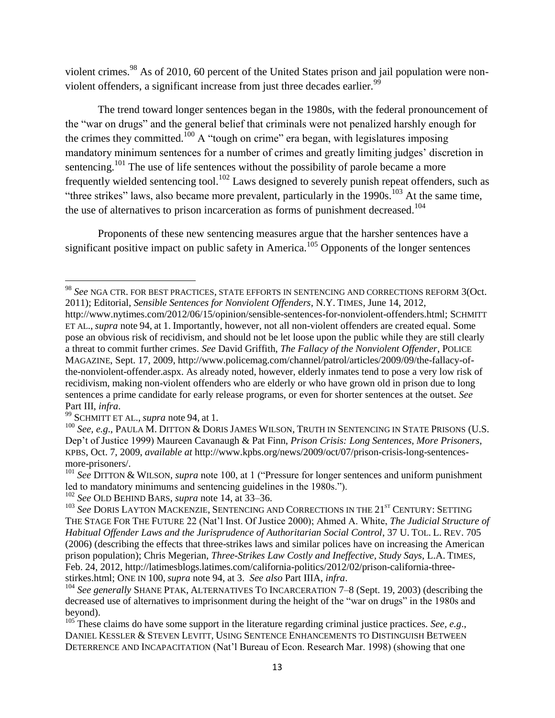violent crimes.<sup>98</sup> As of 2010, 60 percent of the United States prison and jail population were nonviolent offenders, a significant increase from just three decades earlier.<sup>99</sup>

The trend toward longer sentences began in the 1980s, with the federal pronouncement of the "war on drugs" and the general belief that criminals were not penalized harshly enough for the crimes they committed.<sup>100</sup> A "tough on crime" era began, with legislatures imposing mandatory minimum sentences for a number of crimes and greatly limiting judges' discretion in sentencing.<sup>101</sup> The use of life sentences without the possibility of parole became a more frequently wielded sentencing tool.<sup>102</sup> Laws designed to severely punish repeat offenders, such as "three strikes" laws, also became more prevalent, particularly in the  $1990s$ .<sup>103</sup> At the same time, the use of alternatives to prison incarceration as forms of punishment decreased.<sup>104</sup>

Proponents of these new sentencing measures argue that the harsher sentences have a significant positive impact on public safety in America.<sup>105</sup> Opponents of the longer sentences

<sup>98</sup> *See* NGA CTR. FOR BEST PRACTICES, STATE EFFORTS IN SENTENCING AND CORRECTIONS REFORM 3(Oct. 2011); Editorial, *Sensible Sentences for Nonviolent Offenders*, N.Y. TIMES, June 14, 2012,

http://www.nytimes.com/2012/06/15/opinion/sensible-sentences-for-nonviolent-offenders.html; SCHMITT ET AL., *supra* note 94, at 1. Importantly, however, not all non-violent offenders are created equal. Some pose an obvious risk of recidivism, and should not be let loose upon the public while they are still clearly a threat to commit further crimes. *See* David Griffith, *The Fallacy of the Nonviolent Offender*, POLICE MAGAZINE, Sept. 17, 2009, http://www.policemag.com/channel/patrol/articles/2009/09/the-fallacy-ofthe-nonviolent-offender.aspx. As already noted, however, elderly inmates tend to pose a very low risk of recidivism, making non-violent offenders who are elderly or who have grown old in prison due to long sentences a prime candidate for early release programs, or even for shorter sentences at the outset. *See*  Part III, *infra*.

<sup>99</sup> SCHMITT ET AL., *supra* note 94, at 1.

<sup>&</sup>lt;sup>100</sup> See, e.g., PAULA M. DITTON & DORIS JAMES WILSON, TRUTH IN SENTENCING IN STATE PRISONS (U.S. Dep't of Justice 1999) Maureen Cavanaugh & Pat Finn, *Prison Crisis: Long Sentences, More Prisoners*, KPBS, Oct. 7, 2009, *available at* http://www.kpbs.org/news/2009/oct/07/prison-crisis-long-sentencesmore-prisoners/.

<sup>&</sup>lt;sup>101</sup> See DITTON & WILSON, *supra* note 100, at 1 ("Pressure for longer sentences and uniform punishment led to mandatory minimums and sentencing guidelines in the 1980s.").

<sup>102</sup> *See* OLD BEHIND BARS, *supra* note 14, at 33–36.

<sup>&</sup>lt;sup>103</sup> See DORIS LAYTON MACKENZIE, SENTENCING AND CORRECTIONS IN THE 21<sup>ST</sup> CENTURY: SETTING THE STAGE FOR THE FUTURE 22 (Nat'l Inst. Of Justice 2000); Ahmed A. White, *The Judicial Structure of Habitual Offender Laws and the Jurisprudence of Authoritarian Social Control*, 37 U. TOL. L. REV. 705 (2006) (describing the effects that three-strikes laws and similar polices have on increasing the American prison population); Chris Megerian, *Three-Strikes Law Costly and Ineffective, Study Says*, L.A. TIMES, Feb. 24, 2012, http://latimesblogs.latimes.com/california-politics/2012/02/prison-california-threestirkes.html; ONE IN 100, *supra* note 94, at 3. *See also* Part IIIA, *infra*.

<sup>104</sup> *See generally* SHANE PTAK, ALTERNATIVES TO INCARCERATION 7–8 (Sept. 19, 2003) (describing the decreased use of alternatives to imprisonment during the height of the "war on drugs" in the 1980s and beyond).

<sup>&</sup>lt;sup>105</sup> These claims do have some support in the literature regarding criminal justice practices. *See, e.g.*, DANIEL KESSLER & STEVEN LEVITT, USING SENTENCE ENHANCEMENTS TO DISTINGUISH BETWEEN DETERRENCE AND INCAPACITATION (Nat'l Bureau of Econ. Research Mar. 1998) (showing that one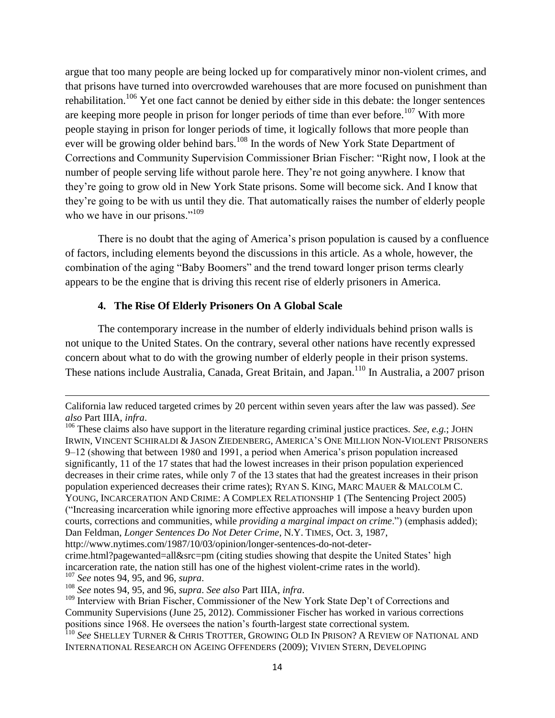argue that too many people are being locked up for comparatively minor non-violent crimes, and that prisons have turned into overcrowded warehouses that are more focused on punishment than rehabilitation.<sup>106</sup> Yet one fact cannot be denied by either side in this debate: the longer sentences are keeping more people in prison for longer periods of time than ever before.<sup>107</sup> With more people staying in prison for longer periods of time, it logically follows that more people than ever will be growing older behind bars.<sup>108</sup> In the words of New York State Department of Corrections and Community Supervision Commissioner Brian Fischer: "Right now, I look at the number of people serving life without parole here. They're not going anywhere. I know that they're going to grow old in New York State prisons. Some will become sick. And I know that they're going to be with us until they die. That automatically raises the number of elderly people who we have in our prisons." $109$ 

There is no doubt that the aging of America's prison population is caused by a confluence of factors, including elements beyond the discussions in this article. As a whole, however, the combination of the aging "Baby Boomers" and the trend toward longer prison terms clearly appears to be the engine that is driving this recent rise of elderly prisoners in America.

#### **4. The Rise Of Elderly Prisoners On A Global Scale**

The contemporary increase in the number of elderly individuals behind prison walls is not unique to the United States. On the contrary, several other nations have recently expressed concern about what to do with the growing number of elderly people in their prison systems. These nations include Australia, Canada, Great Britain, and Japan.<sup>110</sup> In Australia, a 2007 prison

California law reduced targeted crimes by 20 percent within seven years after the law was passed). *See also* Part IIIA, *infra*.

<sup>&</sup>lt;sup>106</sup> These claims also have support in the literature regarding criminal justice practices. *See, e.g.*; JOHN IRWIN, VINCENT SCHIRALDI & JASON ZIEDENBERG, AMERICA'S ONE MILLION NON-VIOLENT PRISONERS 9–12 (showing that between 1980 and 1991, a period when America's prison population increased significantly, 11 of the 17 states that had the lowest increases in their prison population experienced decreases in their crime rates, while only 7 of the 13 states that had the greatest increases in their prison population experienced decreases their crime rates); RYAN S. KING, MARC MAUER & MALCOLM C. YOUNG, INCARCERATION AND CRIME: A COMPLEX RELATIONSHIP 1 (The Sentencing Project 2005) (―Increasing incarceration while ignoring more effective approaches will impose a heavy burden upon courts, corrections and communities, while *providing a marginal impact on crime*.‖) (emphasis added); Dan Feldman, *Longer Sentences Do Not Deter Crime*, N.Y. TIMES, Oct. 3, 1987,

http://www.nytimes.com/1987/10/03/opinion/longer-sentences-do-not-deter-

crime.html?pagewanted=all&src=pm (citing studies showing that despite the United States' high incarceration rate, the nation still has one of the highest violent-crime rates in the world). <sup>107</sup> *See* notes 94, 95, and 96, *supra*.

<sup>108</sup> *See* notes 94, 95, and 96, *supra*. *See also* Part IIIA, *infra*.

<sup>&</sup>lt;sup>109</sup> Interview with Brian Fischer, Commissioner of the New York State Dep't of Corrections and Community Supervisions (June 25, 2012). Commissioner Fischer has worked in various corrections positions since 1968. He oversees the nation's fourth-largest state correctional system.

<sup>110</sup> *See* SHELLEY TURNER & CHRIS TROTTER, GROWING OLD IN PRISON? A REVIEW OF NATIONAL AND INTERNATIONAL RESEARCH ON AGEING OFFENDERS (2009); VIVIEN STERN, DEVELOPING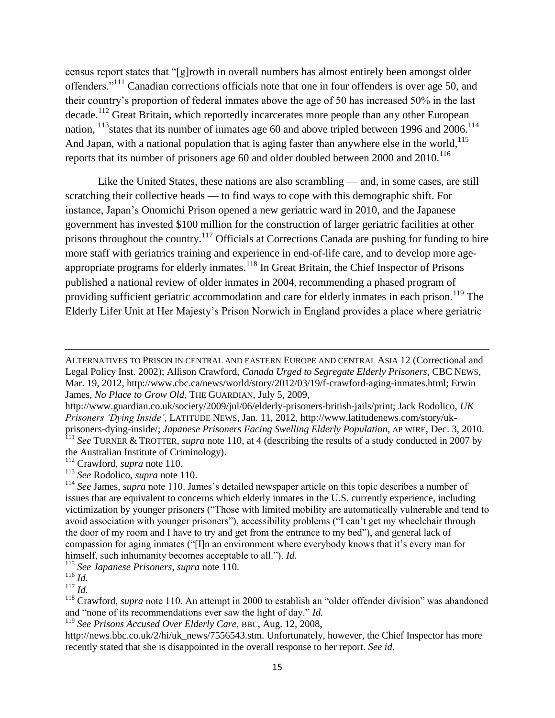census report states that "[g]rowth in overall numbers has almost entirely been amongst older offenders."<sup>111</sup> Canadian corrections officials note that one in four offenders is over age 50, and their country's proportion of federal inmates above the age of 50 has increased 50% in the last decade.<sup>112</sup> Great Britain, which reportedly incarcerates more people than any other European nation,  $^{113}$ states that its number of inmates age 60 and above tripled between 1996 and 2006.<sup>114</sup> And Japan, with a national population that is aging faster than anywhere else in the world, <sup>115</sup> reports that its number of prisoners age 60 and older doubled between 2000 and  $2010$ .<sup>116</sup>

Like the United States, these nations are also scrambling — and, in some cases, are still scratching their collective heads — to find ways to cope with this demographic shift. For instance, Japan's Onomichi Prison opened a new geriatric ward in 2010, and the Japanese government has invested \$100 million for the construction of larger geriatric facilities at other prisons throughout the country.<sup>117</sup> Officials at Corrections Canada are pushing for funding to hire more staff with geriatrics training and experience in end-of-life care, and to develop more ageappropriate programs for elderly inmates.<sup>118</sup> In Great Britain, the Chief Inspector of Prisons published a national review of older inmates in 2004, recommending a phased program of providing sufficient geriatric accommodation and care for elderly inmates in each prison.<sup>119</sup> The Elderly Lifer Unit at Her Majesty's Prison Norwich in England provides a place where geriatric

the Australian Institute of Criminology).

<sup>115</sup> *See Japanese Prisoners*, *supra* note 110.

ALTERNATIVES TO PRISON IN CENTRAL AND EASTERN EUROPE AND CENTRAL ASIA 12 (Correctional and Legal Policy Inst. 2002); Allison Crawford, *Canada Urged to Segregate Elderly Prisoners*, CBC NEWS, Mar. 19, 2012, http://www.cbc.ca/news/world/story/2012/03/19/f-crawford-aging-inmates.html; Erwin James, *No Place to Grow Old*, THE GUARDIAN, July 5, 2009,

http://www.guardian.co.uk/society/2009/jul/06/elderly-prisoners-british-jails/print; Jack Rodolico, *UK Prisoners "Dying Inside"*, LATITUDE NEWS, Jan. 11, 2012, http://www.latitudenews.com/story/ukprisoners-dying-inside/; *Japanese Prisoners Facing Swelling Elderly Population*, AP WIRE, Dec. 3, 2010. <sup>111</sup> See TURNER & TROTTER, *supra* note 110, at 4 (describing the results of a study conducted in 2007 by

<sup>112</sup> Crawford, *supra* note 110.

<sup>113</sup> *See* Rodolico, *supra* note 110.

<sup>114</sup> *See* James, *supra* note 110. James's detailed newspaper article on this topic describes a number of issues that are equivalent to concerns which elderly inmates in the U.S. currently experience, including victimization by younger prisoners ("Those with limited mobility are automatically vulnerable and tend to avoid association with younger prisoners"), accessibility problems ("I can't get my wheelchair through the door of my room and I have to try and get from the entrance to my bed"), and general lack of compassion for aging inmates ("[I]n an environment where everybody knows that it's every man for himself, such inhumanity becomes acceptable to all."). *Id.* 

 $^{116}\,$   $ld.$ 

 $^{117}$  *Id.* 

 $118$  Crawford, *supra* note 110. An attempt in 2000 to establish an "older offender division" was abandoned and "none of its recommendations ever saw the light of day." *Id.* 

<sup>119</sup> *See Prisons Accused Over Elderly Care*, BBC, Aug. 12, 2008,

http://news.bbc.co.uk/2/hi/uk\_news/7556543.stm. Unfortunately, however, the Chief Inspector has more recently stated that she is disappointed in the overall response to her report. *See id.*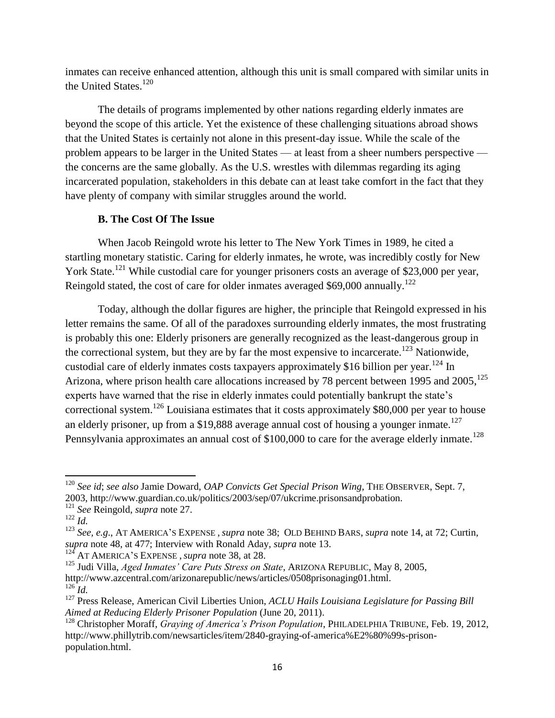inmates can receive enhanced attention, although this unit is small compared with similar units in the United States.<sup>120</sup>

The details of programs implemented by other nations regarding elderly inmates are beyond the scope of this article. Yet the existence of these challenging situations abroad shows that the United States is certainly not alone in this present-day issue. While the scale of the problem appears to be larger in the United States — at least from a sheer numbers perspective the concerns are the same globally. As the U.S. wrestles with dilemmas regarding its aging incarcerated population, stakeholders in this debate can at least take comfort in the fact that they have plenty of company with similar struggles around the world.

## **B. The Cost Of The Issue**

When Jacob Reingold wrote his letter to The New York Times in 1989, he cited a startling monetary statistic. Caring for elderly inmates, he wrote, was incredibly costly for New York State.<sup>121</sup> While custodial care for younger prisoners costs an average of \$23,000 per year, Reingold stated, the cost of care for older inmates averaged  $$69,000$  annually.<sup>122</sup>

Today, although the dollar figures are higher, the principle that Reingold expressed in his letter remains the same. Of all of the paradoxes surrounding elderly inmates, the most frustrating is probably this one: Elderly prisoners are generally recognized as the least-dangerous group in the correctional system, but they are by far the most expensive to incarcerate.<sup>123</sup> Nationwide, custodial care of elderly inmates costs taxpayers approximately \$16 billion per year.<sup>124</sup> In Arizona, where prison health care allocations increased by 78 percent between 1995 and 2005, <sup>125</sup> experts have warned that the rise in elderly inmates could potentially bankrupt the state's correctional system.<sup>126</sup> Louisiana estimates that it costs approximately \$80,000 per year to house an elderly prisoner, up from a \$19,888 average annual cost of housing a younger inmate.<sup>127</sup> Pennsylvania approximates an annual cost of \$100,000 to care for the average elderly inmate.<sup>128</sup>

<sup>120</sup> *See id*; *see also* Jamie Doward, *OAP Convicts Get Special Prison Wing*, THE OBSERVER, Sept. 7, 2003, http://www.guardian.co.uk/politics/2003/sep/07/ukcrime.prisonsandprobation.

<sup>121</sup> *See* Reingold, *supra* note 27.

 $122$  *Id.* 

<sup>123</sup> *See, e.g*., AT AMERICA'S EXPENSE , *supra* note 38; OLD BEHIND BARS, *supra* note 14, at 72; Curtin, *supra* note 48, at 477; Interview with Ronald Aday, *supra* note 13.

<sup>124</sup> AT AMERICA'S EXPENSE ,*supra* note 38, at 28.

<sup>&</sup>lt;sup>125</sup> Judi Villa, *Aged Inmates' Care Puts Stress on State*, ARIZONA REPUBLIC, May 8, 2005, http://www.azcentral.com/arizonarepublic/news/articles/0508prisonaging01.html.  $^{126}$ *Id.* 

<sup>127</sup> Press Release, American Civil Liberties Union, *ACLU Hails Louisiana Legislature for Passing Bill Aimed at Reducing Elderly Prisoner Population* (June 20, 2011).

<sup>128</sup> Christopher Moraff, *Graying of America"s Prison Population*, PHILADELPHIA TRIBUNE, Feb. 19, 2012, http://www.phillytrib.com/newsarticles/item/2840-graying-of-america%E2%80%99s-prisonpopulation.html.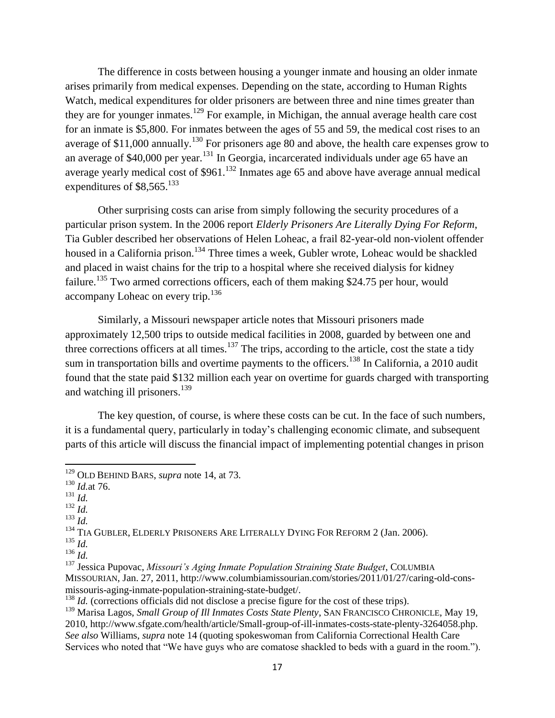The difference in costs between housing a younger inmate and housing an older inmate arises primarily from medical expenses. Depending on the state, according to Human Rights Watch, medical expenditures for older prisoners are between three and nine times greater than they are for younger inmates.<sup>129</sup> For example, in Michigan, the annual average health care cost for an inmate is \$5,800. For inmates between the ages of 55 and 59, the medical cost rises to an average of  $$11,000$  annually.<sup>130</sup> For prisoners age 80 and above, the health care expenses grow to an average of  $$40,000$  per year.<sup>131</sup> In Georgia, incarcerated individuals under age 65 have an average yearly medical cost of  $$961<sup>132</sup>$  Inmates age 65 and above have average annual medical expenditures of \$8,565.<sup>133</sup>

Other surprising costs can arise from simply following the security procedures of a particular prison system. In the 2006 report *Elderly Prisoners Are Literally Dying For Reform*, Tia Gubler described her observations of Helen Loheac, a frail 82-year-old non-violent offender housed in a California prison.<sup>134</sup> Three times a week, Gubler wrote, Loheac would be shackled and placed in waist chains for the trip to a hospital where she received dialysis for kidney failure.<sup>135</sup> Two armed corrections officers, each of them making \$24.75 per hour, would accompany Loheac on every trip.<sup>136</sup>

Similarly, a Missouri newspaper article notes that Missouri prisoners made approximately 12,500 trips to outside medical facilities in 2008, guarded by between one and three corrections officers at all times.<sup>137</sup> The trips, according to the article, cost the state a tidy sum in transportation bills and overtime payments to the officers.<sup>138</sup> In California, a 2010 audit found that the state paid \$132 million each year on overtime for guards charged with transporting and watching ill prisoners. 139

The key question, of course, is where these costs can be cut. In the face of such numbers, it is a fundamental query, particularly in today's challenging economic climate, and subsequent parts of this article will discuss the financial impact of implementing potential changes in prison

 $\overline{\phantom{a}}$ 

- $132 \overline{Id}$ .
- <sup>133</sup> *Id.*

<sup>134</sup> TIA GUBLER, ELDERLY PRISONERS ARE LITERALLY DYING FOR REFORM 2 (Jan. 2006).

<sup>129</sup> OLD BEHIND BARS, *supra* note 14, at 73.

<sup>130</sup> *Id.*at 76.

 $131$  *Id.* 

<sup>135</sup> *Id.* 

<sup>136</sup> *Id.* 

<sup>&</sup>lt;sup>137</sup> Jessica Pupovac, Missouri's Aging Inmate Population Straining State Budget, COLUMBIA MISSOURIAN, Jan. 27, 2011, http://www.columbiamissourian.com/stories/2011/01/27/caring-old-consmissouris-aging-inmate-population-straining-state-budget/.

<sup>&</sup>lt;sup>138</sup> *Id.* (corrections officials did not disclose a precise figure for the cost of these trips).

<sup>139</sup> Marisa Lagos, *Small Group of Ill Inmates Costs State Plenty*, SAN FRANCISCO CHRONICLE, May 19, 2010, http://www.sfgate.com/health/article/Small-group-of-ill-inmates-costs-state-plenty-3264058.php. *See also* Williams, *supra* note 14 (quoting spokeswoman from California Correctional Health Care Services who noted that "We have guys who are comatose shackled to beds with a guard in the room.").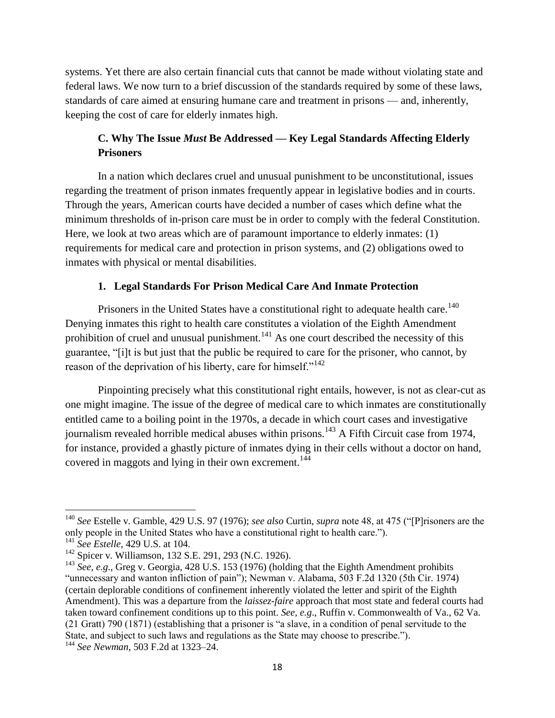systems. Yet there are also certain financial cuts that cannot be made without violating state and federal laws. We now turn to a brief discussion of the standards required by some of these laws, standards of care aimed at ensuring humane care and treatment in prisons — and, inherently, keeping the cost of care for elderly inmates high.

## **C. Why The Issue** *Must* **Be Addressed — Key Legal Standards Affecting Elderly Prisoners**

In a nation which declares cruel and unusual punishment to be unconstitutional, issues regarding the treatment of prison inmates frequently appear in legislative bodies and in courts. Through the years, American courts have decided a number of cases which define what the minimum thresholds of in-prison care must be in order to comply with the federal Constitution. Here, we look at two areas which are of paramount importance to elderly inmates: (1) requirements for medical care and protection in prison systems, and (2) obligations owed to inmates with physical or mental disabilities.

## **1. Legal Standards For Prison Medical Care And Inmate Protection**

Prisoners in the United States have a constitutional right to adequate health care.<sup>140</sup> Denying inmates this right to health care constitutes a violation of the Eighth Amendment prohibition of cruel and unusual punishment.<sup>141</sup> As one court described the necessity of this guarantee, "[i]t is but just that the public be required to care for the prisoner, who cannot, by reason of the deprivation of his liberty, care for himself." $142$ 

Pinpointing precisely what this constitutional right entails, however, is not as clear-cut as one might imagine. The issue of the degree of medical care to which inmates are constitutionally entitled came to a boiling point in the 1970s, a decade in which court cases and investigative journalism revealed horrible medical abuses within prisons.<sup>143</sup> A Fifth Circuit case from 1974, for instance, provided a ghastly picture of inmates dying in their cells without a doctor on hand, covered in maggots and lying in their own excrement.<sup>144</sup>

<sup>&</sup>lt;sup>140</sup> *See* Estelle v. Gamble, 429 U.S. 97 (1976); *see also* Curtin, *supra* note 48, at 475 ("[P]risoners are the only people in the United States who have a constitutional right to health care.").

<sup>141</sup> *See Estelle*, 429 U.S. at 104.

<sup>142</sup> Spicer v. Williamson, 132 S.E. 291, 293 (N.C. 1926).

<sup>&</sup>lt;sup>143</sup> See, e.g., Greg v. Georgia, 428 U.S. 153 (1976) (holding that the Eighth Amendment prohibits ―unnecessary and wanton infliction of pain‖); Newman v. Alabama, 503 F.2d 1320 (5th Cir. 1974) (certain deplorable conditions of confinement inherently violated the letter and spirit of the Eighth Amendment). This was a departure from the *laissez-faire* approach that most state and federal courts had taken toward confinement conditions up to this point. *See, e.g*., Ruffin v. Commonwealth of Va., 62 Va. (21 Gratt) 790 (1871) (establishing that a prisoner is "a slave, in a condition of penal servitude to the State, and subject to such laws and regulations as the State may choose to prescribe.").

<sup>144</sup> *See Newman*, 503 F.2d at 1323–24.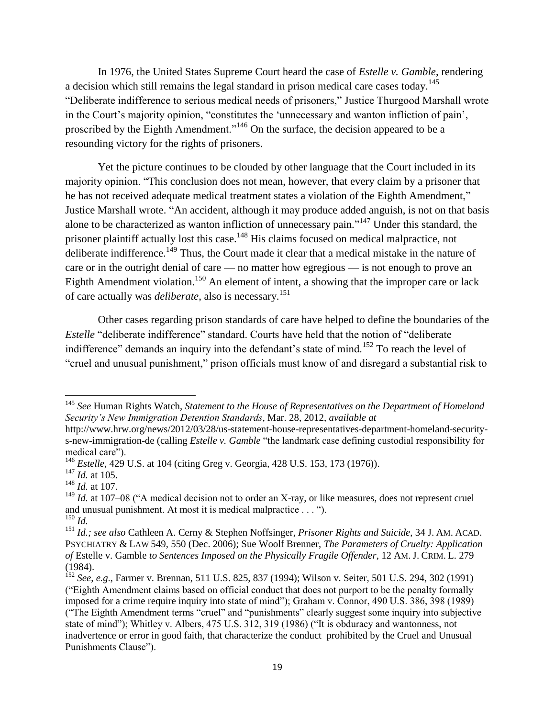In 1976, the United States Supreme Court heard the case of *Estelle v. Gamble*, rendering a decision which still remains the legal standard in prison medical care cases today.<sup>145</sup> "Deliberate indifference to serious medical needs of prisoners," Justice Thurgood Marshall wrote in the Court's majority opinion, "constitutes the 'unnecessary and wanton infliction of pain', proscribed by the Eighth Amendment."<sup>146</sup> On the surface, the decision appeared to be a resounding victory for the rights of prisoners.

Yet the picture continues to be clouded by other language that the Court included in its majority opinion. "This conclusion does not mean, however, that every claim by a prisoner that he has not received adequate medical treatment states a violation of the Eighth Amendment," Justice Marshall wrote. "An accident, although it may produce added anguish, is not on that basis alone to be characterized as wanton infliction of unnecessary pain."<sup>147</sup> Under this standard, the prisoner plaintiff actually lost this case.<sup>148</sup> His claims focused on medical malpractice, not deliberate indifference.<sup>149</sup> Thus, the Court made it clear that a medical mistake in the nature of care or in the outright denial of care — no matter how egregious — is not enough to prove an Eighth Amendment violation.<sup>150</sup> An element of intent, a showing that the improper care or lack of care actually was *deliberate*, also is necessary.<sup>151</sup>

Other cases regarding prison standards of care have helped to define the boundaries of the *Estelle* "deliberate indifference" standard. Courts have held that the notion of "deliberate" indifference" demands an inquiry into the defendant's state of mind.<sup>152</sup> To reach the level of ―cruel and unusual punishment,‖ prison officials must know of and disregard a substantial risk to

 $\overline{a}$ <sup>145</sup> *See* Human Rights Watch, *Statement to the House of Representatives on the Department of Homeland Security"s New Immigration Detention Standards*, Mar. 28, 2012, *available at* 

http://www.hrw.org/news/2012/03/28/us-statement-house-representatives-department-homeland-securitys-new-immigration-de (calling *Estelle v. Gamble* "the landmark case defining custodial responsibility for medical care").

<sup>&</sup>lt;sup>146</sup> *Estelle*, 429 U.S. at 104 (citing Greg v. Georgia, 428 U.S. 153, 173 (1976)).

<sup>147</sup> *Id.* at 105.

<sup>148</sup> *Id.* at 107.

 $149$  *Id.* at 107–08 ("A medical decision not to order an X-ray, or like measures, does not represent cruel and unusual punishment. At most it is medical malpractice  $\dots$  ").

<sup>150</sup> *Id.* 

<sup>151</sup> *Id.; see also* Cathleen A. Cerny & Stephen Noffsinger, *Prisoner Rights and Suicide*, 34 J. AM. ACAD. PSYCHIATRY & LAW 549, 550 (Dec. 2006); Sue Woolf Brenner, *The Parameters of Cruelty: Application of* Estelle v. Gamble *to Sentences Imposed on the Physically Fragile Offender*, 12 AM. J. CRIM. L. 279 (1984).

<sup>152</sup> *See*, *e.g*., Farmer v. Brennan, 511 U.S. 825, 837 (1994); Wilson v. Seiter, 501 U.S. 294, 302 (1991) (―Eighth Amendment claims based on official conduct that does not purport to be the penalty formally imposed for a crime require inquiry into state of mind"); Graham v. Connor, 490 U.S. 386, 398 (1989) ("The Eighth Amendment terms "cruel" and "punishments" clearly suggest some inquiry into subjective state of mind"); Whitley v. Albers, 475 U.S. 312, 319 (1986) ("It is obduracy and wantonness, not inadvertence or error in good faith, that characterize the conduct prohibited by the Cruel and Unusual Punishments Clause").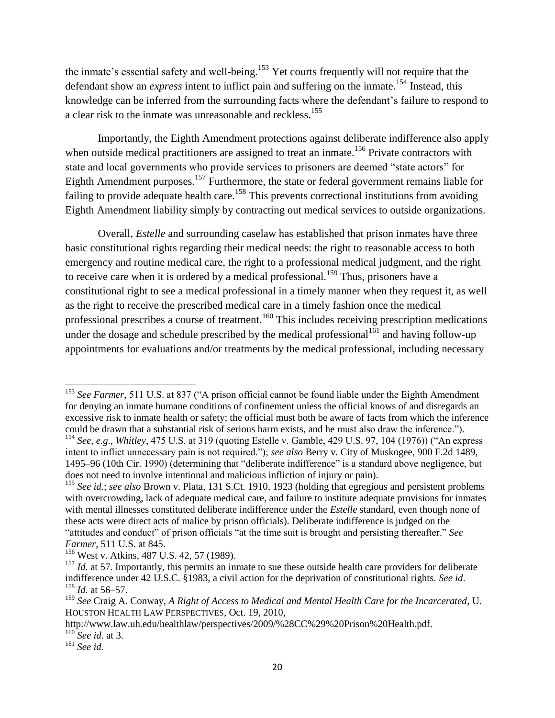the inmate's essential safety and well-being.<sup>153</sup> Yet courts frequently will not require that the defendant show an *express* intent to inflict pain and suffering on the inmate.<sup>154</sup> Instead, this knowledge can be inferred from the surrounding facts where the defendant's failure to respond to a clear risk to the inmate was unreasonable and reckless.<sup>155</sup>

Importantly, the Eighth Amendment protections against deliberate indifference also apply when outside medical practitioners are assigned to treat an inmate.<sup>156</sup> Private contractors with state and local governments who provide services to prisoners are deemed "state actors" for Eighth Amendment purposes.<sup>157</sup> Furthermore, the state or federal government remains liable for failing to provide adequate health care.<sup>158</sup> This prevents correctional institutions from avoiding Eighth Amendment liability simply by contracting out medical services to outside organizations.

Overall, *Estelle* and surrounding caselaw has established that prison inmates have three basic constitutional rights regarding their medical needs: the right to reasonable access to both emergency and routine medical care, the right to a professional medical judgment, and the right to receive care when it is ordered by a medical professional.<sup>159</sup> Thus, prisoners have a constitutional right to see a medical professional in a timely manner when they request it, as well as the right to receive the prescribed medical care in a timely fashion once the medical professional prescribes a course of treatment.<sup>160</sup> This includes receiving prescription medications under the dosage and schedule prescribed by the medical professional<sup>161</sup> and having follow-up appointments for evaluations and/or treatments by the medical professional, including necessary

<sup>&</sup>lt;sup>153</sup> See Farmer, 511 U.S. at 837 ("A prison official cannot be found liable under the Eighth Amendment for denying an inmate humane conditions of confinement unless the official knows of and disregards an excessive risk to inmate health or safety; the official must both be aware of facts from which the inference could be drawn that a substantial risk of serious harm exists, and he must also draw the inference."). <sup>154</sup> *See*, *e.g.*, *Whitley*, 475 U.S. at 319 (quoting Estelle v. Gamble, 429 U.S. 97, 104 (1976)) ("An express

intent to inflict unnecessary pain is not required."); *see also* Berry v. City of Muskogee, 900 F.2d 1489, 1495–96 (10th Cir. 1990) (determining that "deliberate indifference" is a standard above negligence, but does not need to involve intentional and malicious infliction of injury or pain).

<sup>155</sup> *See id.*; *see also* Brown v. Plata, 131 S.Ct. 1910, 1923 (holding that egregious and persistent problems with overcrowding, lack of adequate medical care, and failure to institute adequate provisions for inmates with mental illnesses constituted deliberate indifference under the *Estelle* standard, even though none of these acts were direct acts of malice by prison officials). Deliberate indifference is judged on the "attitudes and conduct" of prison officials "at the time suit is brought and persisting thereafter." See *Farmer*, 511 U.S. at 845.

<sup>&</sup>lt;sup>156</sup> West v. Atkins, 487 U.S. 42, 57 (1989).

<sup>&</sup>lt;sup>157</sup> *Id.* at 57. Importantly, this permits an inmate to sue these outside health care providers for deliberate indifference under 42 U.S.C. §1983, a civil action for the deprivation of constitutional rights. *See id*. <sup>158</sup> *Id.* at 56–57.

<sup>159</sup> *See* Craig A. Conway, *A Right of Access to Medical and Mental Health Care for the Incarcerated*, U. HOUSTON HEALTH LAW PERSPECTIVES, Oct. 19, 2010,

http://www.law.uh.edu/healthlaw/perspectives/2009/%28CC%29%20Prison%20Health.pdf. <sup>160</sup> *See id.* at 3.

<sup>161</sup> *See id.*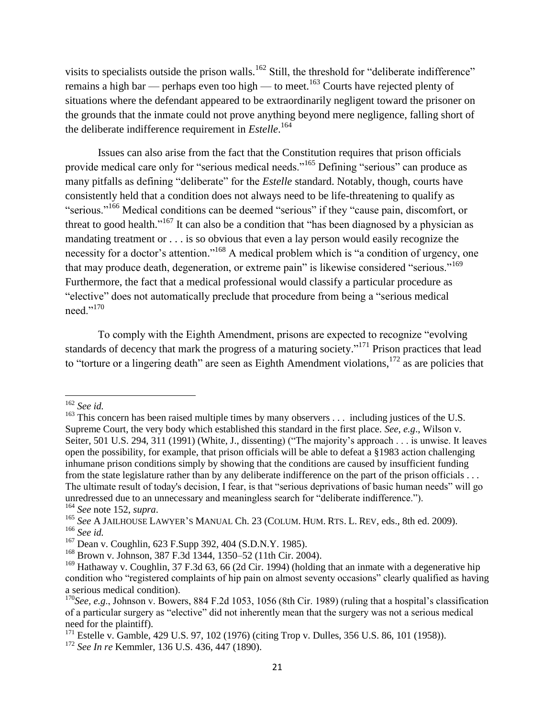visits to specialists outside the prison walls.<sup>162</sup> Still, the threshold for "deliberate indifference" remains a high bar — perhaps even too high — to meet.<sup>163</sup> Courts have rejected plenty of situations where the defendant appeared to be extraordinarily negligent toward the prisoner on the grounds that the inmate could not prove anything beyond mere negligence, falling short of the deliberate indifference requirement in *Estelle*. 164

Issues can also arise from the fact that the Constitution requires that prison officials provide medical care only for "serious medical needs."<sup>165</sup> Defining "serious" can produce as many pitfalls as defining "deliberate" for the *Estelle* standard. Notably, though, courts have consistently held that a condition does not always need to be life-threatening to qualify as "serious."<sup>166</sup> Medical conditions can be deemed "serious" if they "cause pain, discomfort, or threat to good health."<sup>167</sup> It can also be a condition that "has been diagnosed by a physician as mandating treatment or . . . is so obvious that even a lay person would easily recognize the necessity for a doctor's attention."<sup>168</sup> A medical problem which is "a condition of urgency, one that may produce death, degeneration, or extreme pain" is likewise considered "serious."<sup>169</sup> Furthermore, the fact that a medical professional would classify a particular procedure as "elective" does not automatically preclude that procedure from being a "serious medical need."<sup>170</sup>

To comply with the Eighth Amendment, prisons are expected to recognize "evolving" standards of decency that mark the progress of a maturing society."<sup>171</sup> Prison practices that lead to "torture or a lingering death" are seen as Eighth Amendment violations,  $172$  as are policies that

<sup>162</sup> *See id.* 

<sup>&</sup>lt;sup>163</sup> This concern has been raised multiple times by many observers  $\dots$  including justices of the U.S. Supreme Court, the very body which established this standard in the first place. *See*, *e.g*., Wilson v. Seiter, 501 U.S. 294, 311 (1991) (White, J., dissenting) ("The majority's approach . . . is unwise. It leaves open the possibility, for example, that prison officials will be able to defeat a §1983 action challenging inhumane prison conditions simply by showing that the conditions are caused by insufficient funding from the state legislature rather than by any deliberate indifference on the part of the prison officials . . . The ultimate result of today's decision, I fear, is that "serious deprivations of basic human needs" will go unredressed due to an unnecessary and meaningless search for "deliberate indifference."). <sup>164</sup> *See* note 152, *supra*.

<sup>165</sup> *See* A JAILHOUSE LAWYER'S MANUAL Ch. 23 (COLUM. HUM. RTS. L. REV, eds., 8th ed. 2009). <sup>166</sup> *See id.*

<sup>167</sup> Dean v. Coughlin, 623 F.Supp 392, 404 (S.D.N.Y. 1985).

<sup>168</sup> Brown v. Johnson, 387 F.3d 1344, 1350–52 (11th Cir. 2004).

<sup>&</sup>lt;sup>169</sup> Hathaway v. Coughlin, 37 F.3d 63, 66 (2d Cir. 1994) (holding that an inmate with a degenerative hip condition who "registered complaints of hip pain on almost seventy occasions" clearly qualified as having a serious medical condition).

<sup>&</sup>lt;sup>170</sup>See, e.g., Johnson v. Bowers, 884 F.2d 1053, 1056 (8th Cir. 1989) (ruling that a hospital's classification of a particular surgery as "elective" did not inherently mean that the surgery was not a serious medical need for the plaintiff).

<sup>&</sup>lt;sup>171</sup> Estelle v. Gamble, 429 U.S. 97, 102 (1976) (citing Trop v. Dulles, 356 U.S. 86, 101 (1958)).

<sup>172</sup> *See In re* Kemmler, 136 U.S. 436, 447 (1890).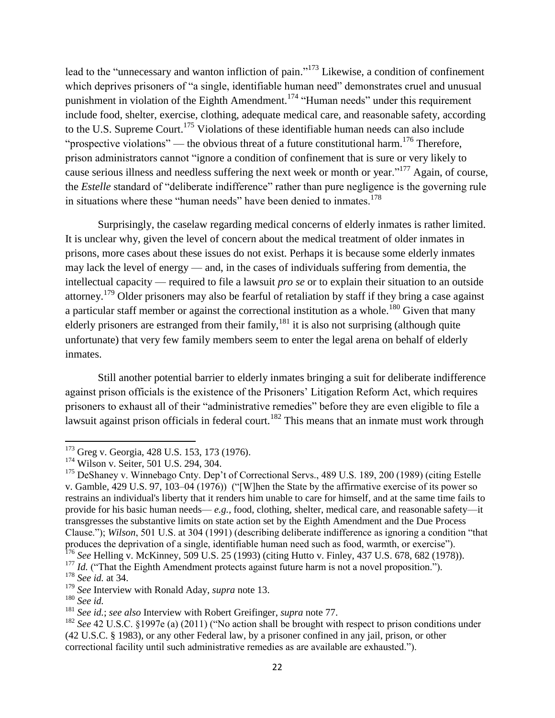lead to the "unnecessary and wanton infliction of pain."<sup>173</sup> Likewise, a condition of confinement which deprives prisoners of "a single, identifiable human need" demonstrates cruel and unusual punishment in violation of the Eighth Amendment.<sup>174</sup> "Human needs" under this requirement include food, shelter, exercise, clothing, adequate medical care, and reasonable safety, according to the U.S. Supreme Court.<sup>175</sup> Violations of these identifiable human needs can also include "prospective violations" — the obvious threat of a future constitutional harm.<sup>176</sup> Therefore, prison administrators cannot "ignore a condition of confinement that is sure or very likely to cause serious illness and needless suffering the next week or month or year."<sup>177</sup> Again, of course, the *Estelle* standard of "deliberate indifference" rather than pure negligence is the governing rule in situations where these "human needs" have been denied to inmates.<sup>178</sup>

Surprisingly, the caselaw regarding medical concerns of elderly inmates is rather limited. It is unclear why, given the level of concern about the medical treatment of older inmates in prisons, more cases about these issues do not exist. Perhaps it is because some elderly inmates may lack the level of energy — and, in the cases of individuals suffering from dementia, the intellectual capacity — required to file a lawsuit *pro se* or to explain their situation to an outside attorney.<sup>179</sup> Older prisoners may also be fearful of retaliation by staff if they bring a case against a particular staff member or against the correctional institution as a whole.<sup>180</sup> Given that many elderly prisoners are estranged from their family, <sup>181</sup> it is also not surprising (although quite unfortunate) that very few family members seem to enter the legal arena on behalf of elderly inmates.

Still another potential barrier to elderly inmates bringing a suit for deliberate indifference against prison officials is the existence of the Prisoners' Litigation Reform Act, which requires prisoners to exhaust all of their "administrative remedies" before they are even eligible to file a lawsuit against prison officials in federal court.<sup>182</sup> This means that an inmate must work through

<sup>&</sup>lt;sup>173</sup> Greg v. Georgia, 428 U.S. 153, 173 (1976).

<sup>&</sup>lt;sup>174</sup> Wilson v. Seiter, 501 U.S. 294, 304.

<sup>&</sup>lt;sup>175</sup> DeShaney v. Winnebago Cnty. Dep't of Correctional Servs., 489 U.S. 189, 200 (1989) (citing Estelle v. Gamble,  $429$  U.S. 97, 103–04 (1976)) ("[W]hen the State by the affirmative exercise of its power so restrains an individual's liberty that it renders him unable to care for himself, and at the same time fails to provide for his basic human needs— *e.g.,* food, clothing, shelter, medical care, and reasonable safety—it transgresses the substantive limits on state action set by the Eighth Amendment and the Due Process Clause."); *Wilson*, 501 U.S. at 304 (1991) (describing deliberate indifference as ignoring a condition "that produces the deprivation of a single, identifiable human need such as food, warmth, or exercise"). <sup>176</sup> *See* Helling v. McKinney, 509 U.S. 25 (1993) (citing Hutto v. Finley, 437 U.S. 678, 682 (1978)).

<sup>&</sup>lt;sup>177</sup> *Id.* ("That the Eighth Amendment protects against future harm is not a novel proposition.").

<sup>178</sup> *See id.* at 34.

<sup>179</sup> *See* Interview with Ronald Aday, *supra* note 13.

<sup>180</sup> *See id.* 

<sup>181</sup> *See id.*; *see also* Interview with Robert Greifinger, *supra* note 77.

<sup>&</sup>lt;sup>182</sup> *See* 42 U.S.C. §1997e (a) (2011) ("No action shall be brought with respect to prison conditions under (42 U.S.C. § 1983), or any other Federal law, by a prisoner confined in any jail, prison, or other correctional facility until such administrative remedies as are available are exhausted.").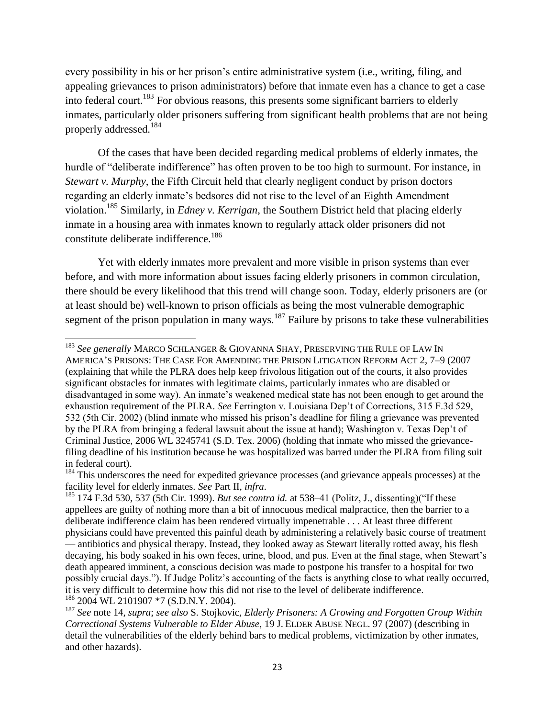every possibility in his or her prison's entire administrative system (i.e., writing, filing, and appealing grievances to prison administrators) before that inmate even has a chance to get a case into federal court.<sup>183</sup> For obvious reasons, this presents some significant barriers to elderly inmates, particularly older prisoners suffering from significant health problems that are not being properly addressed.<sup>184</sup>

Of the cases that have been decided regarding medical problems of elderly inmates, the hurdle of "deliberate indifference" has often proven to be too high to surmount. For instance, in *Stewart v. Murphy*, the Fifth Circuit held that clearly negligent conduct by prison doctors regarding an elderly inmate's bedsores did not rise to the level of an Eighth Amendment violation.<sup>185</sup> Similarly, in *Edney v. Kerrigan*, the Southern District held that placing elderly inmate in a housing area with inmates known to regularly attack older prisoners did not constitute deliberate indifference.<sup>186</sup>

Yet with elderly inmates more prevalent and more visible in prison systems than ever before, and with more information about issues facing elderly prisoners in common circulation, there should be every likelihood that this trend will change soon. Today, elderly prisoners are (or at least should be) well-known to prison officials as being the most vulnerable demographic segment of the prison population in many ways.<sup>187</sup> Failure by prisons to take these vulnerabilities

<sup>183</sup> *See generally* MARCO SCHLANGER & GIOVANNA SHAY, PRESERVING THE RULE OF LAW IN AMERICA'S PRISONS: THE CASE FOR AMENDING THE PRISON LITIGATION REFORM ACT 2, 7–9 (2007 (explaining that while the PLRA does help keep frivolous litigation out of the courts, it also provides significant obstacles for inmates with legitimate claims, particularly inmates who are disabled or disadvantaged in some way). An inmate's weakened medical state has not been enough to get around the exhaustion requirement of the PLRA. *See* Ferrington v. Louisiana Dep't of Corrections, 315 F.3d 529, 532 (5th Cir. 2002) (blind inmate who missed his prison's deadline for filing a grievance was prevented by the PLRA from bringing a federal lawsuit about the issue at hand); Washington v. Texas Dep't of Criminal Justice, 2006 WL 3245741 (S.D. Tex. 2006) (holding that inmate who missed the grievancefiling deadline of his institution because he was hospitalized was barred under the PLRA from filing suit in federal court).

<sup>&</sup>lt;sup>184</sup> This underscores the need for expedited grievance processes (and grievance appeals processes) at the facility level for elderly inmates. *See* Part II, *infra*.

<sup>&</sup>lt;sup>185</sup> 174 F.3d 530, 537 (5th Cir. 1999). *But see contra id.* at 538–41 (Politz, J., dissenting)("If these appellees are guilty of nothing more than a bit of innocuous medical malpractice, then the barrier to a deliberate indifference claim has been rendered virtually impenetrable . . . At least three different physicians could have prevented this painful death by administering a relatively basic course of treatment — antibiotics and physical therapy. Instead, they looked away as Stewart literally rotted away, his flesh decaying, his body soaked in his own feces, urine, blood, and pus. Even at the final stage, when Stewart's death appeared imminent, a conscious decision was made to postpone his transfer to a hospital for two possibly crucial days.‖). If Judge Politz's accounting of the facts is anything close to what really occurred, it is very difficult to determine how this did not rise to the level of deliberate indifference. <sup>186</sup> 2004 WL 2101907 \*7 (S.D.N.Y. 2004).

<sup>187</sup> *See* note 14, *supra*; *see also* S. Stojkovic, *Elderly Prisoners: A Growing and Forgotten Group Within Correctional Systems Vulnerable to Elder Abuse*, 19 J. ELDER ABUSE NEGL. 97 (2007) (describing in detail the vulnerabilities of the elderly behind bars to medical problems, victimization by other inmates, and other hazards).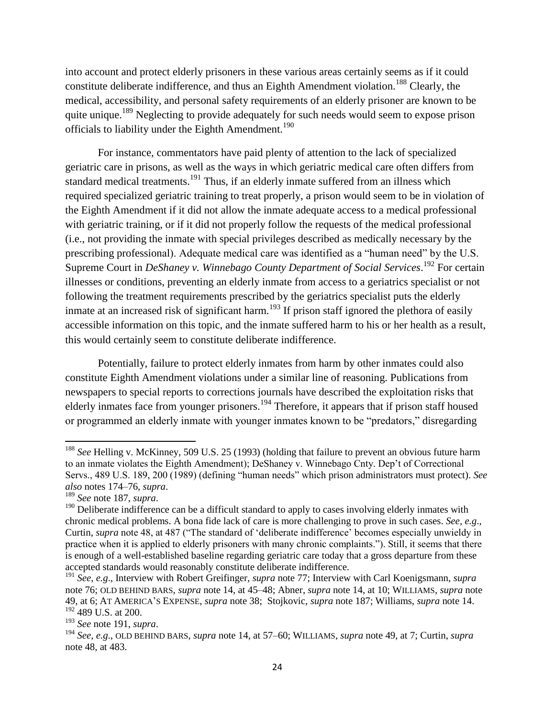into account and protect elderly prisoners in these various areas certainly seems as if it could constitute deliberate indifference, and thus an Eighth Amendment violation.<sup>188</sup> Clearly, the medical, accessibility, and personal safety requirements of an elderly prisoner are known to be quite unique.<sup>189</sup> Neglecting to provide adequately for such needs would seem to expose prison officials to liability under the Eighth Amendment.<sup>190</sup>

For instance, commentators have paid plenty of attention to the lack of specialized geriatric care in prisons, as well as the ways in which geriatric medical care often differs from standard medical treatments.<sup>191</sup> Thus, if an elderly inmate suffered from an illness which required specialized geriatric training to treat properly, a prison would seem to be in violation of the Eighth Amendment if it did not allow the inmate adequate access to a medical professional with geriatric training, or if it did not properly follow the requests of the medical professional (i.e., not providing the inmate with special privileges described as medically necessary by the prescribing professional). Adequate medical care was identified as a "human need" by the U.S. Supreme Court in *DeShaney v. Winnebago County Department of Social Services.*<sup>192</sup> For certain illnesses or conditions, preventing an elderly inmate from access to a geriatrics specialist or not following the treatment requirements prescribed by the geriatrics specialist puts the elderly inmate at an increased risk of significant harm.<sup>193</sup> If prison staff ignored the plethora of easily accessible information on this topic, and the inmate suffered harm to his or her health as a result, this would certainly seem to constitute deliberate indifference.

Potentially, failure to protect elderly inmates from harm by other inmates could also constitute Eighth Amendment violations under a similar line of reasoning. Publications from newspapers to special reports to corrections journals have described the exploitation risks that elderly inmates face from younger prisoners.<sup>194</sup> Therefore, it appears that if prison staff housed or programmed an elderly inmate with younger inmates known to be "predators," disregarding

<sup>188</sup> *See* Helling v. McKinney, 509 U.S. 25 (1993) (holding that failure to prevent an obvious future harm to an inmate violates the Eighth Amendment); DeShaney v. Winnebago Cnty. Dep't of Correctional Servs., 489 U.S. 189, 200 (1989) (defining "human needs" which prison administrators must protect). *See also* notes 174–76, *supra*.

<sup>189</sup> *See* note 187, *supra*.

<sup>&</sup>lt;sup>190</sup> Deliberate indifference can be a difficult standard to apply to cases involving elderly inmates with chronic medical problems. A bona fide lack of care is more challenging to prove in such cases. *See, e.g*., Curtin, *supra* note 48, at 487 ("The standard of 'deliberate indifference' becomes especially unwieldy in practice when it is applied to elderly prisoners with many chronic complaints."). Still, it seems that there is enough of a well-established baseline regarding geriatric care today that a gross departure from these accepted standards would reasonably constitute deliberate indifference.

<sup>191</sup> *See*, *e.g*., Interview with Robert Greifinger, *supra* note 77; Interview with Carl Koenigsmann, *supra*  note 76; OLD BEHIND BARS, *supra* note 14, at 45–48; Abner, *supra* note 14, at 10; WILLIAMS, *supra* note 49, at 6; AT AMERICA'S EXPENSE, *supra* note 38; Stojkovic, *supra* note 187; Williams, *supra* note 14. <sup>192</sup> 489 U.S. at 200.

<sup>193</sup> *See* note 191, *supra*.

<sup>194</sup> *See, e.g*., OLD BEHIND BARS, *supra* note 14, at 57–60; WILLIAMS, *supra* note 49, at 7; Curtin, *supra*  note 48, at 483.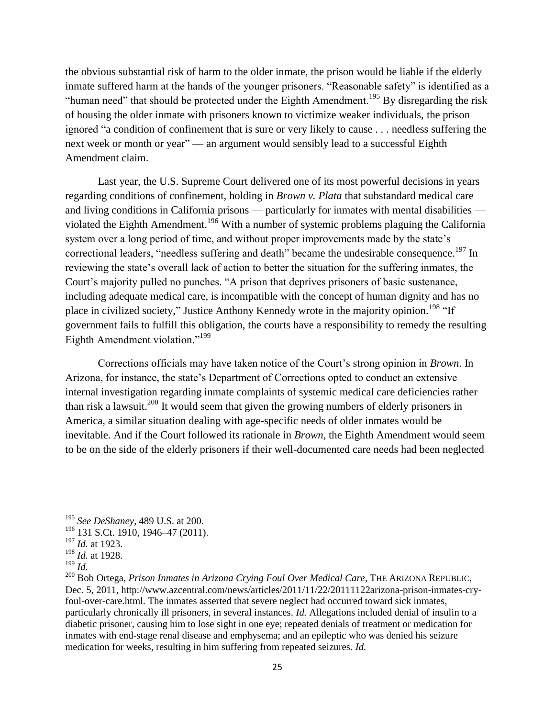the obvious substantial risk of harm to the older inmate, the prison would be liable if the elderly inmate suffered harm at the hands of the younger prisoners. "Reasonable safety" is identified as a "human need" that should be protected under the Eighth Amendment.<sup>195</sup> By disregarding the risk of housing the older inmate with prisoners known to victimize weaker individuals, the prison ignored "a condition of confinement that is sure or very likely to cause . . . needless suffering the next week or month or year" — an argument would sensibly lead to a successful Eighth Amendment claim.

Last year, the U.S. Supreme Court delivered one of its most powerful decisions in years regarding conditions of confinement, holding in *Brown v. Plata* that substandard medical care and living conditions in California prisons — particularly for inmates with mental disabilities violated the Eighth Amendment.<sup>196</sup> With a number of systemic problems plaguing the California system over a long period of time, and without proper improvements made by the state's correctional leaders, "needless suffering and death" became the undesirable consequence.<sup>197</sup> In reviewing the state's overall lack of action to better the situation for the suffering inmates, the Court's majority pulled no punches. "A prison that deprives prisoners of basic sustenance, including adequate medical care, is incompatible with the concept of human dignity and has no place in civilized society," Justice Anthony Kennedy wrote in the majority opinion.<sup>198</sup> "If government fails to fulfill this obligation, the courts have a responsibility to remedy the resulting Eighth Amendment violation."<sup>199</sup>

Corrections officials may have taken notice of the Court's strong opinion in *Brown*. In Arizona, for instance, the state's Department of Corrections opted to conduct an extensive internal investigation regarding inmate complaints of systemic medical care deficiencies rather than risk a lawsuit.<sup>200</sup> It would seem that given the growing numbers of elderly prisoners in America, a similar situation dealing with age-specific needs of older inmates would be inevitable. And if the Court followed its rationale in *Brown*, the Eighth Amendment would seem to be on the side of the elderly prisoners if their well-documented care needs had been neglected

 $199$  *Id.* 

<sup>195</sup> *See DeShaney*, 489 U.S. at 200.

<sup>196</sup> 131 S.Ct. 1910, 1946–47 (2011).

<sup>197</sup> *Id.* at 1923.

<sup>198</sup> *Id.* at 1928.

<sup>200</sup> Bob Ortega, *Prison Inmates in Arizona Crying Foul Over Medical Care*, THE ARIZONA REPUBLIC, Dec. 5, 2011, http://www.azcentral.com/news/articles/2011/11/22/20111122arizona-prison-inmates-cryfoul-over-care.html. The inmates asserted that severe neglect had occurred toward sick inmates, particularly chronically ill prisoners, in several instances. *Id.* Allegations included denial of insulin to a diabetic prisoner, causing him to lose sight in one eye; repeated denials of treatment or medication for inmates with end-stage renal disease and emphysema; and an epileptic who was denied his seizure medication for weeks, resulting in him suffering from repeated seizures. *Id.*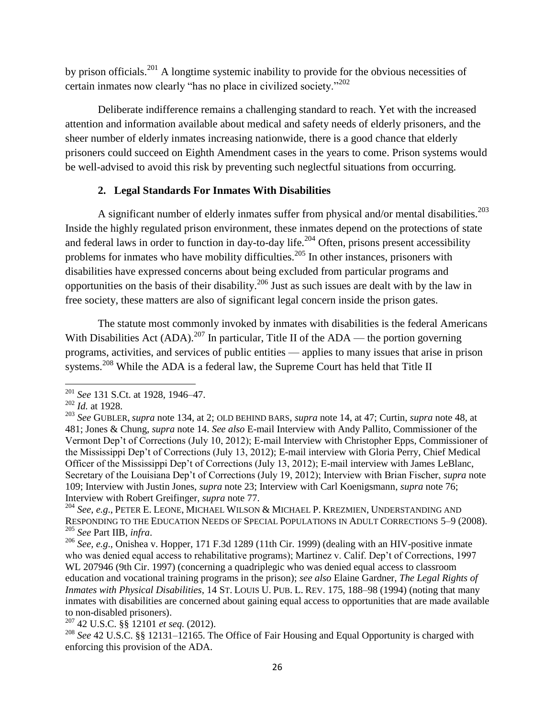by prison officials.<sup>201</sup> A longtime systemic inability to provide for the obvious necessities of certain inmates now clearly "has no place in civilized society." $202$ 

Deliberate indifference remains a challenging standard to reach. Yet with the increased attention and information available about medical and safety needs of elderly prisoners, and the sheer number of elderly inmates increasing nationwide, there is a good chance that elderly prisoners could succeed on Eighth Amendment cases in the years to come. Prison systems would be well-advised to avoid this risk by preventing such neglectful situations from occurring.

## **2. Legal Standards For Inmates With Disabilities**

A significant number of elderly inmates suffer from physical and/or mental disabilities.<sup>203</sup> Inside the highly regulated prison environment, these inmates depend on the protections of state and federal laws in order to function in day-to-day life.<sup>204</sup> Often, prisons present accessibility problems for inmates who have mobility difficulties.<sup>205</sup> In other instances, prisoners with disabilities have expressed concerns about being excluded from particular programs and opportunities on the basis of their disability.<sup>206</sup> Just as such issues are dealt with by the law in free society, these matters are also of significant legal concern inside the prison gates.

The statute most commonly invoked by inmates with disabilities is the federal Americans With Disabilities Act  $(ADA)$ .<sup>207</sup> In particular, Title II of the  $ADA$  — the portion governing programs, activities, and services of public entities — applies to many issues that arise in prison systems.<sup>208</sup> While the ADA is a federal law, the Supreme Court has held that Title II

 $\overline{\phantom{a}}$ 

<sup>207</sup> 42 U.S.C. §§ 12101 *et seq.* (2012).

<sup>201</sup> *See* 131 S.Ct. at 1928, 1946–47.

<sup>202</sup> *Id.* at 1928.

<sup>203</sup> *See* GUBLER, *supra* note 134, at 2; OLD BEHIND BARS, *supra* note 14, at 47; Curtin, *supra* note 48, at 481; Jones & Chung, *supra* note 14. *See also* E-mail Interview with Andy Pallito, Commissioner of the Vermont Dep't of Corrections (July 10, 2012); E-mail Interview with Christopher Epps, Commissioner of the Mississippi Dep't of Corrections (July 13, 2012); E-mail interview with Gloria Perry, Chief Medical Officer of the Mississippi Dep't of Corrections (July 13, 2012); E-mail interview with James LeBlanc, Secretary of the Louisiana Dep't of Corrections (July 19, 2012); Interview with Brian Fischer, *supra* note 109; Interview with Justin Jones, *supra* note 23; Interview with Carl Koenigsmann, *supra* note 76; Interview with Robert Greifinger, *supra* note 77.

<sup>204</sup> *See*, *e.g*., PETER E. LEONE, MICHAEL WILSON & MICHAEL P. KREZMIEN, UNDERSTANDING AND RESPONDING TO THE EDUCATION NEEDS OF SPECIAL POPULATIONS IN ADULT CORRECTIONS 5–9 (2008). <sup>205</sup> *See* Part IIB, *infra*.

<sup>206</sup> *See, e.g*., Onishea v. Hopper, 171 F.3d 1289 (11th Cir. 1999) (dealing with an HIV-positive inmate who was denied equal access to rehabilitative programs); Martinez v. Calif. Dep't of Corrections, 1997 WL 207946 (9th Cir. 1997) (concerning a quadriplegic who was denied equal access to classroom education and vocational training programs in the prison); *see also* Elaine Gardner, *The Legal Rights of Inmates with Physical Disabilities*, 14 ST. LOUIS U. PUB. L. REV. 175, 188–98 (1994) (noting that many inmates with disabilities are concerned about gaining equal access to opportunities that are made available to non-disabled prisoners).

<sup>208</sup> *See* 42 U.S.C. §§ 12131–12165. The Office of Fair Housing and Equal Opportunity is charged with enforcing this provision of the ADA.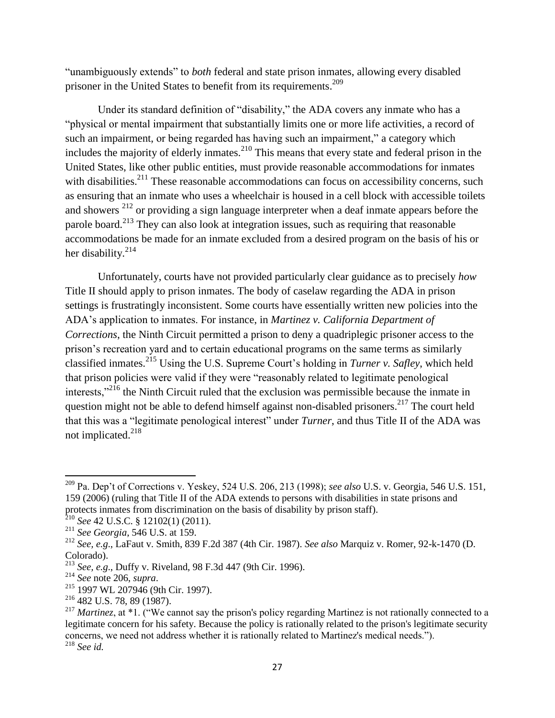"unambiguously extends" to *both* federal and state prison inmates, allowing every disabled prisoner in the United States to benefit from its requirements.<sup>209</sup>

Under its standard definition of "disability," the ADA covers any inmate who has a "physical or mental impairment that substantially limits one or more life activities, a record of such an impairment, or being regarded has having such an impairment," a category which includes the majority of elderly inmates.<sup>210</sup> This means that every state and federal prison in the United States, like other public entities, must provide reasonable accommodations for inmates with disabilities.<sup>211</sup> These reasonable accommodations can focus on accessibility concerns, such as ensuring that an inmate who uses a wheelchair is housed in a cell block with accessible toilets and showers<sup>212</sup> or providing a sign language interpreter when a deaf inmate appears before the parole board.<sup>213</sup> They can also look at integration issues, such as requiring that reasonable accommodations be made for an inmate excluded from a desired program on the basis of his or her disability. $214$ 

Unfortunately, courts have not provided particularly clear guidance as to precisely *how*  Title II should apply to prison inmates. The body of caselaw regarding the ADA in prison settings is frustratingly inconsistent. Some courts have essentially written new policies into the ADA's application to inmates. For instance, in *Martinez v. California Department of Corrections*, the Ninth Circuit permitted a prison to deny a quadriplegic prisoner access to the prison's recreation yard and to certain educational programs on the same terms as similarly classified inmates.<sup>215</sup> Using the U.S. Supreme Court's holding in *Turner v. Safley*, which held that prison policies were valid if they were "reasonably related to legitimate penological interests,"<sup>216</sup> the Ninth Circuit ruled that the exclusion was permissible because the inmate in question might not be able to defend himself against non-disabled prisoners.<sup>217</sup> The court held that this was a "legitimate penological interest" under *Turner*, and thus Title II of the ADA was not implicated.<sup>218</sup>

<sup>209</sup> Pa. Dep't of Corrections v. Yeskey, 524 U.S. 206, 213 (1998); *see also* U.S. v. Georgia, 546 U.S. 151, 159 (2006) (ruling that Title II of the ADA extends to persons with disabilities in state prisons and protects inmates from discrimination on the basis of disability by prison staff).

<sup>210</sup> *See* 42 U.S.C. § 12102(1) (2011).

<sup>211</sup> *See Georgia*, 546 U.S. at 159.

<sup>212</sup> *See, e.g*., LaFaut v. Smith, 839 F.2d 387 (4th Cir. 1987). *See also* Marquiz v. Romer, 92-k-1470 (D. Colorado).

<sup>213</sup> *See, e.g*., Duffy v. Riveland, 98 F.3d 447 (9th Cir. 1996).

<sup>214</sup> *See* note 206, *supra*.

<sup>215</sup> 1997 WL 207946 (9th Cir. 1997).

<sup>216</sup> 482 U.S. 78, 89 (1987).

<sup>&</sup>lt;sup>217</sup> *Martinez*, at \*1. ("We cannot say the prison's policy regarding Martinez is not rationally connected to a legitimate concern for his safety. Because the policy is rationally related to the prison's legitimate security concerns, we need not address whether it is rationally related to Martinez's medical needs."). <sup>218</sup> *See id.*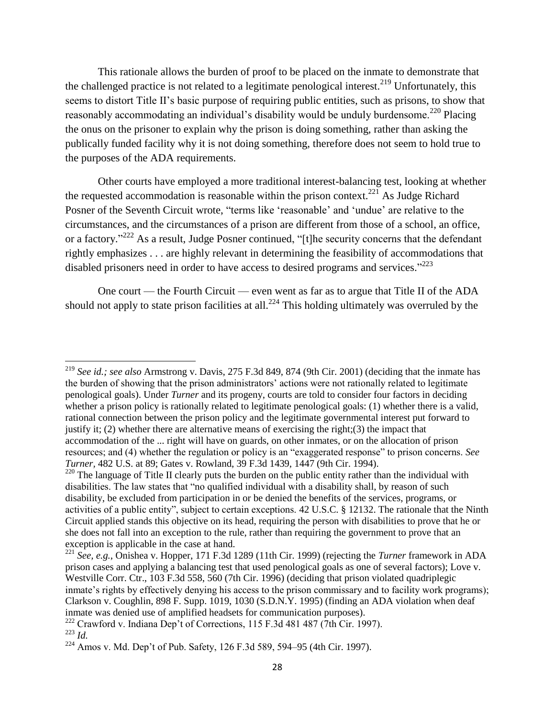This rationale allows the burden of proof to be placed on the inmate to demonstrate that the challenged practice is not related to a legitimate penological interest.<sup>219</sup> Unfortunately, this seems to distort Title II's basic purpose of requiring public entities, such as prisons, to show that reasonably accommodating an individual's disability would be unduly burdensome.<sup>220</sup> Placing the onus on the prisoner to explain why the prison is doing something, rather than asking the publically funded facility why it is not doing something, therefore does not seem to hold true to the purposes of the ADA requirements.

Other courts have employed a more traditional interest-balancing test, looking at whether the requested accommodation is reasonable within the prison context.<sup>221</sup> As Judge Richard Posner of the Seventh Circuit wrote, "terms like 'reasonable' and 'undue' are relative to the circumstances, and the circumstances of a prison are different from those of a school, an office, or a factory."<sup>222</sup> As a result, Judge Posner continued, "[t]he security concerns that the defendant rightly emphasizes . . . are highly relevant in determining the feasibility of accommodations that disabled prisoners need in order to have access to desired programs and services. $^{223}$ 

One court — the Fourth Circuit — even went as far as to argue that Title II of the ADA should not apply to state prison facilities at all.<sup>224</sup> This holding ultimately was overruled by the

<sup>219</sup> *See id.; see also* Armstrong v. Davis, 275 F.3d 849, 874 (9th Cir. 2001) (deciding that the inmate has the burden of showing that the prison administrators' actions were not rationally related to legitimate penological goals). Under *Turner* and its progeny, courts are told to consider four factors in deciding whether a prison policy is rationally related to legitimate penological goals: (1) whether there is a valid, rational connection between the prison policy and the legitimate governmental interest put forward to justify it; (2) whether there are alternative means of exercising the right;(3) the impact that accommodation of the ... right will have on guards, on other inmates, or on the allocation of prison resources; and (4) whether the regulation or policy is an "exaggerated response" to prison concerns. *See Turner,* 482 U.S. at 89; Gates v. Rowland, 39 F.3d 1439, 1447 (9th Cir. 1994).

<sup>&</sup>lt;sup>220</sup> The language of Title II clearly puts the burden on the public entity rather than the individual with disabilities. The law states that "no qualified individual with a disability shall, by reason of such disability, be excluded from participation in or be denied the benefits of the services, programs, or activities of a public entity", subject to certain exceptions. 42 U.S.C. § 12132. The rationale that the Ninth Circuit applied stands this objective on its head, requiring the person with disabilities to prove that he or she does not fall into an exception to the rule, rather than requiring the government to prove that an exception is applicable in the case at hand.

<sup>221</sup> *See, e.g.*, Onishea v. Hopper, 171 F.3d 1289 (11th Cir. 1999) (rejecting the *Turner* framework in ADA prison cases and applying a balancing test that used penological goals as one of several factors); Love v. Westville Corr. Ctr., 103 F.3d 558, 560 (7th Cir. 1996) (deciding that prison violated quadriplegic inmate's rights by effectively denying his access to the prison commissary and to facility work programs); Clarkson v. Coughlin, 898 F. Supp. 1019, 1030 (S.D.N.Y. 1995) (finding an ADA violation when deaf inmate was denied use of amplified headsets for communication purposes).

<sup>&</sup>lt;sup>222</sup> Crawford v. Indiana Dep't of Corrections, 115 F.3d 481 487 (7th Cir. 1997).

<sup>223</sup> *Id.* 

<sup>224</sup> Amos v. Md. Dep't of Pub. Safety, 126 F.3d 589, 594–95 (4th Cir. 1997).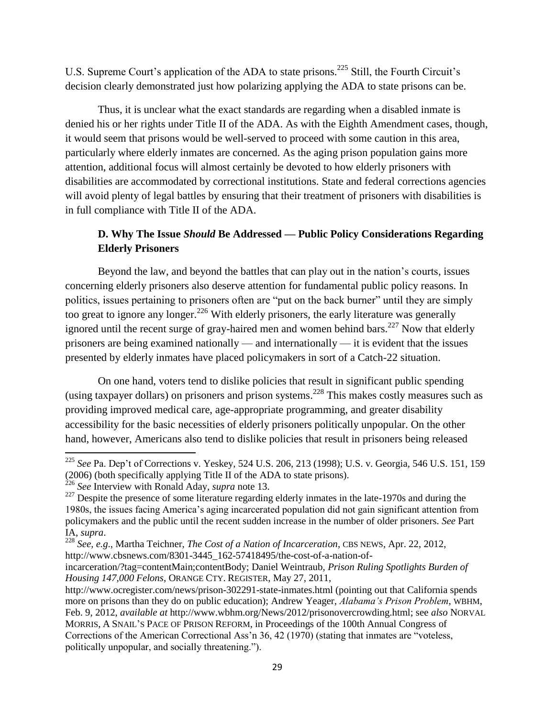U.S. Supreme Court's application of the ADA to state prisons.<sup>225</sup> Still, the Fourth Circuit's decision clearly demonstrated just how polarizing applying the ADA to state prisons can be.

Thus, it is unclear what the exact standards are regarding when a disabled inmate is denied his or her rights under Title II of the ADA. As with the Eighth Amendment cases, though, it would seem that prisons would be well-served to proceed with some caution in this area, particularly where elderly inmates are concerned. As the aging prison population gains more attention, additional focus will almost certainly be devoted to how elderly prisoners with disabilities are accommodated by correctional institutions. State and federal corrections agencies will avoid plenty of legal battles by ensuring that their treatment of prisoners with disabilities is in full compliance with Title II of the ADA.

# **D. Why The Issue** *Should* **Be Addressed — Public Policy Considerations Regarding Elderly Prisoners**

Beyond the law, and beyond the battles that can play out in the nation's courts, issues concerning elderly prisoners also deserve attention for fundamental public policy reasons. In politics, issues pertaining to prisoners often are "put on the back burner" until they are simply too great to ignore any longer.<sup>226</sup> With elderly prisoners, the early literature was generally ignored until the recent surge of gray-haired men and women behind bars.<sup>227</sup> Now that elderly prisoners are being examined nationally — and internationally — it is evident that the issues presented by elderly inmates have placed policymakers in sort of a Catch-22 situation.

On one hand, voters tend to dislike policies that result in significant public spending (using taxpayer dollars) on prisoners and prison systems. <sup>228</sup> This makes costly measures such as providing improved medical care, age-appropriate programming, and greater disability accessibility for the basic necessities of elderly prisoners politically unpopular. On the other hand, however, Americans also tend to dislike policies that result in prisoners being released

<sup>225</sup> *See* Pa. Dep't of Corrections v. Yeskey, 524 U.S. 206, 213 (1998); U.S. v. Georgia, 546 U.S. 151, 159 (2006) (both specifically applying Title II of the ADA to state prisons).

<sup>226</sup> *See* Interview with Ronald Aday, *supra* note 13.

<sup>&</sup>lt;sup>227</sup> Despite the presence of some literature regarding elderly inmates in the late-1970s and during the 1980s, the issues facing America's aging incarcerated population did not gain significant attention from policymakers and the public until the recent sudden increase in the number of older prisoners. *See* Part IA, *supra*.

<sup>228</sup> *See, e.g*., Martha Teichner, *The Cost of a Nation of Incarceration*, CBS NEWS, Apr. 22, 2012, http://www.cbsnews.com/8301-3445\_162-57418495/the-cost-of-a-nation-of-

incarceration/?tag=contentMain;contentBody; Daniel Weintraub, *Prison Ruling Spotlights Burden of Housing 147,000 Felons*, ORANGE CTY. REGISTER, May 27, 2011,

http://www.ocregister.com/news/prison-302291-state-inmates.html (pointing out that California spends more on prisons than they do on public education); Andrew Yeager, *Alabama"s Prison Problem*, WBHM, Feb. 9, 2012, *available at* http://www.wbhm.org/News/2012/prisonovercrowding.html; see *also* NORVAL MORRIS, A SNAIL'S PACE OF PRISON REFORM, in Proceedings of the 100th Annual Congress of Corrections of the American Correctional Ass'n  $36$ ,  $42$  (1970) (stating that inmates are "voteless, politically unpopular, and socially threatening.").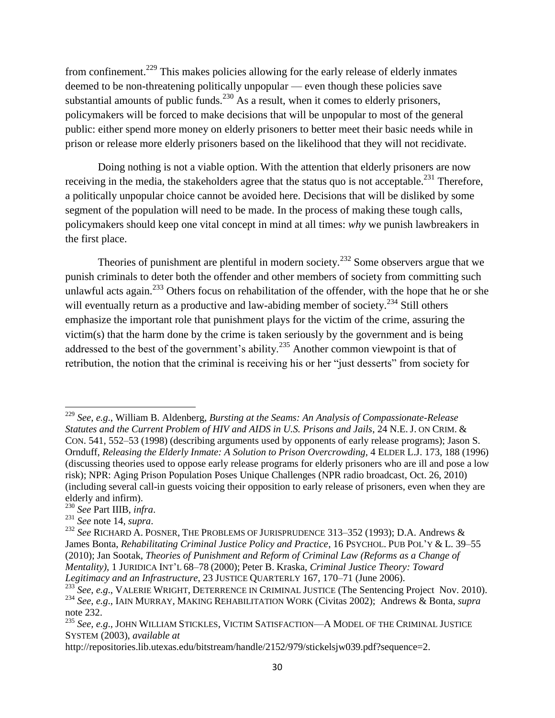from confinement.<sup>229</sup> This makes policies allowing for the early release of elderly inmates deemed to be non-threatening politically unpopular — even though these policies save substantial amounts of public funds.<sup>230</sup> As a result, when it comes to elderly prisoners, policymakers will be forced to make decisions that will be unpopular to most of the general public: either spend more money on elderly prisoners to better meet their basic needs while in prison or release more elderly prisoners based on the likelihood that they will not recidivate.

Doing nothing is not a viable option. With the attention that elderly prisoners are now receiving in the media, the stakeholders agree that the status quo is not acceptable.<sup>231</sup> Therefore, a politically unpopular choice cannot be avoided here. Decisions that will be disliked by some segment of the population will need to be made. In the process of making these tough calls, policymakers should keep one vital concept in mind at all times: *why* we punish lawbreakers in the first place.

Theories of punishment are plentiful in modern society.<sup>232</sup> Some observers argue that we punish criminals to deter both the offender and other members of society from committing such unlawful acts again.<sup>233</sup> Others focus on rehabilitation of the offender, with the hope that he or she will eventually return as a productive and law-abiding member of society.<sup>234</sup> Still others emphasize the important role that punishment plays for the victim of the crime, assuring the victim(s) that the harm done by the crime is taken seriously by the government and is being addressed to the best of the government's ability.<sup>235</sup> Another common viewpoint is that of retribution, the notion that the criminal is receiving his or her "just desserts" from society for

<sup>229</sup> *See*, *e.g*., William B. Aldenberg, *Bursting at the Seams: An Analysis of Compassionate-Release Statutes and the Current Problem of HIV and AIDS in U.S. Prisons and Jails*, 24 N.E.J. ON CRIM. & CON. 541, 552–53 (1998) (describing arguments used by opponents of early release programs); Jason S. Ornduff, *Releasing the Elderly Inmate: A Solution to Prison Overcrowding*, 4 ELDER L.J. 173, 188 (1996) (discussing theories used to oppose early release programs for elderly prisoners who are ill and pose a low risk); NPR: Aging Prison Population Poses Unique Challenges (NPR radio broadcast, Oct. 26, 2010) (including several call-in guests voicing their opposition to early release of prisoners, even when they are elderly and infirm).

<sup>230</sup> *See* Part IIIB, *infra*.

<sup>231</sup> *See* note 14, *supra*.

<sup>&</sup>lt;sup>232</sup> See RICHARD A. POSNER, THE PROBLEMS OF JURISPRUDENCE 313-352 (1993); D.A. Andrews & James Bonta, *Rehabilitating Criminal Justice Policy and Practice*, 16 PSYCHOL. PUB POL'Y & L. 39–55 (2010); Jan Sootak, *Theories of Punishment and Reform of Criminal Law (Reforms as a Change of Mentality)*, 1 JURIDICA INT'L 68–78 (2000); Peter B. Kraska, *Criminal Justice Theory: Toward Legitimacy and an Infrastructure*, 23 JUSTICE QUARTERLY 167, 170–71 (June 2006).

<sup>&</sup>lt;sup>233</sup> See, e.g., VALERIE WRIGHT, DETERRENCE IN CRIMINAL JUSTICE (The Sentencing Project Nov. 2010). <sup>234</sup> *See*, *e.g*., IAIN MURRAY, MAKING REHABILITATION WORK (Civitas 2002); Andrews & Bonta, *supra*  note 232.

<sup>235</sup> *See, e.g*., JOHN WILLIAM STICKLES, VICTIM SATISFACTION—A MODEL OF THE CRIMINAL JUSTICE SYSTEM (2003), *available at* 

http://repositories.lib.utexas.edu/bitstream/handle/2152/979/stickelsjw039.pdf?sequence=2.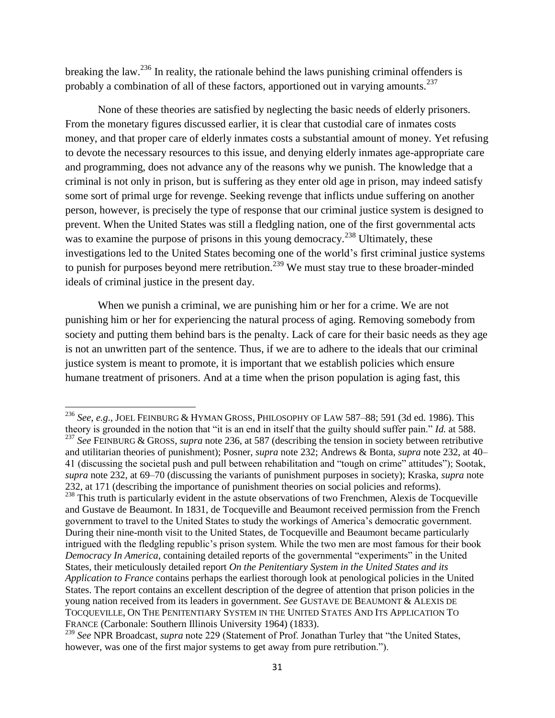breaking the law.<sup>236</sup> In reality, the rationale behind the laws punishing criminal offenders is probably a combination of all of these factors, apportioned out in varying amounts.<sup>237</sup>

None of these theories are satisfied by neglecting the basic needs of elderly prisoners. From the monetary figures discussed earlier, it is clear that custodial care of inmates costs money, and that proper care of elderly inmates costs a substantial amount of money. Yet refusing to devote the necessary resources to this issue, and denying elderly inmates age-appropriate care and programming, does not advance any of the reasons why we punish. The knowledge that a criminal is not only in prison, but is suffering as they enter old age in prison, may indeed satisfy some sort of primal urge for revenge. Seeking revenge that inflicts undue suffering on another person, however, is precisely the type of response that our criminal justice system is designed to prevent. When the United States was still a fledgling nation, one of the first governmental acts was to examine the purpose of prisons in this young democracy.<sup>238</sup> Ultimately, these investigations led to the United States becoming one of the world's first criminal justice systems to punish for purposes beyond mere retribution.<sup>239</sup> We must stay true to these broader-minded ideals of criminal justice in the present day.

When we punish a criminal, we are punishing him or her for a crime. We are not punishing him or her for experiencing the natural process of aging. Removing somebody from society and putting them behind bars is the penalty. Lack of care for their basic needs as they age is not an unwritten part of the sentence. Thus, if we are to adhere to the ideals that our criminal justice system is meant to promote, it is important that we establish policies which ensure humane treatment of prisoners. And at a time when the prison population is aging fast, this

<sup>236</sup> *See*, *e.g*., JOEL FEINBURG & HYMAN GROSS, PHILOSOPHY OF LAW 587–88; 591 (3d ed. 1986). This theory is grounded in the notion that "it is an end in itself that the guilty should suffer pain." *Id.* at 588. <sup>237</sup> See FEINBURG & GROSS, *supra* note 236, at 587 (describing the tension in society between retributive and utilitarian theories of punishment); Posner, *supra* note 232; Andrews & Bonta, *supra* note 232, at 40– 41 (discussing the societal push and pull between rehabilitation and "tough on crime" attitudes"); Sootak, *supra* note 232, at 69–70 (discussing the variants of punishment purposes in society); Kraska, *supra* note 232, at 171 (describing the importance of punishment theories on social policies and reforms). <sup>238</sup> This truth is particularly evident in the astute observations of two Frenchmen, Alexis de Tocqueville and Gustave de Beaumont. In 1831, de Tocqueville and Beaumont received permission from the French government to travel to the United States to study the workings of America's democratic government. During their nine-month visit to the United States, de Tocqueville and Beaumont became particularly intrigued with the fledgling republic's prison system. While the two men are most famous for their book *Democracy In America*, containing detailed reports of the governmental "experiments" in the United States, their meticulously detailed report *On the Penitentiary System in the United States and its Application to France* contains perhaps the earliest thorough look at penological policies in the United States. The report contains an excellent description of the degree of attention that prison policies in the young nation received from its leaders in government. *See* GUSTAVE DE BEAUMONT & ALEXIS DE TOCQUEVILLE, ON THE PENITENTIARY SYSTEM IN THE UNITED STATES AND ITS APPLICATION TO FRANCE (Carbonale: Southern Illinois University 1964) (1833).

<sup>&</sup>lt;sup>239</sup> See NPR Broadcast, *supra* note 229 (Statement of Prof. Jonathan Turley that "the United States, however, was one of the first major systems to get away from pure retribution.").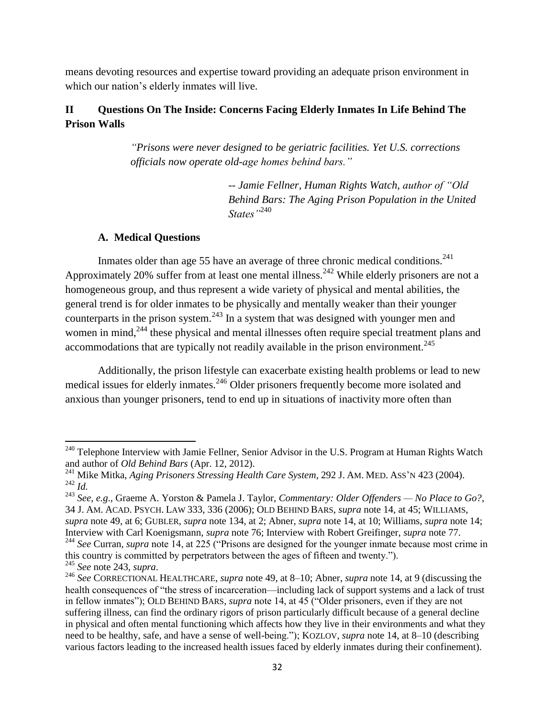means devoting resources and expertise toward providing an adequate prison environment in which our nation's elderly inmates will live.

# **II Questions On The Inside: Concerns Facing Elderly Inmates In Life Behind The Prison Walls**

*"Prisons were never designed to be geriatric facilities. Yet U.S. corrections officials now operate old-age homes behind bars."* 

> *-- Jamie Fellner, Human Rights Watch, author of "Old Behind Bars: The Aging Prison Population in the United States"*<sup>240</sup>

## **A. Medical Questions**

 $\overline{a}$ 

Inmates older than age 55 have an average of three chronic medical conditions.<sup>241</sup> Approximately 20% suffer from at least one mental illness.<sup>242</sup> While elderly prisoners are not a homogeneous group, and thus represent a wide variety of physical and mental abilities, the general trend is for older inmates to be physically and mentally weaker than their younger counterparts in the prison system.<sup>243</sup> In a system that was designed with younger men and women in mind,<sup>244</sup> these physical and mental illnesses often require special treatment plans and accommodations that are typically not readily available in the prison environment.<sup>245</sup>

Additionally, the prison lifestyle can exacerbate existing health problems or lead to new medical issues for elderly inmates.<sup>246</sup> Older prisoners frequently become more isolated and anxious than younger prisoners, tend to end up in situations of inactivity more often than

<sup>&</sup>lt;sup>240</sup> Telephone Interview with Jamie Fellner, Senior Advisor in the U.S. Program at Human Rights Watch and author of *Old Behind Bars* (Apr. 12, 2012).

<sup>241</sup> Mike Mitka, *Aging Prisoners Stressing Health Care System*, 292 J. AM. MED. ASS'N 423 (2004).  $^{242}$  *Id.* 

<sup>243</sup> *See*, *e.g*., Graeme A. Yorston & Pamela J. Taylor, *Commentary: Older Offenders — No Place to Go?*, 34 J. AM. ACAD. PSYCH. LAW 333, 336 (2006); OLD BEHIND BARS, *supra* note 14, at 45; WILLIAMS, *supra* note 49, at 6; GUBLER, *supra* note 134, at 2; Abner, *supra* note 14, at 10; Williams, *supra* note 14; Interview with Carl Koenigsmann, *supra* note 76; Interview with Robert Greifinger, *supra* note 77.

<sup>&</sup>lt;sup>244</sup> See Curran, *supra* note 14, at 225 ("Prisons are designed for the younger inmate because most crime in this country is committed by perpetrators between the ages of fifteen and twenty."). <sup>245</sup> *See* note 243, *supra*.

<sup>246</sup> *See* CORRECTIONAL HEALTHCARE, *supra* note 49, at 8–10; Abner, *supra* note 14, at 9 (discussing the health consequences of "the stress of incarceration—including lack of support systems and a lack of trust in fellow inmates"); OLD BEHIND BARS, *supra* note 14, at 45 ("Older prisoners, even if they are not suffering illness, can find the ordinary rigors of prison particularly difficult because of a general decline in physical and often mental functioning which affects how they live in their environments and what they need to be healthy, safe, and have a sense of well-being."); KOZLOV, *supra* note 14, at 8–10 (describing various factors leading to the increased health issues faced by elderly inmates during their confinement).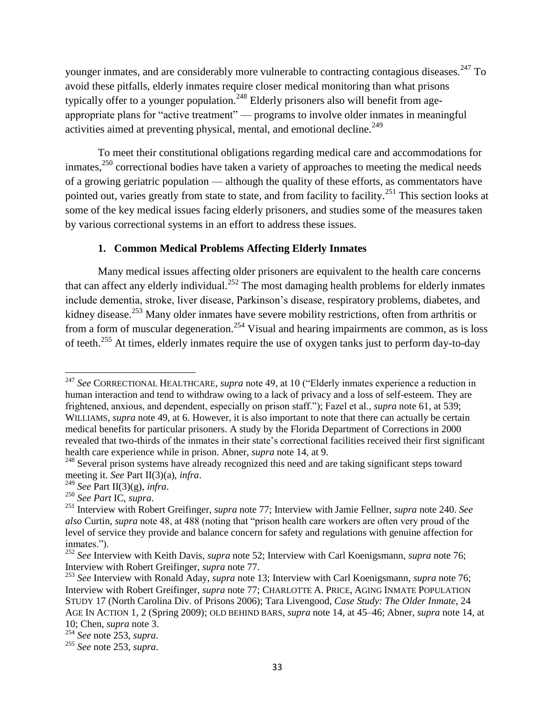younger inmates, and are considerably more vulnerable to contracting contagious diseases.<sup>247</sup> To avoid these pitfalls, elderly inmates require closer medical monitoring than what prisons typically offer to a younger population.<sup>248</sup> Elderly prisoners also will benefit from ageappropriate plans for "active treatment" — programs to involve older inmates in meaningful activities aimed at preventing physical, mental, and emotional decline.<sup>249</sup>

To meet their constitutional obligations regarding medical care and accommodations for inmates,  $250$  correctional bodies have taken a variety of approaches to meeting the medical needs of a growing geriatric population — although the quality of these efforts, as commentators have pointed out, varies greatly from state to state, and from facility to facility.<sup>251</sup> This section looks at some of the key medical issues facing elderly prisoners, and studies some of the measures taken by various correctional systems in an effort to address these issues.

## **1. Common Medical Problems Affecting Elderly Inmates**

Many medical issues affecting older prisoners are equivalent to the health care concerns that can affect any elderly individual.<sup>252</sup> The most damaging health problems for elderly inmates include dementia, stroke, liver disease, Parkinson's disease, respiratory problems, diabetes, and kidney disease.<sup>253</sup> Many older inmates have severe mobility restrictions, often from arthritis or from a form of muscular degeneration.<sup>254</sup> Visual and hearing impairments are common, as is loss of teeth.<sup>255</sup> At times, elderly inmates require the use of oxygen tanks just to perform day-to-day

<sup>&</sup>lt;sup>247</sup> See CORRECTIONAL HEALTHCARE, *supra* note 49, at 10 ("Elderly inmates experience a reduction in human interaction and tend to withdraw owing to a lack of privacy and a loss of self-esteem. They are frightened, anxious, and dependent, especially on prison staff."); Fazel et al., *supra* note 61, at 539; WILLIAMS, *supra* note 49, at 6. However, it is also important to note that there can actually be certain medical benefits for particular prisoners. A study by the Florida Department of Corrections in 2000 revealed that two-thirds of the inmates in their state's correctional facilities received their first significant health care experience while in prison. Abner, *supra* note 14, at 9.

<sup>&</sup>lt;sup>248</sup> Several prison systems have already recognized this need and are taking significant steps toward meeting it. *See* Part II(3)(a), *infra*.

<sup>249</sup> *See* Part II(3)(g), *infra*.

<sup>250</sup> *See Part* IC, *supra*.

<sup>251</sup> Interview with Robert Greifinger, *supra* note 77; Interview with Jamie Fellner, *supra* note 240. *See also* Curtin, *supra* note 48, at 488 (noting that "prison health care workers are often very proud of the level of service they provide and balance concern for safety and regulations with genuine affection for inmates.").

<sup>252</sup> *See* Interview with Keith Davis, *supra* note 52; Interview with Carl Koenigsmann, *supra* note 76; Interview with Robert Greifinger, *supra* note 77.

<sup>253</sup> *See* Interview with Ronald Aday, *supra* note 13; Interview with Carl Koenigsmann, *supra* note 76; Interview with Robert Greifinger, *supra* note 77; CHARLOTTE A. PRICE, AGING INMATE POPULATION STUDY 17 (North Carolina Div. of Prisons 2006); Tara Livengood, *Case Study: The Older Inmate*, 24 AGE IN ACTION 1, 2 (Spring 2009); OLD BEHIND BARS, *supra* note 14, at 45–46; Abner, *supra* note 14, at 10; Chen, *supra* note 3.

<sup>254</sup> *See* note 253, *supra*.

<sup>255</sup> *See* note 253, *supra*.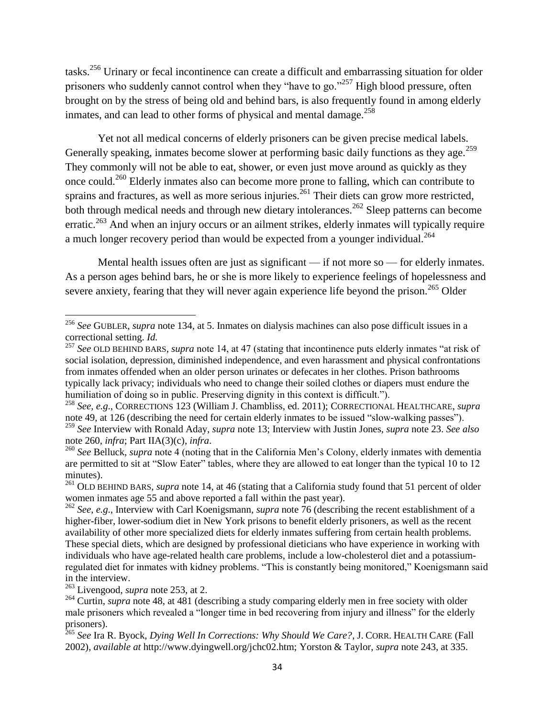tasks.<sup>256</sup> Urinary or fecal incontinence can create a difficult and embarrassing situation for older prisoners who suddenly cannot control when they "have to go."<sup>257</sup> High blood pressure, often brought on by the stress of being old and behind bars, is also frequently found in among elderly inmates, and can lead to other forms of physical and mental damage.<sup>258</sup>

Yet not all medical concerns of elderly prisoners can be given precise medical labels. Generally speaking, inmates become slower at performing basic daily functions as they age.<sup>259</sup> They commonly will not be able to eat, shower, or even just move around as quickly as they once could.<sup>260</sup> Elderly inmates also can become more prone to falling, which can contribute to sprains and fractures, as well as more serious injuries.<sup>261</sup> Their diets can grow more restricted, both through medical needs and through new dietary intolerances.<sup>262</sup> Sleep patterns can become erratic.<sup>263</sup> And when an injury occurs or an ailment strikes, elderly inmates will typically require a much longer recovery period than would be expected from a younger individual.<sup>264</sup>

Mental health issues often are just as significant — if not more so — for elderly inmates. As a person ages behind bars, he or she is more likely to experience feelings of hopelessness and severe anxiety, fearing that they will never again experience life beyond the prison.<sup>265</sup> Older

<sup>256</sup> *See* GUBLER, *supra* note 134, at 5. Inmates on dialysis machines can also pose difficult issues in a correctional setting. *Id.* 

<sup>&</sup>lt;sup>257</sup> See OLD BEHIND BARS, *supra* note 14, at 47 (stating that incontinence puts elderly inmates "at risk of social isolation, depression, diminished independence, and even harassment and physical confrontations from inmates offended when an older person urinates or defecates in her clothes. Prison bathrooms typically lack privacy; individuals who need to change their soiled clothes or diapers must endure the humiliation of doing so in public. Preserving dignity in this context is difficult.").

<sup>258</sup> *See, e.g*., CORRECTIONS 123 (William J. Chambliss, ed. 2011); CORRECTIONAL HEALTHCARE, *supra*  note 49, at 126 (describing the need for certain elderly inmates to be issued "slow-walking passes"). <sup>259</sup> *See* Interview with Ronald Aday, *supra* note 13; Interview with Justin Jones, *supra* note 23. *See also*  note 260, *infra*; Part IIA(3)(c), *infra*.

<sup>260</sup> *See* Belluck, *supra* note 4 (noting that in the California Men's Colony, elderly inmates with dementia are permitted to sit at "Slow Eater" tables, where they are allowed to eat longer than the typical 10 to 12 minutes).

<sup>&</sup>lt;sup>261</sup> OLD BEHIND BARS, *supra* note 14, at 46 (stating that a California study found that 51 percent of older women inmates age 55 and above reported a fall within the past year).

<sup>262</sup> *See*, *e.g*., Interview with Carl Koenigsmann, *supra* note 76 (describing the recent establishment of a higher-fiber, lower-sodium diet in New York prisons to benefit elderly prisoners, as well as the recent availability of other more specialized diets for elderly inmates suffering from certain health problems. These special diets, which are designed by professional dieticians who have experience in working with individuals who have age-related health care problems, include a low-cholesterol diet and a potassiumregulated diet for inmates with kidney problems. "This is constantly being monitored," Koenigsmann said in the interview.

<sup>263</sup> Livengood, *supra* note 253, at 2.

<sup>&</sup>lt;sup>264</sup> Curtin, *supra* note 48, at 481 (describing a study comparing elderly men in free society with older male prisoners which revealed a "longer time in bed recovering from injury and illness" for the elderly prisoners).

<sup>265</sup> *See* Ira R. Byock, *Dying Well In Corrections: Why Should We Care?*, J. CORR. HEALTH CARE (Fall 2002), *available at* http://www.dyingwell.org/jchc02.htm; Yorston & Taylor, *supra* note 243, at 335.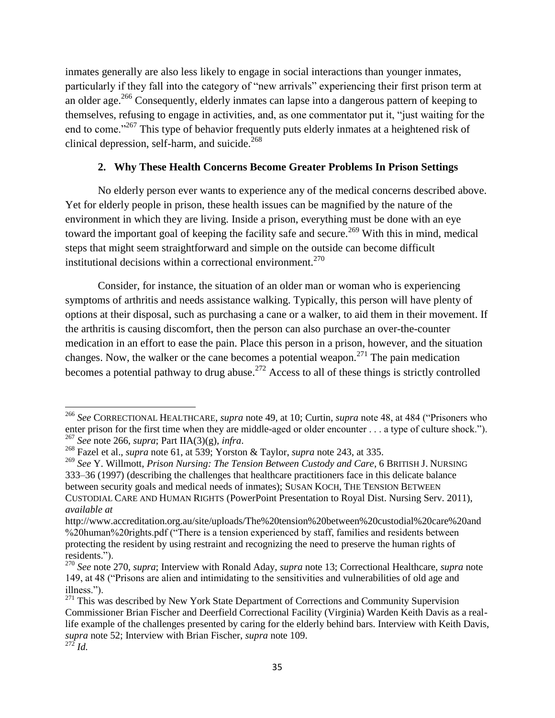inmates generally are also less likely to engage in social interactions than younger inmates, particularly if they fall into the category of "new arrivals" experiencing their first prison term at an older age.<sup>266</sup> Consequently, elderly inmates can lapse into a dangerous pattern of keeping to themselves, refusing to engage in activities, and, as one commentator put it, "just waiting for the end to come."<sup>267</sup> This type of behavior frequently puts elderly inmates at a heightened risk of clinical depression, self-harm, and suicide. $268$ 

## **2. Why These Health Concerns Become Greater Problems In Prison Settings**

No elderly person ever wants to experience any of the medical concerns described above. Yet for elderly people in prison, these health issues can be magnified by the nature of the environment in which they are living. Inside a prison, everything must be done with an eye toward the important goal of keeping the facility safe and secure.<sup>269</sup> With this in mind, medical steps that might seem straightforward and simple on the outside can become difficult institutional decisions within a correctional environment.<sup>270</sup>

Consider, for instance, the situation of an older man or woman who is experiencing symptoms of arthritis and needs assistance walking. Typically, this person will have plenty of options at their disposal, such as purchasing a cane or a walker, to aid them in their movement. If the arthritis is causing discomfort, then the person can also purchase an over-the-counter medication in an effort to ease the pain. Place this person in a prison, however, and the situation changes. Now, the walker or the cane becomes a potential weapon.<sup>271</sup> The pain medication becomes a potential pathway to drug abuse.<sup>272</sup> Access to all of these things is strictly controlled

<sup>&</sup>lt;sup>266</sup> See CORRECTIONAL HEALTHCARE, *supra* note 49, at 10; Curtin, *supra* note 48, at 484 ("Prisoners who enter prison for the first time when they are middle-aged or older encounter . . . a type of culture shock."). <sup>267</sup> *See* note 266, *supra*; Part IIA(3)(g), *infra*.

<sup>268</sup> Fazel et al., *supra* note 61, at 539; Yorston & Taylor, *supra* note 243, at 335.

<sup>269</sup> *See* Y. Willmott, *Prison Nursing: The Tension Between Custody and Care*, 6 BRITISH J. NURSING 333–36 (1997) (describing the challenges that healthcare practitioners face in this delicate balance between security goals and medical needs of inmates); SUSAN KOCH, THE TENSION BETWEEN CUSTODIAL CARE AND HUMAN RIGHTS (PowerPoint Presentation to Royal Dist. Nursing Serv. 2011), *available at* 

http://www.accreditation.org.au/site/uploads/The%20tension%20between%20custodial%20care%20and %20human%20rights.pdf ("There is a tension experienced by staff, families and residents between protecting the resident by using restraint and recognizing the need to preserve the human rights of residents.").

<sup>270</sup> *See* note 270, *supra*; Interview with Ronald Aday, *supra* note 13; Correctional Healthcare, *supra* note 149, at 48 ("Prisons are alien and intimidating to the sensitivities and vulnerabilities of old age and illness.").

 $271$  This was described by New York State Department of Corrections and Community Supervision Commissioner Brian Fischer and Deerfield Correctional Facility (Virginia) Warden Keith Davis as a reallife example of the challenges presented by caring for the elderly behind bars. Interview with Keith Davis, *supra* note 52; Interview with Brian Fischer, *supra* note 109.

 $\frac{1}{272}$ *Id.*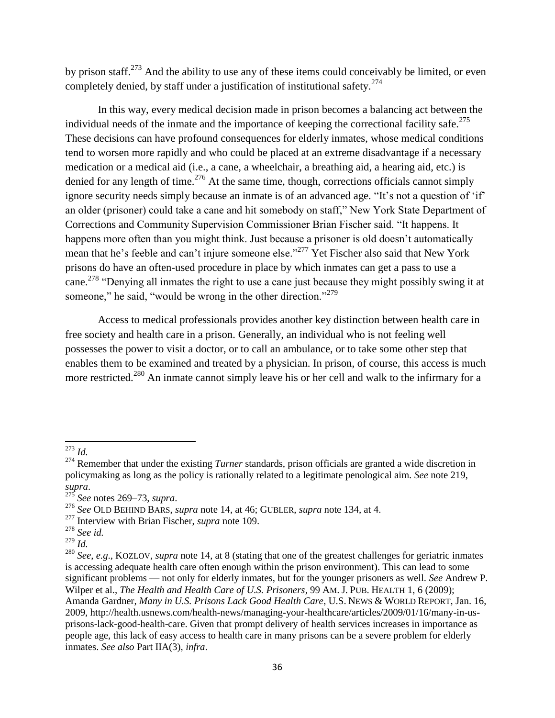by prison staff.<sup>273</sup> And the ability to use any of these items could conceivably be limited, or even completely denied, by staff under a justification of institutional safety.<sup>274</sup>

In this way, every medical decision made in prison becomes a balancing act between the individual needs of the inmate and the importance of keeping the correctional facility safe.<sup>275</sup> These decisions can have profound consequences for elderly inmates, whose medical conditions tend to worsen more rapidly and who could be placed at an extreme disadvantage if a necessary medication or a medical aid (i.e., a cane, a wheelchair, a breathing aid, a hearing aid, etc.) is denied for any length of time.<sup>276</sup> At the same time, though, corrections officials cannot simply ignore security needs simply because an inmate is of an advanced age. "It's not a question of 'if' an older (prisoner) could take a cane and hit somebody on staff," New York State Department of Corrections and Community Supervision Commissioner Brian Fischer said. "It happens. It happens more often than you might think. Just because a prisoner is old doesn't automatically mean that he's feeble and can't injure someone else."<sup>277</sup> Yet Fischer also said that New York prisons do have an often-used procedure in place by which inmates can get a pass to use a cane.<sup>278</sup> "Denying all inmates the right to use a cane just because they might possibly swing it at someone," he said, "would be wrong in the other direction."<sup>279</sup>

Access to medical professionals provides another key distinction between health care in free society and health care in a prison. Generally, an individual who is not feeling well possesses the power to visit a doctor, or to call an ambulance, or to take some other step that enables them to be examined and treated by a physician. In prison, of course, this access is much more restricted.<sup>280</sup> An inmate cannot simply leave his or her cell and walk to the infirmary for a

<sup>273</sup> *Id.* 

<sup>&</sup>lt;sup>274</sup> Remember that under the existing *Turner* standards, prison officials are granted a wide discretion in policymaking as long as the policy is rationally related to a legitimate penological aim. *See* note 219, *supra*.

<sup>275</sup> *See* notes 269–73, *supra*.

<sup>276</sup> *See* OLD BEHIND BARS, *supra* note 14, at 46; GUBLER, *supra* note 134, at 4.

<sup>277</sup> Interview with Brian Fischer, *supra* note 109.

<sup>278</sup> *See id.* 

 $^{279}$   $\mathrm{I}$ *d*.

<sup>280</sup> *See*, *e.g*., KOZLOV, *supra* note 14, at 8 (stating that one of the greatest challenges for geriatric inmates is accessing adequate health care often enough within the prison environment). This can lead to some significant problems — not only for elderly inmates, but for the younger prisoners as well. *See* Andrew P. Wilper et al., *The Health and Health Care of U.S. Prisoners*, 99 AM. J. PUB. HEALTH 1, 6 (2009); Amanda Gardner, *Many in U.S. Prisons Lack Good Health Care*, U.S. NEWS & WORLD REPORT, Jan. 16, 2009, http://health.usnews.com/health-news/managing-your-healthcare/articles/2009/01/16/many-in-usprisons-lack-good-health-care. Given that prompt delivery of health services increases in importance as people age, this lack of easy access to health care in many prisons can be a severe problem for elderly inmates. *See also* Part IIA(3), *infra*.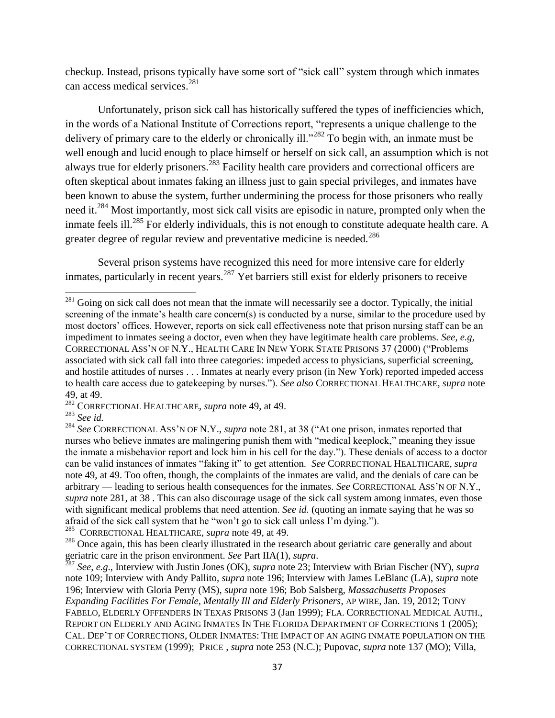checkup. Instead, prisons typically have some sort of "sick call" system through which inmates can access medical services. 281

Unfortunately, prison sick call has historically suffered the types of inefficiencies which, in the words of a National Institute of Corrections report, "represents a unique challenge to the delivery of primary care to the elderly or chronically ill.<sup>282</sup> To begin with, an inmate must be well enough and lucid enough to place himself or herself on sick call, an assumption which is not always true for elderly prisoners.<sup>283</sup> Facility health care providers and correctional officers are often skeptical about inmates faking an illness just to gain special privileges, and inmates have been known to abuse the system, further undermining the process for those prisoners who really need it.<sup>284</sup> Most importantly, most sick call visits are episodic in nature, prompted only when the inmate feels ill.<sup>285</sup> For elderly individuals, this is not enough to constitute adequate health care. A greater degree of regular review and preventative medicine is needed.<sup>286</sup>

Several prison systems have recognized this need for more intensive care for elderly inmates, particularly in recent years.<sup>287</sup> Yet barriers still exist for elderly prisoners to receive

l

 $^{281}$  Going on sick call does not mean that the inmate will necessarily see a doctor. Typically, the initial screening of the inmate's health care concern(s) is conducted by a nurse, similar to the procedure used by most doctors' offices. However, reports on sick call effectiveness note that prison nursing staff can be an impediment to inmates seeing a doctor, even when they have legitimate health care problems. *See*, *e.g*, CORRECTIONAL ASS'N OF N.Y., HEALTH CARE IN NEW YORK STATE PRISONS 37 (2000) ("Problems associated with sick call fall into three categories: impeded access to physicians, superficial screening, and hostile attitudes of nurses . . . Inmates at nearly every prison (in New York) reported impeded access to health care access due to gatekeeping by nurses.‖). *See also* CORRECTIONAL HEALTHCARE, *supra* note 49, at 49.

<sup>282</sup> CORRECTIONAL HEALTHCARE, *supra* note 49, at 49.

<sup>283</sup> *See id.* 

<sup>&</sup>lt;sup>284</sup> See CORRECTIONAL ASS'N OF N.Y., *supra* note 281, at 38 ("At one prison, inmates reported that nurses who believe inmates are malingering punish them with "medical keeplock," meaning they issue the inmate a misbehavior report and lock him in his cell for the day.‖). These denials of access to a doctor can be valid instances of inmates "faking it" to get attention. *See* CORRECTIONAL HEALTHCARE, *supra* note 49, at 49. Too often, though, the complaints of the inmates are valid, and the denials of care can be arbitrary — leading to serious health consequences for the inmates. *See* CORRECTIONAL ASS'N OF N.Y., *supra* note 281, at 38 . This can also discourage usage of the sick call system among inmates, even those with significant medical problems that need attention. *See id.* (quoting an inmate saying that he was so afraid of the sick call system that he "won't go to sick call unless I'm dying.").<br><sup>285</sup> COBBECTIONAL HEALTHCABE sunga pote 49, at 49.

<sup>285</sup> CORRECTIONAL HEALTHCARE, *supra* note 49, at 49.

<sup>&</sup>lt;sup>286</sup> Once again, this has been clearly illustrated in the research about geriatric care generally and about geriatric care in the prison environment. *See* Part IIA(1), *supra*.

<sup>287</sup> *See, e.g*., Interview with Justin Jones (OK), *supra* note 23; Interview with Brian Fischer (NY), *supra*  note 109; Interview with Andy Pallito, *supra* note 196; Interview with James LeBlanc (LA), *supra* note 196; Interview with Gloria Perry (MS), *supra* note 196; Bob Salsberg, *Massachusetts Proposes Expanding Facilities For Female, Mentally Ill and Elderly Prisoners*, AP WIRE, Jan. 19, 2012; TONY FABELO, ELDERLY OFFENDERS IN TEXAS PRISONS 3 (Jan 1999); FLA. CORRECTIONAL MEDICAL AUTH., REPORT ON ELDERLY AND AGING INMATES IN THE FLORIDA DEPARTMENT OF CORRECTIONs 1 (2005); CAL. DEP'T OF CORRECTIONS, OLDER INMATES: THE IMPACT OF AN AGING INMATE POPULATION ON THE CORRECTIONAL SYSTEM (1999); PRICE , *supra* note 253 (N.C.); Pupovac, *supra* note 137 (MO); Villa,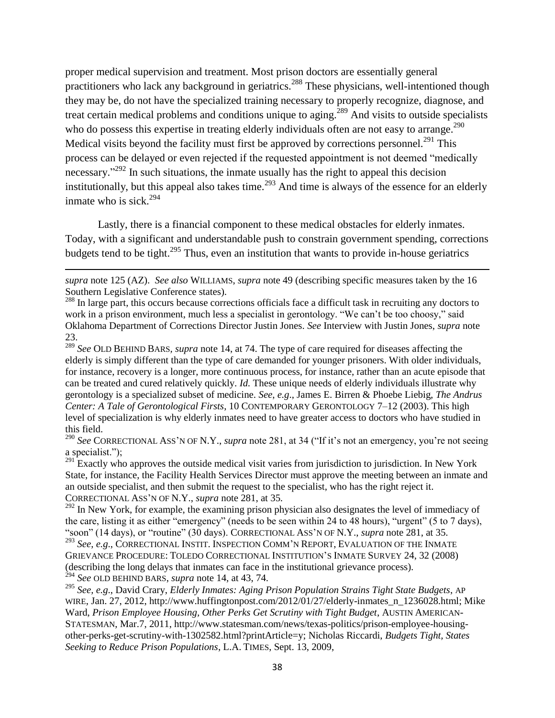proper medical supervision and treatment. Most prison doctors are essentially general practitioners who lack any background in geriatrics.<sup>288</sup> These physicians, well-intentioned though they may be, do not have the specialized training necessary to properly recognize, diagnose, and treat certain medical problems and conditions unique to aging.<sup>289</sup> And visits to outside specialists who do possess this expertise in treating elderly individuals often are not easy to arrange.<sup>290</sup> Medical visits beyond the facility must first be approved by corrections personnel.<sup>291</sup> This process can be delayed or even rejected if the requested appointment is not deemed "medically necessary.<sup> $292$ </sup> In such situations, the inmate usually has the right to appeal this decision institutionally, but this appeal also takes time.<sup>293</sup> And time is always of the essence for an elderly inmate who is sick. $294$ 

Lastly, there is a financial component to these medical obstacles for elderly inmates. Today, with a significant and understandable push to constrain government spending, corrections budgets tend to be tight.<sup>295</sup> Thus, even an institution that wants to provide in-house geriatrics

 $\overline{a}$ 

<sup>289</sup> *See* OLD BEHIND BARS*, supra* note 14, at 74. The type of care required for diseases affecting the elderly is simply different than the type of care demanded for younger prisoners. With older individuals, for instance, recovery is a longer, more continuous process, for instance, rather than an acute episode that can be treated and cured relatively quickly. *Id.* These unique needs of elderly individuals illustrate why gerontology is a specialized subset of medicine. *See*, *e.g*., James E. Birren & Phoebe Liebig, *The Andrus Center: A Tale of Gerontological Firsts*, 10 CONTEMPORARY GERONTOLOGY 7–12 (2003). This high level of specialization is why elderly inmates need to have greater access to doctors who have studied in this field.

<sup>290</sup> See CORRECTIONAL ASS'N OF N.Y., *supra* note 281, at 34 ("If it's not an emergency, you're not seeing a specialist."):

 $^{291}$  Exactly who approves the outside medical visit varies from jurisdiction to jurisdiction. In New York State, for instance, the Facility Health Services Director must approve the meeting between an inmate and an outside specialist, and then submit the request to the specialist, who has the right reject it. CORRECTIONAL ASS'N OF N.Y., *supra* note 281, at 35.

<sup>292</sup> In New York, for example, the examining prison physician also designates the level of immediacy of the care, listing it as either "emergency" (needs to be seen within 24 to 48 hours), "urgent" (5 to 7 days), ―soon‖ (14 days), or ―routine‖ (30 days). CORRECTIONAL ASS'N OF N.Y., *supra* note 281, at 35.

<sup>293</sup> *See*, *e.g*., CORRECTIONAL INSTIT. INSPECTION COMM'N REPORT, EVALUATION OF THE INMATE GRIEVANCE PROCEDURE: TOLEDO CORRECTIONAL INSTITUTION'S INMATE SURVEY 24, 32 (2008) (describing the long delays that inmates can face in the institutional grievance process). <sup>294</sup> *See* OLD BEHIND BARS, *supra* note 14, at 43, 74.

<sup>295</sup> *See, e.g*., David Crary, *Elderly Inmates: Aging Prison Population Strains Tight State Budgets*, AP WIRE, Jan. 27, 2012, http://www.huffingtonpost.com/2012/01/27/elderly-inmates\_n\_1236028.html; Mike Ward, *Prison Employee Housing, Other Perks Get Scrutiny with Tight Budget*, AUSTIN AMERICAN-STATESMAN, Mar.7, 2011, http://www.statesman.com/news/texas-politics/prison-employee-housingother-perks-get-scrutiny-with-1302582.html?printArticle=y; Nicholas Riccardi, *Budgets Tight, States Seeking to Reduce Prison Populations*, L.A. TIMES, Sept. 13, 2009,

*supra* note 125 (AZ). *See also* WILLIAMS, *supra* note 49 (describing specific measures taken by the 16 Southern Legislative Conference states).

<sup>&</sup>lt;sup>288</sup> In large part, this occurs because corrections officials face a difficult task in recruiting any doctors to work in a prison environment, much less a specialist in gerontology. "We can't be too choosy," said Oklahoma Department of Corrections Director Justin Jones. *See* Interview with Justin Jones, *supra* note 23.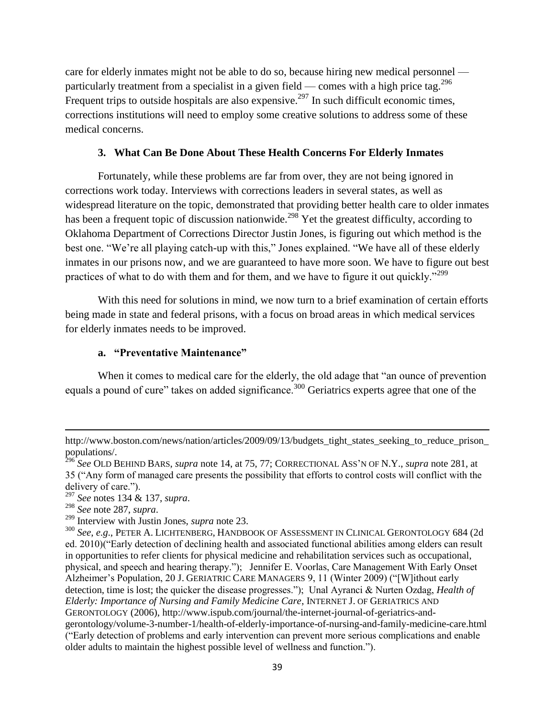care for elderly inmates might not be able to do so, because hiring new medical personnel particularly treatment from a specialist in a given field — comes with a high price tag.<sup>296</sup> Frequent trips to outside hospitals are also expensive.<sup>297</sup> In such difficult economic times, corrections institutions will need to employ some creative solutions to address some of these medical concerns.

### **3. What Can Be Done About These Health Concerns For Elderly Inmates**

Fortunately, while these problems are far from over, they are not being ignored in corrections work today. Interviews with corrections leaders in several states, as well as widespread literature on the topic, demonstrated that providing better health care to older inmates has been a frequent topic of discussion nationwide.<sup>298</sup> Yet the greatest difficulty, according to Oklahoma Department of Corrections Director Justin Jones, is figuring out which method is the best one. "We're all playing catch-up with this," Jones explained. "We have all of these elderly inmates in our prisons now, and we are guaranteed to have more soon. We have to figure out best practices of what to do with them and for them, and we have to figure it out quickly.<sup>299</sup>

With this need for solutions in mind, we now turn to a brief examination of certain efforts being made in state and federal prisons, with a focus on broad areas in which medical services for elderly inmates needs to be improved.

#### **a. "Preventative Maintenance"**

When it comes to medical care for the elderly, the old adage that "an ounce of prevention" equals a pound of cure" takes on added significance.<sup>300</sup> Geriatrics experts agree that one of the

<sup>298</sup> *See* note 287, *supra*.

l

http://www.boston.com/news/nation/articles/2009/09/13/budgets\_tight\_states\_seeking\_to\_reduce\_prison populations/.

<sup>296</sup> *See* OLD BEHIND BARS, *supra* note 14, at 75, 77; CORRECTIONAL ASS'N OF N.Y., *supra* note 281, at 35 (―Any form of managed care presents the possibility that efforts to control costs will conflict with the delivery of care.").

<sup>297</sup> *See* notes 134 & 137, *supra*.

<sup>299</sup> Interview with Justin Jones, *supra* note 23.

<sup>300</sup> *See*, *e.g*., PETER A. LICHTENBERG, HANDBOOK OF ASSESSMENT IN CLINICAL GERONTOLOGY 684 (2d ed. 2010)("Early detection of declining health and associated functional abilities among elders can result in opportunities to refer clients for physical medicine and rehabilitation services such as occupational, physical, and speech and hearing therapy.‖); Jennifer E. Voorlas, Care Management With Early Onset Alzheimer's Population, 20 J. GERIATRIC CARE MANAGERS 9, 11 (Winter 2009) ("[W]ithout early detection, time is lost; the quicker the disease progresses."); Unal Ayranci & Nurten Ozdag, *Health of Elderly: Importance of Nursing and Family Medicine Care*, INTERNET J. OF GERIATRICS AND GERONTOLOGY (2006), http://www.ispub.com/journal/the-internet-journal-of-geriatrics-andgerontology/volume-3-number-1/health-of-elderly-importance-of-nursing-and-family-medicine-care.html (―Early detection of problems and early intervention can prevent more serious complications and enable older adults to maintain the highest possible level of wellness and function.").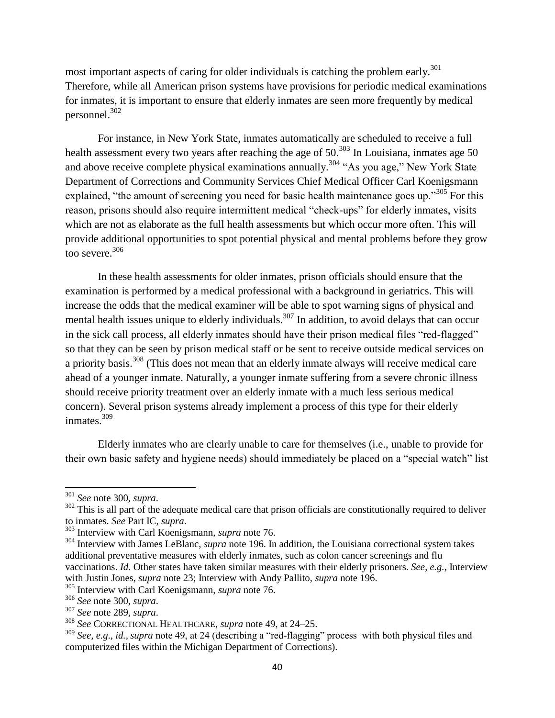most important aspects of caring for older individuals is catching the problem early.<sup>301</sup> Therefore, while all American prison systems have provisions for periodic medical examinations for inmates, it is important to ensure that elderly inmates are seen more frequently by medical personnel.<sup>302</sup>

For instance, in New York State, inmates automatically are scheduled to receive a full health assessment every two years after reaching the age of  $50^{303}$  In Louisiana, inmates age 50 and above receive complete physical examinations annually.<sup>304</sup> "As you age," New York State Department of Corrections and Community Services Chief Medical Officer Carl Koenigsmann explained, "the amount of screening you need for basic health maintenance goes up."<sup>305</sup> For this reason, prisons should also require intermittent medical "check-ups" for elderly inmates, visits which are not as elaborate as the full health assessments but which occur more often. This will provide additional opportunities to spot potential physical and mental problems before they grow too severe.<sup>306</sup>

In these health assessments for older inmates, prison officials should ensure that the examination is performed by a medical professional with a background in geriatrics. This will increase the odds that the medical examiner will be able to spot warning signs of physical and mental health issues unique to elderly individuals.<sup>307</sup> In addition, to avoid delays that can occur in the sick call process, all elderly inmates should have their prison medical files "red-flagged" so that they can be seen by prison medical staff or be sent to receive outside medical services on a priority basis.<sup>308</sup> (This does not mean that an elderly inmate always will receive medical care ahead of a younger inmate. Naturally, a younger inmate suffering from a severe chronic illness should receive priority treatment over an elderly inmate with a much less serious medical concern). Several prison systems already implement a process of this type for their elderly inmates.<sup>309</sup>

Elderly inmates who are clearly unable to care for themselves (i.e., unable to provide for their own basic safety and hygiene needs) should immediately be placed on a "special watch" list

 $\overline{\phantom{a}}$ 

<sup>301</sup> *See* note 300, *supra*.

 $302$  This is all part of the adequate medical care that prison officials are constitutionally required to deliver to inmates. *See* Part IC, *supra*.

<sup>303</sup> Interview with Carl Koenigsmann, *supra* note 76.

<sup>&</sup>lt;sup>304</sup> Interview with James LeBlanc, *supra* note 196. In addition, the Louisiana correctional system takes additional preventative measures with elderly inmates, such as colon cancer screenings and flu vaccinations. *Id.* Other states have taken similar measures with their elderly prisoners. *See*, *e.g.*, Interview with Justin Jones, *supra* note 23; Interview with Andy Pallito, *supra* note 196.

<sup>305</sup> Interview with Carl Koenigsmann, *supra* note 76.

<sup>306</sup> *See* note 300, *supra*.

<sup>307</sup> *See* note 289, *supra*.

<sup>308</sup> *See* CORRECTIONAL HEALTHCARE, *supra* note 49, at 24–25.

 $309$  *See, e.g., id., supra* note 49, at 24 (describing a "red-flagging" process with both physical files and computerized files within the Michigan Department of Corrections).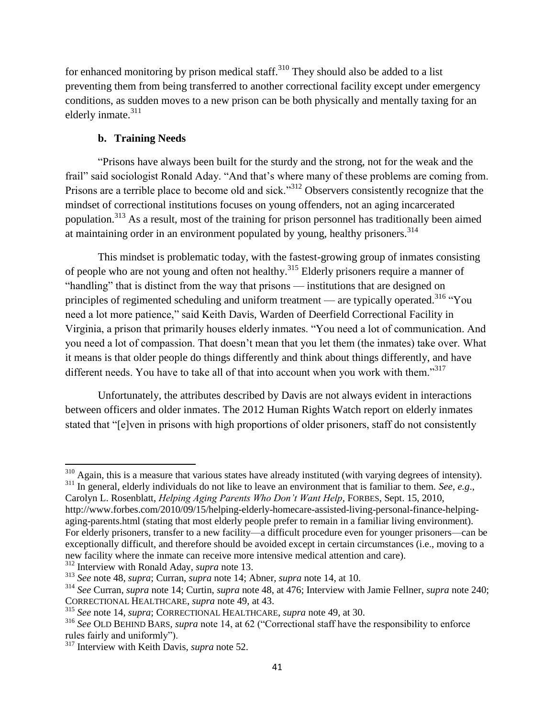for enhanced monitoring by prison medical staff.<sup>310</sup> They should also be added to a list preventing them from being transferred to another correctional facility except under emergency conditions, as sudden moves to a new prison can be both physically and mentally taxing for an elderly inmate. $311$ 

# **b. Training Needs**

―Prisons have always been built for the sturdy and the strong, not for the weak and the frail" said sociologist Ronald Aday. "And that's where many of these problems are coming from. Prisons are a terrible place to become old and sick.<sup>312</sup> Observers consistently recognize that the mindset of correctional institutions focuses on young offenders, not an aging incarcerated population.<sup>313</sup> As a result, most of the training for prison personnel has traditionally been aimed at maintaining order in an environment populated by young, healthy prisoners.<sup>314</sup>

This mindset is problematic today, with the fastest-growing group of inmates consisting of people who are not young and often not healthy.<sup>315</sup> Elderly prisoners require a manner of "handling" that is distinct from the way that prisons — institutions that are designed on principles of regimented scheduling and uniform treatment — are typically operated.<sup>316</sup> "You need a lot more patience," said Keith Davis, Warden of Deerfield Correctional Facility in Virginia, a prison that primarily houses elderly inmates. "You need a lot of communication. And you need a lot of compassion. That doesn't mean that you let them (the inmates) take over. What it means is that older people do things differently and think about things differently, and have different needs. You have to take all of that into account when you work with them. $317$ 

Unfortunately, the attributes described by Davis are not always evident in interactions between officers and older inmates. The 2012 Human Rights Watch report on elderly inmates stated that "[e]ven in prisons with high proportions of older prisoners, staff do not consistently

<sup>312</sup> Interview with Ronald Aday, *supra* note 13.

 $\overline{\phantom{a}}$  $310$  Again, this is a measure that various states have already instituted (with varying degrees of intensity).

<sup>&</sup>lt;sup>311</sup> In general, elderly individuals do not like to leave an environment that is familiar to them. *See*, *e.e.*,

Carolyn L. Rosenblatt, *Helping Aging Parents Who Don"t Want Help*, FORBES, Sept. 15, 2010, http://www.forbes.com/2010/09/15/helping-elderly-homecare-assisted-living-personal-finance-helpingaging-parents.html (stating that most elderly people prefer to remain in a familiar living environment). For elderly prisoners, transfer to a new facility—a difficult procedure even for younger prisoners—can be exceptionally difficult, and therefore should be avoided except in certain circumstances (i.e., moving to a new facility where the inmate can receive more intensive medical attention and care).

<sup>313</sup> *See* note 48, *supra*; Curran, *supra* note 14; Abner, *supra* note 14, at 10.

<sup>314</sup> *See* Curran, *supra* note 14; Curtin, *supra* note 48, at 476; Interview with Jamie Fellner, *supra* note 240; CORRECTIONAL HEALTHCARE, *supra* note 49, at 43.

<sup>315</sup> *See* note 14, *supra*; CORRECTIONAL HEALTHCARE, *supra* note 49, at 30.

<sup>&</sup>lt;sup>316</sup> See OLD BEHIND BARS, *supra* note 14, at 62 ("Correctional staff have the responsibility to enforce rules fairly and uniformly").

<sup>317</sup> Interview with Keith Davis, *supra* note 52.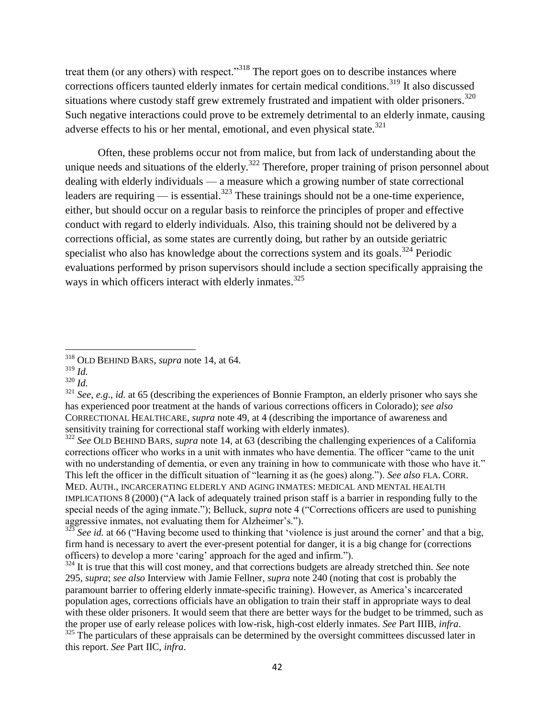treat them (or any others) with respect.<sup>318</sup> The report goes on to describe instances where corrections officers taunted elderly inmates for certain medical conditions.<sup>319</sup> It also discussed situations where custody staff grew extremely frustrated and impatient with older prisoners.<sup>320</sup> Such negative interactions could prove to be extremely detrimental to an elderly inmate, causing adverse effects to his or her mental, emotional, and even physical state.<sup>321</sup>

Often, these problems occur not from malice, but from lack of understanding about the unique needs and situations of the elderly.<sup>322</sup> Therefore, proper training of prison personnel about dealing with elderly individuals — a measure which a growing number of state correctional leaders are requiring  $\frac{323}{2}$  These trainings should not be a one-time experience, either, but should occur on a regular basis to reinforce the principles of proper and effective conduct with regard to elderly individuals. Also, this training should not be delivered by a corrections official, as some states are currently doing, but rather by an outside geriatric specialist who also has knowledge about the corrections system and its goals.<sup>324</sup> Periodic evaluations performed by prison supervisors should include a section specifically appraising the ways in which officers interact with elderly inmates.<sup>325</sup>

l

<sup>322</sup> *See* OLD BEHIND BARS, *supra* note 14, at 63 (describing the challenging experiences of a California corrections officer who works in a unit with inmates who have dementia. The officer "came to the unit" with no understanding of dementia, or even any training in how to communicate with those who have it." This left the officer in the difficult situation of "learning it as (he goes) along."). *See also* FLA. CORR. MED. AUTH., INCARCERATING ELDERLY AND AGING INMATES: MEDICAL AND MENTAL HEALTH IMPLICATIONS  $8(2000)$  ( $\AA$  lack of adequately trained prison staff is a barrier in responding fully to the special needs of the aging inmate."); Belluck, *supra* note 4 ("Corrections officers are used to punishing aggressive inmates, not evaluating them for Alzheimer's.").

See id. at 66 ("Having become used to thinking that 'violence is just around the corner' and that a big, firm hand is necessary to avert the ever-present potential for danger, it is a big change for (corrections officers) to develop a more 'caring' approach for the aged and infirm.").

<sup>324</sup> It is true that this will cost money, and that corrections budgets are already stretched thin. *See* note 295, *supra*; *see also* Interview with Jamie Fellner, *supra* note 240 (noting that cost is probably the paramount barrier to offering elderly inmate-specific training). However, as America's incarcerated population ages, corrections officials have an obligation to train their staff in appropriate ways to deal with these older prisoners. It would seem that there are better ways for the budget to be trimmed, such as the proper use of early release polices with low-risk, high-cost elderly inmates. *See* Part IIIB, *infra*.

<sup>318</sup> OLD BEHIND BARS, *supra* note 14, at 64.

<sup>319</sup> *Id.* 

<sup>320</sup> *Id.* 

<sup>321</sup> *See*, *e.g*., *id.* at 65 (describing the experiences of Bonnie Frampton, an elderly prisoner who says she has experienced poor treatment at the hands of various corrections officers in Colorado); *see also*  CORRECTIONAL HEALTHCARE, *supra* note 49, at 4 (describing the importance of awareness and sensitivity training for correctional staff working with elderly inmates).

 $325$  The particulars of these appraisals can be determined by the oversight committees discussed later in this report. *See* Part IIC, *infra*.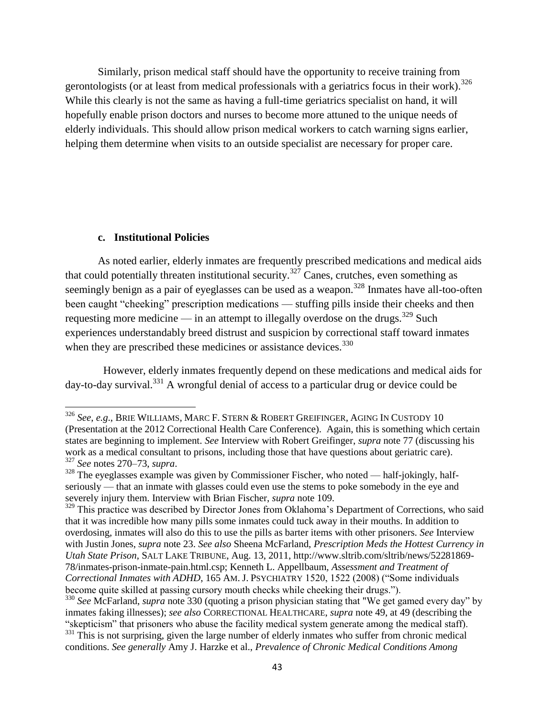Similarly, prison medical staff should have the opportunity to receive training from gerontologists (or at least from medical professionals with a geriatrics focus in their work).<sup>326</sup> While this clearly is not the same as having a full-time geriatrics specialist on hand, it will hopefully enable prison doctors and nurses to become more attuned to the unique needs of elderly individuals. This should allow prison medical workers to catch warning signs earlier, helping them determine when visits to an outside specialist are necessary for proper care.

#### **c. Institutional Policies**

 $\overline{a}$ 

As noted earlier, elderly inmates are frequently prescribed medications and medical aids that could potentially threaten institutional security.<sup>327</sup> Canes, crutches, even something as seemingly benign as a pair of eyeglasses can be used as a weapon.<sup>328</sup> Inmates have all-too-often been caught "cheeking" prescription medications — stuffing pills inside their cheeks and then requesting more medicine — in an attempt to illegally overdose on the drugs.<sup>329</sup> Such experiences understandably breed distrust and suspicion by correctional staff toward inmates when they are prescribed these medicines or assistance devices.<sup>330</sup>

However, elderly inmates frequently depend on these medications and medical aids for  $day-to-day survival.<sup>331</sup>$  A wrongful denial of access to a particular drug or device could be

<sup>326</sup> *See*, *e.g*., BRIE WILLIAMS, MARC F. STERN & ROBERT GREIFINGER, AGING IN CUSTODY 10 (Presentation at the 2012 Correctional Health Care Conference). Again, this is something which certain states are beginning to implement. *See* Interview with Robert Greifinger, *supra* note 77 (discussing his work as a medical consultant to prisons, including those that have questions about geriatric care). <sup>327</sup> *See* notes 270–73, *supra*.

 $328$  The eyeglasses example was given by Commissioner Fischer, who noted — half-jokingly, halfseriously — that an inmate with glasses could even use the stems to poke somebody in the eye and severely injury them. Interview with Brian Fischer, *supra* note 109.

<sup>&</sup>lt;sup>329</sup> This practice was described by Director Jones from Oklahoma's Department of Corrections, who said that it was incredible how many pills some inmates could tuck away in their mouths. In addition to overdosing, inmates will also do this to use the pills as barter items with other prisoners. *See* Interview with Justin Jones, *supra* note 23. *See also* Sheena McFarland, *Prescription Meds the Hottest Currency in Utah State Prison*, SALT LAKE TRIBUNE, Aug. 13, 2011, http://www.sltrib.com/sltrib/news/52281869- 78/inmates-prison-inmate-pain.html.csp; Kenneth L. Appellbaum, *Assessment and Treatment of Correctional Inmates with ADHD*, 165 AM. J. PSYCHIATRY 1520, 1522 (2008) ("Some individuals become quite skilled at passing cursory mouth checks while cheeking their drugs.").

<sup>&</sup>lt;sup>330</sup> See McFarland, *supra* note 330 (quoting a prison physician stating that "We get gamed every day" by inmates faking illnesses); *see also* CORRECTIONAL HEALTHCARE, *supra* note 49, at 49 (describing the ―skepticism‖ that prisoners who abuse the facility medical system generate among the medical staff). <sup>331</sup> This is not surprising, given the large number of elderly inmates who suffer from chronic medical conditions. *See generally* Amy J. Harzke et al., *Prevalence of Chronic Medical Conditions Among*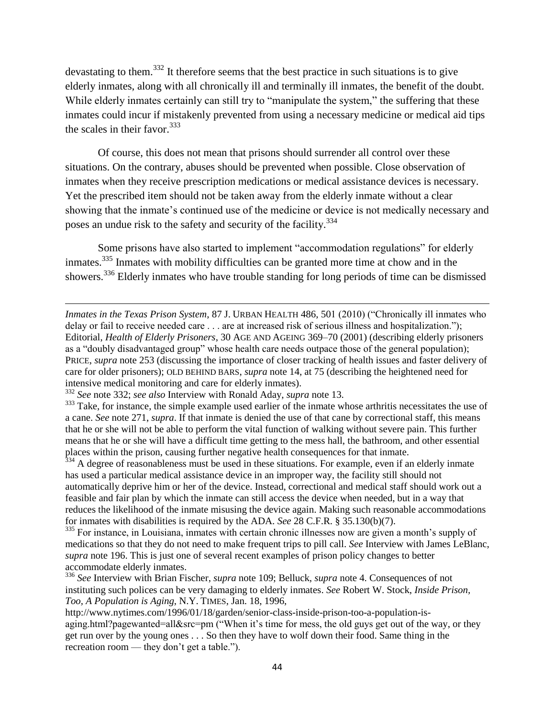devastating to them.<sup>332</sup> It therefore seems that the best practice in such situations is to give elderly inmates, along with all chronically ill and terminally ill inmates, the benefit of the doubt. While elderly inmates certainly can still try to "manipulate the system," the suffering that these inmates could incur if mistakenly prevented from using a necessary medicine or medical aid tips the scales in their favor.  $333$ 

Of course, this does not mean that prisons should surrender all control over these situations. On the contrary, abuses should be prevented when possible. Close observation of inmates when they receive prescription medications or medical assistance devices is necessary. Yet the prescribed item should not be taken away from the elderly inmate without a clear showing that the inmate's continued use of the medicine or device is not medically necessary and poses an undue risk to the safety and security of the facility.<sup>334</sup>

Some prisons have also started to implement "accommodation regulations" for elderly inmates.<sup>335</sup> Inmates with mobility difficulties can be granted more time at chow and in the showers.<sup>336</sup> Elderly inmates who have trouble standing for long periods of time can be dismissed

l

<sup>334</sup> A degree of reasonableness must be used in these situations. For example, even if an elderly inmate has used a particular medical assistance device in an improper way, the facility still should not automatically deprive him or her of the device. Instead, correctional and medical staff should work out a feasible and fair plan by which the inmate can still access the device when needed, but in a way that reduces the likelihood of the inmate misusing the device again. Making such reasonable accommodations for inmates with disabilities is required by the ADA. *See* 28 C.F.R. § 35.130(b)(7).

<sup>335</sup> For instance, in Louisiana, inmates with certain chronic illnesses now are given a month's supply of medications so that they do not need to make frequent trips to pill call. *See* Interview with James LeBlanc, *supra* note 196. This is just one of several recent examples of prison policy changes to better accommodate elderly inmates.

*Inmates in the Texas Prison System, 87 J. URBAN HEALTH 486, 501 (2010) ("Chronically ill inmates who* delay or fail to receive needed care . . . are at increased risk of serious illness and hospitalization."); Editorial, *Health of Elderly Prisoners*, 30 AGE AND AGEING 369–70 (2001) (describing elderly prisoners as a "doubly disadvantaged group" whose health care needs outpace those of the general population); PRICE, *supra* note 253 (discussing the importance of closer tracking of health issues and faster delivery of care for older prisoners); OLD BEHIND BARS, *supra* note 14, at 75 (describing the heightened need for intensive medical monitoring and care for elderly inmates).

<sup>332</sup> *See* note 332; *see also* Interview with Ronald Aday, *supra* note 13.

<sup>&</sup>lt;sup>333</sup> Take, for instance, the simple example used earlier of the inmate whose arthritis necessitates the use of a cane. *See* note 271, *supra*. If that inmate is denied the use of that cane by correctional staff, this means that he or she will not be able to perform the vital function of walking without severe pain. This further means that he or she will have a difficult time getting to the mess hall, the bathroom, and other essential places within the prison, causing further negative health consequences for that inmate.

<sup>336</sup> *See* Interview with Brian Fischer, *supra* note 109; Belluck, *supra* note 4. Consequences of not instituting such polices can be very damaging to elderly inmates. *See* Robert W. Stock, *Inside Prison, Too, A Population is Aging*, N.Y. TIMES, Jan. 18, 1996,

http://www.nytimes.com/1996/01/18/garden/senior-class-inside-prison-too-a-population-isaging.html?pagewanted=all $\&$ src=pm ("When it's time for mess, the old guys get out of the way, or they get run over by the young ones . . . So then they have to wolf down their food. Same thing in the recreation room — they don't get a table.").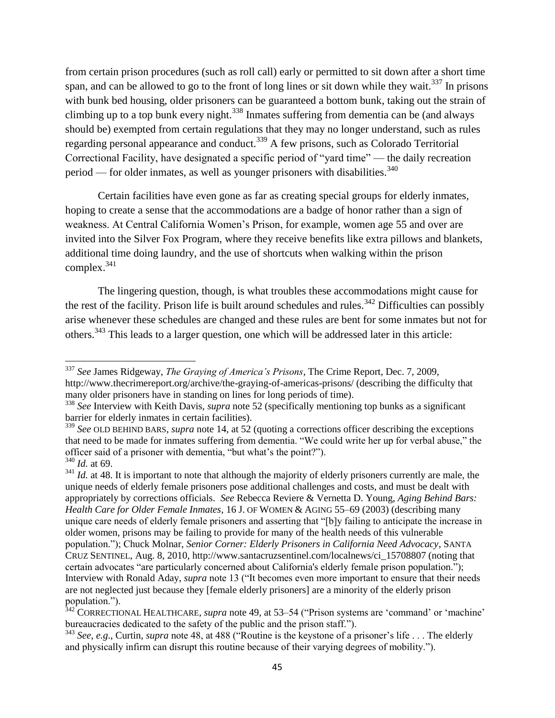from certain prison procedures (such as roll call) early or permitted to sit down after a short time span, and can be allowed to go to the front of long lines or sit down while they wait.<sup>337</sup> In prisons with bunk bed housing, older prisoners can be guaranteed a bottom bunk, taking out the strain of climbing up to a top bunk every night.<sup>338</sup> Inmates suffering from dementia can be (and always should be) exempted from certain regulations that they may no longer understand, such as rules regarding personal appearance and conduct.<sup>339</sup> A few prisons, such as Colorado Territorial Correctional Facility, have designated a specific period of "yard time" — the daily recreation period — for older inmates, as well as younger prisoners with disabilities. $340$ 

Certain facilities have even gone as far as creating special groups for elderly inmates, hoping to create a sense that the accommodations are a badge of honor rather than a sign of weakness. At Central California Women's Prison, for example, women age 55 and over are invited into the Silver Fox Program, where they receive benefits like extra pillows and blankets, additional time doing laundry, and the use of shortcuts when walking within the prison  $complex.^{341}$ 

The lingering question, though, is what troubles these accommodations might cause for the rest of the facility. Prison life is built around schedules and rules.<sup>342</sup> Difficulties can possibly arise whenever these schedules are changed and these rules are bent for some inmates but not for others.<sup>343</sup> This leads to a larger question, one which will be addressed later in this article:

 $\overline{\phantom{a}}$ 

<sup>337</sup> *See* James Ridgeway, *The Graying of America"s Prisons*, The Crime Report, Dec. 7, 2009, http://www.thecrimereport.org/archive/the-graying-of-americas-prisons/ (describing the difficulty that many older prisoners have in standing on lines for long periods of time).

<sup>338</sup> *See* Interview with Keith Davis, *supra* note 52 (specifically mentioning top bunks as a significant barrier for elderly inmates in certain facilities).

<sup>&</sup>lt;sup>339</sup> See OLD BEHIND BARS, *supra* note 14, at 52 (quoting a corrections officer describing the exceptions that need to be made for inmates suffering from dementia. "We could write her up for verbal abuse," the officer said of a prisoner with dementia, "but what's the point?").

<sup>340</sup> *Id.* at 69.

<sup>&</sup>lt;sup>341</sup> *Id.* at 48. It is important to note that although the majority of elderly prisoners currently are male, the unique needs of elderly female prisoners pose additional challenges and costs, and must be dealt with appropriately by corrections officials. *See* Rebecca Reviere & Vernetta D. Young, *Aging Behind Bars: Health Care for Older Female Inmates*, 16 J. OF WOMEN & AGING 55–69 (2003) (describing many unique care needs of elderly female prisoners and asserting that "[b]y failing to anticipate the increase in older women, prisons may be failing to provide for many of the health needs of this vulnerable population.‖); Chuck Molnar, *Senior Corner: Elderly Prisoners in California Need Advocacy*, SANTA CRUZ SENTINEL, Aug. 8, 2010, http://www.santacruzsentinel.com/localnews/ci\_15708807 (noting that certain advocates "are particularly concerned about California's elderly female prison population."); Interview with Ronald Aday, *supra* note 13 ("It becomes even more important to ensure that their needs are not neglected just because they [female elderly prisoners] are a minority of the elderly prison population.").

<sup>&</sup>lt;sup>342</sup> CORRECTIONAL HEALTHCARE, *supra* note 49, at 53–54 ("Prison systems are 'command' or 'machine' bureaucracies dedicated to the safety of the public and the prison staff.").

<sup>&</sup>lt;sup>343</sup> *See*, *e.g.*, Curtin, *supra* note 48, at 488 ("Routine is the keystone of a prisoner's life . . . The elderly and physically infirm can disrupt this routine because of their varying degrees of mobility.").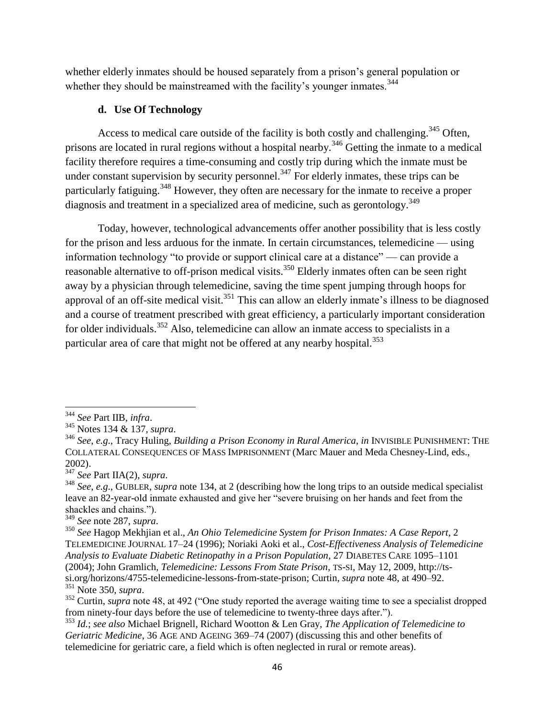whether elderly inmates should be housed separately from a prison's general population or whether they should be mainstreamed with the facility's younger inmates.<sup>344</sup>

## **d. Use Of Technology**

Access to medical care outside of the facility is both costly and challenging.<sup>345</sup> Often, prisons are located in rural regions without a hospital nearby.<sup>346</sup> Getting the inmate to a medical facility therefore requires a time-consuming and costly trip during which the inmate must be under constant supervision by security personnel.<sup>347</sup> For elderly inmates, these trips can be particularly fatiguing.<sup>348</sup> However, they often are necessary for the inmate to receive a proper diagnosis and treatment in a specialized area of medicine, such as gerontology.<sup>349</sup>

Today, however, technological advancements offer another possibility that is less costly for the prison and less arduous for the inmate. In certain circumstances, telemedicine — using information technology "to provide or support clinical care at a distance" — can provide a reasonable alternative to off-prison medical visits.<sup>350</sup> Elderly inmates often can be seen right away by a physician through telemedicine, saving the time spent jumping through hoops for approval of an off-site medical visit.<sup>351</sup> This can allow an elderly inmate's illness to be diagnosed and a course of treatment prescribed with great efficiency, a particularly important consideration for older individuals.<sup>352</sup> Also, telemedicine can allow an inmate access to specialists in a particular area of care that might not be offered at any nearby hospital.<sup>353</sup>

<sup>344</sup> *See* Part IIB, *infra*.

<sup>345</sup> Notes 134 & 137, *supra*.

<sup>346</sup> *See*, *e.g*., Tracy Huling, *Building a Prison Economy in Rural America*, *in* INVISIBLE PUNISHMENT: THE COLLATERAL CONSEQUENCES OF MASS IMPRISONMENT (Marc Mauer and Meda Chesney-Lind, eds., 2002).

<sup>347</sup> *See* Part IIA(2), *supra*.

<sup>348</sup> *See*, *e.g*., GUBLER, *supra* note 134, at 2 (describing how the long trips to an outside medical specialist leave an 82-year-old inmate exhausted and give her "severe bruising on her hands and feet from the shackles and chains.").

<sup>349</sup> *See* note 287, *supra*.

<sup>350</sup> *See* Hagop Mekhjian et al., *An Ohio Telemedicine System for Prison Inmates: A Case Report*, 2 TELEMEDICINE JOURNAL 17–24 (1996); Noriaki Aoki et al., *Cost-Effectiveness Analysis of Telemedicine Analysis to Evaluate Diabetic Retinopathy in a Prison Population*, 27 DIABETES CARE 1095–1101 (2004); John Gramlich, *Telemedicine: Lessons From State Prison*, TS-SI, May 12, 2009, http://tssi.org/horizons/4755-telemedicine-lessons-from-state-prison; Curtin, *supra* note 48, at 490–92. <sup>351</sup> Note 350, *supra*.

<sup>&</sup>lt;sup>352</sup> Curtin, *supra* note 48, at 492 ("One study reported the average waiting time to see a specialist dropped from ninety-four days before the use of telemedicine to twenty-three days after.").

<sup>353</sup> *Id.*; *see also* Michael Brignell, Richard Wootton & Len Gray, *The Application of Telemedicine to Geriatric Medicine*, 36 AGE AND AGEING 369–74 (2007) (discussing this and other benefits of telemedicine for geriatric care, a field which is often neglected in rural or remote areas).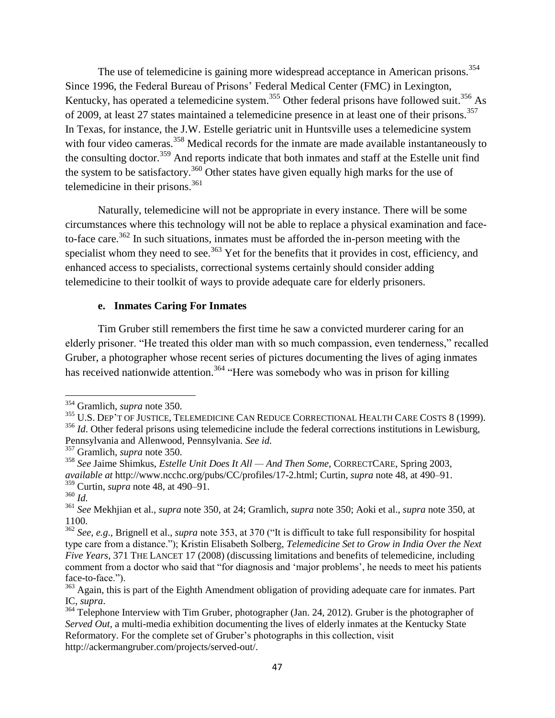The use of telemedicine is gaining more widespread acceptance in American prisons.<sup>354</sup> Since 1996, the Federal Bureau of Prisons' Federal Medical Center (FMC) in Lexington, Kentucky, has operated a telemedicine system.<sup>355</sup> Other federal prisons have followed suit.<sup>356</sup> As of 2009, at least 27 states maintained a telemedicine presence in at least one of their prisons.<sup>357</sup> In Texas, for instance, the J.W. Estelle geriatric unit in Huntsville uses a telemedicine system with four video cameras.<sup>358</sup> Medical records for the inmate are made available instantaneously to the consulting doctor.<sup>359</sup> And reports indicate that both inmates and staff at the Estelle unit find the system to be satisfactory.<sup>360</sup> Other states have given equally high marks for the use of telemedicine in their prisons. $361$ 

Naturally, telemedicine will not be appropriate in every instance. There will be some circumstances where this technology will not be able to replace a physical examination and faceto-face care.<sup>362</sup> In such situations, inmates must be afforded the in-person meeting with the specialist whom they need to see.<sup>363</sup> Yet for the benefits that it provides in cost, efficiency, and enhanced access to specialists, correctional systems certainly should consider adding telemedicine to their toolkit of ways to provide adequate care for elderly prisoners.

### **e. Inmates Caring For Inmates**

Tim Gruber still remembers the first time he saw a convicted murderer caring for an elderly prisoner. "He treated this older man with so much compassion, even tenderness," recalled Gruber, a photographer whose recent series of pictures documenting the lives of aging inmates has received nationwide attention.<sup>364</sup> "Here was somebody who was in prison for killing

<sup>354</sup> Gramlich, *supra* note 350.

<sup>355</sup> U.S. DEP'T OF JUSTICE, TELEMEDICINE CAN REDUCE CORRECTIONAL HEALTH CARE COSTS 8 (1999).

<sup>&</sup>lt;sup>356</sup> *Id*. Other federal prisons using telemedicine include the federal corrections institutions in Lewisburg, Pennsylvania and Allenwood, Pennsylvania. *See id.*

<sup>357</sup> Gramlich, *supra* note 350.

<sup>358</sup> *See* Jaime Shimkus, *Estelle Unit Does It All — And Then Some*, CORRECTCARE, Spring 2003, *available at* http://www.ncchc.org/pubs/CC/profiles/17-2.html; Curtin, *supra* note 48, at 490–91.

<sup>359</sup> Curtin, *supra* note 48, at 490–91.

<sup>360</sup> *Id.* 

<sup>361</sup> *See* Mekhjian et al., *supra* note 350, at 24; Gramlich, *supra* note 350; Aoki et al., *supra* note 350, at 1100.

<sup>&</sup>lt;sup>362</sup> *See*, *e.g.*, Brignell et al., *supra* note 353, at 370 ("It is difficult to take full responsibility for hospital type care from a distance.‖); Kristin Elisabeth Solberg, *Telemedicine Set to Grow in India Over the Next Five Years*, 371 THE LANCET 17 (2008) (discussing limitations and benefits of telemedicine, including comment from a doctor who said that "for diagnosis and 'major problems', he needs to meet his patients face-to-face.").

<sup>&</sup>lt;sup>363</sup> Again, this is part of the Eighth Amendment obligation of providing adequate care for inmates. Part IC, *supra*.

 $364$  Telephone Interview with Tim Gruber, photographer (Jan. 24, 2012). Gruber is the photographer of *Served Out*, a multi-media exhibition documenting the lives of elderly inmates at the Kentucky State Reformatory. For the complete set of Gruber's photographs in this collection, visit http://ackermangruber.com/projects/served-out/.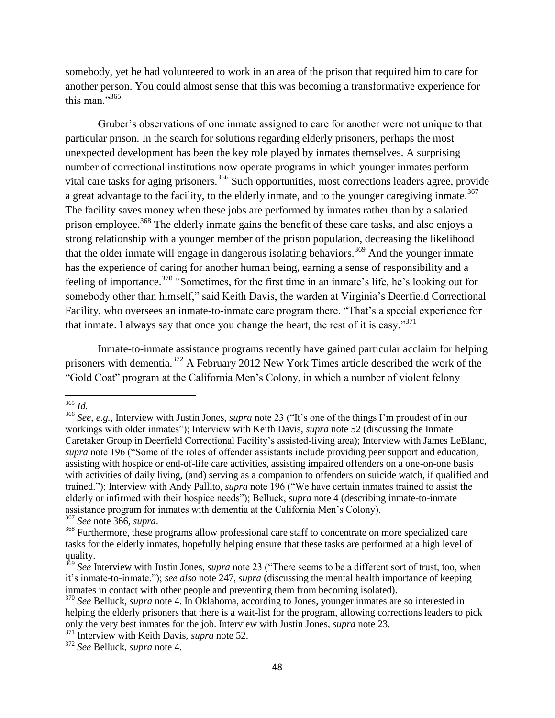somebody, yet he had volunteered to work in an area of the prison that required him to care for another person. You could almost sense that this was becoming a transformative experience for this man."<sup>365</sup>

Gruber's observations of one inmate assigned to care for another were not unique to that particular prison. In the search for solutions regarding elderly prisoners, perhaps the most unexpected development has been the key role played by inmates themselves. A surprising number of correctional institutions now operate programs in which younger inmates perform vital care tasks for aging prisoners.<sup>366</sup> Such opportunities, most corrections leaders agree, provide a great advantage to the facility, to the elderly inmate, and to the younger caregiving inmate.<sup>367</sup> The facility saves money when these jobs are performed by inmates rather than by a salaried prison employee.<sup>368</sup> The elderly inmate gains the benefit of these care tasks, and also enjoys a strong relationship with a younger member of the prison population, decreasing the likelihood that the older inmate will engage in dangerous isolating behaviors.<sup>369</sup> And the younger inmate has the experience of caring for another human being, earning a sense of responsibility and a feeling of importance.<sup>370</sup> "Sometimes, for the first time in an inmate's life, he's looking out for somebody other than himself," said Keith Davis, the warden at Virginia's Deerfield Correctional Facility, who oversees an inmate-to-inmate care program there. "That's a special experience for that inmate. I always say that once you change the heart, the rest of it is easy. $371$ 

Inmate-to-inmate assistance programs recently have gained particular acclaim for helping prisoners with dementia.<sup>372</sup> A February 2012 New York Times article described the work of the ―Gold Coat‖ program at the California Men's Colony, in which a number of violent felony

<sup>365</sup> *Id.* 

<sup>&</sup>lt;sup>366</sup> See, e.g., Interview with Justin Jones, *supra* note 23 ("It's one of the things I'm proudest of in our workings with older inmates"); Interview with Keith Davis, *supra* note 52 (discussing the Inmate Caretaker Group in Deerfield Correctional Facility's assisted-living area); Interview with James LeBlanc, *supra* note 196 ("Some of the roles of offender assistants include providing peer support and education, assisting with hospice or end-of-life care activities, assisting impaired offenders on a one-on-one basis with activities of daily living, (and) serving as a companion to offenders on suicide watch, if qualified and trained."); Interview with Andy Pallito, *supra* note 196 ("We have certain inmates trained to assist the elderly or infirmed with their hospice needs"); Belluck, *supra* note 4 (describing inmate-to-inmate assistance program for inmates with dementia at the California Men's Colony). <sup>367</sup> *See* note 366, *supra*.

<sup>&</sup>lt;sup>368</sup> Furthermore, these programs allow professional care staff to concentrate on more specialized care tasks for the elderly inmates, hopefully helping ensure that these tasks are performed at a high level of quality.

<sup>&</sup>lt;sup>369</sup> See Interview with Justin Jones, *supra* note 23 ("There seems to be a different sort of trust, too, when it's inmate-to-inmate."); *see also* note 247, *supra* (discussing the mental health importance of keeping inmates in contact with other people and preventing them from becoming isolated).

<sup>&</sup>lt;sup>370</sup> See Belluck, *supra* note 4. In Oklahoma, according to Jones, younger inmates are so interested in helping the elderly prisoners that there is a wait-list for the program, allowing corrections leaders to pick only the very best inmates for the job. Interview with Justin Jones, *supra* note 23.

<sup>371</sup> Interview with Keith Davis, *supra* note 52.

<sup>372</sup> *See* Belluck, *supra* note 4.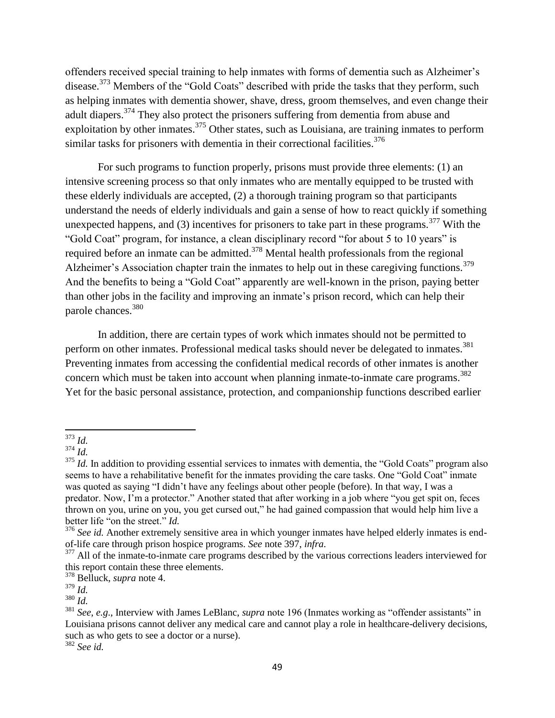offenders received special training to help inmates with forms of dementia such as Alzheimer's disease.<sup>373</sup> Members of the "Gold Coats" described with pride the tasks that they perform, such as helping inmates with dementia shower, shave, dress, groom themselves, and even change their adult diapers.<sup>374</sup> They also protect the prisoners suffering from dementia from abuse and exploitation by other inmates.<sup>375</sup> Other states, such as Louisiana, are training inmates to perform similar tasks for prisoners with dementia in their correctional facilities.<sup>376</sup>

For such programs to function properly, prisons must provide three elements: (1) an intensive screening process so that only inmates who are mentally equipped to be trusted with these elderly individuals are accepted, (2) a thorough training program so that participants understand the needs of elderly individuals and gain a sense of how to react quickly if something unexpected happens, and (3) incentives for prisoners to take part in these programs.<sup>377</sup> With the "Gold Coat" program, for instance, a clean disciplinary record "for about 5 to 10 years" is required before an inmate can be admitted.<sup>378</sup> Mental health professionals from the regional Alzheimer's Association chapter train the inmates to help out in these caregiving functions.<sup>379</sup> And the benefits to being a "Gold Coat" apparently are well-known in the prison, paying better than other jobs in the facility and improving an inmate's prison record, which can help their parole chances.<sup>380</sup>

In addition, there are certain types of work which inmates should not be permitted to perform on other inmates. Professional medical tasks should never be delegated to inmates.<sup>381</sup> Preventing inmates from accessing the confidential medical records of other inmates is another concern which must be taken into account when planning inmate-to-inmate care programs. 382 Yet for the basic personal assistance, protection, and companionship functions described earlier

l <sup>373</sup> *Id.* 

 $^{374}$  *Id.* 

<sup>&</sup>lt;sup>375</sup> *Id.* In addition to providing essential services to inmates with dementia, the "Gold Coats" program also seems to have a rehabilitative benefit for the inmates providing the care tasks. One "Gold Coat" inmate was quoted as saying "I didn't have any feelings about other people (before). In that way, I was a predator. Now, I'm a protector." Another stated that after working in a job where "you get spit on, feces thrown on you, urine on you, you get cursed out," he had gained compassion that would help him live a better life "on the street." *Id.* 

<sup>&</sup>lt;sup>376</sup> See id. Another extremely sensitive area in which younger inmates have helped elderly inmates is endof-life care through prison hospice programs. *See* note 397, *infra*.

<sup>&</sup>lt;sup>377</sup> All of the inmate-to-inmate care programs described by the various corrections leaders interviewed for this report contain these three elements.

<sup>378</sup> Belluck, *supra* note 4.

<sup>379</sup> *Id.* 

<sup>380</sup> *Id.* 

<sup>&</sup>lt;sup>381</sup> *See*, *e.g.*, Interview with James LeBlanc, *supra* note 196 (Inmates working as "offender assistants" in Louisiana prisons cannot deliver any medical care and cannot play a role in healthcare-delivery decisions, such as who gets to see a doctor or a nurse).

<sup>382</sup> *See id.*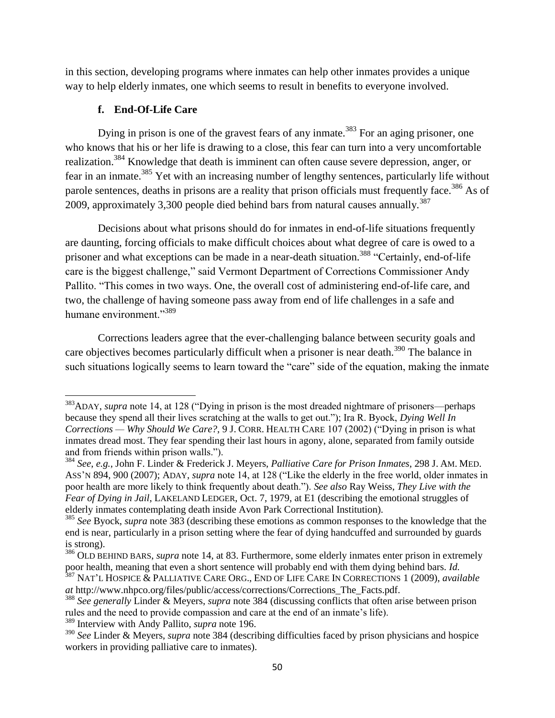in this section, developing programs where inmates can help other inmates provides a unique way to help elderly inmates, one which seems to result in benefits to everyone involved.

# **f. End-Of-Life Care**

Dying in prison is one of the gravest fears of any inmate.<sup>383</sup> For an aging prisoner, one who knows that his or her life is drawing to a close, this fear can turn into a very uncomfortable realization.<sup>384</sup> Knowledge that death is imminent can often cause severe depression, anger, or fear in an inmate.<sup>385</sup> Yet with an increasing number of lengthy sentences, particularly life without parole sentences, deaths in prisons are a reality that prison officials must frequently face.<sup>386</sup> As of 2009, approximately 3,300 people died behind bars from natural causes annually.<sup>387</sup>

Decisions about what prisons should do for inmates in end-of-life situations frequently are daunting, forcing officials to make difficult choices about what degree of care is owed to a prisoner and what exceptions can be made in a near-death situation.<sup>388</sup> "Certainly, end-of-life care is the biggest challenge," said Vermont Department of Corrections Commissioner Andy Pallito. "This comes in two ways. One, the overall cost of administering end-of-life care, and two, the challenge of having someone pass away from end of life challenges in a safe and humane environment."<sup>389</sup>

Corrections leaders agree that the ever-challenging balance between security goals and care objectives becomes particularly difficult when a prisoner is near death.<sup>390</sup> The balance in such situations logically seems to learn toward the "care" side of the equation, making the inmate

*at* http://www.nhpco.org/files/public/access/corrections/Corrections\_The\_Facts.pdf.

<sup>389</sup> Interview with Andy Pallito, *supra* note 196.

 $\overline{a}$ <sup>383</sup>ADAY, *supra* note 14, at 128 ("Dying in prison is the most dreaded nightmare of prisoners—perhaps because they spend all their lives scratching at the walls to get out."); Ira R. Byock, *Dying Well In Corrections — Why Should We Care?*, 9 J. CORR. HEALTH CARE 107 (2002) ("Dying in prison is what inmates dread most. They fear spending their last hours in agony, alone, separated from family outside and from friends within prison walls.").

<sup>384</sup> *See*, *e.g.*, John F. Linder & Frederick J. Meyers, *Palliative Care for Prison Inmates*, 298 J. AM. MED. ASS'N 894, 900 (2007); ADAY, *supra* note 14, at 128 ("Like the elderly in the free world, older inmates in poor health are more likely to think frequently about death.‖). *See also* Ray Weiss, *They Live with the Fear of Dying in Jail*, LAKELAND LEDGER, Oct. 7, 1979, at E1 (describing the emotional struggles of elderly inmates contemplating death inside Avon Park Correctional Institution).

<sup>385</sup> *See* Byock, *supra* note 383 (describing these emotions as common responses to the knowledge that the end is near, particularly in a prison setting where the fear of dying handcuffed and surrounded by guards is strong).

<sup>386</sup> OLD BEHIND BARS, *supra* note 14, at 83. Furthermore, some elderly inmates enter prison in extremely poor health, meaning that even a short sentence will probably end with them dying behind bars. *Id.*  <sup>387</sup> NAT'L HOSPICE & PALLIATIVE CARE ORG., END OF LIFE CARE IN CORRECTIONS 1 (2009), *available* 

<sup>388</sup> *See generally* Linder & Meyers, *supra* note 384 (discussing conflicts that often arise between prison rules and the need to provide compassion and care at the end of an inmate's life).

<sup>390</sup> *See* Linder & Meyers, *supra* note 384 (describing difficulties faced by prison physicians and hospice workers in providing palliative care to inmates).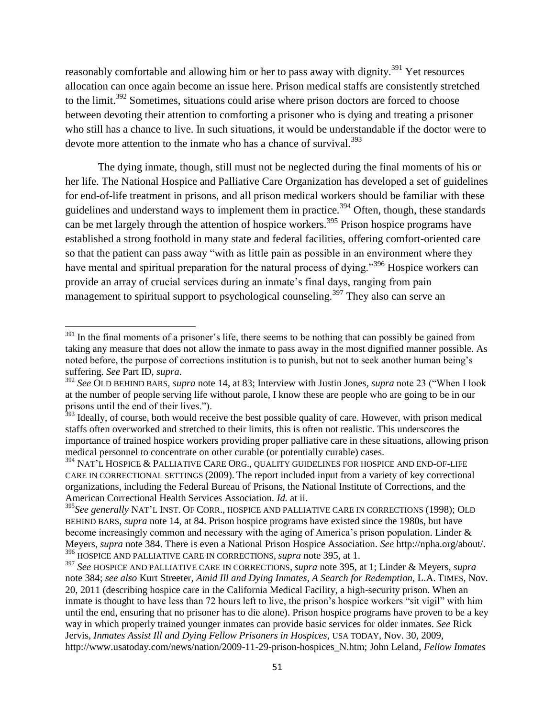reasonably comfortable and allowing him or her to pass away with dignity.<sup>391</sup> Yet resources allocation can once again become an issue here. Prison medical staffs are consistently stretched to the limit.<sup>392</sup> Sometimes, situations could arise where prison doctors are forced to choose between devoting their attention to comforting a prisoner who is dying and treating a prisoner who still has a chance to live. In such situations, it would be understandable if the doctor were to devote more attention to the inmate who has a chance of survival.<sup>393</sup>

The dying inmate, though, still must not be neglected during the final moments of his or her life. The National Hospice and Palliative Care Organization has developed a set of guidelines for end-of-life treatment in prisons, and all prison medical workers should be familiar with these guidelines and understand ways to implement them in practice.<sup>394</sup> Often, though, these standards can be met largely through the attention of hospice workers.<sup>395</sup> Prison hospice programs have established a strong foothold in many state and federal facilities, offering comfort-oriented care so that the patient can pass away "with as little pain as possible in an environment where they have mental and spiritual preparation for the natural process of dying.<sup>396</sup> Hospice workers can provide an array of crucial services during an inmate's final days, ranging from pain management to spiritual support to psychological counseling.<sup>397</sup> They also can serve an

 $\overline{\phantom{a}}$ 

 $391$  In the final moments of a prisoner's life, there seems to be nothing that can possibly be gained from taking any measure that does not allow the inmate to pass away in the most dignified manner possible. As noted before, the purpose of corrections institution is to punish, but not to seek another human being's suffering. *See* Part ID, *supra*.

<sup>&</sup>lt;sup>392</sup> See OLD BEHIND BARS, *supra* note 14, at 83; Interview with Justin Jones, *supra* note 23 ("When I look at the number of people serving life without parole, I know these are people who are going to be in our prisons until the end of their lives.").

<sup>&</sup>lt;sup>393</sup> Ideally, of course, both would receive the best possible quality of care. However, with prison medical staffs often overworked and stretched to their limits, this is often not realistic. This underscores the importance of trained hospice workers providing proper palliative care in these situations, allowing prison medical personnel to concentrate on other curable (or potentially curable) cases.

<sup>&</sup>lt;sup>394</sup> NAT'L HOSPICE & PALLIATIVE CARE ORG., QUALITY GUIDELINES FOR HOSPICE AND END-OF-LIFE CARE IN CORRECTIONAL SETTINGS (2009). The report included input from a variety of key correctional organizations, including the Federal Bureau of Prisons, the National Institute of Corrections, and the American Correctional Health Services Association. *Id.* at ii.

<sup>395</sup>*See generally* NAT'L INST. OF CORR., HOSPICE AND PALLIATIVE CARE IN CORRECTIONS (1998); OLD BEHIND BARS, *supra* note 14, at 84. Prison hospice programs have existed since the 1980s, but have become increasingly common and necessary with the aging of America's prison population. Linder & Meyers, *supra* note 384. There is even a National Prison Hospice Association. *See* http://npha.org/about/. <sup>396</sup> HOSPICE AND PALLIATIVE CARE IN CORRECTIONS, *supra* note 395, at 1.

<sup>397</sup> *See* HOSPICE AND PALLIATIVE CARE IN CORRECTIONS, *supra* note 395, at 1; Linder & Meyers, *supra*  note 384; *see also* Kurt Streeter, *Amid Ill and Dying Inmates, A Search for Redemption*, L.A. TIMES, Nov. 20, 2011 (describing hospice care in the California Medical Facility, a high-security prison. When an inmate is thought to have less than 72 hours left to live, the prison's hospice workers "sit vigil" with him until the end, ensuring that no prisoner has to die alone). Prison hospice programs have proven to be a key way in which properly trained younger inmates can provide basic services for older inmates. *See* Rick Jervis, *Inmates Assist Ill and Dying Fellow Prisoners in Hospices*, USA TODAY, Nov. 30, 2009, http://www.usatoday.com/news/nation/2009-11-29-prison-hospices\_N.htm; John Leland, *Fellow Inmates*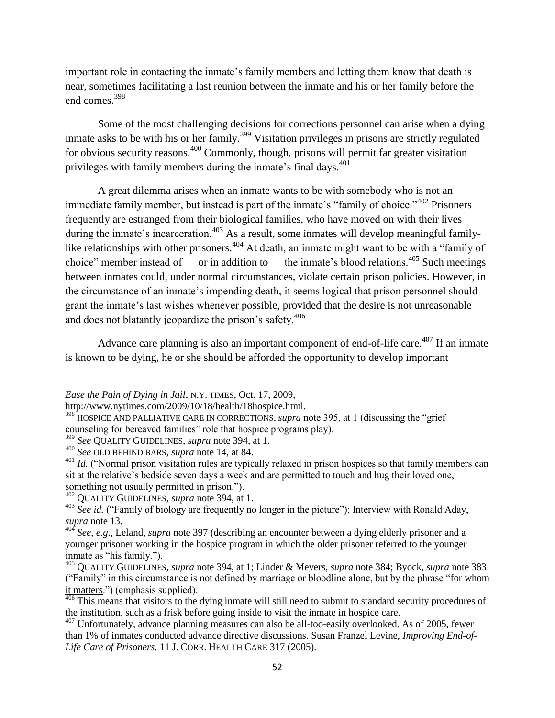important role in contacting the inmate's family members and letting them know that death is near, sometimes facilitating a last reunion between the inmate and his or her family before the end comes.<sup>398</sup>

Some of the most challenging decisions for corrections personnel can arise when a dying inmate asks to be with his or her family.<sup>399</sup> Visitation privileges in prisons are strictly regulated for obvious security reasons.<sup>400</sup> Commonly, though, prisons will permit far greater visitation privileges with family members during the inmate's final days.<sup>401</sup>

A great dilemma arises when an inmate wants to be with somebody who is not an immediate family member, but instead is part of the inmate's "family of choice."<sup>402</sup> Prisoners frequently are estranged from their biological families, who have moved on with their lives during the inmate's incarceration.<sup>403</sup> As a result, some inmates will develop meaningful familylike relationships with other prisoners.<sup>404</sup> At death, an inmate might want to be with a "family of choice" member instead of — or in addition to — the inmate's blood relations.<sup>405</sup> Such meetings between inmates could, under normal circumstances, violate certain prison policies. However, in the circumstance of an inmate's impending death, it seems logical that prison personnel should grant the inmate's last wishes whenever possible, provided that the desire is not unreasonable and does not blatantly jeopardize the prison's safety.<sup>406</sup>

Advance care planning is also an important component of end-of-life care.<sup>407</sup> If an inmate is known to be dying, he or she should be afforded the opportunity to develop important

 $\overline{\phantom{a}}$ 

*Ease the Pain of Dying in Jail*, N.Y. TIMES, Oct. 17, 2009,

http://www.nytimes.com/2009/10/18/health/18hospice.html.

<sup>&</sup>lt;sup>398</sup> HOSPICE AND PALLIATIVE CARE IN CORRECTIONS, *supra* note 395, at 1 (discussing the "grief counseling for bereaved families" role that hospice programs play).

<sup>399</sup> *See* QUALITY GUIDELINES, *supra* note 394, at 1.

<sup>400</sup> *See* OLD BEHIND BARS, *supra* note 14, at 84.

<sup>&</sup>lt;sup>401</sup> *Id.* ("Normal prison visitation rules are typically relaxed in prison hospices so that family members can sit at the relative's bedside seven days a week and are permitted to touch and hug their loved one, something not usually permitted in prison.").

<sup>402</sup> QUALITY GUIDELINES, *supra* note 394, at 1.

<sup>&</sup>lt;sup>403</sup> See id. ("Family of biology are frequently no longer in the picture"); Interview with Ronald Aday, *supra* note 13.

<sup>404</sup> *See*, *e.g*., Leland, *supra* note 397 (describing an encounter between a dying elderly prisoner and a younger prisoner working in the hospice program in which the older prisoner referred to the younger inmate as "his family.").

<sup>405</sup> QUALITY GUIDELINES, *supra* note 394, at 1; Linder & Meyers, *supra* note 384; Byock, *supra* note 383 ("Family" in this circumstance is not defined by marriage or bloodline alone, but by the phrase "for whom it matters.") (emphasis supplied).

<sup>&</sup>lt;sup>406</sup> This means that visitors to the dying inmate will still need to submit to standard security procedures of the institution, such as a frisk before going inside to visit the inmate in hospice care.

<sup>&</sup>lt;sup>407</sup> Unfortunately, advance planning measures can also be all-too-easily overlooked. As of 2005, fewer than 1% of inmates conducted advance directive discussions. Susan Franzel Levine, *Improving End-of-Life Care of Prisoners*, 11 J. CORR. HEALTH CARE 317 (2005).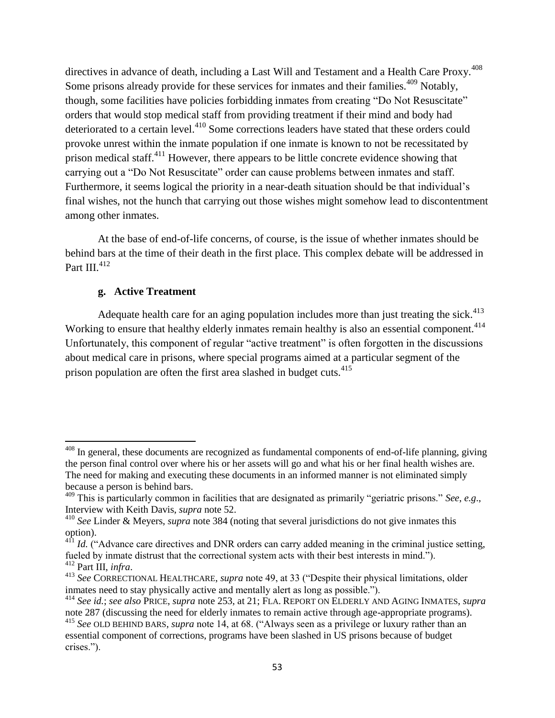directives in advance of death, including a Last Will and Testament and a Health Care Proxy.<sup>408</sup> Some prisons already provide for these services for inmates and their families.<sup>409</sup> Notably, though, some facilities have policies forbidding inmates from creating "Do Not Resuscitate" orders that would stop medical staff from providing treatment if their mind and body had deteriorated to a certain level.<sup>410</sup> Some corrections leaders have stated that these orders could provoke unrest within the inmate population if one inmate is known to not be recessitated by prison medical staff.<sup>411</sup> However, there appears to be little concrete evidence showing that carrying out a "Do Not Resuscitate" order can cause problems between inmates and staff. Furthermore, it seems logical the priority in a near-death situation should be that individual's final wishes, not the hunch that carrying out those wishes might somehow lead to discontentment among other inmates.

At the base of end-of-life concerns, of course, is the issue of whether inmates should be behind bars at the time of their death in the first place. This complex debate will be addressed in Part III.<sup>412</sup>

## **g. Active Treatment**

 $\overline{a}$ 

Adequate health care for an aging population includes more than just treating the sick.<sup>413</sup> Working to ensure that healthy elderly inmates remain healthy is also an essential component.<sup>414</sup> Unfortunately, this component of regular "active treatment" is often forgotten in the discussions about medical care in prisons, where special programs aimed at a particular segment of the prison population are often the first area slashed in budget cuts.<sup>415</sup>

 $408$  In general, these documents are recognized as fundamental components of end-of-life planning, giving the person final control over where his or her assets will go and what his or her final health wishes are. The need for making and executing these documents in an informed manner is not eliminated simply because a person is behind bars.

<sup>&</sup>lt;sup>409</sup> This is particularly common in facilities that are designated as primarily "geriatric prisons." See, e.g., Interview with Keith Davis, *supra* note 52.

<sup>410</sup> *See* Linder & Meyers, *supra* note 384 (noting that several jurisdictions do not give inmates this option).

<sup>&</sup>lt;sup>411</sup> *Id.* ("Advance care directives and DNR orders can carry added meaning in the criminal justice setting, fueled by inmate distrust that the correctional system acts with their best interests in mind."). <sup>412</sup> Part III, *infra*.

<sup>&</sup>lt;sup>413</sup> See CORRECTIONAL HEALTHCARE, *supra* note 49, at 33 ("Despite their physical limitations, older inmates need to stay physically active and mentally alert as long as possible.").

<sup>414</sup> *See id.*; *see also* PRICE, *supra* note 253, at 21; FLA. REPORT ON ELDERLY AND AGING INMATES, *supra*  note 287 (discussing the need for elderly inmates to remain active through age-appropriate programs).

<sup>&</sup>lt;sup>415</sup> See OLD BEHIND BARS, *supra* note 14, at 68. ("Always seen as a privilege or luxury rather than an essential component of corrections, programs have been slashed in US prisons because of budget crises.").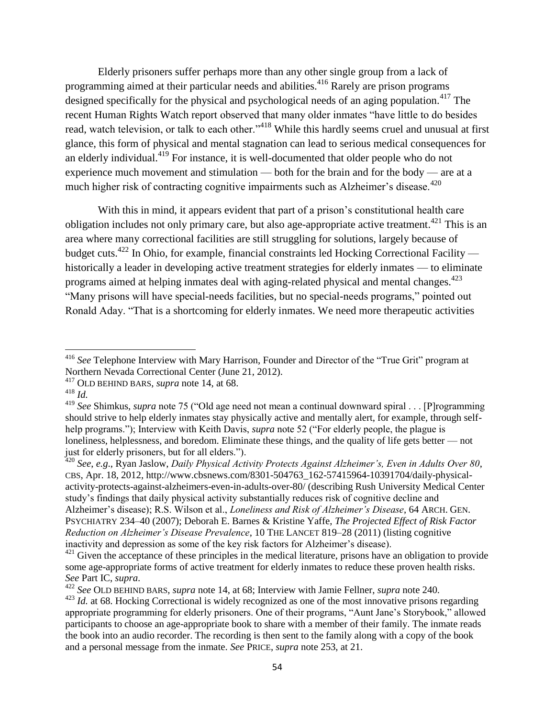Elderly prisoners suffer perhaps more than any other single group from a lack of programming aimed at their particular needs and abilities.<sup>416</sup> Rarely are prison programs designed specifically for the physical and psychological needs of an aging population.<sup>417</sup> The recent Human Rights Watch report observed that many older inmates "have little to do besides read, watch television, or talk to each other."<sup>418</sup> While this hardly seems cruel and unusual at first glance, this form of physical and mental stagnation can lead to serious medical consequences for an elderly individual.<sup>419</sup> For instance, it is well-documented that older people who do not experience much movement and stimulation — both for the brain and for the body — are at a much higher risk of contracting cognitive impairments such as Alzheimer's disease.<sup> $420$ </sup>

With this in mind, it appears evident that part of a prison's constitutional health care obligation includes not only primary care, but also age-appropriate active treatment.<sup>421</sup> This is an area where many correctional facilities are still struggling for solutions, largely because of budget cuts.<sup>422</sup> In Ohio, for example, financial constraints led Hocking Correctional Facility historically a leader in developing active treatment strategies for elderly inmates — to eliminate programs aimed at helping inmates deal with aging-related physical and mental changes.<sup>423</sup> "Many prisons will have special-needs facilities, but no special-needs programs," pointed out Ronald Aday. "That is a shortcoming for elderly inmates. We need more therapeutic activities

l

<sup>420</sup> *See*, *e.g*., Ryan Jaslow, *Daily Physical Activity Protects Against Alzheimer"s, Even in Adults Over 80*, CBS, Apr. 18, 2012, http://www.cbsnews.com/8301-504763\_162-57415964-10391704/daily-physicalactivity-protects-against-alzheimers-even-in-adults-over-80/ (describing Rush University Medical Center study's findings that daily physical activity substantially reduces risk of cognitive decline and Alzheimer's disease); R.S. Wilson et al., *Loneliness and Risk of Alzheimer"s Disease*, 64 ARCH. GEN. PSYCHIATRY 234–40 (2007); Deborah E. Barnes & Kristine Yaffe, *The Projected Effect of Risk Factor Reduction on Alzheimer"s Disease Prevalence*, 10 THE LANCET 819–28 (2011) (listing cognitive inactivity and depression as some of the key risk factors for Alzheimer's disease).

<sup>&</sup>lt;sup>416</sup> See Telephone Interview with Mary Harrison, Founder and Director of the "True Grit" program at Northern Nevada Correctional Center (June 21, 2012).

<sup>417</sup> OLD BEHIND BARS, *supra* note 14, at 68.

<sup>418</sup> *Id.* 

<sup>&</sup>lt;sup>419</sup> See Shimkus, *supra* note 75 ("Old age need not mean a continual downward spiral . . . [P]rogramming should strive to help elderly inmates stay physically active and mentally alert, for example, through selfhelp programs."); Interview with Keith Davis, *supra* note 52 ("For elderly people, the plague is loneliness, helplessness, and boredom. Eliminate these things, and the quality of life gets better — not just for elderly prisoners, but for all elders.").

<sup>&</sup>lt;sup>421</sup> Given the acceptance of these principles in the medical literature, prisons have an obligation to provide some age-appropriate forms of active treatment for elderly inmates to reduce these proven health risks. *See* Part IC, *supra*.

<sup>422</sup> *See* OLD BEHIND BARS, *supra* note 14, at 68; Interview with Jamie Fellner, *supra* note 240.

<sup>&</sup>lt;sup>423</sup> *Id.* at 68. Hocking Correctional is widely recognized as one of the most innovative prisons regarding appropriate programming for elderly prisoners. One of their programs, "Aunt Jane's Storybook," allowed participants to choose an age-appropriate book to share with a member of their family. The inmate reads the book into an audio recorder. The recording is then sent to the family along with a copy of the book and a personal message from the inmate. *See* PRICE, *supra* note 253, at 21.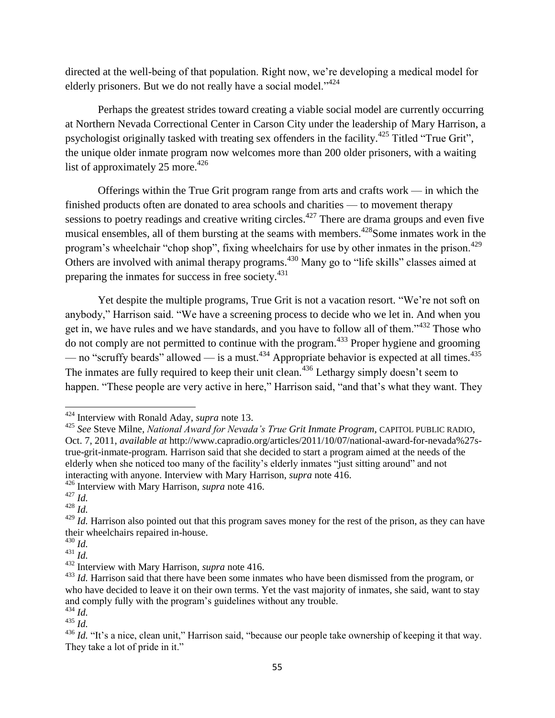directed at the well-being of that population. Right now, we're developing a medical model for elderly prisoners. But we do not really have a social model." $424$ 

Perhaps the greatest strides toward creating a viable social model are currently occurring at Northern Nevada Correctional Center in Carson City under the leadership of Mary Harrison, a psychologist originally tasked with treating sex offenders in the facility.<sup>425</sup> Titled "True Grit", the unique older inmate program now welcomes more than 200 older prisoners, with a waiting list of approximately 25 more. $426$ 

Offerings within the True Grit program range from arts and crafts work — in which the finished products often are donated to area schools and charities — to movement therapy sessions to poetry readings and creative writing circles.<sup>427</sup> There are drama groups and even five musical ensembles, all of them bursting at the seams with members.<sup> $428$ </sup>Some inmates work in the program's wheelchair "chop shop", fixing wheelchairs for use by other inmates in the prison.<sup>429</sup> Others are involved with animal therapy programs.<sup>430</sup> Many go to "life skills" classes aimed at preparing the inmates for success in free society.<sup>431</sup>

Yet despite the multiple programs, True Grit is not a vacation resort. "We're not soft on anybody," Harrison said. "We have a screening process to decide who we let in. And when you get in, we have rules and we have standards, and you have to follow all of them.<sup> $1432$ </sup> Those who do not comply are not permitted to continue with the program.<sup>433</sup> Proper hygiene and grooming — no "scruffy beards" allowed — is a must.<sup>434</sup> Appropriate behavior is expected at all times.<sup>435</sup> The inmates are fully required to keep their unit clean.<sup>436</sup> Lethargy simply doesn't seem to happen. "These people are very active in here," Harrison said, "and that's what they want. They

<sup>426</sup> Interview with Mary Harrison, *supra* note 416.

<sup>424</sup> Interview with Ronald Aday, *supra* note 13.

<sup>425</sup> *See* Steve Milne, *National Award for Nevada"s True Grit Inmate Program*, CAPITOL PUBLIC RADIO, Oct. 7, 2011, *available at* http://www.capradio.org/articles/2011/10/07/national-award-for-nevada%27strue-grit-inmate-program. Harrison said that she decided to start a program aimed at the needs of the elderly when she noticed too many of the facility's elderly inmates "just sitting around" and not interacting with anyone. Interview with Mary Harrison, *supra* note 416.

<sup>427</sup> *Id.* 

 $428$   $\frac{1}{1}$ .

<sup>&</sup>lt;sup>429</sup> *Id.* Harrison also pointed out that this program saves money for the rest of the prison, as they can have their wheelchairs repaired in-house.

<sup>430</sup> *Id.* 

 $^{431}$  *Id.* 

<sup>432</sup> Interview with Mary Harrison, *supra* note 416.

<sup>&</sup>lt;sup>433</sup> *Id.* Harrison said that there have been some inmates who have been dismissed from the program, or who have decided to leave it on their own terms. Yet the vast majority of inmates, she said, want to stay and comply fully with the program's guidelines without any trouble.

<sup>434</sup> *Id.*  <sup>435</sup> *Id.* 

<sup>&</sup>lt;sup>436</sup> *Id.* "It's a nice, clean unit," Harrison said, "because our people take ownership of keeping it that way. They take a lot of pride in it."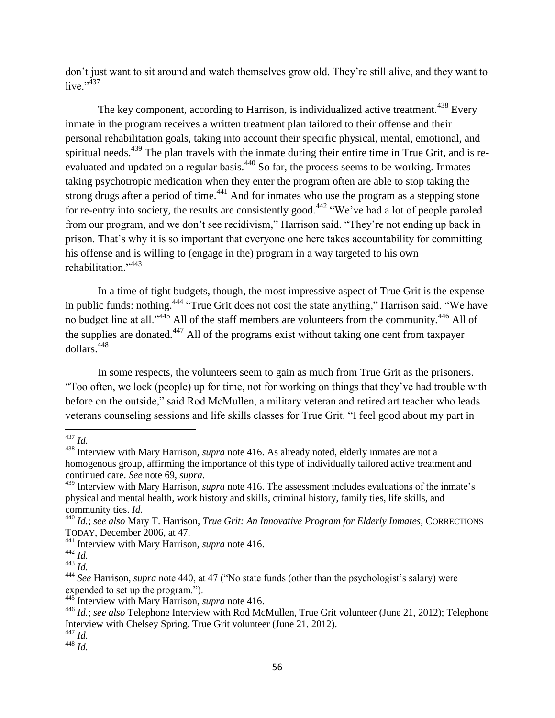don't just want to sit around and watch themselves grow old. They're still alive, and they want to live." $437$ 

The key component, according to Harrison, is individualized active treatment.<sup>438</sup> Every inmate in the program receives a written treatment plan tailored to their offense and their personal rehabilitation goals, taking into account their specific physical, mental, emotional, and spiritual needs.<sup>439</sup> The plan travels with the inmate during their entire time in True Grit, and is reevaluated and updated on a regular basis.<sup>440</sup> So far, the process seems to be working. Inmates taking psychotropic medication when they enter the program often are able to stop taking the strong drugs after a period of time.<sup>441</sup> And for inmates who use the program as a stepping stone for re-entry into society, the results are consistently good.<sup>442</sup> "We've had a lot of people paroled from our program, and we don't see recidivism," Harrison said. "They're not ending up back in prison. That's why it is so important that everyone one here takes accountability for committing his offense and is willing to (engage in the) program in a way targeted to his own rehabilitation."<sup>443</sup>

In a time of tight budgets, though, the most impressive aspect of True Grit is the expense in public funds: nothing.<sup>444</sup> "True Grit does not cost the state anything," Harrison said. "We have no budget line at all."<sup>445</sup> All of the staff members are volunteers from the community.<sup>446</sup> All of the supplies are donated.<sup>447</sup> All of the programs exist without taking one cent from taxpayer dollars.<sup>448</sup>

In some respects, the volunteers seem to gain as much from True Grit as the prisoners. ―Too often, we lock (people) up for time, not for working on things that they've had trouble with before on the outside," said Rod McMullen, a military veteran and retired art teacher who leads veterans counseling sessions and life skills classes for True Grit. "I feel good about my part in

<sup>448</sup> *Id.* 

l <sup>437</sup> *Id.* 

<sup>438</sup> Interview with Mary Harrison, *supra* note 416. As already noted, elderly inmates are not a homogenous group, affirming the importance of this type of individually tailored active treatment and continued care. *See* note 69, *supra*.

<sup>439</sup> Interview with Mary Harrison, *supra* note 416. The assessment includes evaluations of the inmate's physical and mental health, work history and skills, criminal history, family ties, life skills, and community ties. *Id.* 

<sup>440</sup> *Id.*; *see also* Mary T. Harrison, *True Grit: An Innovative Program for Elderly Inmates*, CORRECTIONS TODAY, December 2006, at 47.

<sup>441</sup> Interview with Mary Harrison, *supra* note 416.

 $442 \overline{Id}$ .

 $443$  *Id.* 

<sup>&</sup>lt;sup>444</sup> See Harrison, *supra* note 440, at 47 ("No state funds (other than the psychologist's salary) were expended to set up the program.").

<sup>445</sup> Interview with Mary Harrison, *supra* note 416.

<sup>446</sup> *Id.*; *see also* Telephone Interview with Rod McMullen, True Grit volunteer (June 21, 2012); Telephone Interview with Chelsey Spring, True Grit volunteer (June 21, 2012).

<sup>447</sup> *Id.*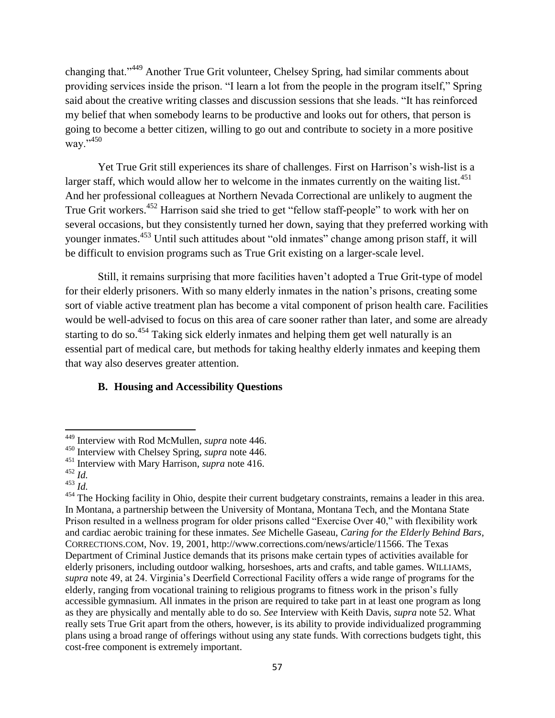changing that."<sup>449</sup> Another True Grit volunteer, Chelsey Spring, had similar comments about providing services inside the prison. "I learn a lot from the people in the program itself," Spring said about the creative writing classes and discussion sessions that she leads. "It has reinforced my belief that when somebody learns to be productive and looks out for others, that person is going to become a better citizen, willing to go out and contribute to society in a more positive way."450

Yet True Grit still experiences its share of challenges. First on Harrison's wish-list is a larger staff, which would allow her to welcome in the inmates currently on the waiting list.<sup>451</sup> And her professional colleagues at Northern Nevada Correctional are unlikely to augment the True Grit workers.<sup>452</sup> Harrison said she tried to get "fellow staff-people" to work with her on several occasions, but they consistently turned her down, saying that they preferred working with younger inmates.<sup>453</sup> Until such attitudes about "old inmates" change among prison staff, it will be difficult to envision programs such as True Grit existing on a larger-scale level.

Still, it remains surprising that more facilities haven't adopted a True Grit-type of model for their elderly prisoners. With so many elderly inmates in the nation's prisons, creating some sort of viable active treatment plan has become a vital component of prison health care. Facilities would be well-advised to focus on this area of care sooner rather than later, and some are already starting to do so.<sup>454</sup> Taking sick elderly inmates and helping them get well naturally is an essential part of medical care, but methods for taking healthy elderly inmates and keeping them that way also deserves greater attention.

# **B. Housing and Accessibility Questions**

l

<sup>449</sup> Interview with Rod McMullen, *supra* note 446.

<sup>450</sup> Interview with Chelsey Spring, *supra* note 446.

<sup>451</sup> Interview with Mary Harrison, *supra* note 416.

<sup>452</sup> *Id.* 

<sup>453</sup> *Id.* 

<sup>&</sup>lt;sup>454</sup> The Hocking facility in Ohio, despite their current budgetary constraints, remains a leader in this area. In Montana, a partnership between the University of Montana, Montana Tech, and the Montana State Prison resulted in a wellness program for older prisons called "Exercise Over 40," with flexibility work and cardiac aerobic training for these inmates. *See* Michelle Gaseau, *Caring for the Elderly Behind Bars*, CORRECTIONS.COM, Nov. 19, 2001, http://www.corrections.com/news/article/11566. The Texas Department of Criminal Justice demands that its prisons make certain types of activities available for elderly prisoners, including outdoor walking, horseshoes, arts and crafts, and table games. WILLIAMS, *supra* note 49, at 24. Virginia's Deerfield Correctional Facility offers a wide range of programs for the elderly, ranging from vocational training to religious programs to fitness work in the prison's fully accessible gymnasium. All inmates in the prison are required to take part in at least one program as long as they are physically and mentally able to do so. *See* Interview with Keith Davis, *supra* note 52. What really sets True Grit apart from the others, however, is its ability to provide individualized programming plans using a broad range of offerings without using any state funds. With corrections budgets tight, this cost-free component is extremely important.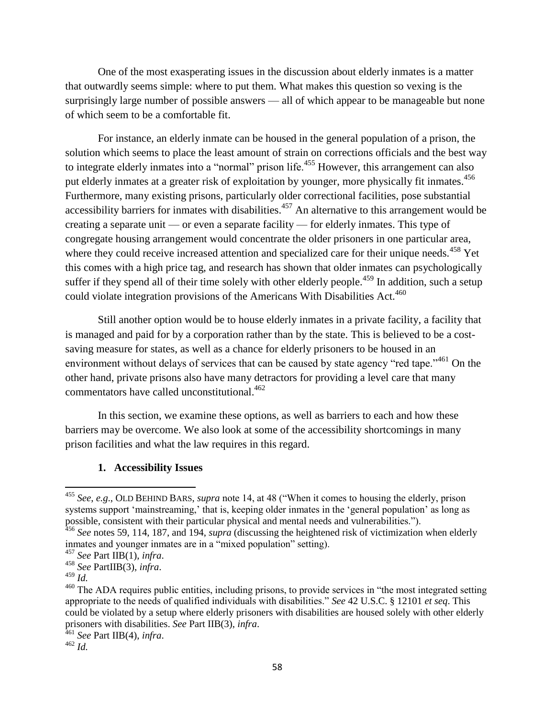One of the most exasperating issues in the discussion about elderly inmates is a matter that outwardly seems simple: where to put them. What makes this question so vexing is the surprisingly large number of possible answers — all of which appear to be manageable but none of which seem to be a comfortable fit.

For instance, an elderly inmate can be housed in the general population of a prison, the solution which seems to place the least amount of strain on corrections officials and the best way to integrate elderly inmates into a "normal" prison life.<sup>455</sup> However, this arrangement can also put elderly inmates at a greater risk of exploitation by younger, more physically fit inmates.<sup>456</sup> Furthermore, many existing prisons, particularly older correctional facilities, pose substantial accessibility barriers for inmates with disabilities.<sup>457</sup> An alternative to this arrangement would be creating a separate unit — or even a separate facility — for elderly inmates. This type of congregate housing arrangement would concentrate the older prisoners in one particular area, where they could receive increased attention and specialized care for their unique needs.<sup>458</sup> Yet this comes with a high price tag, and research has shown that older inmates can psychologically suffer if they spend all of their time solely with other elderly people.<sup>459</sup> In addition, such a setup could violate integration provisions of the Americans With Disabilities Act.<sup>460</sup>

Still another option would be to house elderly inmates in a private facility, a facility that is managed and paid for by a corporation rather than by the state. This is believed to be a costsaving measure for states, as well as a chance for elderly prisoners to be housed in an environment without delays of services that can be caused by state agency "red tape."<sup>461</sup> On the other hand, private prisons also have many detractors for providing a level care that many commentators have called unconstitutional.<sup>462</sup>

In this section, we examine these options, as well as barriers to each and how these barriers may be overcome. We also look at some of the accessibility shortcomings in many prison facilities and what the law requires in this regard.

## **1. Accessibility Issues**

 $\overline{\phantom{a}}$ 

<sup>&</sup>lt;sup>455</sup> *See*, *e.g.*, OLD BEHIND BARS, *supra* note 14, at 48 ("When it comes to housing the elderly, prison systems support 'mainstreaming,' that is, keeping older inmates in the 'general population' as long as possible, consistent with their particular physical and mental needs and vulnerabilities.").

<sup>&</sup>lt;sup>456</sup> See notes 59, 114, 187, and 194, *supra* (discussing the heightened risk of victimization when elderly inmates and younger inmates are in a "mixed population" setting).

<sup>457</sup> *See* Part IIB(1), *infra*.

<sup>458</sup> *See* PartIIB(3), *infra*.

<sup>459</sup> *Id.* 

<sup>&</sup>lt;sup>460</sup> The ADA requires public entities, including prisons, to provide services in "the most integrated setting appropriate to the needs of qualified individuals with disabilities.‖ *See* 42 U.S.C. § 12101 *et seq*. This could be violated by a setup where elderly prisoners with disabilities are housed solely with other elderly prisoners with disabilities. *See* Part IIB(3), *infra*.

<sup>461</sup> *See* Part IIB(4), *infra*.

 $462$  *Id.*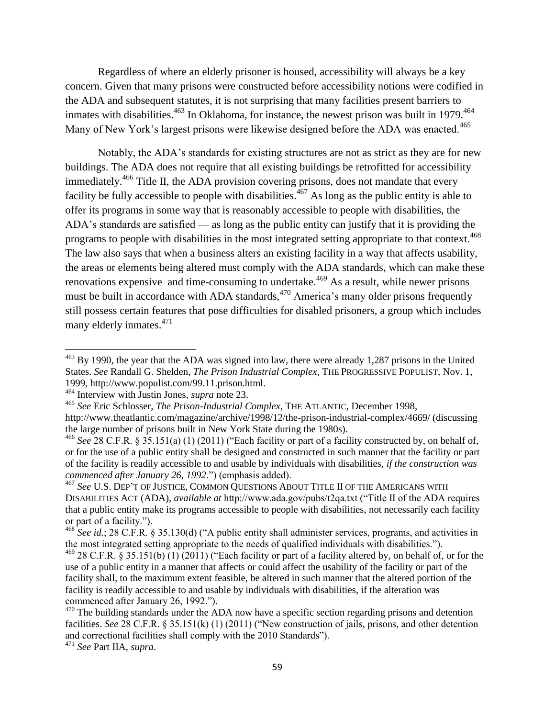Regardless of where an elderly prisoner is housed, accessibility will always be a key concern. Given that many prisons were constructed before accessibility notions were codified in the ADA and subsequent statutes, it is not surprising that many facilities present barriers to inmates with disabilities. $463$  In Oklahoma, for instance, the newest prison was built in 1979. $464$ Many of New York's largest prisons were likewise designed before the ADA was enacted.<sup>465</sup>

Notably, the ADA's standards for existing structures are not as strict as they are for new buildings. The ADA does not require that all existing buildings be retrofitted for accessibility immediately.<sup>466</sup> Title II, the ADA provision covering prisons, does not mandate that every facility be fully accessible to people with disabilities.<sup>467</sup> As long as the public entity is able to offer its programs in some way that is reasonably accessible to people with disabilities, the ADA's standards are satisfied — as long as the public entity can justify that it is providing the programs to people with disabilities in the most integrated setting appropriate to that context.<sup>468</sup> The law also says that when a business alters an existing facility in a way that affects usability, the areas or elements being altered must comply with the ADA standards, which can make these renovations expensive and time-consuming to undertake.<sup>469</sup> As a result, while newer prisons must be built in accordance with ADA standards,<sup>470</sup> America's many older prisons frequently still possess certain features that pose difficulties for disabled prisoners, a group which includes many elderly inmates. $471$ 

l

 $^{463}$  By 1990, the year that the ADA was signed into law, there were already 1,287 prisons in the United States. *See* Randall G. Shelden, *The Prison Industrial Complex*, THE PROGRESSIVE POPULIST, Nov. 1, 1999, http://www.populist.com/99.11.prison.html.

<sup>464</sup> Interview with Justin Jones, *supra* note 23.

<sup>465</sup> *See* Eric Schlosser, *The Prison-Industrial Complex*, THE ATLANTIC, December 1998, http://www.theatlantic.com/magazine/archive/1998/12/the-prison-industrial-complex/4669/ (discussing the large number of prisons built in New York State during the 1980s).

<sup>&</sup>lt;sup>466</sup> See 28 C.F.R. § 35.151(a) (1) (2011) ("Each facility or part of a facility constructed by, on behalf of, or for the use of a public entity shall be designed and constructed in such manner that the facility or part of the facility is readily accessible to and usable by individuals with disabilities, *if the construction was commenced after January 26, 1992.*") (emphasis added).

<sup>467</sup> *See* U.S. DEP'T OF JUSTICE, COMMON QUESTIONS ABOUT TITLE II OF THE AMERICANS WITH DISABILITIES ACT (ADA), *available at* http://www.ada.gov/pubs/t2qa.txt ("Title II of the ADA requires") that a public entity make its programs accessible to people with disabilities, not necessarily each facility or part of a facility.").

<sup>&</sup>lt;sup>468</sup> *See id.*; 28 C.F.R. § 35.130(d) ("A public entity shall administer services, programs, and activities in the most integrated setting appropriate to the needs of qualified individuals with disabilities.").

 $469$  28 C.F.R. § 35.151(b) (1) (2011) ("Each facility or part of a facility altered by, on behalf of, or for the use of a public entity in a manner that affects or could affect the usability of the facility or part of the facility shall, to the maximum extent feasible, be altered in such manner that the altered portion of the facility is readily accessible to and usable by individuals with disabilities, if the alteration was commenced after January 26, 1992.").

 $470$  The building standards under the ADA now have a specific section regarding prisons and detention facilities. *See* 28 C.F.R. § 35.151(k) (1) (2011) ("New construction of jails, prisons, and other detention and correctional facilities shall comply with the 2010 Standards").

<sup>471</sup> *See* Part IIA, *supra*.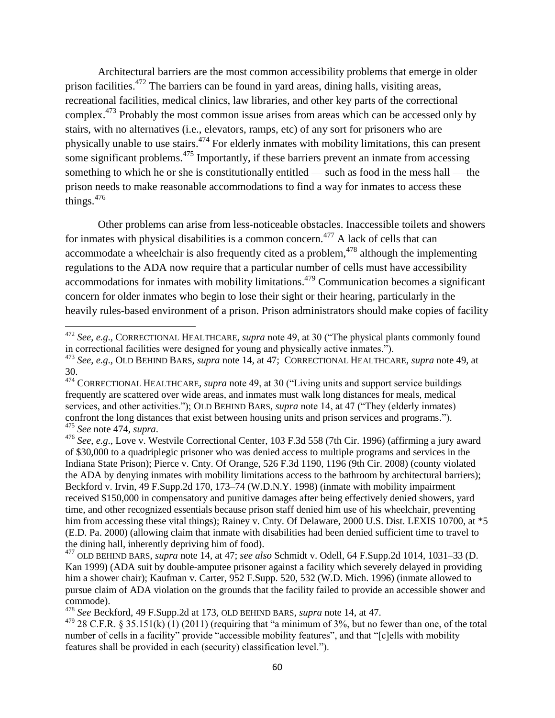Architectural barriers are the most common accessibility problems that emerge in older prison facilities.<sup>472</sup> The barriers can be found in yard areas, dining halls, visiting areas, recreational facilities, medical clinics, law libraries, and other key parts of the correctional complex.<sup>473</sup> Probably the most common issue arises from areas which can be accessed only by stairs, with no alternatives (i.e., elevators, ramps, etc) of any sort for prisoners who are physically unable to use stairs.<sup>474</sup> For elderly inmates with mobility limitations, this can present some significant problems.<sup>475</sup> Importantly, if these barriers prevent an inmate from accessing something to which he or she is constitutionally entitled — such as food in the mess hall — the prison needs to make reasonable accommodations to find a way for inmates to access these things. $476$ 

Other problems can arise from less-noticeable obstacles. Inaccessible toilets and showers for inmates with physical disabilities is a common concern.<sup>477</sup> A lack of cells that can accommodate a wheelchair is also frequently cited as a problem,  $478$  although the implementing regulations to the ADA now require that a particular number of cells must have accessibility accommodations for inmates with mobility limitations.<sup>479</sup> Communication becomes a significant concern for older inmates who begin to lose their sight or their hearing, particularly in the heavily rules-based environment of a prison. Prison administrators should make copies of facility

 $\overline{\phantom{a}}$ 

<sup>&</sup>lt;sup>472</sup> See, e.g., CORRECTIONAL HEALTHCARE, *supra* note 49, at 30 ("The physical plants commonly found in correctional facilities were designed for young and physically active inmates.").

<sup>473</sup> *See*, *e.g*., OLD BEHIND BARS, *supra* note 14, at 47; CORRECTIONAL HEALTHCARE, *supra* note 49, at 30.

<sup>&</sup>lt;sup>474</sup> CORRECTIONAL HEALTHCARE, *supra* note 49, at 30 ("Living units and support service buildings frequently are scattered over wide areas, and inmates must walk long distances for meals, medical services, and other activities."); OLD BEHIND BARS, *supra* note 14, at 47 ("They (elderly inmates) confront the long distances that exist between housing units and prison services and programs."). <sup>475</sup> *See* note 474, *supra*.

<sup>476</sup> *See*, *e.g*., Love v. Westvile Correctional Center, 103 F.3d 558 (7th Cir. 1996) (affirming a jury award of \$30,000 to a quadriplegic prisoner who was denied access to multiple programs and services in the Indiana State Prison); Pierce v. Cnty. Of Orange, 526 F.3d 1190, 1196 (9th Cir. 2008) (county violated the ADA by denying inmates with mobility limitations access to the bathroom by architectural barriers); Beckford v. Irvin, 49 F.Supp.2d 170, 173–74 (W.D.N.Y. 1998) (inmate with mobility impairment received \$150,000 in compensatory and punitive damages after being effectively denied showers, yard time, and other recognized essentials because prison staff denied him use of his wheelchair, preventing him from accessing these vital things); Rainey v. Cnty. Of Delaware, 2000 U.S. Dist. LEXIS 10700, at  $*5$ (E.D. Pa. 2000) (allowing claim that inmate with disabilities had been denied sufficient time to travel to the dining hall, inherently depriving him of food).

<sup>477</sup> OLD BEHIND BARS, *supra* note 14, at 47; *see also* Schmidt v. Odell, 64 F.Supp.2d 1014, 1031–33 (D. Kan 1999) (ADA suit by double-amputee prisoner against a facility which severely delayed in providing him a shower chair); Kaufman v. Carter, 952 F.Supp. 520, 532 (W.D. Mich. 1996) (inmate allowed to pursue claim of ADA violation on the grounds that the facility failed to provide an accessible shower and commode).

<sup>478</sup> *See* Beckford, 49 F.Supp.2d at 173, OLD BEHIND BARS, *supra* note 14, at 47.

 $479$  28 C.F.R. § 35.151(k) (1) (2011) (requiring that "a minimum of 3%, but no fewer than one, of the total number of cells in a facility" provide "accessible mobility features", and that "[c]ells with mobility features shall be provided in each (security) classification level.").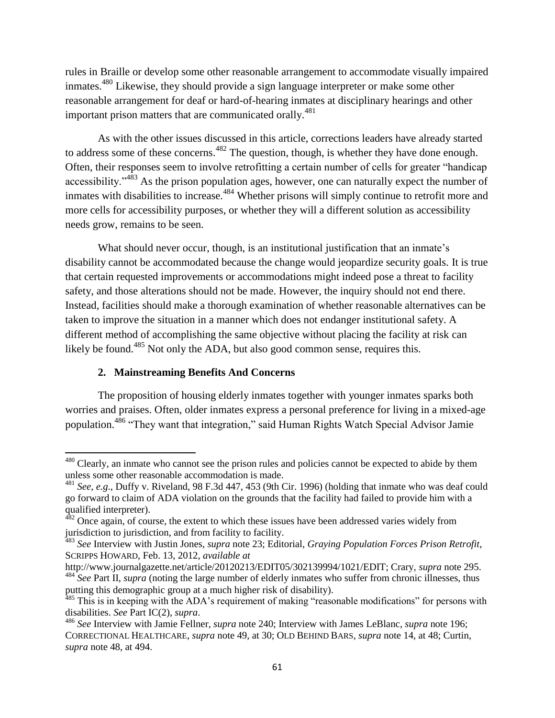rules in Braille or develop some other reasonable arrangement to accommodate visually impaired inmates.<sup>480</sup> Likewise, they should provide a sign language interpreter or make some other reasonable arrangement for deaf or hard-of-hearing inmates at disciplinary hearings and other important prison matters that are communicated orally.<sup>481</sup>

As with the other issues discussed in this article, corrections leaders have already started to address some of these concerns.<sup>482</sup> The question, though, is whether they have done enough. Often, their responses seem to involve retrofitting a certain number of cells for greater "handicap" accessibility."<sup>483</sup> As the prison population ages, however, one can naturally expect the number of inmates with disabilities to increase.<sup>484</sup> Whether prisons will simply continue to retrofit more and more cells for accessibility purposes, or whether they will a different solution as accessibility needs grow, remains to be seen.

What should never occur, though, is an institutional justification that an inmate's disability cannot be accommodated because the change would jeopardize security goals. It is true that certain requested improvements or accommodations might indeed pose a threat to facility safety, and those alterations should not be made. However, the inquiry should not end there. Instead, facilities should make a thorough examination of whether reasonable alternatives can be taken to improve the situation in a manner which does not endanger institutional safety. A different method of accomplishing the same objective without placing the facility at risk can likely be found.<sup>485</sup> Not only the ADA, but also good common sense, requires this.

# **2. Mainstreaming Benefits And Concerns**

 $\overline{\phantom{a}}$ 

The proposition of housing elderly inmates together with younger inmates sparks both worries and praises. Often, older inmates express a personal preference for living in a mixed-age population.<sup>486</sup> "They want that integration," said Human Rights Watch Special Advisor Jamie

<sup>&</sup>lt;sup>480</sup> Clearly, an inmate who cannot see the prison rules and policies cannot be expected to abide by them unless some other reasonable accommodation is made.

<sup>481</sup> *See*, *e.g*., Duffy v. Riveland, 98 F.3d 447, 453 (9th Cir. 1996) (holding that inmate who was deaf could go forward to claim of ADA violation on the grounds that the facility had failed to provide him with a qualified interpreter).

 $482$  Once again, of course, the extent to which these issues have been addressed varies widely from jurisdiction to jurisdiction, and from facility to facility.

<sup>483</sup> *See* Interview with Justin Jones, *supra* note 23; Editorial, *Graying Population Forces Prison Retrofit*, SCRIPPS HOWARD, Feb. 13, 2012, *available at* 

http://www.journalgazette.net/article/20120213/EDIT05/302139994/1021/EDIT; Crary, *supra* note 295. <sup>484</sup> See Part II, *supra* (noting the large number of elderly inmates who suffer from chronic illnesses, thus putting this demographic group at a much higher risk of disability).

<sup>&</sup>lt;sup>485</sup> This is in keeping with the ADA's requirement of making "reasonable modifications" for persons with disabilities. *See* Part IC(2), *supra*.

<sup>486</sup> *See* Interview with Jamie Fellner, *supra* note 240; Interview with James LeBlanc, *supra* note 196; CORRECTIONAL HEALTHCARE, *supra* note 49, at 30; OLD BEHIND BARS, *supra* note 14, at 48; Curtin, *supra* note 48, at 494.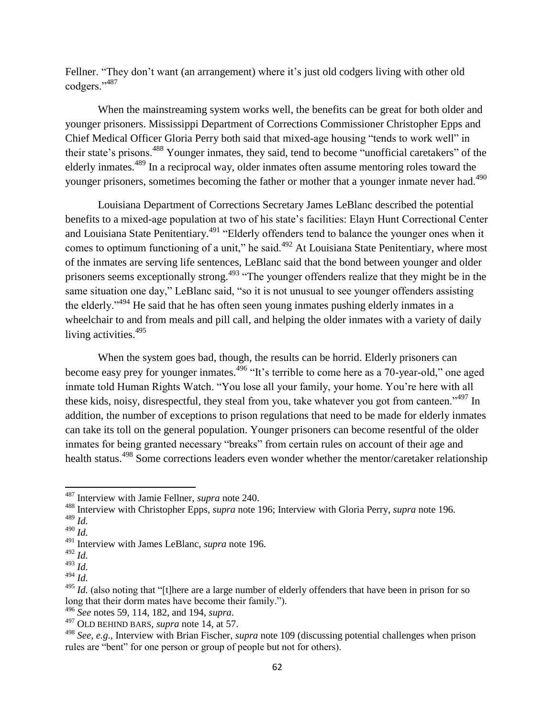Fellner. "They don't want (an arrangement) where it's just old codgers living with other old codgers."<sup>487</sup>

When the mainstreaming system works well, the benefits can be great for both older and younger prisoners. Mississippi Department of Corrections Commissioner Christopher Epps and Chief Medical Officer Gloria Perry both said that mixed-age housing "tends to work well" in their state's prisons.<sup>488</sup> Younger inmates, they said, tend to become "unofficial caretakers" of the elderly inmates.<sup>489</sup> In a reciprocal way, older inmates often assume mentoring roles toward the younger prisoners, sometimes becoming the father or mother that a younger inmate never had.<sup>490</sup>

Louisiana Department of Corrections Secretary James LeBlanc described the potential benefits to a mixed-age population at two of his state's facilities: Elayn Hunt Correctional Center and Louisiana State Penitentiary.<sup>491</sup> "Elderly offenders tend to balance the younger ones when it comes to optimum functioning of a unit," he said.<sup>492</sup> At Louisiana State Penitentiary, where most of the inmates are serving life sentences, LeBlanc said that the bond between younger and older prisoners seems exceptionally strong.<sup>493</sup> "The younger offenders realize that they might be in the same situation one day," LeBlanc said, "so it is not unusual to see younger offenders assisting the elderly.<sup> $3494$ </sup> He said that he has often seen young inmates pushing elderly inmates in a wheelchair to and from meals and pill call, and helping the older inmates with a variety of daily living activities.<sup>495</sup>

When the system goes bad, though, the results can be horrid. Elderly prisoners can become easy prey for younger inmates.<sup>496</sup> "It's terrible to come here as a 70-year-old," one aged inmate told Human Rights Watch. "You lose all your family, your home. You're here with all these kids, noisy, disrespectful, they steal from you, take whatever you got from canteen.<sup> $1497$ </sup> In addition, the number of exceptions to prison regulations that need to be made for elderly inmates can take its toll on the general population. Younger prisoners can become resentful of the older inmates for being granted necessary "breaks" from certain rules on account of their age and health status.<sup>498</sup> Some corrections leaders even wonder whether the mentor/caretaker relationship

 $\overline{\phantom{a}}$ 

<sup>487</sup> Interview with Jamie Fellner, *supra* note 240.

<sup>488</sup> Interview with Christopher Epps, *supra* note 196; Interview with Gloria Perry, *supra* note 196.

<sup>489</sup> *Id.* 

<sup>490</sup> *Id.* 

<sup>491</sup> Interview with James LeBlanc, *supra* note 196.

<sup>492</sup> *Id.* 

<sup>493</sup> *Id.* 

<sup>494</sup> *Id.* 

<sup>&</sup>lt;sup>495</sup> *Id.* (also noting that "[t]here are a large number of elderly offenders that have been in prison for so long that their dorm mates have become their family.").

<sup>496</sup> *See* notes 59, 114, 182, and 194, *supra*.

<sup>497</sup> OLD BEHIND BARS, *supra* note 14, at 57.

<sup>498</sup> *See*, *e.g*., Interview with Brian Fischer, *supra* note 109 (discussing potential challenges when prison rules are "bent" for one person or group of people but not for others).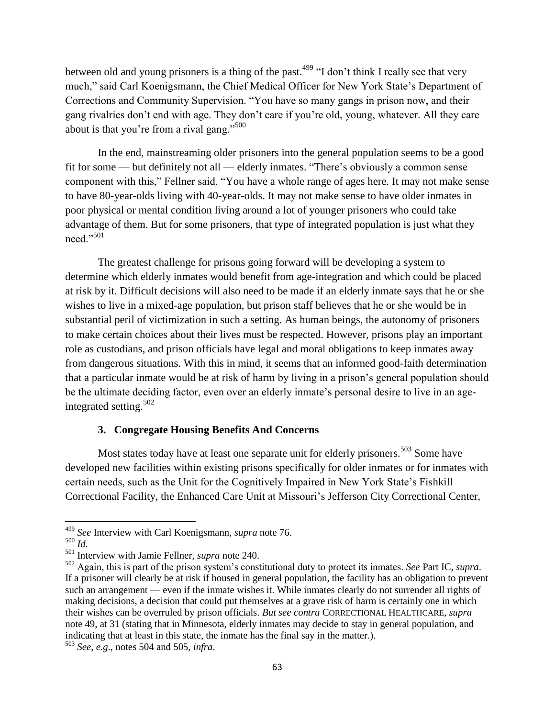between old and young prisoners is a thing of the past.<sup>499</sup> "I don't think I really see that very much," said Carl Koenigsmann, the Chief Medical Officer for New York State's Department of Corrections and Community Supervision. "You have so many gangs in prison now, and their gang rivalries don't end with age. They don't care if you're old, young, whatever. All they care about is that you're from a rival gang." $500$ 

In the end, mainstreaming older prisoners into the general population seems to be a good fit for some — but definitely not all — elderly inmates. "There's obviously a common sense component with this," Fellner said. "You have a whole range of ages here. It may not make sense to have 80-year-olds living with 40-year-olds. It may not make sense to have older inmates in poor physical or mental condition living around a lot of younger prisoners who could take advantage of them. But for some prisoners, that type of integrated population is just what they need."501

The greatest challenge for prisons going forward will be developing a system to determine which elderly inmates would benefit from age-integration and which could be placed at risk by it. Difficult decisions will also need to be made if an elderly inmate says that he or she wishes to live in a mixed-age population, but prison staff believes that he or she would be in substantial peril of victimization in such a setting. As human beings, the autonomy of prisoners to make certain choices about their lives must be respected. However, prisons play an important role as custodians, and prison officials have legal and moral obligations to keep inmates away from dangerous situations. With this in mind, it seems that an informed good-faith determination that a particular inmate would be at risk of harm by living in a prison's general population should be the ultimate deciding factor, even over an elderly inmate's personal desire to live in an ageintegrated setting.<sup>502</sup>

## **3. Congregate Housing Benefits And Concerns**

Most states today have at least one separate unit for elderly prisoners.<sup>503</sup> Some have developed new facilities within existing prisons specifically for older inmates or for inmates with certain needs, such as the Unit for the Cognitively Impaired in New York State's Fishkill Correctional Facility, the Enhanced Care Unit at Missouri's Jefferson City Correctional Center,

l

<sup>499</sup> *See* Interview with Carl Koenigsmann, *supra* note 76.

<sup>500</sup> *Id.* 

<sup>501</sup> Interview with Jamie Fellner, *supra* note 240.

<sup>502</sup> Again, this is part of the prison system's constitutional duty to protect its inmates. *See* Part IC, *supra*. If a prisoner will clearly be at risk if housed in general population, the facility has an obligation to prevent such an arrangement — even if the inmate wishes it. While inmates clearly do not surrender all rights of making decisions, a decision that could put themselves at a grave risk of harm is certainly one in which their wishes can be overruled by prison officials. *But see contra* CORRECTIONAL HEALTHCARE, *supra*  note 49, at 31 (stating that in Minnesota, elderly inmates may decide to stay in general population, and indicating that at least in this state, the inmate has the final say in the matter.).

<sup>503</sup> *See*, *e.g*., notes 504 and 505, *infra*.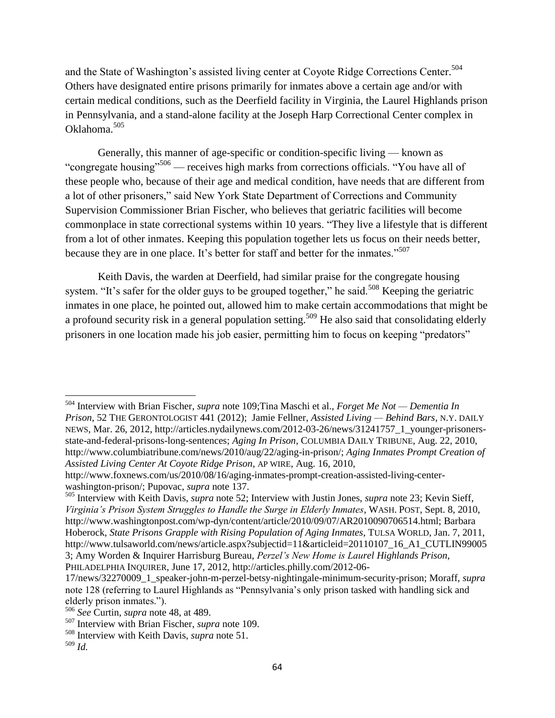and the State of Washington's assisted living center at Coyote Ridge Corrections Center.<sup>504</sup> Others have designated entire prisons primarily for inmates above a certain age and/or with certain medical conditions, such as the Deerfield facility in Virginia, the Laurel Highlands prison in Pennsylvania, and a stand-alone facility at the Joseph Harp Correctional Center complex in Oklahoma. 505

Generally, this manner of age-specific or condition-specific living — known as "congregate housing"<sup>506</sup> — receives high marks from corrections officials. "You have all of these people who, because of their age and medical condition, have needs that are different from a lot of other prisoners," said New York State Department of Corrections and Community Supervision Commissioner Brian Fischer, who believes that geriatric facilities will become commonplace in state correctional systems within 10 years. "They live a lifestyle that is different from a lot of other inmates. Keeping this population together lets us focus on their needs better, because they are in one place. It's better for staff and better for the inmates."<sup>507</sup>

Keith Davis, the warden at Deerfield, had similar praise for the congregate housing system. "It's safer for the older guys to be grouped together," he said.<sup>508</sup> Keeping the geriatric inmates in one place, he pointed out, allowed him to make certain accommodations that might be a profound security risk in a general population setting.<sup>509</sup> He also said that consolidating elderly prisoners in one location made his job easier, permitting him to focus on keeping "predators"

 $\overline{a}$ <sup>504</sup> Interview with Brian Fischer, *supra* note 109;Tina Maschi et al., *Forget Me Not — Dementia In Prison*, 52 THE GERONTOLOGIST 441 (2012); Jamie Fellner, *Assisted Living — Behind Bars*, N.Y. DAILY NEWS, Mar. 26, 2012, http://articles.nydailynews.com/2012-03-26/news/31241757\_1\_younger-prisonersstate-and-federal-prisons-long-sentences; *Aging In Prison*, COLUMBIA DAILY TRIBUNE, Aug. 22, 2010, http://www.columbiatribune.com/news/2010/aug/22/aging-in-prison/; *Aging Inmates Prompt Creation of Assisted Living Center At Coyote Ridge Prison*, AP WIRE, Aug. 16, 2010,

http://www.foxnews.com/us/2010/08/16/aging-inmates-prompt-creation-assisted-living-centerwashington-prison/; Pupovac, *supra* note 137.

<sup>505</sup> Interview with Keith Davis, *supra* note 52; Interview with Justin Jones, *supra* note 23; Kevin Sieff, *Virginia"s Prison System Struggles to Handle the Surge in Elderly Inmates*, WASH. POST, Sept. 8, 2010, http://www.washingtonpost.com/wp-dyn/content/article/2010/09/07/AR2010090706514.html; Barbara Hoberock, *State Prisons Grapple with Rising Population of Aging Inmates*, TULSA WORLD, Jan. 7, 2011, http://www.tulsaworld.com/news/article.aspx?subjectid=11&articleid=20110107\_16\_A1\_CUTLIN99005 3; Amy Worden & Inquirer Harrisburg Bureau, *Perzel"s New Home is Laurel Highlands Prison*, PHILADELPHIA INQUIRER, June 17, 2012, http://articles.philly.com/2012-06-

<sup>17/</sup>news/32270009\_1\_speaker-john-m-perzel-betsy-nightingale-minimum-security-prison; Moraff, *supra*  note 128 (referring to Laurel Highlands as "Pennsylvania's only prison tasked with handling sick and elderly prison inmates.").

<sup>506</sup> *See* Curtin, *supra* note 48, at 489.

<sup>507</sup> Interview with Brian Fischer, *supra* note 109.

<sup>508</sup> Interview with Keith Davis, *supra* note 51.

<sup>509</sup> *Id.*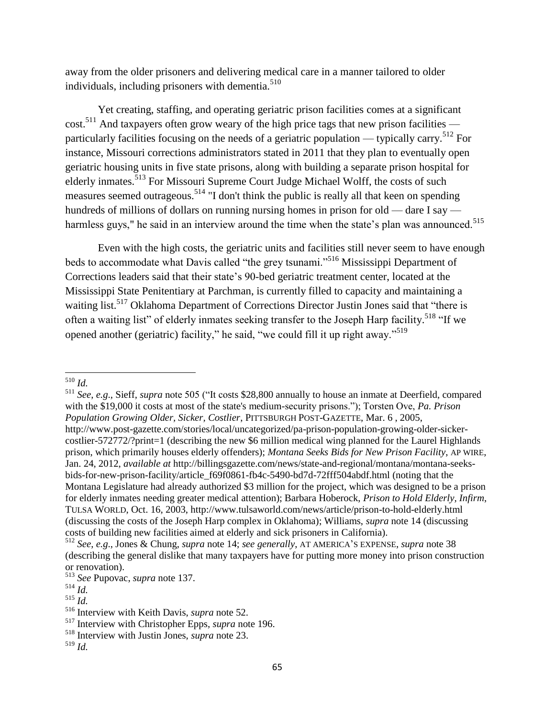away from the older prisoners and delivering medical care in a manner tailored to older individuals, including prisoners with dementia.<sup>510</sup>

Yet creating, staffing, and operating geriatric prison facilities comes at a significant  $\cot^{511}$  And taxpayers often grow weary of the high price tags that new prison facilities particularly facilities focusing on the needs of a geriatric population — typically carry.<sup>512</sup> For instance, Missouri corrections administrators stated in 2011 that they plan to eventually open geriatric housing units in five state prisons, along with building a separate prison hospital for elderly inmates.<sup>513</sup> For Missouri Supreme Court Judge Michael Wolff, the costs of such measures seemed outrageous.<sup>514</sup> "I don't think the public is really all that keen on spending hundreds of millions of dollars on running nursing homes in prison for old — dare I say harmless guys," he said in an interview around the time when the state's plan was announced.<sup>515</sup>

Even with the high costs, the geriatric units and facilities still never seem to have enough beds to accommodate what Davis called "the grey tsunami."<sup>516</sup> Mississippi Department of Corrections leaders said that their state's 90-bed geriatric treatment center, located at the Mississippi State Penitentiary at Parchman, is currently filled to capacity and maintaining a waiting list.<sup>517</sup> Oklahoma Department of Corrections Director Justin Jones said that "there is often a waiting list" of elderly inmates seeking transfer to the Joseph Harp facility.<sup>518</sup> "If we opened another (geriatric) facility," he said, "we could fill it up right away."<sup>519</sup>

 $\overline{\phantom{a}}$ <sup>510</sup> *Id.* 

<sup>&</sup>lt;sup>511</sup> *See*, *e.g.*, Sieff, *supra* note 505 ("It costs \$28,800 annually to house an inmate at Deerfield, compared with the \$19,000 it costs at most of the state's medium-security prisons."); Torsten Ove, *Pa. Prison Population Growing Older, Sicker, Costlier*, PITTSBURGH POST-GAZETTE, Mar. 6 , 2005, http://www.post-gazette.com/stories/local/uncategorized/pa-prison-population-growing-older-sickercostlier-572772/?print=1 (describing the new \$6 million medical wing planned for the Laurel Highlands prison, which primarily houses elderly offenders); *Montana Seeks Bids for New Prison Facility*, AP WIRE, Jan. 24, 2012, *available at* http://billingsgazette.com/news/state-and-regional/montana/montana-seeksbids-for-new-prison-facility/article\_f69f0861-fb4c-5490-bd7d-72fff504abdf.html (noting that the Montana Legislature had already authorized \$3 million for the project, which was designed to be a prison for elderly inmates needing greater medical attention); Barbara Hoberock, *Prison to Hold Elderly, Infirm*, TULSA WORLD, Oct. 16, 2003, http://www.tulsaworld.com/news/article/prison-to-hold-elderly.html (discussing the costs of the Joseph Harp complex in Oklahoma); Williams, *supra* note 14 (discussing costs of building new facilities aimed at elderly and sick prisoners in California).

<sup>512</sup> *See*, *e.g*., Jones & Chung, *supra* note 14; *see generally*, AT AMERICA'S EXPENSE, *supra* note 38 (describing the general dislike that many taxpayers have for putting more money into prison construction or renovation).

<sup>513</sup> *See* Pupovac, *supra* note 137.

<sup>514</sup> *Id.* 

<sup>515</sup> *Id.* 

<sup>516</sup> Interview with Keith Davis, *supra* note 52.

<sup>517</sup> Interview with Christopher Epps, *supra* note 196.

<sup>518</sup> Interview with Justin Jones, *supra* note 23.

<sup>519</sup> *Id.*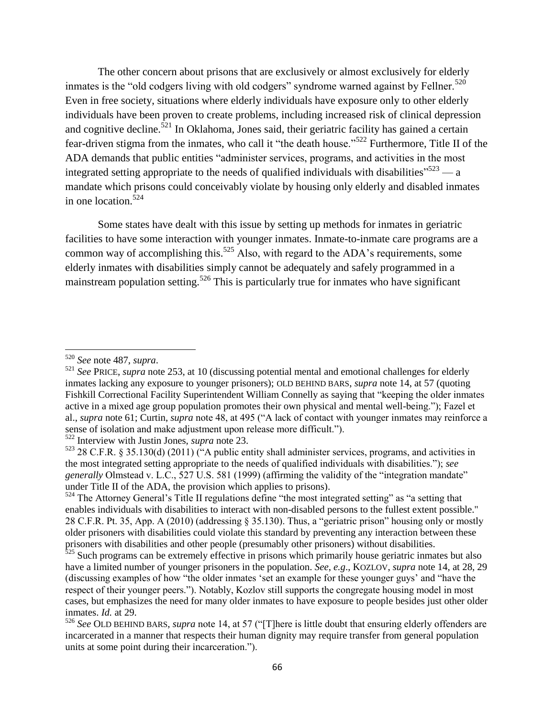The other concern about prisons that are exclusively or almost exclusively for elderly inmates is the "old codgers living with old codgers" syndrome warned against by Fellner.<sup>520</sup> Even in free society, situations where elderly individuals have exposure only to other elderly individuals have been proven to create problems, including increased risk of clinical depression and cognitive decline.<sup>521</sup> In Oklahoma, Jones said, their geriatric facility has gained a certain fear-driven stigma from the inmates, who call it "the death house."<sup>522</sup> Furthermore, Title II of the ADA demands that public entities "administer services, programs, and activities in the most integrated setting appropriate to the needs of qualified individuals with disabilities<sup> $523$ </sup> — a mandate which prisons could conceivably violate by housing only elderly and disabled inmates in one location.<sup>524</sup>

Some states have dealt with this issue by setting up methods for inmates in geriatric facilities to have some interaction with younger inmates. Inmate-to-inmate care programs are a common way of accomplishing this.<sup>525</sup> Also, with regard to the ADA's requirements, some elderly inmates with disabilities simply cannot be adequately and safely programmed in a mainstream population setting.<sup>526</sup> This is particularly true for inmates who have significant

l

<sup>520</sup> *See* note 487, *supra*.

<sup>521</sup> *See* PRICE, *supra* note 253, at 10 (discussing potential mental and emotional challenges for elderly inmates lacking any exposure to younger prisoners); OLD BEHIND BARS, *supra* note 14, at 57 (quoting Fishkill Correctional Facility Superintendent William Connelly as saying that "keeping the older inmates" active in a mixed age group population promotes their own physical and mental well-being."); Fazel et al., *supra* note 61; Curtin, *supra* note 48, at 495 ("A lack of contact with younger inmates may reinforce a sense of isolation and make adjustment upon release more difficult.").

<sup>522</sup> Interview with Justin Jones, *supra* note 23.

 $523$  28 C.F.R. § 35.130(d) (2011) ( $A$  public entity shall administer services, programs, and activities in the most integrated setting appropriate to the needs of qualified individuals with disabilities.‖); *see generally Olmstead v. L.C., 527 U.S. 581 (1999) (affirming the validity of the "integration mandate"* under Title II of the ADA, the provision which applies to prisons).

<sup>524</sup> The Attorney General's Title II regulations define "the most integrated setting" as "a setting that enables individuals with disabilities to interact with non-disabled persons to the fullest extent possible." 28 C.F.R. Pt. 35, App. A (2010) (addressing  $\S$  35.130). Thus, a "geriatric prison" housing only or mostly older prisoners with disabilities could violate this standard by preventing any interaction between these prisoners with disabilities and other people (presumably other prisoners) without disabilities.

<sup>&</sup>lt;sup>525</sup> Such programs can be extremely effective in prisons which primarily house geriatric inmates but also have a limited number of younger prisoners in the population. *See*, *e.g*., KOZLOV, *supra* note 14, at 28, 29 (discussing examples of how "the older inmates 'set an example for these younger guys' and "have the respect of their younger peers."). Notably, Kozlov still supports the congregate housing model in most cases, but emphasizes the need for many older inmates to have exposure to people besides just other older inmates. *Id.* at 29.

<sup>526</sup> *See* OLD BEHIND BARS, *supra* note 14, at 57 ("[T]here is little doubt that ensuring elderly offenders are incarcerated in a manner that respects their human dignity may require transfer from general population units at some point during their incarceration.").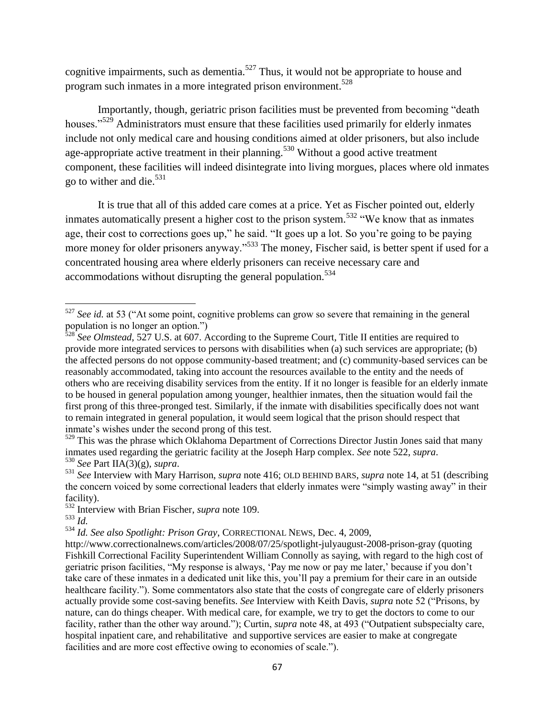cognitive impairments, such as dementia.<sup>527</sup> Thus, it would not be appropriate to house and program such inmates in a more integrated prison environment.<sup>528</sup>

Importantly, though, geriatric prison facilities must be prevented from becoming "death" houses."<sup>529</sup> Administrators must ensure that these facilities used primarily for elderly inmates include not only medical care and housing conditions aimed at older prisoners, but also include age-appropriate active treatment in their planning.<sup>530</sup> Without a good active treatment component, these facilities will indeed disintegrate into living morgues, places where old inmates go to wither and die. $531$ 

It is true that all of this added care comes at a price. Yet as Fischer pointed out, elderly inmates automatically present a higher cost to the prison system.<sup>532</sup> "We know that as inmates age, their cost to corrections goes up," he said. "It goes up a lot. So you're going to be paying more money for older prisoners anyway."<sup>533</sup> The money, Fischer said, is better spent if used for a concentrated housing area where elderly prisoners can receive necessary care and accommodations without disrupting the general population.<sup>534</sup>

<sup>529</sup> This was the phrase which Oklahoma Department of Corrections Director Justin Jones said that many inmates used regarding the geriatric facility at the Joseph Harp complex. *See* note 522, *supra*. <sup>530</sup> *See* Part IIA(3)(g), *supra*.

l

<sup>534</sup> *Id. See also Spotlight: Prison Gray*, CORRECTIONAL NEWS, Dec. 4, 2009,

<sup>&</sup>lt;sup>527</sup> See id. at 53 ("At some point, cognitive problems can grow so severe that remaining in the general population is no longer an option.")

<sup>&</sup>lt;sup>528</sup> *See Olmstead*, 527 U.S. at 607. According to the Supreme Court, Title II entities are required to provide more integrated services to persons with disabilities when (a) such services are appropriate; (b) the affected persons do not oppose community-based treatment; and (c) community-based services can be reasonably accommodated, taking into account the resources available to the entity and the needs of others who are receiving disability services from the entity. If it no longer is feasible for an elderly inmate to be housed in general population among younger, healthier inmates, then the situation would fail the first prong of this three-pronged test. Similarly, if the inmate with disabilities specifically does not want to remain integrated in general population, it would seem logical that the prison should respect that inmate's wishes under the second prong of this test.

<sup>531</sup> *See* Interview with Mary Harrison, *supra* note 416; OLD BEHIND BARS, *supra* note 14, at 51 (describing the concern voiced by some correctional leaders that elderly inmates were "simply wasting away" in their facility).

<sup>532</sup> Interview with Brian Fischer, *supra* note 109.

<sup>533</sup> *Id.* 

http://www.correctionalnews.com/articles/2008/07/25/spotlight-julyaugust-2008-prison-gray (quoting Fishkill Correctional Facility Superintendent William Connolly as saying, with regard to the high cost of geriatric prison facilities, "My response is always, 'Pay me now or pay me later,' because if you don't take care of these inmates in a dedicated unit like this, you'll pay a premium for their care in an outside healthcare facility."). Some commentators also state that the costs of congregate care of elderly prisoners actually provide some cost-saving benefits. *See* Interview with Keith Davis, *supra* note 52 ("Prisons, by nature, can do things cheaper. With medical care, for example, we try to get the doctors to come to our facility, rather than the other way around."); Curtin, *supra* note 48, at 493 ("Outpatient subspecialty care, hospital inpatient care, and rehabilitative and supportive services are easier to make at congregate facilities and are more cost effective owing to economies of scale.").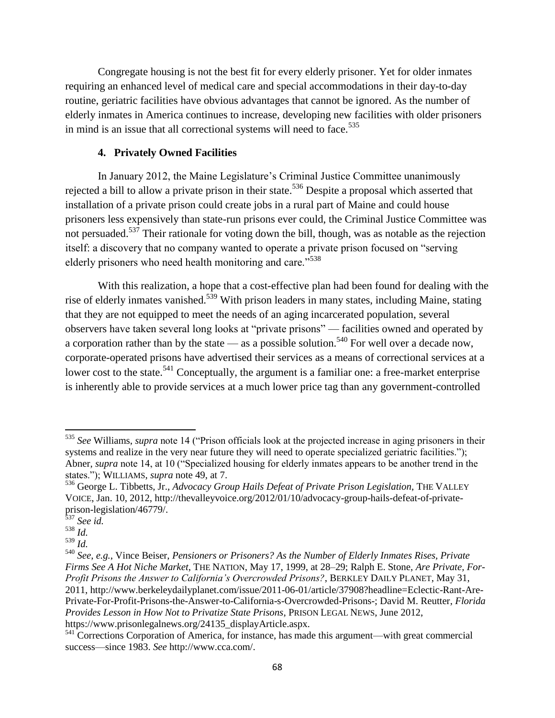Congregate housing is not the best fit for every elderly prisoner. Yet for older inmates requiring an enhanced level of medical care and special accommodations in their day-to-day routine, geriatric facilities have obvious advantages that cannot be ignored. As the number of elderly inmates in America continues to increase, developing new facilities with older prisoners in mind is an issue that all correctional systems will need to face.<sup>535</sup>

# **4. Privately Owned Facilities**

In January 2012, the Maine Legislature's Criminal Justice Committee unanimously rejected a bill to allow a private prison in their state.<sup>536</sup> Despite a proposal which asserted that installation of a private prison could create jobs in a rural part of Maine and could house prisoners less expensively than state-run prisons ever could, the Criminal Justice Committee was not persuaded.<sup>537</sup> Their rationale for voting down the bill, though, was as notable as the rejection itself: a discovery that no company wanted to operate a private prison focused on "serving" elderly prisoners who need health monitoring and care."<sup>538</sup>

With this realization, a hope that a cost-effective plan had been found for dealing with the rise of elderly inmates vanished.<sup>539</sup> With prison leaders in many states, including Maine, stating that they are not equipped to meet the needs of an aging incarcerated population, several observers have taken several long looks at "private prisons" — facilities owned and operated by a corporation rather than by the state — as a possible solution.<sup>540</sup> For well over a decade now, corporate-operated prisons have advertised their services as a means of correctional services at a lower cost to the state.<sup>541</sup> Conceptually, the argument is a familiar one: a free-market enterprise is inherently able to provide services at a much lower price tag than any government-controlled

l <sup>535</sup> See Williams, *supra* note 14 ("Prison officials look at the projected increase in aging prisoners in their systems and realize in the very near future they will need to operate specialized geriatric facilities."); Abner, *supra* note 14, at 10 ("Specialized housing for elderly inmates appears to be another trend in the states.‖); WILLIAMS, *supra* note 49, at 7.

<sup>536</sup> George L. Tibbetts, Jr., *Advocacy Group Hails Defeat of Private Prison Legislation*, THE VALLEY VOICE, Jan. 10, 2012, http://thevalleyvoice.org/2012/01/10/advocacy-group-hails-defeat-of-privateprison-legislation/46779/.

<sup>537</sup> *See id.* 

 $^{538}\check{Id}.$ 

<sup>539</sup> *Id.* 

<sup>540</sup> *See*, *e.g.*, Vince Beiser, *Pensioners or Prisoners? As the Number of Elderly Inmates Rises, Private Firms See A Hot Niche Market*, THE NATION, May 17, 1999, at 28–29; Ralph E. Stone, *Are Private, For-Profit Prisons the Answer to California"s Overcrowded Prisons?*, BERKLEY DAILY PLANET, May 31, 2011, http://www.berkeleydailyplanet.com/issue/2011-06-01/article/37908?headline=Eclectic-Rant-Are-Private-For-Profit-Prisons-the-Answer-to-California-s-Overcrowded-Prisons-; David M. Reutter, *Florida Provides Lesson in How Not to Privatize State Prisons*, PRISON LEGAL NEWS, June 2012, https://www.prisonlegalnews.org/24135\_displayArticle.aspx.

<sup>&</sup>lt;sup>541</sup> Corrections Corporation of America, for instance, has made this argument—with great commercial success—since 1983. *See* http://www.cca.com/.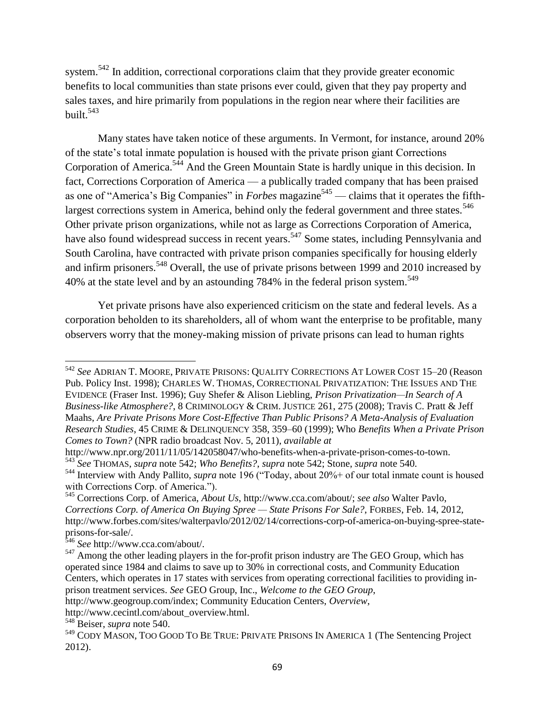system.<sup>542</sup> In addition, correctional corporations claim that they provide greater economic benefits to local communities than state prisons ever could, given that they pay property and sales taxes, and hire primarily from populations in the region near where their facilities are built. 543

Many states have taken notice of these arguments. In Vermont, for instance, around 20% of the state's total inmate population is housed with the private prison giant Corrections Corporation of America.<sup>544</sup> And the Green Mountain State is hardly unique in this decision. In fact, Corrections Corporation of America — a publically traded company that has been praised as one of "America's Big Companies" in *Forbes* magazine<sup>545</sup> — claims that it operates the fifthlargest corrections system in America, behind only the federal government and three states.<sup>546</sup> Other private prison organizations, while not as large as Corrections Corporation of America, have also found widespread success in recent years.<sup>547</sup> Some states, including Pennsylvania and South Carolina, have contracted with private prison companies specifically for housing elderly and infirm prisoners.<sup>548</sup> Overall, the use of private prisons between 1999 and 2010 increased by 40% at the state level and by an astounding 784% in the federal prison system.<sup>549</sup>

Yet private prisons have also experienced criticism on the state and federal levels. As a corporation beholden to its shareholders, all of whom want the enterprise to be profitable, many observers worry that the money-making mission of private prisons can lead to human rights

 $\overline{\phantom{a}}$ <sup>542</sup> *See* ADRIAN T. MOORE, PRIVATE PRISONS: QUALITY CORRECTIONS AT LOWER COST 15–20 (Reason Pub. Policy Inst. 1998); CHARLES W. THOMAS, CORRECTIONAL PRIVATIZATION: THE ISSUES AND THE EVIDENCE (Fraser Inst. 1996); Guy Shefer & Alison Liebling, *Prison Privatization—In Search of A Business-like Atmosphere?*, 8 CRIMINOLOGY & CRIM. JUSTICE 261, 275 (2008); Travis C. Pratt & Jeff Maahs, *Are Private Prisons More Cost-Effective Than Public Prisons? A Meta-Analysis of Evaluation Research Studies*, 45 CRIME & DELINQUENCY 358, 359–60 (1999); Who *Benefits When a Private Prison Comes to Town?* (NPR radio broadcast Nov. 5, 2011), *available at* 

http://www.npr.org/2011/11/05/142058047/who-benefits-when-a-private-prison-comes-to-town.

<sup>543</sup> *See* THOMAS, *supra* note 542; *Who Benefits?*, *supra* note 542; Stone, *supra* note 540.

<sup>&</sup>lt;sup>544</sup> Interview with Andy Pallito, *supra* note 196 ("Today, about 20%+ of our total inmate count is housed with Corrections Corp. of America.").

<sup>545</sup> Corrections Corp. of America, *About Us*, http://www.cca.com/about/; *see also* Walter Pavlo, *Corrections Corp. of America On Buying Spree — State Prisons For Sale?*, FORBES, Feb. 14, 2012, http://www.forbes.com/sites/walterpavlo/2012/02/14/corrections-corp-of-america-on-buying-spree-stateprisons-for-sale/.

<sup>546</sup> *See* http://www.cca.com/about/.

<sup>&</sup>lt;sup>547</sup> Among the other leading players in the for-profit prison industry are The GEO Group, which has operated since 1984 and claims to save up to 30% in correctional costs, and Community Education Centers, which operates in 17 states with services from operating correctional facilities to providing inprison treatment services. *See* GEO Group, Inc., *Welcome to the GEO Group*,

http://www.geogroup.com/index; Community Education Centers, *Overview*,

http://www.cecintl.com/about\_overview.html.

<sup>548</sup> Beiser, *supra* note 540.

<sup>549</sup> CODY MASON, TOO GOOD TO BE TRUE: PRIVATE PRISONS IN AMERICA 1 (The Sentencing Project 2012).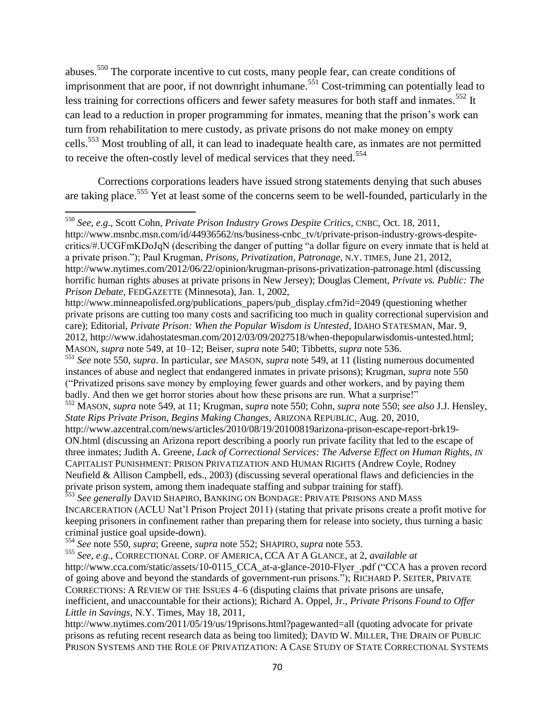abuses.<sup>550</sup> The corporate incentive to cut costs, many people fear, can create conditions of imprisonment that are poor, if not downright inhumane.<sup>551</sup> Cost-trimming can potentially lead to less training for corrections officers and fewer safety measures for both staff and inmates.<sup>552</sup> It can lead to a reduction in proper programming for inmates, meaning that the prison's work can turn from rehabilitation to mere custody, as private prisons do not make money on empty cells.<sup>553</sup> Most troubling of all, it can lead to inadequate health care, as inmates are not permitted to receive the often-costly level of medical services that they need.<sup>554</sup>

Corrections corporations leaders have issued strong statements denying that such abuses are taking place.<sup>555</sup> Yet at least some of the concerns seem to be well-founded, particularly in the

<sup>550</sup> *See*, *e.g*., Scott Cohn, *Private Prison Industry Grows Despite Critics*, CNBC, Oct. 18, 2011, http://www.msnbc.msn.com/id/44936562/ns/business-cnbc\_tv/t/private-prison-industry-grows-despitecritics/#.UCGFmKDoJqN (describing the danger of putting "a dollar figure on every inmate that is held at a private prison.‖); Paul Krugman, *Prisons, Privatization, Patronage*, N.Y. TIMES, June 21, 2012, http://www.nytimes.com/2012/06/22/opinion/krugman-prisons-privatization-patronage.html (discussing horrific human rights abuses at private prisons in New Jersey); Douglas Clement, *Private vs. Public: The Prison Debate*, FEDGAZETTE (Minnesota), Jan. 1, 2002,

http://www.minneapolisfed.org/publications\_papers/pub\_display.cfm?id=2049 (questioning whether private prisons are cutting too many costs and sacrificing too much in quality correctional supervision and care); Editorial, *Private Prison: When the Popular Wisdom is Untested*, IDAHO STATESMAN, Mar. 9, 2012, http://www.idahostatesman.com/2012/03/09/2027518/when-thepopularwisdomis-untested.html; MASON, *supra* note 549, at 10–12; Beiser, *supra* note 540; Tibbetts, *supra* note 536.

<sup>551</sup> *See* note 550, *supra*. In particular, *see* MASON, *supra* note 549, at 11 (listing numerous documented instances of abuse and neglect that endangered inmates in private prisons); Krugman, *supra* note 550 (―Privatized prisons save money by employing fewer guards and other workers, and by paying them badly. And then we get horror stories about how these prisons are run. What a surprise!"

<sup>552</sup> MASON, *supra* note 549, at 11; Krugman, *supra* note 550; Cohn, *supra* note 550; *see also* J.J. Hensley, *State Rips Private Prison, Begins Making Changes*, ARIZONA REPUBLIC, Aug. 20, 2010,

http://www.azcentral.com/news/articles/2010/08/19/20100819arizona-prison-escape-report-brk19- ON.html (discussing an Arizona report describing a poorly run private facility that led to the escape of three inmates; Judith A. Greene, *Lack of Correctional Services: The Adverse Effect on Human Rights*, *IN*  CAPITALIST PUNISHMENT: PRISON PRIVATIZATION AND HUMAN RIGHTS (Andrew Coyle, Rodney Neufield & Allison Campbell, eds., 2003) (discussing several operational flaws and deficiencies in the private prison system, among them inadequate staffing and subpar training for staff).

<sup>553</sup> *See generally* DAVID SHAPIRO, BANKING ON BONDAGE: PRIVATE PRISONS AND MASS INCARCERATION (ACLU Nat'l Prison Project 2011) (stating that private prisons create a profit motive for keeping prisoners in confinement rather than preparing them for release into society, thus turning a basic criminal justice goal upside-down).

<sup>554</sup> *See* note 550, *supra*; Greene, *supra* note 552; SHAPIRO, *supra* note 553.

 $\overline{\phantom{a}}$ 

<sup>555</sup> *See*, *e.g.*, CORRECTIONAL CORP. OF AMERICA, CCA AT A GLANCE, at 2, *available at*  http://www.cca.com/static/assets/10-0115 CCA at-a-glance-2010-Flyer\_.pdf ("CCA has a proven record of going above and beyond the standards of government-run prisons."); RICHARD P. SEITER, PRIVATE CORRECTIONS: A REVIEW OF THE ISSUES 4–6 (disputing claims that private prisons are unsafe, inefficient, and unaccountable for their actions); Richard A. Oppel, Jr., *Private Prisons Found to Offer Little in Savings*, N.Y. Times, May 18, 2011,

http://www.nytimes.com/2011/05/19/us/19prisons.html?pagewanted=all (quoting advocate for private prisons as refuting recent research data as being too limited); DAVID W. MILLER, THE DRAIN OF PUBLIC PRISON SYSTEMS AND THE ROLE OF PRIVATIZATION: A CASE STUDY OF STATE CORRECTIONAL SYSTEMS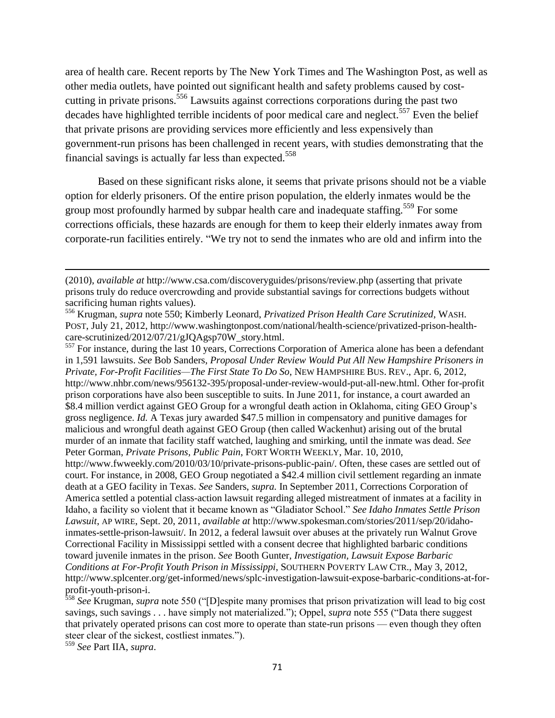area of health care. Recent reports by The New York Times and The Washington Post, as well as other media outlets, have pointed out significant health and safety problems caused by costcutting in private prisons.<sup>556</sup> Lawsuits against corrections corporations during the past two decades have highlighted terrible incidents of poor medical care and neglect.<sup>557</sup> Even the belief that private prisons are providing services more efficiently and less expensively than government-run prisons has been challenged in recent years, with studies demonstrating that the financial savings is actually far less than expected.<sup>558</sup>

Based on these significant risks alone, it seems that private prisons should not be a viable option for elderly prisoners. Of the entire prison population, the elderly inmates would be the group most profoundly harmed by subpar health care and inadequate staffing.<sup>559</sup> For some corrections officials, these hazards are enough for them to keep their elderly inmates away from corporate-run facilities entirely. "We try not to send the inmates who are old and infirm into the

<sup>557</sup> For instance, during the last 10 years, Corrections Corporation of America alone has been a defendant in 1,591 lawsuits. *See* Bob Sanders, *Proposal Under Review Would Put All New Hampshire Prisoners in Private, For-Profit Facilities—The First State To Do So*, NEW HAMPSHIRE BUS. REV., Apr. 6, 2012, http://www.nhbr.com/news/956132-395/proposal-under-review-would-put-all-new.html. Other for-profit prison corporations have also been susceptible to suits. In June 2011, for instance, a court awarded an \$8.4 million verdict against GEO Group for a wrongful death action in Oklahoma, citing GEO Group's gross negligence. *Id.* A Texas jury awarded \$47.5 million in compensatory and punitive damages for malicious and wrongful death against GEO Group (then called Wackenhut) arising out of the brutal murder of an inmate that facility staff watched, laughing and smirking, until the inmate was dead. *See*  Peter Gorman, *Private Prisons, Public Pain*, FORT WORTH WEEKLY, Mar. 10, 2010,

http://www.fwweekly.com/2010/03/10/private-prisons-public-pain/. Often, these cases are settled out of court. For instance, in 2008, GEO Group negotiated a \$42.4 million civil settlement regarding an inmate death at a GEO facility in Texas. *See* Sanders, *supra.* In September 2011, Corrections Corporation of America settled a potential class-action lawsuit regarding alleged mistreatment of inmates at a facility in Idaho, a facility so violent that it became known as "Gladiator School." See Idaho Inmates Settle Prison *Lawsuit*, AP WIRE, Sept. 20, 2011, *available at* http://www.spokesman.com/stories/2011/sep/20/idahoinmates-settle-prison-lawsuit/*.* In 2012, a federal lawsuit over abuses at the privately run Walnut Grove Correctional Facility in Mississippi settled with a consent decree that highlighted barbaric conditions toward juvenile inmates in the prison. *See* Booth Gunter, *Investigation, Lawsuit Expose Barbaric Conditions at For-Profit Youth Prison in Mississippi*, SOUTHERN POVERTY LAW CTR., May 3, 2012, http://www.splcenter.org/get-informed/news/splc-investigation-lawsuit-expose-barbaric-conditions-at-forprofit-youth-prison-i.

<sup>558</sup> See Krugman, *supra* note 550 ("[D]espite many promises that prison privatization will lead to big cost savings, such savings . . . have simply not materialized."); Oppel, *supra* note 555 ("Data there suggest that privately operated prisons can cost more to operate than state-run prisons — even though they often steer clear of the sickest, costliest inmates.").

<sup>559</sup> *See* Part IIA, *supra*.

<sup>(2010),</sup> *available at* http://www.csa.com/discoveryguides/prisons/review.php (asserting that private prisons truly do reduce overcrowding and provide substantial savings for corrections budgets without sacrificing human rights values).

<sup>556</sup> Krugman, *supra* note 550; Kimberly Leonard, *Privatized Prison Health Care Scrutinized*, WASH. POST, July 21, 2012, http://www.washingtonpost.com/national/health-science/privatized-prison-healthcare-scrutinized/2012/07/21/gJQAgsp70W\_story.html.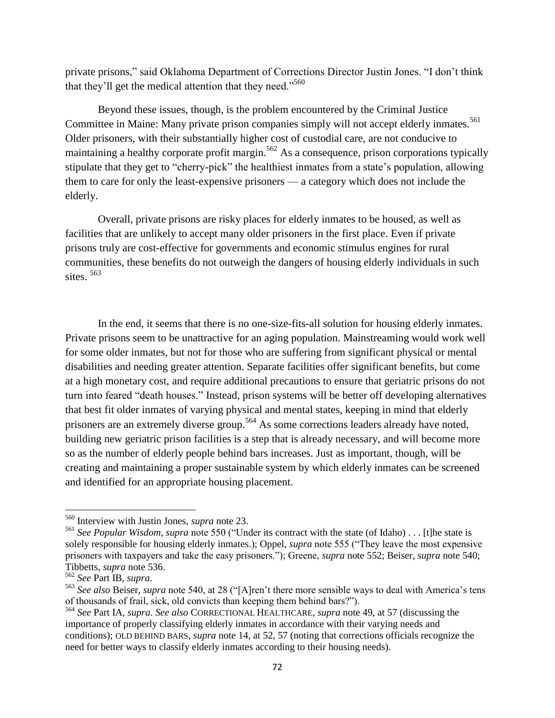private prisons," said Oklahoma Department of Corrections Director Justin Jones. "I don't think that they'll get the medical attention that they need."<sup>560</sup>

Beyond these issues, though, is the problem encountered by the Criminal Justice Committee in Maine: Many private prison companies simply will not accept elderly inmates.<sup>561</sup> Older prisoners, with their substantially higher cost of custodial care, are not conducive to maintaining a healthy corporate profit margin.<sup>562</sup> As a consequence, prison corporations typically stipulate that they get to "cherry-pick" the healthiest inmates from a state's population, allowing them to care for only the least-expensive prisoners — a category which does not include the elderly.

Overall, private prisons are risky places for elderly inmates to be housed, as well as facilities that are unlikely to accept many older prisoners in the first place. Even if private prisons truly are cost-effective for governments and economic stimulus engines for rural communities, these benefits do not outweigh the dangers of housing elderly individuals in such sites.<sup>563</sup>

In the end, it seems that there is no one-size-fits-all solution for housing elderly inmates. Private prisons seem to be unattractive for an aging population. Mainstreaming would work well for some older inmates, but not for those who are suffering from significant physical or mental disabilities and needing greater attention. Separate facilities offer significant benefits, but come at a high monetary cost, and require additional precautions to ensure that geriatric prisons do not turn into feared "death houses." Instead, prison systems will be better off developing alternatives that best fit older inmates of varying physical and mental states, keeping in mind that elderly prisoners are an extremely diverse group.<sup>564</sup> As some corrections leaders already have noted, building new geriatric prison facilities is a step that is already necessary, and will become more so as the number of elderly people behind bars increases. Just as important, though, will be creating and maintaining a proper sustainable system by which elderly inmates can be screened and identified for an appropriate housing placement.

l

<sup>560</sup> Interview with Justin Jones, *supra* note 23.

<sup>&</sup>lt;sup>561</sup> See Popular Wisdom, supra note 550 ("Under its contract with the state (of Idaho) . . . [t]he state is solely responsible for housing elderly inmates.); Oppel, *supra* note 555 ("They leave the most expensive prisoners with taxpayers and take the easy prisoners.‖); Greene, *supra* note 552; Beiser, *supra* note 540; Tibbetts, *supra* note 536.

<sup>562</sup> *See* Part IB, *supra*.

<sup>&</sup>lt;sup>563</sup> See also Beiser, *supra* note 540, at 28 ("[A]ren't there more sensible ways to deal with America's tens of thousands of frail, sick, old convicts than keeping them behind bars?").

<sup>564</sup> *See* Part IA, *supra*. *See also* CORRECTIONAL HEALTHCARE, *supra* note 49, at 57 (discussing the importance of properly classifying elderly inmates in accordance with their varying needs and conditions); OLD BEHIND BARS, *supra* note 14, at 52, 57 (noting that corrections officials recognize the need for better ways to classify elderly inmates according to their housing needs).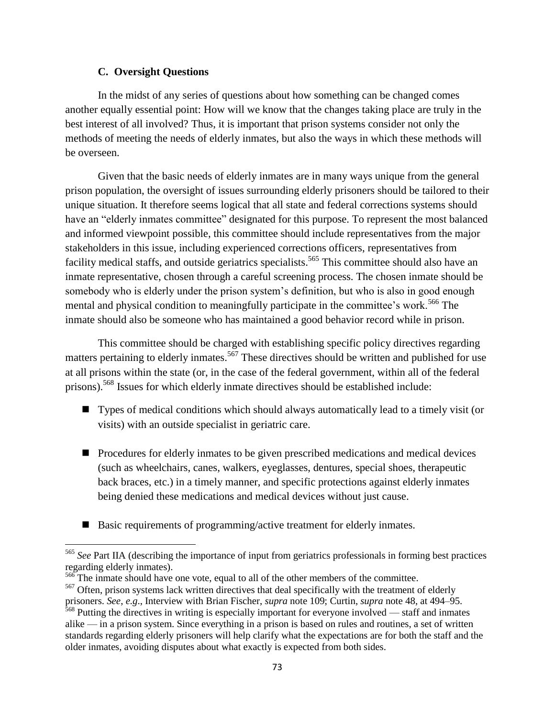### **C. Oversight Questions**

 $\overline{\phantom{a}}$ 

In the midst of any series of questions about how something can be changed comes another equally essential point: How will we know that the changes taking place are truly in the best interest of all involved? Thus, it is important that prison systems consider not only the methods of meeting the needs of elderly inmates, but also the ways in which these methods will be overseen.

Given that the basic needs of elderly inmates are in many ways unique from the general prison population, the oversight of issues surrounding elderly prisoners should be tailored to their unique situation. It therefore seems logical that all state and federal corrections systems should have an "elderly inmates committee" designated for this purpose. To represent the most balanced and informed viewpoint possible, this committee should include representatives from the major stakeholders in this issue, including experienced corrections officers, representatives from facility medical staffs, and outside geriatrics specialists.<sup>565</sup> This committee should also have an inmate representative, chosen through a careful screening process. The chosen inmate should be somebody who is elderly under the prison system's definition, but who is also in good enough mental and physical condition to meaningfully participate in the committee's work.<sup>566</sup> The inmate should also be someone who has maintained a good behavior record while in prison.

This committee should be charged with establishing specific policy directives regarding matters pertaining to elderly inmates.<sup>567</sup> These directives should be written and published for use at all prisons within the state (or, in the case of the federal government, within all of the federal prisons).<sup>568</sup> Issues for which elderly inmate directives should be established include:

- Types of medical conditions which should always automatically lead to a timely visit (or visits) with an outside specialist in geriatric care.
- **Procedures for elderly inmates to be given prescribed medications and medical devices** (such as wheelchairs, canes, walkers, eyeglasses, dentures, special shoes, therapeutic back braces, etc.) in a timely manner, and specific protections against elderly inmates being denied these medications and medical devices without just cause.
- Basic requirements of programming/active treatment for elderly inmates.

<sup>565</sup> *See* Part IIA (describing the importance of input from geriatrics professionals in forming best practices regarding elderly inmates).

<sup>566</sup> The inmate should have one vote, equal to all of the other members of the committee.

<sup>&</sup>lt;sup>567</sup> Often, prison systems lack written directives that deal specifically with the treatment of elderly prisoners. *See*, *e.g*., Interview with Brian Fischer, *supra* note 109; Curtin, *supra* note 48, at 494–95.

<sup>&</sup>lt;sup>568</sup> Putting the directives in writing is especially important for everyone involved — staff and inmates alike — in a prison system. Since everything in a prison is based on rules and routines, a set of written standards regarding elderly prisoners will help clarify what the expectations are for both the staff and the older inmates, avoiding disputes about what exactly is expected from both sides.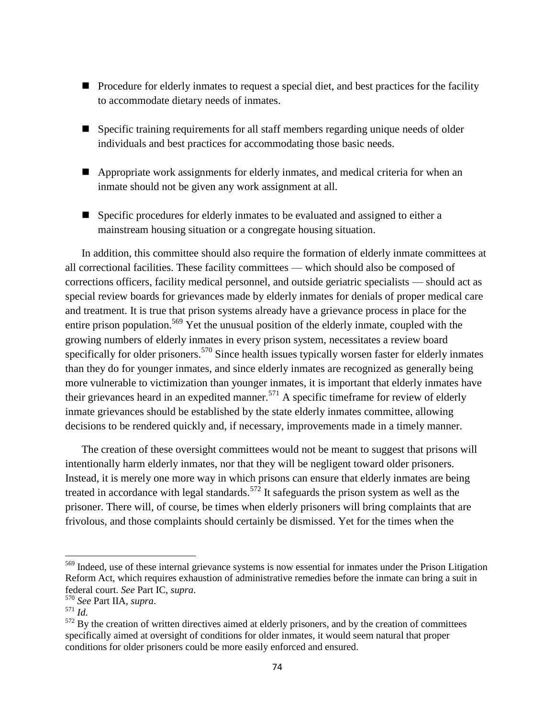- **Procedure for elderly inmates to request a special diet, and best practices for the facility** to accommodate dietary needs of inmates.
- Specific training requirements for all staff members regarding unique needs of older individuals and best practices for accommodating those basic needs.
- Appropriate work assignments for elderly inmates, and medical criteria for when an inmate should not be given any work assignment at all.
- Specific procedures for elderly inmates to be evaluated and assigned to either a mainstream housing situation or a congregate housing situation.

In addition, this committee should also require the formation of elderly inmate committees at all correctional facilities. These facility committees — which should also be composed of corrections officers, facility medical personnel, and outside geriatric specialists — should act as special review boards for grievances made by elderly inmates for denials of proper medical care and treatment. It is true that prison systems already have a grievance process in place for the entire prison population.<sup>569</sup> Yet the unusual position of the elderly inmate, coupled with the growing numbers of elderly inmates in every prison system, necessitates a review board specifically for older prisoners.<sup>570</sup> Since health issues typically worsen faster for elderly inmates than they do for younger inmates, and since elderly inmates are recognized as generally being more vulnerable to victimization than younger inmates, it is important that elderly inmates have their grievances heard in an expedited manner.<sup>571</sup> A specific timeframe for review of elderly inmate grievances should be established by the state elderly inmates committee, allowing decisions to be rendered quickly and, if necessary, improvements made in a timely manner.

The creation of these oversight committees would not be meant to suggest that prisons will intentionally harm elderly inmates, nor that they will be negligent toward older prisoners. Instead, it is merely one more way in which prisons can ensure that elderly inmates are being treated in accordance with legal standards.<sup>572</sup> It safeguards the prison system as well as the prisoner. There will, of course, be times when elderly prisoners will bring complaints that are frivolous, and those complaints should certainly be dismissed. Yet for the times when the

<sup>&</sup>lt;sup>569</sup> Indeed, use of these internal grievance systems is now essential for inmates under the Prison Litigation Reform Act, which requires exhaustion of administrative remedies before the inmate can bring a suit in federal court. *See* Part IC, *supra*.

<sup>570</sup> *See* Part IIA, *supra*.

 $571 \frac{1}{10}$ .

 $572$  By the creation of written directives aimed at elderly prisoners, and by the creation of committees specifically aimed at oversight of conditions for older inmates, it would seem natural that proper conditions for older prisoners could be more easily enforced and ensured.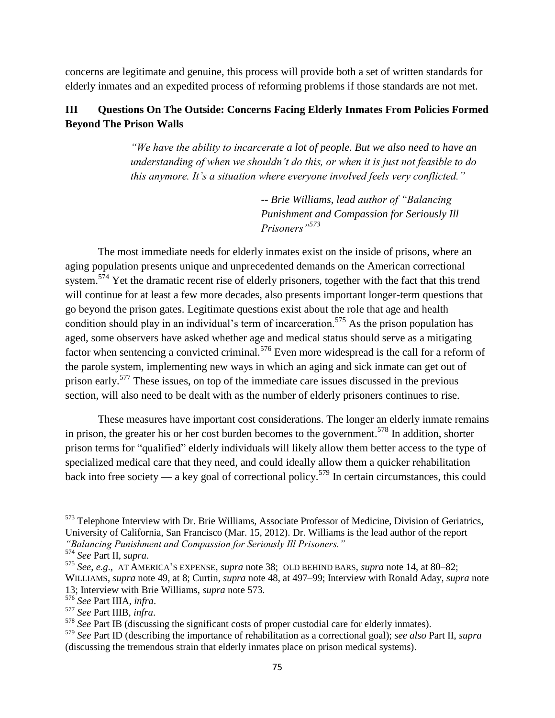concerns are legitimate and genuine, this process will provide both a set of written standards for elderly inmates and an expedited process of reforming problems if those standards are not met.

# **III Questions On The Outside: Concerns Facing Elderly Inmates From Policies Formed Beyond The Prison Walls**

*"We have the ability to incarcerate a lot of people. But we also need to have an understanding of when we shouldn"t do this, or when it is just not feasible to do this anymore. It's a situation where everyone involved feels very conflicted."* 

> *-- Brie Williams, lead author of "Balancing Punishment and Compassion for Seriously Ill Prisoners"<sup>573</sup>*

The most immediate needs for elderly inmates exist on the inside of prisons, where an aging population presents unique and unprecedented demands on the American correctional system.<sup>574</sup> Yet the dramatic recent rise of elderly prisoners, together with the fact that this trend will continue for at least a few more decades, also presents important longer-term questions that go beyond the prison gates. Legitimate questions exist about the role that age and health condition should play in an individual's term of incarceration.<sup>575</sup> As the prison population has aged, some observers have asked whether age and medical status should serve as a mitigating factor when sentencing a convicted criminal.<sup>576</sup> Even more widespread is the call for a reform of the parole system, implementing new ways in which an aging and sick inmate can get out of prison early.<sup>577</sup> These issues, on top of the immediate care issues discussed in the previous section, will also need to be dealt with as the number of elderly prisoners continues to rise.

These measures have important cost considerations. The longer an elderly inmate remains in prison, the greater his or her cost burden becomes to the government.<sup>578</sup> In addition, shorter prison terms for "qualified" elderly individuals will likely allow them better access to the type of specialized medical care that they need, and could ideally allow them a quicker rehabilitation back into free society — a key goal of correctional policy.<sup>579</sup> In certain circumstances, this could

l

<sup>&</sup>lt;sup>573</sup> Telephone Interview with Dr. Brie Williams, Associate Professor of Medicine, Division of Geriatrics, University of California, San Francisco (Mar. 15, 2012). Dr. Williams is the lead author of the report *"Balancing Punishment and Compassion for Seriously Ill Prisoners."*

<sup>574</sup> *See* Part II, *supra*.

<sup>575</sup> *See*, *e.g*., AT AMERICA'S EXPENSE, *supra* note 38; OLD BEHIND BARS, *supra* note 14, at 80–82; WILLIAMS, *supra* note 49, at 8; Curtin, *supra* note 48, at 497–99; Interview with Ronald Aday, *supra* note 13; Interview with Brie Williams, *supra* note 573.

<sup>576</sup> *See* Part IIIA, *infra*.

<sup>577</sup> *See* Part IIIB, *infra*.

<sup>578</sup> *See* Part IB (discussing the significant costs of proper custodial care for elderly inmates).

<sup>579</sup> *See* Part ID (describing the importance of rehabilitation as a correctional goal); *see also* Part II, *supra* (discussing the tremendous strain that elderly inmates place on prison medical systems).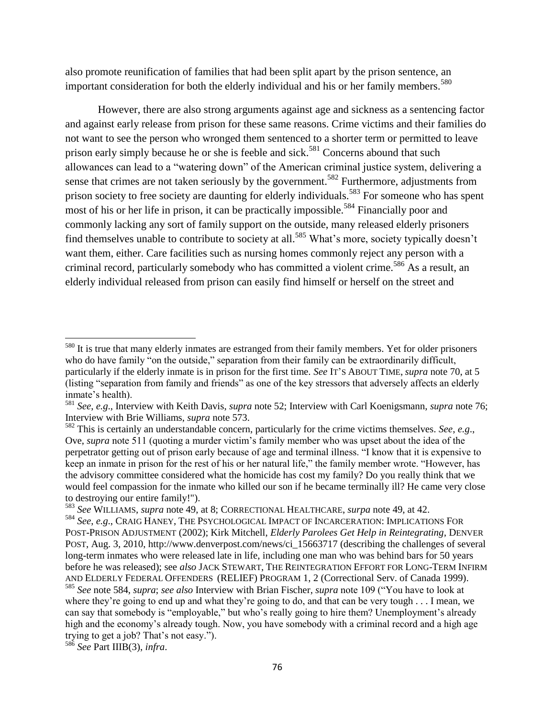also promote reunification of families that had been split apart by the prison sentence, an important consideration for both the elderly individual and his or her family members.<sup>580</sup>

However, there are also strong arguments against age and sickness as a sentencing factor and against early release from prison for these same reasons. Crime victims and their families do not want to see the person who wronged them sentenced to a shorter term or permitted to leave prison early simply because he or she is feeble and sick.<sup>581</sup> Concerns abound that such allowances can lead to a "watering down" of the American criminal justice system, delivering a sense that crimes are not taken seriously by the government.<sup>582</sup> Furthermore, adjustments from prison society to free society are daunting for elderly individuals.<sup>583</sup> For someone who has spent most of his or her life in prison, it can be practically impossible.<sup>584</sup> Financially poor and commonly lacking any sort of family support on the outside, many released elderly prisoners find themselves unable to contribute to society at all.<sup>585</sup> What's more, society typically doesn't want them, either. Care facilities such as nursing homes commonly reject any person with a criminal record, particularly somebody who has committed a violent crime.<sup>586</sup> As a result, an elderly individual released from prison can easily find himself or herself on the street and

<sup>&</sup>lt;sup>580</sup> It is true that many elderly inmates are estranged from their family members. Yet for older prisoners who do have family "on the outside," separation from their family can be extraordinarily difficult, particularly if the elderly inmate is in prison for the first time. *See* IT'S ABOUT TIME, *supra* note 70, at 5 (listing "separation from family and friends" as one of the key stressors that adversely affects an elderly inmate's health).

<sup>581</sup> *See*, *e.g*., Interview with Keith Davis, *supra* note 52; Interview with Carl Koenigsmann, *supra* note 76; Interview with Brie Williams, *supra* note 573.

<sup>582</sup> This is certainly an understandable concern, particularly for the crime victims themselves. *See*, *e.g*., Ove, *supra* note 511 (quoting a murder victim's family member who was upset about the idea of the perpetrator getting out of prison early because of age and terminal illness. "I know that it is expensive to keep an inmate in prison for the rest of his or her natural life," the family member wrote. "However, has the advisory committee considered what the homicide has cost my family? Do you really think that we would feel compassion for the inmate who killed our son if he became terminally ill? He came very close to destroying our entire family!").

<sup>583</sup> *See* WILLIAMS, *supra* note 49, at 8; CORRECTIONAL HEALTHCARE, *surpa* note 49, at 42.

<sup>584</sup> *See*, *e.g*., CRAIG HANEY, THE PSYCHOLOGICAL IMPACT OF INCARCERATION: IMPLICATIONS FOR POST-PRISON ADJUSTMENT (2002); Kirk Mitchell, *Elderly Parolees Get Help in Reintegrating*, DENVER POST, Aug. 3, 2010, http://www.denverpost.com/news/ci\_15663717 (describing the challenges of several long-term inmates who were released late in life, including one man who was behind bars for 50 years before he was released); see *also* JACK STEWART, THE REINTEGRATION EFFORT FOR LONG-TERM INFIRM AND ELDERLY FEDERAL OFFENDERS (RELIEF) PROGRAM 1, 2 (Correctional Serv. of Canada 1999). <sup>585</sup> See note 584, *supra*; *see also* Interview with Brian Fischer, *supra* note 109 ("You have to look at where they're going to end up and what they're going to do, and that can be very tough . . . I mean, we can say that somebody is "employable," but who's really going to hire them? Unemployment's already high and the economy's already tough. Now, you have somebody with a criminal record and a high age trying to get a job? That's not easy.").

<sup>586</sup> *See* Part IIIB(3), *infra*.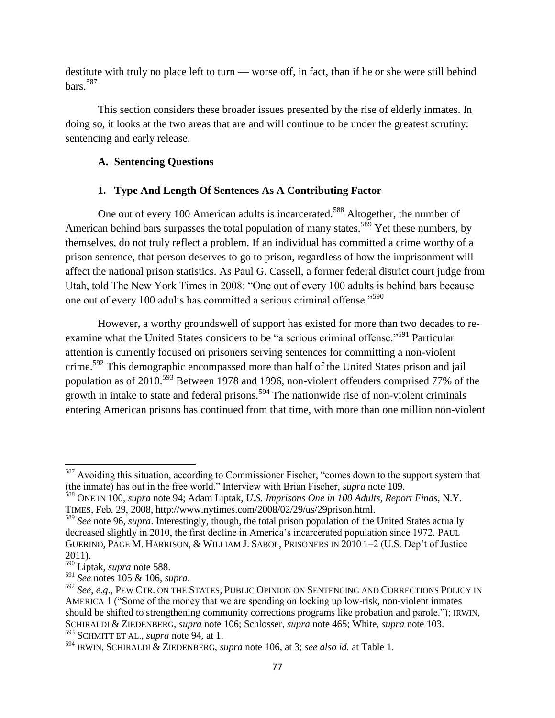destitute with truly no place left to turn — worse off, in fact, than if he or she were still behind bars.<sup>587</sup>

This section considers these broader issues presented by the rise of elderly inmates. In doing so, it looks at the two areas that are and will continue to be under the greatest scrutiny: sentencing and early release.

## **A. Sentencing Questions**

# **1. Type And Length Of Sentences As A Contributing Factor**

One out of every 100 American adults is incarcerated.<sup>588</sup> Altogether, the number of American behind bars surpasses the total population of many states.<sup>589</sup> Yet these numbers, by themselves, do not truly reflect a problem. If an individual has committed a crime worthy of a prison sentence, that person deserves to go to prison, regardless of how the imprisonment will affect the national prison statistics. As Paul G. Cassell, a former federal district court judge from Utah, told The New York Times in 2008: "One out of every 100 adults is behind bars because one out of every 100 adults has committed a serious criminal offense."<sup>590</sup>

However, a worthy groundswell of support has existed for more than two decades to reexamine what the United States considers to be "a serious criminal offense."<sup>591</sup> Particular attention is currently focused on prisoners serving sentences for committing a non-violent crime.<sup>592</sup> This demographic encompassed more than half of the United States prison and jail population as of 2010.<sup>593</sup> Between 1978 and 1996, non-violent offenders comprised 77% of the growth in intake to state and federal prisons.<sup>594</sup> The nationwide rise of non-violent criminals entering American prisons has continued from that time, with more than one million non-violent

 $\overline{\phantom{a}}$  $587$  Avoiding this situation, according to Commissioner Fischer, "comes down to the support system that (the inmate) has out in the free world." Interview with Brian Fischer, *supra* note 109.

<sup>588</sup> ONE IN 100, *supra* note 94; Adam Liptak, *U.S. Imprisons One in 100 Adults, Report Finds*, N.Y. TIMES, Feb. 29, 2008, http://www.nytimes.com/2008/02/29/us/29prison.html.

<sup>589</sup> *See* note 96, *supra*. Interestingly, though, the total prison population of the United States actually decreased slightly in 2010, the first decline in America's incarcerated population since 1972. PAUL GUERINO, PAGE M. HARRISON, & WILLIAM J. SABOL, PRISONERS IN 2010 1–2 (U.S. Dep't of Justice 2011).

<sup>590</sup> Liptak, *supra* note 588.

<sup>591</sup> *See* notes 105 & 106, *supra*.

<sup>592</sup> *See*, *e.g*., PEW CTR. ON THE STATES, PUBLIC OPINION ON SENTENCING AND CORRECTIONS POLICY IN AMERICA 1 ("Some of the money that we are spending on locking up low-risk, non-violent inmates should be shifted to strengthening community corrections programs like probation and parole."); IRWIN, SCHIRALDI & ZIEDENBERG, *supra* note 106; Schlosser, *supra* note 465; White, *supra* note 103. <sup>593</sup> SCHMITT ET AL., *supra* note 94, at 1.

<sup>594</sup> IRWIN, SCHIRALDI & ZIEDENBERG, *supra* note 106, at 3; *see also id.* at Table 1.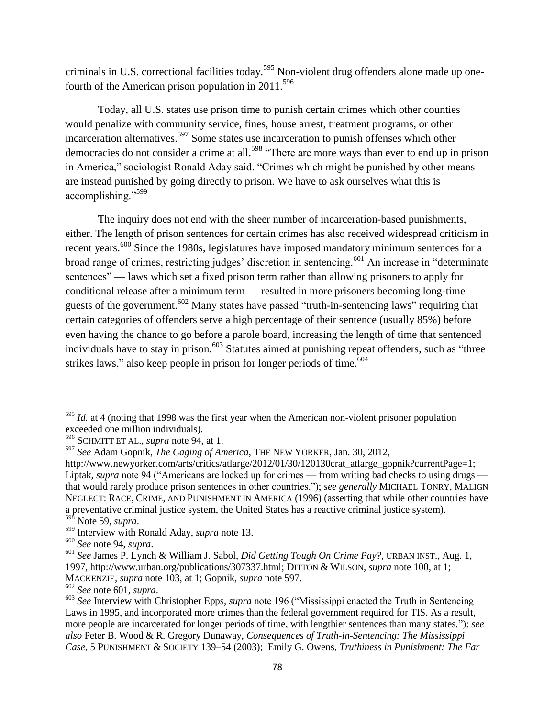criminals in U.S. correctional facilities today.<sup>595</sup> Non-violent drug offenders alone made up onefourth of the American prison population in  $2011^{596}$ 

Today, all U.S. states use prison time to punish certain crimes which other counties would penalize with community service, fines, house arrest, treatment programs, or other incarceration alternatives.<sup>597</sup> Some states use incarceration to punish offenses which other democracies do not consider a crime at all.<sup>598</sup> "There are more ways than ever to end up in prison in America," sociologist Ronald Aday said. "Crimes which might be punished by other means are instead punished by going directly to prison. We have to ask ourselves what this is accomplishing."<sup>599</sup>

The inquiry does not end with the sheer number of incarceration-based punishments, either. The length of prison sentences for certain crimes has also received widespread criticism in recent years.<sup>600</sup> Since the 1980s, legislatures have imposed mandatory minimum sentences for a broad range of crimes, restricting judges' discretion in sentencing.<sup>601</sup> An increase in "determinate" sentences" — laws which set a fixed prison term rather than allowing prisoners to apply for conditional release after a minimum term — resulted in more prisoners becoming long-time guests of the government.<sup>602</sup> Many states have passed "truth-in-sentencing laws" requiring that certain categories of offenders serve a high percentage of their sentence (usually 85%) before even having the chance to go before a parole board, increasing the length of time that sentenced individuals have to stay in prison.<sup>603</sup> Statutes aimed at punishing repeat offenders, such as "three strikes laws," also keep people in prison for longer periods of time. $604$ 

 $\overline{a}$ <sup>595</sup> *Id.* at 4 (noting that 1998 was the first year when the American non-violent prisoner population exceeded one million individuals).

<sup>596</sup> SCHMITT ET AL., *supra* note 94, at 1.

<sup>597</sup> *See* Adam Gopnik, *The Caging of America*, THE NEW YORKER, Jan. 30, 2012,

http://www.newyorker.com/arts/critics/atlarge/2012/01/30/120130crat\_atlarge\_gopnik?currentPage=1; Liptak, *supra* note 94 ("Americans are locked up for crimes — from writing bad checks to using drugs that would rarely produce prison sentences in other countries.‖); *see generally* MICHAEL TONRY, MALIGN NEGLECT: RACE, CRIME, AND PUNISHMENT IN AMERICA (1996) (asserting that while other countries have a preventative criminal justice system, the United States has a reactive criminal justice system). <sup>598</sup> Note 59, *supra*.

<sup>599</sup> Interview with Ronald Aday, *supra* note 13.

<sup>600</sup> *See* note 94, *supra*.

<sup>601</sup> *See* James P. Lynch & William J. Sabol, *Did Getting Tough On Crime Pay?*, URBAN INST., Aug. 1, 1997, http://www.urban.org/publications/307337.html; DITTON & WILSON, *supra* note 100, at 1; MACKENZIE, *supra* note 103, at 1; Gopnik, *supra* note 597.

<sup>602</sup> *See* note 601, *supra*.

<sup>&</sup>lt;sup>603</sup> See Interview with Christopher Epps, *supra* note 196 ("Mississippi enacted the Truth in Sentencing Laws in 1995, and incorporated more crimes than the federal government required for TIS. As a result, more people are incarcerated for longer periods of time, with lengthier sentences than many states.‖); *see also* Peter B. Wood & R. Gregory Dunaway, *Consequences of Truth-in-Sentencing: The Mississippi Case*, 5 PUNISHMENT & SOCIETY 139–54 (2003); Emily G. Owens, *Truthiness in Punishment: The Far*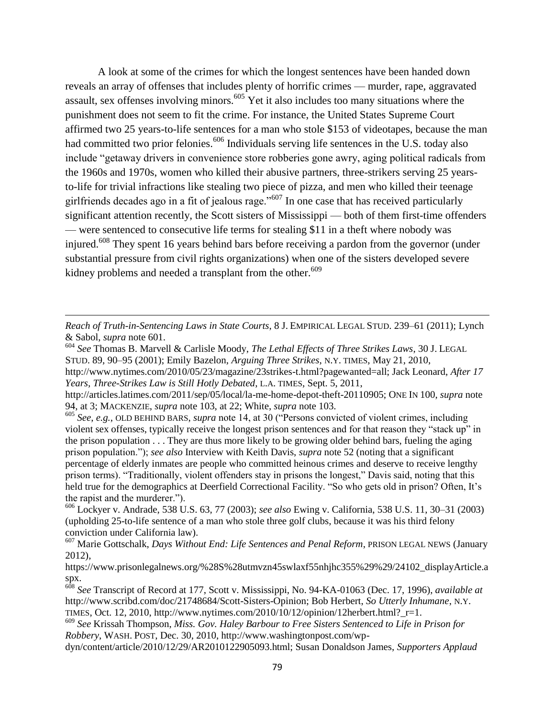A look at some of the crimes for which the longest sentences have been handed down reveals an array of offenses that includes plenty of horrific crimes — murder, rape, aggravated assault, sex offenses involving minors.<sup>605</sup> Yet it also includes too many situations where the punishment does not seem to fit the crime. For instance, the United States Supreme Court affirmed two 25 years-to-life sentences for a man who stole \$153 of videotapes, because the man had committed two prior felonies.<sup>606</sup> Individuals serving life sentences in the U.S. today also include "getaway drivers in convenience store robberies gone awry, aging political radicals from the 1960s and 1970s, women who killed their abusive partners, three-strikers serving 25 yearsto-life for trivial infractions like stealing two piece of pizza, and men who killed their teenage girlfriends decades ago in a fit of jealous rage.<sup> $5607$ </sup> In one case that has received particularly significant attention recently, the Scott sisters of Mississippi — both of them first-time offenders — were sentenced to consecutive life terms for stealing \$11 in a theft where nobody was injured.<sup>608</sup> They spent 16 years behind bars before receiving a pardon from the governor (under substantial pressure from civil rights organizations) when one of the sisters developed severe kidney problems and needed a transplant from the other.<sup>609</sup>

*Reach of Truth-in-Sentencing Laws in State Courts*, 8 J. EMPIRICAL LEGAL STUD. 239–61 (2011); Lynch & Sabol, *supra* note 601.

 $\overline{\phantom{a}}$ 

<sup>605</sup> *See*, *e.g.*, OLD BEHIND BARS, *supra* note 14, at 30 ("Persons convicted of violent crimes, including violent sex offenses, typically receive the longest prison sentences and for that reason they "stack up" in the prison population . . . They are thus more likely to be growing older behind bars, fueling the aging prison population.‖); *see also* Interview with Keith Davis, *supra* note 52 (noting that a significant percentage of elderly inmates are people who committed heinous crimes and deserve to receive lengthy prison terms). "Traditionally, violent offenders stay in prisons the longest," Davis said, noting that this held true for the demographics at Deerfield Correctional Facility. "So who gets old in prison? Often, It's the rapist and the murderer.").

<sup>606</sup> Lockyer v. Andrade, 538 U.S. 63, 77 (2003); *see also* Ewing v. California, 538 U.S. 11, 30–31 (2003) (upholding 25-to-life sentence of a man who stole three golf clubs, because it was his third felony conviction under California law).

<sup>607</sup> Marie Gottschalk, *Days Without End: Life Sentences and Penal Reform*, PRISON LEGAL NEWS (January 2012),

https://www.prisonlegalnews.org/%28S%28utmvzn45swlaxf55nhjhc355%29%29/24102\_displayArticle.a spx.

<sup>608</sup> *See* Transcript of Record at 177, Scott v. Mississippi, No. 94-KA-01063 (Dec. 17, 1996), *available at*  http://www.scribd.com/doc/21748684/Scott-Sisters-Opinion; Bob Herbert, *So Utterly Inhumane*, N.Y. TIMES, Oct. 12, 2010, http://www.nytimes.com/2010/10/12/opinion/12herbert.html?  $r=1$ .

dyn/content/article/2010/12/29/AR2010122905093.html; Susan Donaldson James, *Supporters Applaud* 

<sup>604</sup> *See* Thomas B. Marvell & Carlisle Moody, *The Lethal Effects of Three Strikes Laws*, 30 J. LEGAL STUD. 89, 90–95 (2001); Emily Bazelon, *Arguing Three Strikes*, N.Y. TIMES, May 21, 2010, http://www.nytimes.com/2010/05/23/magazine/23strikes-t.html?pagewanted=all; Jack Leonard, *After 17 Years, Three-Strikes Law is Still Hotly Debated*, L.A. TIMES, Sept. 5, 2011,

http://articles.latimes.com/2011/sep/05/local/la-me-home-depot-theft-20110905; ONE IN 100, *supra* note 94, at 3; MACKENZIE, *supra* note 103, at 22; White, *supra* note 103.

<sup>609</sup> *See* Krissah Thompson, *Miss. Gov. Haley Barbour to Free Sisters Sentenced to Life in Prison for Robbery*, WASH. POST, Dec. 30, 2010, http://www.washingtonpost.com/wp-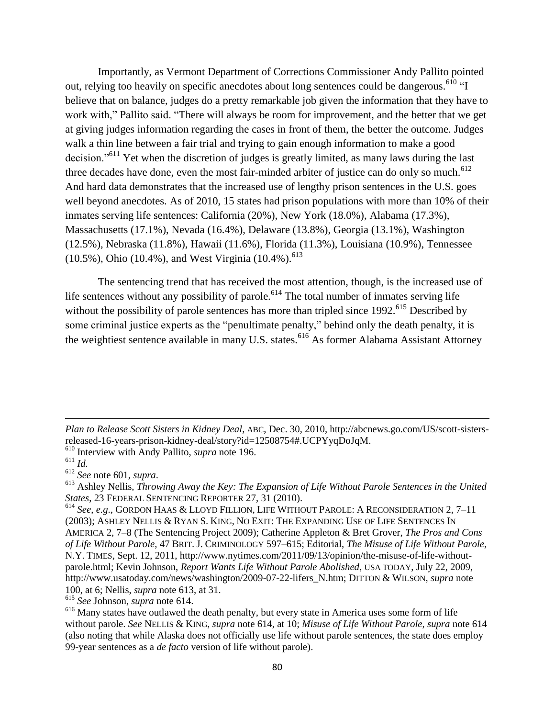Importantly, as Vermont Department of Corrections Commissioner Andy Pallito pointed out, relying too heavily on specific anecdotes about long sentences could be dangerous.<sup>610</sup> "I believe that on balance, judges do a pretty remarkable job given the information that they have to work with," Pallito said. "There will always be room for improvement, and the better that we get at giving judges information regarding the cases in front of them, the better the outcome. Judges walk a thin line between a fair trial and trying to gain enough information to make a good decision.<sup>5611</sup> Yet when the discretion of judges is greatly limited, as many laws during the last three decades have done, even the most fair-minded arbiter of justice can do only so much. $612$ And hard data demonstrates that the increased use of lengthy prison sentences in the U.S. goes well beyond anecdotes. As of 2010, 15 states had prison populations with more than 10% of their inmates serving life sentences: California (20%), New York (18.0%), Alabama (17.3%), Massachusetts (17.1%), Nevada (16.4%), Delaware (13.8%), Georgia (13.1%), Washington (12.5%), Nebraska (11.8%), Hawaii (11.6%), Florida (11.3%), Louisiana (10.9%), Tennessee (10.5%), Ohio (10.4%), and West Virginia (10.4%).<sup>613</sup>

The sentencing trend that has received the most attention, though, is the increased use of life sentences without any possibility of parole.<sup>614</sup> The total number of inmates serving life without the possibility of parole sentences has more than tripled since  $1992$ <sup> $615$ </sup> Described by some criminal justice experts as the "penultimate penalty," behind only the death penalty, it is the weightiest sentence available in many U.S. states.<sup>616</sup> As former Alabama Assistant Attorney

 $\overline{\phantom{a}}$ 

<sup>615</sup> *See* Johnson, *supra* note 614.

*Plan to Release Scott Sisters in Kidney Deal*, ABC, Dec. 30, 2010, http://abcnews.go.com/US/scott-sistersreleased-16-years-prison-kidney-deal/story?id=12508754#.UCPYyqDoJqM.

<sup>610</sup> Interview with Andy Pallito, *supra* note 196.

 $611$  *Id.* 

<sup>612</sup> *See* note 601, *supra*.

<sup>613</sup> Ashley Nellis, *Throwing Away the Key: The Expansion of Life Without Parole Sentences in the United States*, 23 FEDERAL SENTENCING REPORTER 27, 31 (2010).

<sup>614</sup> *See*, *e.g*., GORDON HAAS & LLOYD FILLION, LIFE WITHOUT PAROLE: A RECONSIDERATION 2, 7–11 (2003); ASHLEY NELLIS & RYAN S. KING, NO EXIT: THE EXPANDING USE OF LIFE SENTENCES IN AMERICA 2, 7–8 (The Sentencing Project 2009); Catherine Appleton & Bret Grover, *The Pros and Cons of Life Without Parole*, 47 BRIT. J. CRIMINOLOGY 597–615; Editorial, *The Misuse of Life Without Parole*, N.Y. TIMES, Sept. 12, 2011, http://www.nytimes.com/2011/09/13/opinion/the-misuse-of-life-withoutparole.html; Kevin Johnson, *Report Wants Life Without Parole Abolished*, USA TODAY, July 22, 2009, http://www.usatoday.com/news/washington/2009-07-22-lifers\_N.htm; DITTON & WILSON, *supra* note 100, at 6; Nellis, *supra* note 613, at 31.

<sup>&</sup>lt;sup>616</sup> Many states have outlawed the death penalty, but every state in America uses some form of life without parole. *See* NELLIS & KING, *supra* note 614, at 10; *Misuse of Life Without Parole*, *supra* note 614 (also noting that while Alaska does not officially use life without parole sentences, the state does employ 99-year sentences as a *de facto* version of life without parole).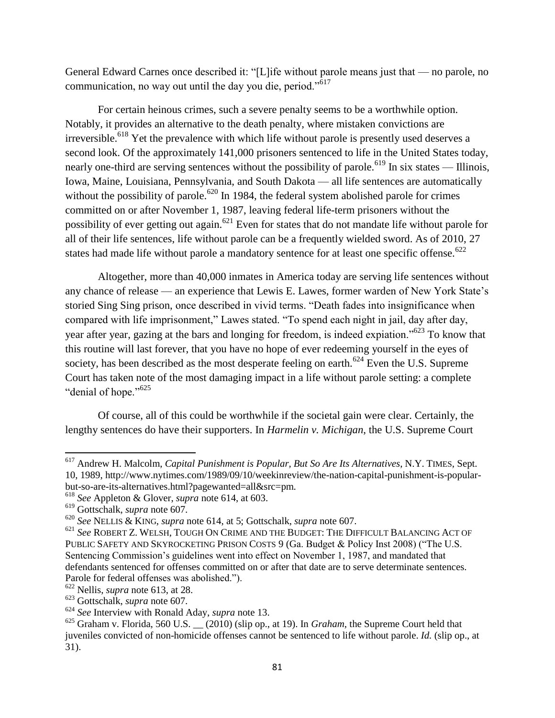General Edward Carnes once described it: "[L]ife without parole means just that — no parole, no communication, no way out until the day you die, period. $10^{617}$ 

For certain heinous crimes, such a severe penalty seems to be a worthwhile option. Notably, it provides an alternative to the death penalty, where mistaken convictions are irreversible.<sup>618</sup> Yet the prevalence with which life without parole is presently used deserves a second look. Of the approximately 141,000 prisoners sentenced to life in the United States today, nearly one-third are serving sentences without the possibility of parole.<sup>619</sup> In six states — Illinois, Iowa, Maine, Louisiana, Pennsylvania, and South Dakota — all life sentences are automatically without the possibility of parole.<sup>620</sup> In 1984, the federal system abolished parole for crimes committed on or after November 1, 1987, leaving federal life-term prisoners without the possibility of ever getting out again.<sup>621</sup> Even for states that do not mandate life without parole for all of their life sentences, life without parole can be a frequently wielded sword. As of 2010, 27 states had made life without parole a mandatory sentence for at least one specific offense.<sup>622</sup>

Altogether, more than 40,000 inmates in America today are serving life sentences without any chance of release — an experience that Lewis E. Lawes, former warden of New York State's storied Sing Sing prison, once described in vivid terms. "Death fades into insignificance when compared with life imprisonment," Lawes stated. "To spend each night in jail, day after day, year after year, gazing at the bars and longing for freedom, is indeed expiation."<sup>623</sup> To know that this routine will last forever, that you have no hope of ever redeeming yourself in the eyes of society, has been described as the most desperate feeling on earth.<sup>624</sup> Even the U.S. Supreme Court has taken note of the most damaging impact in a life without parole setting: a complete "denial of hope."<sup>625</sup>

Of course, all of this could be worthwhile if the societal gain were clear. Certainly, the lengthy sentences do have their supporters. In *Harmelin v. Michigan*, the U.S. Supreme Court

<sup>617</sup> Andrew H. Malcolm, *Capital Punishment is Popular, But So Are Its Alternatives*, N.Y. TIMES, Sept. 10, 1989, http://www.nytimes.com/1989/09/10/weekinreview/the-nation-capital-punishment-is-popularbut-so-are-its-alternatives.html?pagewanted=all&src=pm.

<sup>618</sup> *See* Appleton & Glover, *supra* note 614, at 603.

<sup>619</sup> Gottschalk, *supra* note 607.

<sup>620</sup> *See* NELLIS & KING, *supra* note 614, at 5; Gottschalk, *supra* note 607.

<sup>621</sup> *See* ROBERT Z. WELSH, TOUGH ON CRIME AND THE BUDGET: THE DIFFICULT BALANCING ACT OF PUBLIC SAFETY AND SKYROCKETING PRISON COSTS 9 (Ga. Budget & Policy Inst 2008) ("The U.S. Sentencing Commission's guidelines went into effect on November 1, 1987, and mandated that defendants sentenced for offenses committed on or after that date are to serve determinate sentences. Parole for federal offenses was abolished.").

<sup>622</sup> Nellis, *supra* note 613, at 28.

<sup>623</sup> Gottschalk, *supra* note 607.

<sup>624</sup> *See* Interview with Ronald Aday, *supra* note 13.

<sup>625</sup> Graham v. Florida, 560 U.S. \_\_ (2010) (slip op., at 19). In *Graham*, the Supreme Court held that juveniles convicted of non-homicide offenses cannot be sentenced to life without parole. *Id.* (slip op., at 31).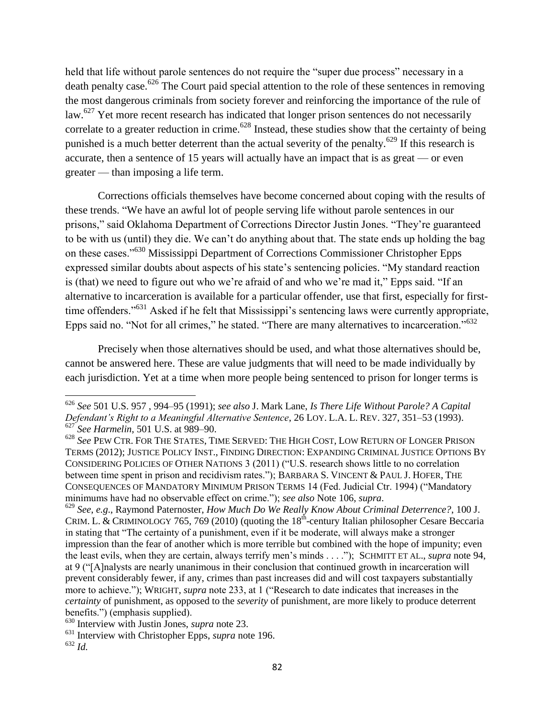held that life without parole sentences do not require the "super due process" necessary in a death penalty case.<sup>626</sup> The Court paid special attention to the role of these sentences in removing the most dangerous criminals from society forever and reinforcing the importance of the rule of law.<sup>627</sup> Yet more recent research has indicated that longer prison sentences do not necessarily correlate to a greater reduction in crime.<sup> $628$ </sup> Instead, these studies show that the certainty of being punished is a much better deterrent than the actual severity of the penalty.<sup>629</sup> If this research is accurate, then a sentence of 15 years will actually have an impact that is as great — or even greater — than imposing a life term.

Corrections officials themselves have become concerned about coping with the results of these trends. "We have an awful lot of people serving life without parole sentences in our prisons," said Oklahoma Department of Corrections Director Justin Jones. "They're guaranteed to be with us (until) they die. We can't do anything about that. The state ends up holding the bag on these cases."<sup>630</sup> Mississippi Department of Corrections Commissioner Christopher Epps expressed similar doubts about aspects of his state's sentencing policies. "My standard reaction is (that) we need to figure out who we're afraid of and who we're mad it," Epps said. "If an alternative to incarceration is available for a particular offender, use that first, especially for firsttime offenders."<sup>631</sup> Asked if he felt that Mississippi's sentencing laws were currently appropriate, Epps said no. "Not for all crimes," he stated. "There are many alternatives to incarceration."<sup>632</sup>

Precisely when those alternatives should be used, and what those alternatives should be, cannot be answered here. These are value judgments that will need to be made individually by each jurisdiction. Yet at a time when more people being sentenced to prison for longer terms is

 $\overline{a}$ 

<sup>626</sup> *See* 501 U.S. 957 , 994–95 (1991); *see also* J. Mark Lane, *Is There Life Without Parole? A Capital Defendant"s Right to a Meaningful Alternative Sentence*, 26 LOY. L.A. L. REV. 327, 351–53 (1993). <sup>627</sup> *See Harmelin*, 501 U.S. at 989–90.

<sup>628</sup> *See* PEW CTR. FOR THE STATES, TIME SERVED: THE HIGH COST, LOW RETURN OF LONGER PRISON TERMS (2012); JUSTICE POLICY INST., FINDING DIRECTION: EXPANDING CRIMINAL JUSTICE OPTIONS BY CONSIDERING POLICIES OF OTHER NATIONS 3 (2011) ("U.S. research shows little to no correlation between time spent in prison and recidivism rates."); BARBARA S. VINCENT & PAUL J. HOFER, THE CONSEQUENCES OF MANDATORY MINIMUM PRISON TERMS 14 (Fed. Judicial Ctr. 1994) ("Mandatory minimums have had no observable effect on crime.‖); *see also* Note 106, *supra*.

<sup>629</sup> *See*, *e.g*., Raymond Paternoster, *How Much Do We Really Know About Criminal Deterrence?*, 100 J. CRIM. L. & CRIMINOLOGY 765, 769 (2010) (quoting the  $18<sup>th</sup>$ -century Italian philosopher Cesare Beccaria in stating that "The certainty of a punishment, even if it be moderate, will always make a stronger impression than the fear of another which is more terrible but combined with the hope of impunity; even the least evils, when they are certain, always terrify men's minds . . . .‖);SCHMITT ET AL., *supra* note 94, at 9 ("[A]nalysts are nearly unanimous in their conclusion that continued growth in incarceration will prevent considerably fewer, if any, crimes than past increases did and will cost taxpayers substantially more to achieve."); WRIGHT, *supra* note 233, at 1 ("Research to date indicates that increases in the *certainty* of punishment, as opposed to the *severity* of punishment, are more likely to produce deterrent benefits.") (emphasis supplied).

<sup>630</sup> Interview with Justin Jones, *supra* note 23.

<sup>631</sup> Interview with Christopher Epps, *supra* note 196.

<sup>632</sup> *Id.*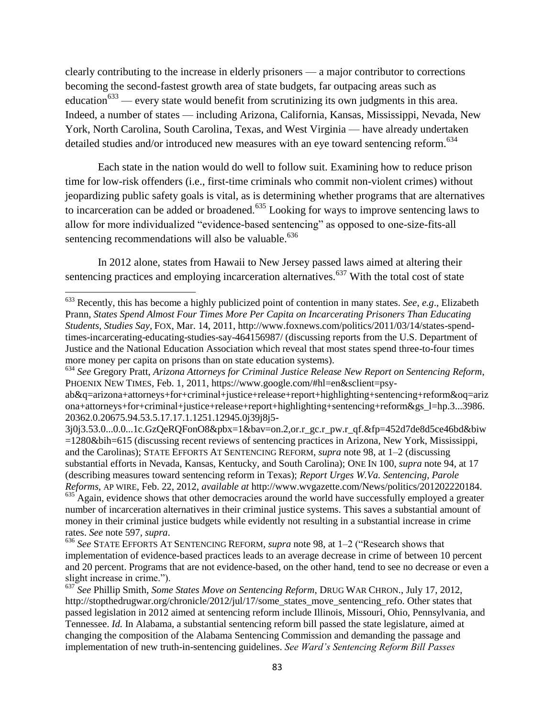clearly contributing to the increase in elderly prisoners — a major contributor to corrections becoming the second-fastest growth area of state budgets, far outpacing areas such as education<sup>633</sup> — every state would benefit from scrutinizing its own judgments in this area. Indeed, a number of states — including Arizona, California, Kansas, Mississippi, Nevada, New York, North Carolina, South Carolina, Texas, and West Virginia — have already undertaken detailed studies and/or introduced new measures with an eye toward sentencing reform.<sup>634</sup>

Each state in the nation would do well to follow suit. Examining how to reduce prison time for low-risk offenders (i.e., first-time criminals who commit non-violent crimes) without jeopardizing public safety goals is vital, as is determining whether programs that are alternatives to incarceration can be added or broadened.<sup>635</sup> Looking for ways to improve sentencing laws to allow for more individualized "evidence-based sentencing" as opposed to one-size-fits-all sentencing recommendations will also be valuable.<sup>636</sup>

In 2012 alone, states from Hawaii to New Jersey passed laws aimed at altering their sentencing practices and employing incarceration alternatives.<sup> $637$ </sup> With the total cost of state

l

<sup>633</sup> Recently, this has become a highly publicized point of contention in many states. *See*, *e.g*., Elizabeth Prann, *States Spend Almost Four Times More Per Capita on Incarcerating Prisoners Than Educating Students, Studies Say*, FOX, Mar. 14, 2011, http://www.foxnews.com/politics/2011/03/14/states-spendtimes-incarcerating-educating-studies-say-464156987/ (discussing reports from the U.S. Department of Justice and the National Education Association which reveal that most states spend three-to-four times more money per capita on prisons than on state education systems).

<sup>634</sup> *See* Gregory Pratt, *Arizona Attorneys for Criminal Justice Release New Report on Sentencing Reform*, PHOENIX NEW TIMES, Feb. 1, 2011, https://www.google.com/#hl=en&sclient=psy-

ab&q=arizona+attorneys+for+criminal+justice+release+report+highlighting+sentencing+reform&oq=ariz ona+attorneys+for+criminal+justice+release+report+highlighting+sentencing+reform&gs\_l=hp.3...3986. 20362.0.20675.94.53.5.17.17.1.1251.12945.0j39j8j5-

<sup>3</sup>j0j3.53.0...0.0...1c.GzQeRQFonO8&pbx=1&bav=on.2,or.r\_gc.r\_pw.r\_qf.&fp=452d7de8d5ce46bd&biw =1280&bih=615 (discussing recent reviews of sentencing practices in Arizona, New York, Mississippi, and the Carolinas); STATE EFFORTS AT SENTENCING REFORM, *supra* note 98, at 1–2 (discussing substantial efforts in Nevada, Kansas, Kentucky, and South Carolina); ONE IN 100, *supra* note 94, at 17 (describing measures toward sentencing reform in Texas); *Report Urges W.Va. Sentencing, Parole Reforms*, AP WIRE, Feb. 22, 2012, *available at* http://www.wvgazette.com/News/politics/201202220184.  $635$  Again, evidence shows that other democracies around the world have successfully employed a greater

number of incarceration alternatives in their criminal justice systems. This saves a substantial amount of money in their criminal justice budgets while evidently not resulting in a substantial increase in crime rates. *See* note 597, *supra*.

<sup>&</sup>lt;sup>636</sup> See STATE EFFORTS AT SENTENCING REFORM, *supra* note 98, at 1–2 ("Research shows that implementation of evidence-based practices leads to an average decrease in crime of between 10 percent and 20 percent. Programs that are not evidence-based, on the other hand, tend to see no decrease or even a slight increase in crime.").

<sup>637</sup> *See* Phillip Smith, *Some States Move on Sentencing Reform*, DRUG WAR CHRON., July 17, 2012, http://stopthedrugwar.org/chronicle/2012/jul/17/some\_states\_move\_sentencing\_refo. Other states that passed legislation in 2012 aimed at sentencing reform include Illinois, Missouri, Ohio, Pennsylvania, and Tennessee. *Id.* In Alabama, a substantial sentencing reform bill passed the state legislature, aimed at changing the composition of the Alabama Sentencing Commission and demanding the passage and implementation of new truth-in-sentencing guidelines. *See Ward"s Sentencing Reform Bill Passes*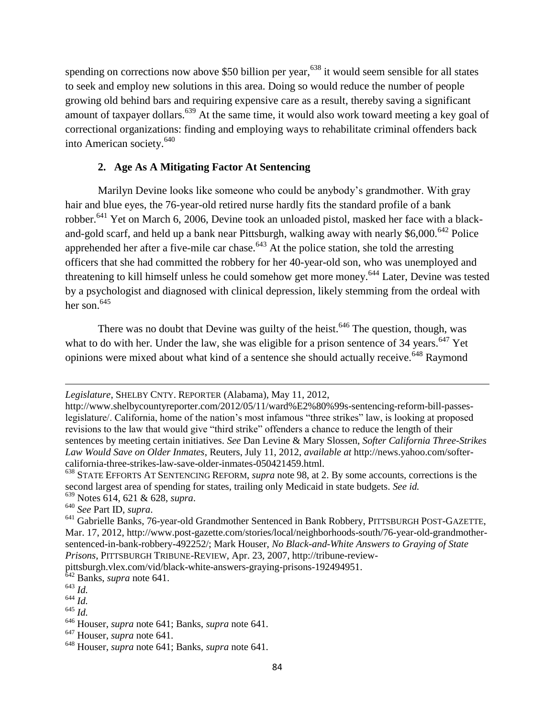spending on corrections now above \$50 billion per year,<sup>638</sup> it would seem sensible for all states to seek and employ new solutions in this area. Doing so would reduce the number of people growing old behind bars and requiring expensive care as a result, thereby saving a significant amount of taxpayer dollars.<sup>639</sup> At the same time, it would also work toward meeting a key goal of correctional organizations: finding and employing ways to rehabilitate criminal offenders back into American society.<sup>640</sup>

## **2. Age As A Mitigating Factor At Sentencing**

Marilyn Devine looks like someone who could be anybody's grandmother. With gray hair and blue eyes, the 76-year-old retired nurse hardly fits the standard profile of a bank robber.<sup>641</sup> Yet on March 6, 2006, Devine took an unloaded pistol, masked her face with a blackand-gold scarf, and held up a bank near Pittsburgh, walking away with nearly \$6,000.<sup>642</sup> Police apprehended her after a five-mile car chase.<sup>643</sup> At the police station, she told the arresting officers that she had committed the robbery for her 40-year-old son, who was unemployed and threatening to kill himself unless he could somehow get more money.<sup>644</sup> Later, Devine was tested by a psychologist and diagnosed with clinical depression, likely stemming from the ordeal with her son. $645$ 

There was no doubt that Devine was guilty of the heist.<sup>646</sup> The question, though, was what to do with her. Under the law, she was eligible for a prison sentence of  $34$  years.<sup>647</sup> Yet opinions were mixed about what kind of a sentence she should actually receive.<sup>648</sup> Raymond

pittsburgh.vlex.com/vid/black-white-answers-graying-prisons-192494951.

<sup>642</sup> Banks, *supra* note 641.

*Legislature*, SHELBY CNTY. REPORTER (Alabama), May 11, 2012,

http://www.shelbycountyreporter.com/2012/05/11/ward%E2%80%99s-sentencing-reform-bill-passeslegislature/. California, home of the nation's most infamous "three strikes" law, is looking at proposed revisions to the law that would give "third strike" offenders a chance to reduce the length of their sentences by meeting certain initiatives. *See* Dan Levine & Mary Slossen, *Softer California Three-Strikes Law Would Save on Older Inmates*, Reuters, July 11, 2012, *available at* http://news.yahoo.com/softercalifornia-three-strikes-law-save-older-inmates-050421459.html.

<sup>638</sup> STATE EFFORTS AT SENTENCING REFORM, *supra* note 98, at 2. By some accounts, corrections is the second largest area of spending for states, trailing only Medicaid in state budgets. *See id.*  <sup>639</sup> Notes 614, 621 & 628, *supra*.

<sup>640</sup> *See* Part ID, *supra*.

<sup>641</sup> Gabrielle Banks, 76-year-old Grandmother Sentenced in Bank Robbery, PITTSBURGH POST-GAZETTE, Mar. 17, 2012, http://www.post-gazette.com/stories/local/neighborhoods-south/76-year-old-grandmothersentenced-in-bank-robbery-492252/; Mark Houser, *No Black-and-White Answers to Graying of State Prisons*, PITTSBURGH TRIBUNE-REVIEW, Apr. 23, 2007, http://tribune-review-

<sup>643</sup> *Id.* 

<sup>644</sup> *Id.* 

<sup>645</sup> *Id.* 

<sup>646</sup> Houser, *supra* note 641; Banks, *supra* note 641.

<sup>647</sup> Houser, *supra* note 641.

<sup>648</sup> Houser, *supra* note 641; Banks, *supra* note 641.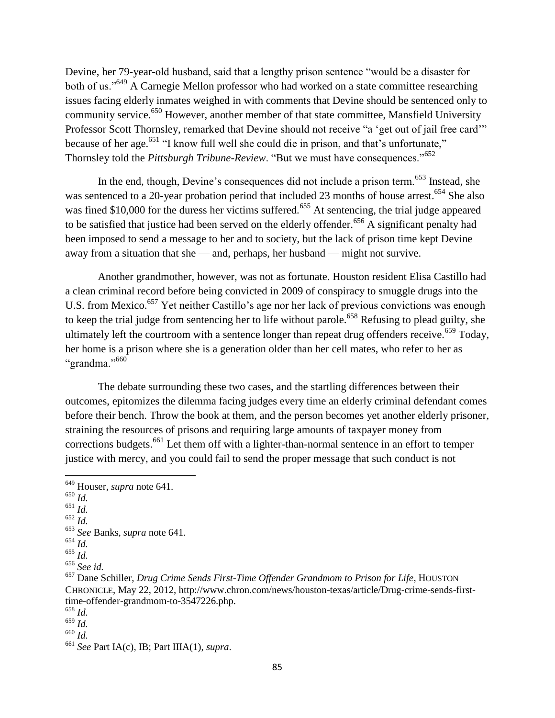Devine, her 79-year-old husband, said that a lengthy prison sentence "would be a disaster for both of us."<sup>649</sup> A Carnegie Mellon professor who had worked on a state committee researching issues facing elderly inmates weighed in with comments that Devine should be sentenced only to community service.<sup>650</sup> However, another member of that state committee, Mansfield University Professor Scott Thornsley, remarked that Devine should not receive "a 'get out of jail free card'" because of her age.<sup>651</sup> "I know full well she could die in prison, and that's unfortunate," Thornsley told the *Pittsburgh Tribune-Review*. "But we must have consequences."<sup>652</sup>

In the end, though, Devine's consequences did not include a prison term.<sup> $653$ </sup> Instead, she was sentenced to a 20-year probation period that included 23 months of house arrest.<sup>654</sup> She also was fined \$10,000 for the duress her victims suffered.<sup>655</sup> At sentencing, the trial judge appeared to be satisfied that justice had been served on the elderly offender.<sup>656</sup> A significant penalty had been imposed to send a message to her and to society, but the lack of prison time kept Devine away from a situation that she — and, perhaps, her husband — might not survive.

Another grandmother, however, was not as fortunate. Houston resident Elisa Castillo had a clean criminal record before being convicted in 2009 of conspiracy to smuggle drugs into the U.S. from Mexico.<sup>657</sup> Yet neither Castillo's age nor her lack of previous convictions was enough to keep the trial judge from sentencing her to life without parole.<sup>658</sup> Refusing to plead guilty, she ultimately left the courtroom with a sentence longer than repeat drug offenders receive.<sup> $659$ </sup> Today, her home is a prison where she is a generation older than her cell mates, who refer to her as "grandma."<sup>660</sup>

The debate surrounding these two cases, and the startling differences between their outcomes, epitomizes the dilemma facing judges every time an elderly criminal defendant comes before their bench. Throw the book at them, and the person becomes yet another elderly prisoner, straining the resources of prisons and requiring large amounts of taxpayer money from corrections budgets.<sup>661</sup> Let them off with a lighter-than-normal sentence in an effort to temper justice with mercy, and you could fail to send the proper message that such conduct is not

l

<sup>649</sup> Houser, *supra* note 641.

 $^{650}\dot{Id}.$ 

<sup>651</sup> *Id.* 

<sup>652</sup> *Id.* 

<sup>653</sup> *See* Banks, *supra* note 641.

<sup>654</sup> *Id.* 

<sup>655</sup> *Id.* 

<sup>656</sup> *See id.* 

<sup>657</sup> Dane Schiller, *Drug Crime Sends First-Time Offender Grandmom to Prison for Life*, HOUSTON CHRONICLE, May 22, 2012, http://www.chron.com/news/houston-texas/article/Drug-crime-sends-firsttime-offender-grandmom-to-3547226.php.

<sup>658</sup> *Id.* 

 $^{659}$  *Id.* 

<sup>660</sup> *Id.* 

<sup>661</sup> *See* Part IA(c), IB; Part IIIA(1), *supra*.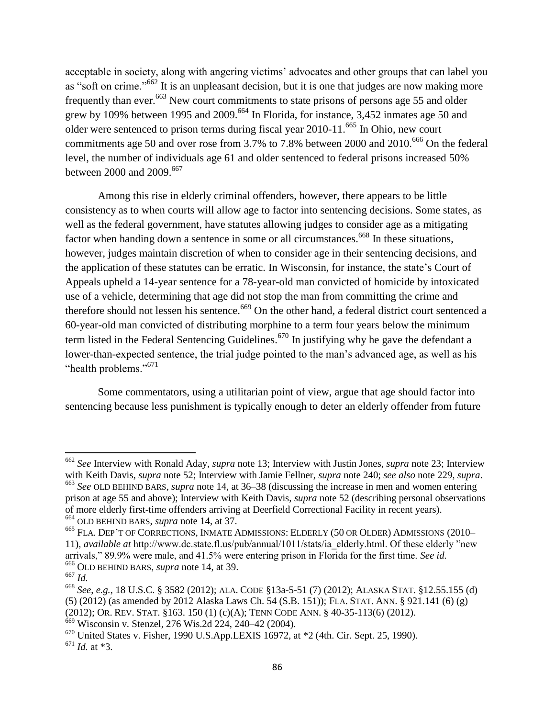acceptable in society, along with angering victims' advocates and other groups that can label you as "soft on crime."<sup>662</sup> It is an unpleasant decision, but it is one that judges are now making more frequently than ever.<sup>663</sup> New court commitments to state prisons of persons age 55 and older grew by 109% between 1995 and 2009.<sup>664</sup> In Florida, for instance, 3,452 inmates age 50 and older were sentenced to prison terms during fiscal year 2010-11.<sup>665</sup> In Ohio, new court commitments age 50 and over rose from 3.7% to 7.8% between 2000 and  $2010^{666}$  On the federal level, the number of individuals age 61 and older sentenced to federal prisons increased 50% between 2000 and 2009.<sup>667</sup>

Among this rise in elderly criminal offenders, however, there appears to be little consistency as to when courts will allow age to factor into sentencing decisions. Some states, as well as the federal government, have statutes allowing judges to consider age as a mitigating factor when handing down a sentence in some or all circumstances.<sup>668</sup> In these situations, however, judges maintain discretion of when to consider age in their sentencing decisions, and the application of these statutes can be erratic. In Wisconsin, for instance, the state's Court of Appeals upheld a 14-year sentence for a 78-year-old man convicted of homicide by intoxicated use of a vehicle, determining that age did not stop the man from committing the crime and therefore should not lessen his sentence.<sup>669</sup> On the other hand, a federal district court sentenced a 60-year-old man convicted of distributing morphine to a term four years below the minimum term listed in the Federal Sentencing Guidelines.<sup>670</sup> In justifying why he gave the defendant a lower-than-expected sentence, the trial judge pointed to the man's advanced age, as well as his "health problems."<sup>671</sup>

Some commentators, using a utilitarian point of view, argue that age should factor into sentencing because less punishment is typically enough to deter an elderly offender from future

```
664 OLD BEHIND BARS, supra note 14, at 37.
```
<sup>662</sup> *See* Interview with Ronald Aday, *supra* note 13; Interview with Justin Jones, *supra* note 23; Interview with Keith Davis, *supra* note 52; Interview with Jamie Fellner, *supra* note 240; *see also* note 229, *supra*. <sup>663</sup> *See* OLD BEHIND BARS, *supra* note 14, at 36–38 (discussing the increase in men and women entering prison at age 55 and above); Interview with Keith Davis, *supra* note 52 (describing personal observations of more elderly first-time offenders arriving at Deerfield Correctional Facility in recent years).

<sup>665</sup> FLA. DEP'T OF CORRECTIONS, INMATE ADMISSIONS: ELDERLY (50 OR OLDER) ADMISSIONS (2010– 11), *available at* http://www.dc.state.fl.us/pub/annual/1011/stats/ia\_elderly.html. Of these elderly "new arrivals,‖ 89.9% were male, and 41.5% were entering prison in Florida for the first time. *See id.*  <sup>666</sup> OLD BEHIND BARS, *supra* note 14, at 39.

 $^{667}$  *Id.* 

<sup>668</sup> *See*, *e.g.*, 18 U.S.C. § 3582 (2012); ALA. CODE §13a-5-51 (7) (2012); ALASKA STAT. §12.55.155 (d) (5) (2012) (as amended by 2012 Alaska Laws Ch. 54 (S.B. 151)); FLA. STAT. ANN. § 921.141 (6) (g) (2012); OR. REV. STAT. §163. 150 (1) (c)(A); TENN CODE ANN. § 40-35-113(6) (2012).

<sup>669</sup> Wisconsin v. Stenzel, 276 Wis.2d 224, 240–42 (2004).

<sup>670</sup> United States v. Fisher, 1990 U.S.App.LEXIS 16972, at \*2 (4th. Cir. Sept. 25, 1990). <sup>671</sup> *Id.* at \*3.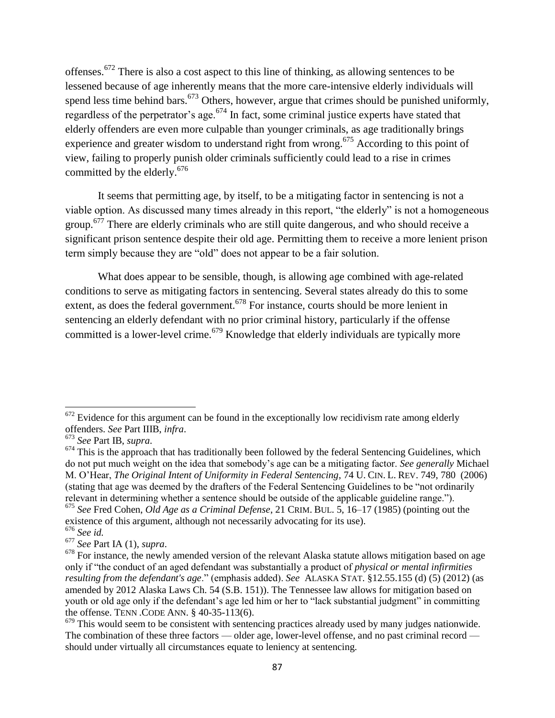offenses.<sup>672</sup> There is also a cost aspect to this line of thinking, as allowing sentences to be lessened because of age inherently means that the more care-intensive elderly individuals will spend less time behind bars.<sup>673</sup> Others, however, argue that crimes should be punished uniformly, regardless of the perpetrator's age.<sup>674</sup> In fact, some criminal justice experts have stated that elderly offenders are even more culpable than younger criminals, as age traditionally brings experience and greater wisdom to understand right from wrong.<sup>675</sup> According to this point of view, failing to properly punish older criminals sufficiently could lead to a rise in crimes committed by the elderly.<sup>676</sup>

It seems that permitting age, by itself, to be a mitigating factor in sentencing is not a viable option. As discussed many times already in this report, "the elderly" is not a homogeneous group.<sup>677</sup> There are elderly criminals who are still quite dangerous, and who should receive a significant prison sentence despite their old age. Permitting them to receive a more lenient prison term simply because they are "old" does not appear to be a fair solution.

What does appear to be sensible, though, is allowing age combined with age-related conditions to serve as mitigating factors in sentencing. Several states already do this to some extent, as does the federal government.<sup>678</sup> For instance, courts should be more lenient in sentencing an elderly defendant with no prior criminal history, particularly if the offense committed is a lower-level crime.<sup>679</sup> Knowledge that elderly individuals are typically more

 $\overline{a}$  $672$  Evidence for this argument can be found in the exceptionally low recidivism rate among elderly offenders. *See* Part IIIB, *infra*.

<sup>673</sup> *See* Part IB, *supra*.

 $674$  This is the approach that has traditionally been followed by the federal Sentencing Guidelines, which do not put much weight on the idea that somebody's age can be a mitigating factor. *See generally* Michael M. O'Hear, *The Original Intent of Uniformity in Federal Sentencing*, 74 U. CIN. L. REV. 749, 780 (2006) (stating that age was deemed by the drafters of the Federal Sentencing Guidelines to be "not ordinarily") relevant in determining whether a sentence should be outside of the applicable guideline range.").

<sup>675</sup> *See* Fred Cohen, *Old Age as a Criminal Defense*, 21 CRIM. BUL. 5, 16–17 (1985) (pointing out the existence of this argument, although not necessarily advocating for its use).

<sup>676</sup> *See id.* 

<sup>677</sup> *See* Part IA (1), *supra*.

<sup>&</sup>lt;sup>678</sup> For instance, the newly amended version of the relevant Alaska statute allows mitigation based on age only if "the conduct of an aged defendant was substantially a product of *physical or mental infirmities resulting from the defendant's age.*" (emphasis added). *See* ALASKA STAT. §12.55.155 (d) (5) (2012) (as amended by 2012 Alaska Laws Ch. 54 (S.B. 151)). The Tennessee law allows for mitigation based on youth or old age only if the defendant's age led him or her to "lack substantial judgment" in committing the offense. TENN .CODE ANN. § 40-35-113(6).

 $679$  This would seem to be consistent with sentencing practices already used by many judges nationwide. The combination of these three factors — older age, lower-level offense, and no past criminal record should under virtually all circumstances equate to leniency at sentencing.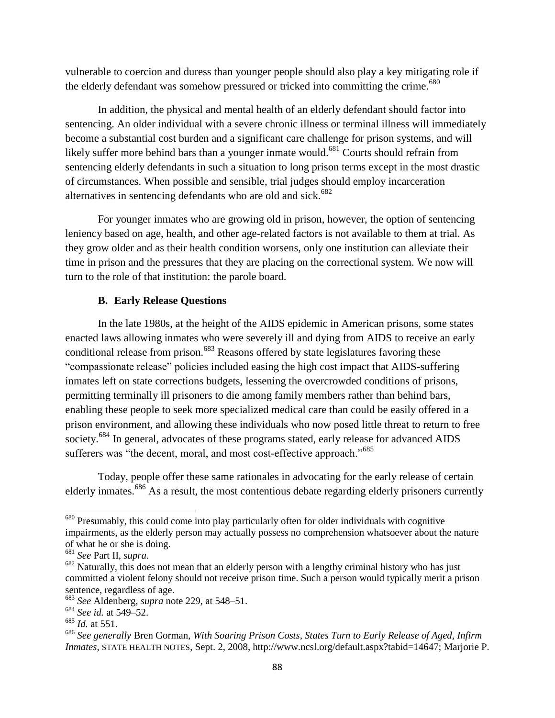vulnerable to coercion and duress than younger people should also play a key mitigating role if the elderly defendant was somehow pressured or tricked into committing the crime.<sup>680</sup>

In addition, the physical and mental health of an elderly defendant should factor into sentencing. An older individual with a severe chronic illness or terminal illness will immediately become a substantial cost burden and a significant care challenge for prison systems, and will likely suffer more behind bars than a younger inmate would.<sup>681</sup> Courts should refrain from sentencing elderly defendants in such a situation to long prison terms except in the most drastic of circumstances. When possible and sensible, trial judges should employ incarceration alternatives in sentencing defendants who are old and sick.<sup>682</sup>

For younger inmates who are growing old in prison, however, the option of sentencing leniency based on age, health, and other age-related factors is not available to them at trial. As they grow older and as their health condition worsens, only one institution can alleviate their time in prison and the pressures that they are placing on the correctional system. We now will turn to the role of that institution: the parole board.

### **B. Early Release Questions**

In the late 1980s, at the height of the AIDS epidemic in American prisons, some states enacted laws allowing inmates who were severely ill and dying from AIDS to receive an early conditional release from prison.<sup>683</sup> Reasons offered by state legislatures favoring these ―compassionate release‖ policies included easing the high cost impact that AIDS-suffering inmates left on state corrections budgets, lessening the overcrowded conditions of prisons, permitting terminally ill prisoners to die among family members rather than behind bars, enabling these people to seek more specialized medical care than could be easily offered in a prison environment, and allowing these individuals who now posed little threat to return to free society.<sup>684</sup> In general, advocates of these programs stated, early release for advanced AIDS sufferers was "the decent, moral, and most cost-effective approach."<sup>685</sup>

Today, people offer these same rationales in advocating for the early release of certain elderly inmates.<sup>686</sup> As a result, the most contentious debate regarding elderly prisoners currently

l

<sup>&</sup>lt;sup>680</sup> Presumably, this could come into play particularly often for older individuals with cognitive impairments, as the elderly person may actually possess no comprehension whatsoever about the nature of what he or she is doing.

<sup>681</sup> *See* Part II, *supra*.

<sup>&</sup>lt;sup>682</sup> Naturally, this does not mean that an elderly person with a lengthy criminal history who has just committed a violent felony should not receive prison time. Such a person would typically merit a prison sentence, regardless of age.

<sup>683</sup> *See* Aldenberg, *supra* note 229, at 548–51.

<sup>684</sup> *See id.* at 549–52.

<sup>685</sup> *Id.* at 551.

<sup>686</sup> *See generally* Bren Gorman, *With Soaring Prison Costs, States Turn to Early Release of Aged, Infirm Inmates*, STATE HEALTH NOTES, Sept. 2, 2008, http://www.ncsl.org/default.aspx?tabid=14647; Marjorie P.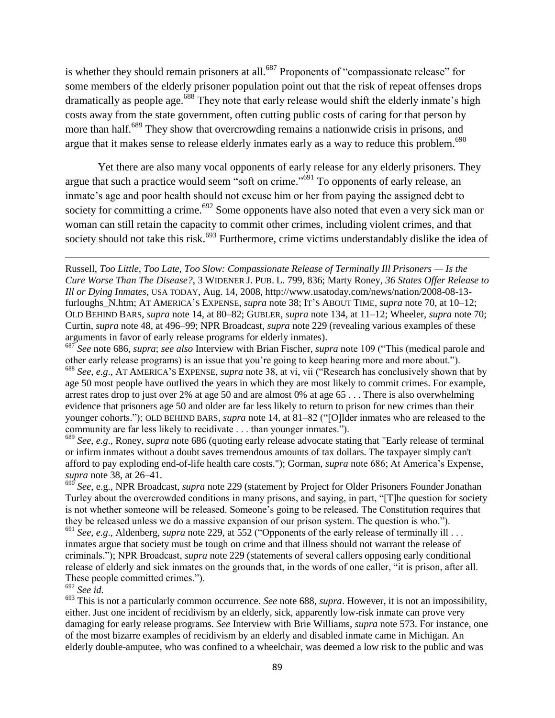is whether they should remain prisoners at all.<sup>687</sup> Proponents of "compassionate release" for some members of the elderly prisoner population point out that the risk of repeat offenses drops dramatically as people age.<sup>688</sup> They note that early release would shift the elderly inmate's high costs away from the state government, often cutting public costs of caring for that person by more than half.<sup>689</sup> They show that overcrowding remains a nationwide crisis in prisons, and argue that it makes sense to release elderly inmates early as a way to reduce this problem.<sup>690</sup>

Yet there are also many vocal opponents of early release for any elderly prisoners. They argue that such a practice would seem "soft on crime."<sup>691</sup> To opponents of early release, an inmate's age and poor health should not excuse him or her from paying the assigned debt to society for committing a crime.<sup>692</sup> Some opponents have also noted that even a very sick man or woman can still retain the capacity to commit other crimes, including violent crimes, and that society should not take this risk.<sup>693</sup> Furthermore, crime victims understandably dislike the idea of

# <sup>692</sup> *See id.*

l

<sup>693</sup> This is not a particularly common occurrence. *See* note 688, *supra*. However, it is not an impossibility, either. Just one incident of recidivism by an elderly, sick, apparently low-risk inmate can prove very damaging for early release programs. *See* Interview with Brie Williams, *supra* note 573. For instance, one of the most bizarre examples of recidivism by an elderly and disabled inmate came in Michigan. An elderly double-amputee, who was confined to a wheelchair, was deemed a low risk to the public and was

Russell, *Too Little, Too Late, Too Slow: Compassionate Release of Terminally Ill Prisoners — Is the Cure Worse Than The Disease?*, 3 WIDENER J. PUB. L. 799, 836; Marty Roney, *36 States Offer Release to Ill or Dying Inmates*, USA TODAY, Aug. 14, 2008, http://www.usatoday.com/news/nation/2008-08-13 furloughs\_N.htm; AT AMERICA'S EXPENSE, *supra* note 38; IT'S ABOUT TIME, *supra* note 70, at 10–12; OLD BEHIND BARS, *supra* note 14, at 80–82; GUBLER, *supra* note 134, at 11–12; Wheeler, *supra* note 70; Curtin, *supra* note 48, at 496–99; NPR Broadcast, *supra* note 229 (revealing various examples of these arguments in favor of early release programs for elderly inmates).

<sup>&</sup>lt;sup>687</sup> See note 686, *supra*; *see also* Interview with Brian Fischer, *supra* note 109 ("This (medical parole and other early release programs) is an issue that you're going to keep hearing more and more about."). 688 *See*, *e.g.*, AT AMERICA'S EXPENSE, *supra* note 38, at vi, vii ("Research has conclusively shown that by age 50 most people have outlived the years in which they are most likely to commit crimes. For example, arrest rates drop to just over 2% at age 50 and are almost 0% at age 65 . . . There is also overwhelming evidence that prisoners age 50 and older are far less likely to return to prison for new crimes than their younger cohorts."); OLD BEHIND BARS, *supra* note 14, at 81–82 ("[O]lder inmates who are released to the community are far less likely to recidivate . . . than younger inmates.").

<sup>689</sup> *See*, *e.g*., Roney, *supra* note 686 (quoting early release advocate stating that "Early release of terminal or infirm inmates without a doubt saves tremendous amounts of tax dollars. The taxpayer simply can't afford to pay exploding end-of-life health care costs."); Gorman, *supra* note 686; At America's Expense, *supra* note 38, at 26–41.

<sup>690</sup> *See*, e.g., NPR Broadcast, *supra* note 229 (statement by Project for Older Prisoners Founder Jonathan Turley about the overcrowded conditions in many prisons, and saying, in part, "[T]he question for society is not whether someone will be released. Someone's going to be released. The Constitution requires that they be released unless we do a massive expansion of our prison system. The question is who.").

<sup>&</sup>lt;sup>691</sup> See, e.g., Aldenberg, *supra* note 229, at 552 ("Opponents of the early release of terminally ill . . . inmates argue that society must be tough on crime and that illness should not warrant the release of criminals.‖); NPR Broadcast, *supra* note 229 (statements of several callers opposing early conditional release of elderly and sick inmates on the grounds that, in the words of one caller, "it is prison, after all. These people committed crimes.").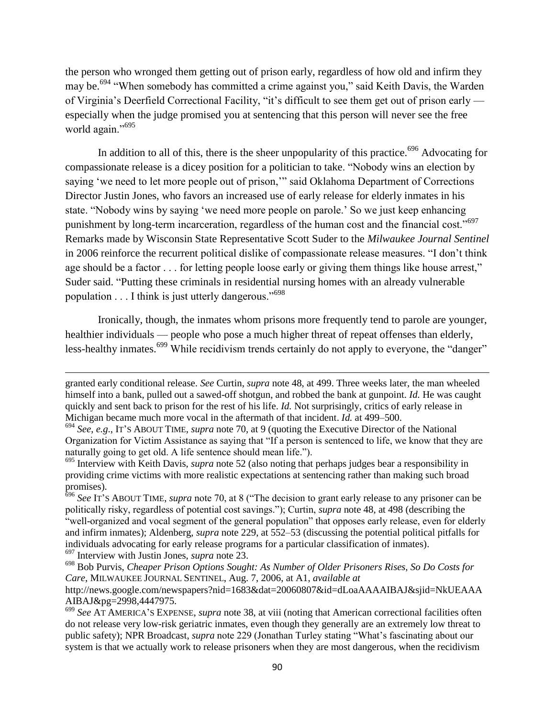the person who wronged them getting out of prison early, regardless of how old and infirm they may be.<sup>694</sup> "When somebody has committed a crime against you," said Keith Davis, the Warden of Virginia's Deerfield Correctional Facility, "it's difficult to see them get out of prison early especially when the judge promised you at sentencing that this person will never see the free world again."<sup>695</sup>

In addition to all of this, there is the sheer unpopularity of this practice.<sup>696</sup> Advocating for compassionate release is a dicey position for a politician to take. "Nobody wins an election by saying 'we need to let more people out of prison," said Oklahoma Department of Corrections Director Justin Jones, who favors an increased use of early release for elderly inmates in his state. "Nobody wins by saying 'we need more people on parole.' So we just keep enhancing punishment by long-term incarceration, regardless of the human cost and the financial cost."<sup>697</sup> Remarks made by Wisconsin State Representative Scott Suder to the *Milwaukee Journal Sentinel*  in 2006 reinforce the recurrent political dislike of compassionate release measures. "I don't think age should be a factor . . . for letting people loose early or giving them things like house arrest," Suder said. "Putting these criminals in residential nursing homes with an already vulnerable population  $\dots$  I think is just utterly dangerous."<sup>698</sup>

Ironically, though, the inmates whom prisons more frequently tend to parole are younger, healthier individuals — people who pose a much higher threat of repeat offenses than elderly, less-healthy inmates.<sup>699</sup> While recidivism trends certainly do not apply to everyone, the "danger"

granted early conditional release. *See* Curtin, *supra* note 48, at 499. Three weeks later, the man wheeled himself into a bank, pulled out a sawed-off shotgun, and robbed the bank at gunpoint. *Id.* He was caught quickly and sent back to prison for the rest of his life. *Id.* Not surprisingly, critics of early release in Michigan became much more vocal in the aftermath of that incident. *Id.* at 499–500.

<sup>694</sup> *See*, *e.g*., IT'S ABOUT TIME, *supra* note 70, at 9 (quoting the Executive Director of the National Organization for Victim Assistance as saying that "If a person is sentenced to life, we know that they are naturally going to get old. A life sentence should mean life.").

<sup>695</sup> Interview with Keith Davis, *supra* note 52 (also noting that perhaps judges bear a responsibility in providing crime victims with more realistic expectations at sentencing rather than making such broad promises).

<sup>&</sup>lt;sup>696</sup> See IT's ABOUT TIME, *supra* note 70, at 8 ("The decision to grant early release to any prisoner can be politically risky, regardless of potential cost savings.‖); Curtin, *supra* note 48, at 498 (describing the "well-organized and vocal segment of the general population" that opposes early release, even for elderly and infirm inmates); Aldenberg, *supra* note 229, at 552–53 (discussing the potential political pitfalls for individuals advocating for early release programs for a particular classification of inmates). <sup>697</sup> Interview with Justin Jones, *supra* note 23.

<sup>698</sup> Bob Purvis, *Cheaper Prison Options Sought: As Number of Older Prisoners Rises, So Do Costs for Care*, MILWAUKEE JOURNAL SENTINEL, Aug. 7, 2006, at A1, *available at*  http://news.google.com/newspapers?nid=1683&dat=20060807&id=dLoaAAAAIBAJ&sjid=NkUEAAA AIBAJ&pg=2998,4447975.

<sup>699</sup> *See* AT AMERICA'S EXPENSE, *supra* note 38, at viii (noting that American correctional facilities often do not release very low-risk geriatric inmates, even though they generally are an extremely low threat to public safety); NPR Broadcast, *supra* note 229 (Jonathan Turley stating "What's fascinating about our system is that we actually work to release prisoners when they are most dangerous, when the recidivism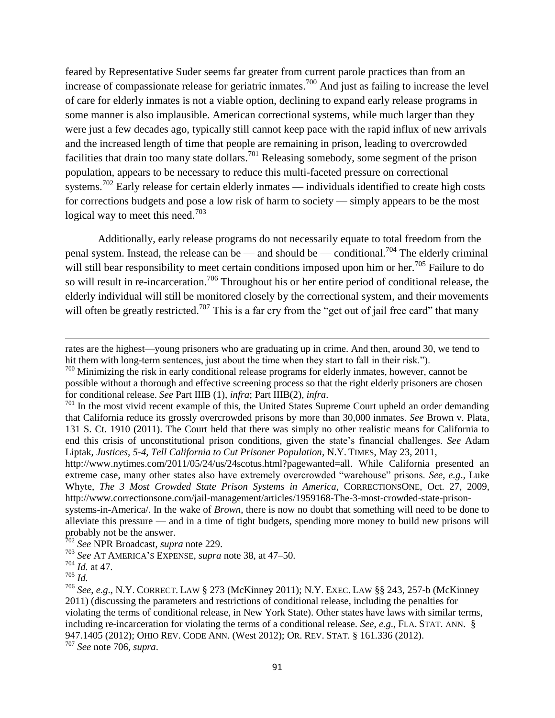feared by Representative Suder seems far greater from current parole practices than from an increase of compassionate release for geriatric inmates.<sup>700</sup> And just as failing to increase the level of care for elderly inmates is not a viable option, declining to expand early release programs in some manner is also implausible. American correctional systems, while much larger than they were just a few decades ago, typically still cannot keep pace with the rapid influx of new arrivals and the increased length of time that people are remaining in prison, leading to overcrowded facilities that drain too many state dollars.<sup>701</sup> Releasing somebody, some segment of the prison population, appears to be necessary to reduce this multi-faceted pressure on correctional systems.<sup>702</sup> Early release for certain elderly inmates — individuals identified to create high costs for corrections budgets and pose a low risk of harm to society — simply appears to be the most logical way to meet this need.<sup>703</sup>

Additionally, early release programs do not necessarily equate to total freedom from the penal system. Instead, the release can be — and should be — conditional.<sup>704</sup> The elderly criminal will still bear responsibility to meet certain conditions imposed upon him or her.<sup>705</sup> Failure to do so will result in re-incarceration.<sup>706</sup> Throughout his or her entire period of conditional release, the elderly individual will still be monitored closely by the correctional system, and their movements will often be greatly restricted.<sup>707</sup> This is a far cry from the "get out of jail free card" that many

probably not be the answer.

<sup>705</sup> *Id.* 

 $\overline{\phantom{a}}$ 

<sup>707</sup> *See* note 706, *supra*.

rates are the highest—young prisoners who are graduating up in crime. And then, around 30, we tend to hit them with long-term sentences, just about the time when they start to fall in their risk.").

 $700$  Minimizing the risk in early conditional release programs for elderly inmates, however, cannot be possible without a thorough and effective screening process so that the right elderly prisoners are chosen for conditional release. *See* Part IIIB (1), *infra*; Part IIIB(2), *infra*.

 $701$  In the most vivid recent example of this, the United States Supreme Court upheld an order demanding that California reduce its grossly overcrowded prisons by more than 30,000 inmates. *See* Brown v. Plata, 131 S. Ct. 1910 (2011). The Court held that there was simply no other realistic means for California to end this crisis of unconstitutional prison conditions, given the state's financial challenges. *See* Adam Liptak, *Justices, 5-4, Tell California to Cut Prisoner Population*, N.Y. TIMES, May 23, 2011,

http://www.nytimes.com/2011/05/24/us/24scotus.html?pagewanted=all. While California presented an extreme case, many other states also have extremely overcrowded "warehouse" prisons. *See*, *e.g.*, Luke Whyte, *The 3 Most Crowded State Prison Systems in America*, CORRECTIONSONE, Oct. 27, 2009, http://www.correctionsone.com/jail-management/articles/1959168-The-3-most-crowded-state-prisonsystems-in-America/. In the wake of *Brown*, there is now no doubt that something will need to be done to alleviate this pressure — and in a time of tight budgets, spending more money to build new prisons will

<sup>702</sup> *See* NPR Broadcast, *supra* note 229.

<sup>703</sup> *See* AT AMERICA'S EXPENSE, *supra* note 38, at 47–50.

<sup>704</sup> *Id.* at 47.

<sup>706</sup> *See*, *e.g*., N.Y. CORRECT. LAW § 273 (McKinney 2011); N.Y. EXEC. LAW §§ 243, 257-b (McKinney 2011) (discussing the parameters and restrictions of conditional release, including the penalties for violating the terms of conditional release, in New York State). Other states have laws with similar terms, including re-incarceration for violating the terms of a conditional release. *See*, *e.g*., FLA. STAT. ANN. § 947.1405 (2012); OHIO REV. CODE ANN. (West 2012); OR. REV. STAT. § 161.336 (2012).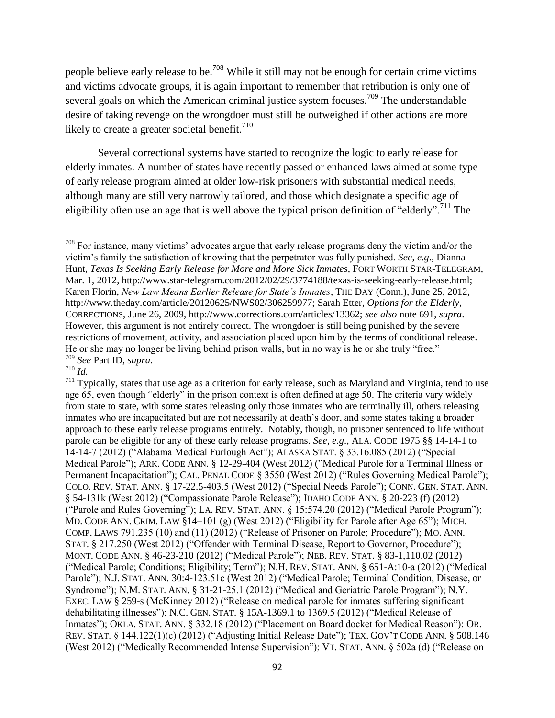people believe early release to be.<sup>708</sup> While it still may not be enough for certain crime victims and victims advocate groups, it is again important to remember that retribution is only one of several goals on which the American criminal justice system focuses.<sup>709</sup> The understandable desire of taking revenge on the wrongdoer must still be outweighed if other actions are more likely to create a greater societal benefit.<sup>710</sup>

Several correctional systems have started to recognize the logic to early release for elderly inmates. A number of states have recently passed or enhanced laws aimed at some type of early release program aimed at older low-risk prisoners with substantial medical needs, although many are still very narrowly tailored, and those which designate a specific age of eligibility often use an age that is well above the typical prison definition of "elderly".<sup>711</sup> The

 $710$   $\overline{Id}$ .

<sup>&</sup>lt;sup>708</sup> For instance, many victims' advocates argue that early release programs deny the victim and/or the victim's family the satisfaction of knowing that the perpetrator was fully punished. *See*, *e.g*., Dianna Hunt, *Texas Is Seeking Early Release for More and More Sick Inmates*, FORT WORTH STAR-TELEGRAM, Mar. 1, 2012, http://www.star-telegram.com/2012/02/29/3774188/texas-is-seeking-early-release.html; Karen Florin, *New Law Means Earlier Release for State"s Inmates*, THE DAY (Conn.), June 25, 2012, http://www.theday.com/article/20120625/NWS02/306259977; Sarah Etter, *Options for the Elderly*, CORRECTIONS, June 26, 2009, http://www.corrections.com/articles/13362; *see also* note 691, *supra*. However, this argument is not entirely correct. The wrongdoer is still being punished by the severe restrictions of movement, activity, and association placed upon him by the terms of conditional release. He or she may no longer be living behind prison walls, but in no way is he or she truly "free." <sup>709</sup> *See* Part ID, *supra*.

 $711$  Typically, states that use age as a criterion for early release, such as Maryland and Virginia, tend to use age 65, even though "elderly" in the prison context is often defined at age 50. The criteria vary widely from state to state, with some states releasing only those inmates who are terminally ill, others releasing inmates who are incapacitated but are not necessarily at death's door, and some states taking a broader approach to these early release programs entirely. Notably, though, no prisoner sentenced to life without parole can be eligible for any of these early release programs. *See*, *e.g*., ALA. CODE 1975 §§ 14-14-1 to 14-14-7 (2012) ("Alabama Medical Furlough Act"); ALASKA STAT. § 33.16.085 (2012) ("Special Medical Parole"); ARK. CODE ANN. § 12-29-404 (West 2012) ("Medical Parole for a Terminal Illness or Permanent Incapacitation"); CAL. PENAL CODE § 3550 (West 2012) ("Rules Governing Medical Parole"); COLO. REV. STAT. ANN. § 17-22.5-403.5 (West 2012) ("Special Needs Parole"); CONN. GEN. STAT. ANN. § 54-131k (West 2012) ("Compassionate Parole Release"); IDAHO CODE ANN. § 20-223 (f) (2012) ("Parole and Rules Governing"); LA. REV. STAT. ANN.  $\S$  15:574.20 (2012) ("Medical Parole Program"); MD. CODE ANN. CRIM. LAW  $\S 14-101$  (g) (West 2012) ("Eligibility for Parole after Age 65"); MICH. COMP. LAWS 791.235 (10) and (11) (2012) ("Release of Prisoner on Parole; Procedure"); MO. ANN. STAT. § 217.250 (West 2012) ("Offender with Terminal Disease, Report to Governor, Procedure"); MONT. CODE ANN. § 46-23-210 (2012) ("Medical Parole"); NEB. REV. STAT. § 83-1,110.02 (2012) ("Medical Parole; Conditions; Eligibility; Term"); N.H. REV. STAT. ANN. § 651-A:10-a (2012) ("Medical Parole"); N.J. STAT. ANN. 30:4-123.51c (West 2012) ("Medical Parole; Terminal Condition, Disease, or Syndrome"); N.M. STAT. ANN. § 31-21-25.1 (2012) ("Medical and Geriatric Parole Program"); N.Y. EXEC. LAW  $\S 259$ -s (McKinney 2012) ("Release on medical parole for inmates suffering significant dehabilitating illnesses"); N.C. GEN. STAT.  $\S$  15A-1369.1 to 1369.5 (2012) ("Medical Release of Inmates"); OKLA. STAT. ANN. § 332.18 (2012) ("Placement on Board docket for Medical Reason"); OR. REV. STAT. § 144.122(1)(c) (2012) ("Adjusting Initial Release Date"); TEX. GOV'T CODE ANN. § 508.146 (West 2012) ("Medically Recommended Intense Supervision"); VT. STAT. ANN. § 502a (d) ("Release on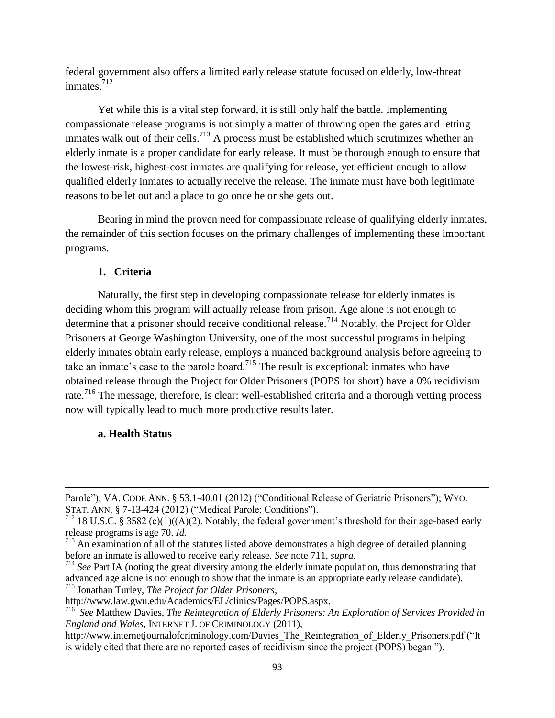federal government also offers a limited early release statute focused on elderly, low-threat inmates.<sup>712</sup>

Yet while this is a vital step forward, it is still only half the battle. Implementing compassionate release programs is not simply a matter of throwing open the gates and letting inmates walk out of their cells.<sup>713</sup> A process must be established which scrutinizes whether an elderly inmate is a proper candidate for early release. It must be thorough enough to ensure that the lowest-risk, highest-cost inmates are qualifying for release, yet efficient enough to allow qualified elderly inmates to actually receive the release. The inmate must have both legitimate reasons to be let out and a place to go once he or she gets out.

Bearing in mind the proven need for compassionate release of qualifying elderly inmates, the remainder of this section focuses on the primary challenges of implementing these important programs.

## **1. Criteria**

Naturally, the first step in developing compassionate release for elderly inmates is deciding whom this program will actually release from prison. Age alone is not enough to determine that a prisoner should receive conditional release.<sup>714</sup> Notably, the Project for Older Prisoners at George Washington University, one of the most successful programs in helping elderly inmates obtain early release, employs a nuanced background analysis before agreeing to take an inmate's case to the parole board.<sup>715</sup> The result is exceptional: inmates who have obtained release through the Project for Older Prisoners (POPS for short) have a 0% recidivism rate.<sup>716</sup> The message, therefore, is clear: well-established criteria and a thorough vetting process now will typically lead to much more productive results later.

### **a. Health Status**

Parole"); VA. CODE ANN. § 53.1-40.01 (2012) ("Conditional Release of Geriatric Prisoners"); WYO. STAT. ANN. § 7-13-424 (2012) ("Medical Parole; Conditions").

 $712$  18 U.S.C. § 3582 (c)(1)((A)(2). Notably, the federal government's threshold for their age-based early release programs is age 70. *Id.* 

 $713$  An examination of all of the statutes listed above demonstrates a high degree of detailed planning before an inmate is allowed to receive early release. *See* note 711, *supra*.

<sup>&</sup>lt;sup>714</sup> See Part IA (noting the great diversity among the elderly inmate population, thus demonstrating that advanced age alone is not enough to show that the inmate is an appropriate early release candidate). <sup>715</sup> Jonathan Turley, *The Project for Older Prisoners*,

http://www.law.gwu.edu/Academics/EL/clinics/Pages/POPS.aspx.

<sup>716</sup> *See* Matthew Davies, *The Reintegration of Elderly Prisoners: An Exploration of Services Provided in England and Wales*, INTERNET J. OF CRIMINOLOGY (2011),

http://www.internetjournalofcriminology.com/Davies\_The\_Reintegration\_of\_Elderly\_Prisoners.pdf ("It is widely cited that there are no reported cases of recidivism since the project (POPS) began.").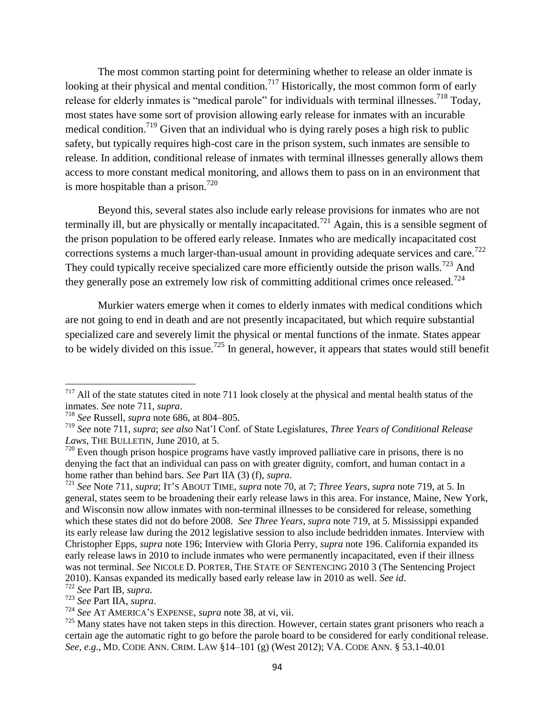The most common starting point for determining whether to release an older inmate is looking at their physical and mental condition.<sup>717</sup> Historically, the most common form of early release for elderly inmates is "medical parole" for individuals with terminal illnesses.<sup>718</sup> Today, most states have some sort of provision allowing early release for inmates with an incurable medical condition.<sup>719</sup> Given that an individual who is dying rarely poses a high risk to public safety, but typically requires high-cost care in the prison system, such inmates are sensible to release. In addition, conditional release of inmates with terminal illnesses generally allows them access to more constant medical monitoring, and allows them to pass on in an environment that is more hospitable than a prison.<sup>720</sup>

Beyond this, several states also include early release provisions for inmates who are not terminally ill, but are physically or mentally incapacitated.<sup>721</sup> Again, this is a sensible segment of the prison population to be offered early release. Inmates who are medically incapacitated cost corrections systems a much larger-than-usual amount in providing adequate services and care.<sup>722</sup> They could typically receive specialized care more efficiently outside the prison walls.<sup>723</sup> And they generally pose an extremely low risk of committing additional crimes once released.<sup>724</sup>

Murkier waters emerge when it comes to elderly inmates with medical conditions which are not going to end in death and are not presently incapacitated, but which require substantial specialized care and severely limit the physical or mental functions of the inmate. States appear to be widely divided on this issue.<sup>725</sup> In general, however, it appears that states would still benefit

 $717$  All of the state statutes cited in note 711 look closely at the physical and mental health status of the inmates. *See* note 711, *supra*.

<sup>718</sup> *See* Russell, *supra* note 686, at 804–805.

<sup>719</sup> *See* note 711, *supra*; *see also* Nat'l Conf. of State Legislatures, *Three Years of Conditional Release Laws*, THE BULLETIN, June 2010, at 5.

 $720$  Even though prison hospice programs have vastly improved palliative care in prisons, there is no denying the fact that an individual can pass on with greater dignity, comfort, and human contact in a home rather than behind bars. *See* Part IIA (3) (f), *supra*.

<sup>721</sup> *See* Note 711, *supra*; IT'S ABOUT TIME, *supra* note 70, at 7; *Three Years*, *supra* note 719, at 5. In general, states seem to be broadening their early release laws in this area. For instance, Maine, New York, and Wisconsin now allow inmates with non-terminal illnesses to be considered for release, something which these states did not do before 2008. *See Three Years*, *supra* note 719, at 5. Mississippi expanded its early release law during the 2012 legislative session to also include bedridden inmates. Interview with Christopher Epps, *supra* note 196; Interview with Gloria Perry, *supra* note 196. California expanded its early release laws in 2010 to include inmates who were permanently incapacitated, even if their illness was not terminal. *See* NICOLE D. PORTER, THE STATE OF SENTENCING 2010 3 (The Sentencing Project 2010). Kansas expanded its medically based early release law in 2010 as well. *See id*.

<sup>722</sup> *See* Part IB, *supra*.

<sup>723</sup> *See* Part IIA, *supra*.

<sup>724</sup> *See* AT AMERICA'S EXPENSE, *supra* note 38, at vi, vii.

 $725$  Many states have not taken steps in this direction. However, certain states grant prisoners who reach a certain age the automatic right to go before the parole board to be considered for early conditional release. *See*, *e.g*., MD. CODE ANN. CRIM. LAW §14–101 (g) (West 2012); VA. CODE ANN. § 53.1-40.01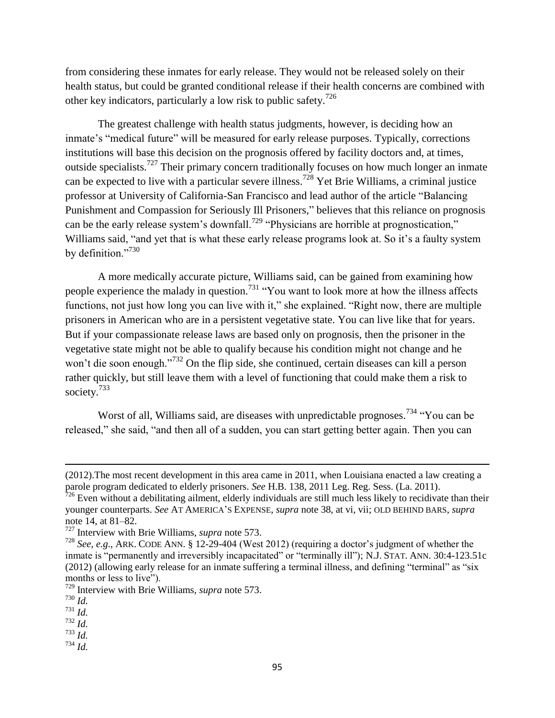from considering these inmates for early release. They would not be released solely on their health status, but could be granted conditional release if their health concerns are combined with other key indicators, particularly a low risk to public safety.<sup>726</sup>

The greatest challenge with health status judgments, however, is deciding how an inmate's "medical future" will be measured for early release purposes. Typically, corrections institutions will base this decision on the prognosis offered by facility doctors and, at times, outside specialists.<sup>727</sup> Their primary concern traditionally focuses on how much longer an inmate can be expected to live with a particular severe illness. <sup>728</sup> Yet Brie Williams, a criminal justice professor at University of California-San Francisco and lead author of the article "Balancing" Punishment and Compassion for Seriously Ill Prisoners," believes that this reliance on prognosis can be the early release system's downfall.<sup>729</sup> "Physicians are horrible at prognostication," Williams said, "and yet that is what these early release programs look at. So it's a faulty system by definition."<sup>730</sup>

A more medically accurate picture, Williams said, can be gained from examining how people experience the malady in question.<sup>731</sup> "You want to look more at how the illness affects functions, not just how long you can live with it," she explained. "Right now, there are multiple prisoners in American who are in a persistent vegetative state. You can live like that for years. But if your compassionate release laws are based only on prognosis, then the prisoner in the vegetative state might not be able to qualify because his condition might not change and he won't die soon enough."<sup>732</sup> On the flip side, she continued, certain diseases can kill a person rather quickly, but still leave them with a level of functioning that could make them a risk to society.<sup>733</sup>

Worst of all, Williams said, are diseases with unpredictable prognoses.<sup>734</sup> "You can be released," she said, "and then all of a sudden, you can start getting better again. Then you can

<sup>(2012).</sup>The most recent development in this area came in 2011, when Louisiana enacted a law creating a parole program dedicated to elderly prisoners. *See* H.B. 138, 2011 Leg. Reg. Sess. (La. 2011).

 $726$  Even without a debilitating ailment, elderly individuals are still much less likely to recidivate than their younger counterparts. *See* AT AMERICA'S EXPENSE, *supra* note 38, at vi, vii; OLD BEHIND BARS, *supra*  note 14, at 81–82.

<sup>727</sup> Interview with Brie Williams, *supra* note 573.

<sup>728</sup> *See*, *e.g*., ARK. CODE ANN. § 12-29-404 (West 2012) (requiring a doctor's judgment of whether the inmate is "permanently and irreversibly incapacitated" or "terminally ill"); N.J. STAT. ANN. 30:4-123.51c (2012) (allowing early release for an inmate suffering a terminal illness, and defining "terminal" as "six months or less to live").

<sup>729</sup> Interview with Brie Williams, *supra* note 573.

<sup>730</sup> *Id.* 

<sup>731</sup> *Id.* 

<sup>732</sup> *Id.* 

<sup>733</sup> *Id.*   $^{734}$  *Id.*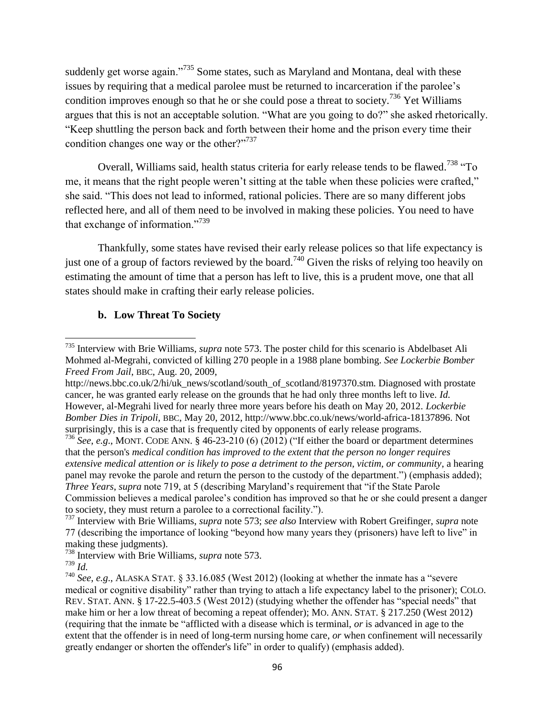suddenly get worse again.<sup>735</sup> Some states, such as Maryland and Montana, deal with these issues by requiring that a medical parolee must be returned to incarceration if the parolee's condition improves enough so that he or she could pose a threat to society.<sup>736</sup> Yet Williams argues that this is not an acceptable solution. "What are you going to do?" she asked rhetorically. "Keep shuttling the person back and forth between their home and the prison every time their condition changes one way or the other? $1737$ 

Overall, Williams said, health status criteria for early release tends to be flawed.<sup>738</sup> "To me, it means that the right people weren't sitting at the table when these policies were crafted," she said. "This does not lead to informed, rational policies. There are so many different jobs reflected here, and all of them need to be involved in making these policies. You need to have that exchange of information."<sup>739</sup>

Thankfully, some states have revised their early release polices so that life expectancy is just one of a group of factors reviewed by the board.<sup>740</sup> Given the risks of relying too heavily on estimating the amount of time that a person has left to live, this is a prudent move, one that all states should make in crafting their early release policies.

## **b. Low Threat To Society**

<sup>735</sup> Interview with Brie Williams, *supra* note 573. The poster child for this scenario is Abdelbaset Ali Mohmed al-Megrahi, convicted of killing 270 people in a 1988 plane bombing. *See Lockerbie Bomber Freed From Jail*, BBC, Aug. 20, 2009,

http://news.bbc.co.uk/2/hi/uk\_news/scotland/south\_of\_scotland/8197370.stm. Diagnosed with prostate cancer, he was granted early release on the grounds that he had only three months left to live. *Id.*  However, al-Megrahi lived for nearly three more years before his death on May 20, 2012. *Lockerbie Bomber Dies in Tripoli*, BBC, May 20, 2012, http://www.bbc.co.uk/news/world-africa-18137896. Not surprisingly, this is a case that is frequently cited by opponents of early release programs.

<sup>&</sup>lt;sup>736</sup> See, e.g., MONT. CODE ANN. §  $46-23-210$  (6) (2012) ("If either the board or department determines that the person's *medical condition has improved to the extent that the person no longer requires extensive medical attention or is likely to pose a detriment to the person, victim, or community*, a hearing panel may revoke the parole and return the person to the custody of the department.") (emphasis added); *Three Years*, *supra* note 719, at 5 (describing Maryland's requirement that "if the State Parole" Commission believes a medical parolee's condition has improved so that he or she could present a danger to society, they must return a parolee to a correctional facility.").

<sup>737</sup> Interview with Brie Williams, *supra* note 573; *see also* Interview with Robert Greifinger, *supra* note 77 (describing the importance of looking "beyond how many years they (prisoners) have left to live" in making these judgments).

<sup>738</sup> Interview with Brie Williams, *supra* note 573.

<sup>739</sup> *Id.* 

 $^{740}$  *See*, *e.g.*, ALASKA STAT,  $\frac{833.16.085}{West}$  2012) (looking at whether the inmate has a "severe" medical or cognitive disability" rather than trying to attach a life expectancy label to the prisoner); COLO. REV. STAT. ANN.  $\S$  17-22.5-403.5 (West 2012) (studying whether the offender has "special needs" that make him or her a low threat of becoming a repeat offender); MO. ANN. STAT. § 217.250 (West 2012) (requiring that the inmate be "afflicted with a disease which is terminal, *or* is advanced in age to the extent that the offender is in need of long-term nursing home care, *or* when confinement will necessarily greatly endanger or shorten the offender's life" in order to qualify) (emphasis added).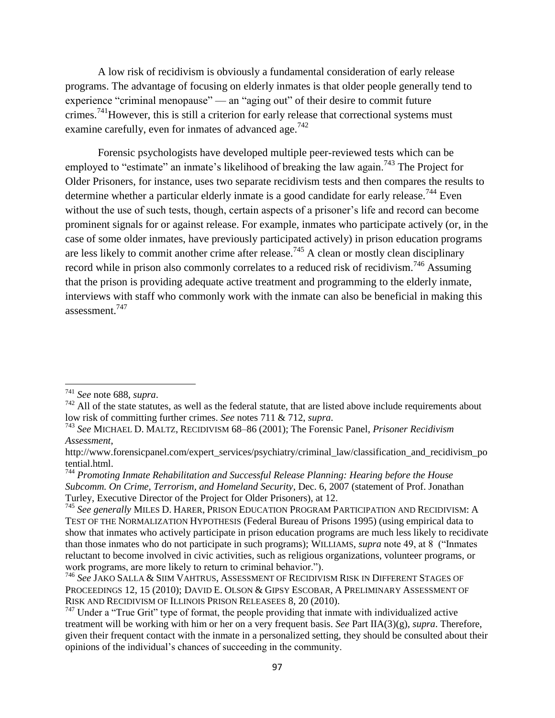A low risk of recidivism is obviously a fundamental consideration of early release programs. The advantage of focusing on elderly inmates is that older people generally tend to experience "criminal menopause" — an "aging out" of their desire to commit future crimes.<sup>741</sup>However, this is still a criterion for early release that correctional systems must examine carefully, even for inmates of advanced age.<sup>742</sup>

Forensic psychologists have developed multiple peer-reviewed tests which can be employed to "estimate" an inmate's likelihood of breaking the law again.<sup>743</sup> The Project for Older Prisoners, for instance, uses two separate recidivism tests and then compares the results to determine whether a particular elderly inmate is a good candidate for early release.<sup>744</sup> Even without the use of such tests, though, certain aspects of a prisoner's life and record can become prominent signals for or against release. For example, inmates who participate actively (or, in the case of some older inmates, have previously participated actively) in prison education programs are less likely to commit another crime after release.<sup>745</sup> A clean or mostly clean disciplinary record while in prison also commonly correlates to a reduced risk of recidivism.<sup>746</sup> Assuming that the prison is providing adequate active treatment and programming to the elderly inmate, interviews with staff who commonly work with the inmate can also be beneficial in making this assessment.<sup>747</sup>

<sup>741</sup> *See* note 688, *supra*.

 $742$  All of the state statutes, as well as the federal statute, that are listed above include requirements about low risk of committing further crimes. *See* notes 711 & 712, *supra*.

<sup>743</sup> *See* MICHAEL D. MALTZ, RECIDIVISM 68–86 (2001); The Forensic Panel, *Prisoner Recidivism Assessment*,

http://www.forensicpanel.com/expert\_services/psychiatry/criminal\_law/classification\_and\_recidivism\_po tential.html.

<sup>744</sup> *Promoting Inmate Rehabilitation and Successful Release Planning: Hearing before the House Subcomm. On Crime, Terrorism, and Homeland Security*, Dec. 6, 2007 (statement of Prof. Jonathan Turley, Executive Director of the Project for Older Prisoners), at 12.

<sup>745</sup> *See generally* MILES D. HARER, PRISON EDUCATION PROGRAM PARTICIPATION AND RECIDIVISM: A TEST OF THE NORMALIZATION HYPOTHESIS (Federal Bureau of Prisons 1995) (using empirical data to show that inmates who actively participate in prison education programs are much less likely to recidivate than those inmates who do not participate in such programs); WILLIAMS, *supra* note 49, at 8 ("Inmates") reluctant to become involved in civic activities, such as religious organizations, volunteer programs, or work programs, are more likely to return to criminal behavior.").

<sup>746</sup> *See* JAKO SALLA & SIIM VAHTRUS, ASSESSMENT OF RECIDIVISM RISK IN DIFFERENT STAGES OF PROCEEDINGS 12, 15 (2010); DAVID E. OLSON & GIPSY ESCOBAR, A PRELIMINARY ASSESSMENT OF RISK AND RECIDIVISM OF ILLINOIS PRISON RELEASEES 8, 20 (2010).

 $747$  Under a "True Grit" type of format, the people providing that inmate with individualized active treatment will be working with him or her on a very frequent basis. *See* Part IIA(3)(g), *supra*. Therefore, given their frequent contact with the inmate in a personalized setting, they should be consulted about their opinions of the individual's chances of succeeding in the community.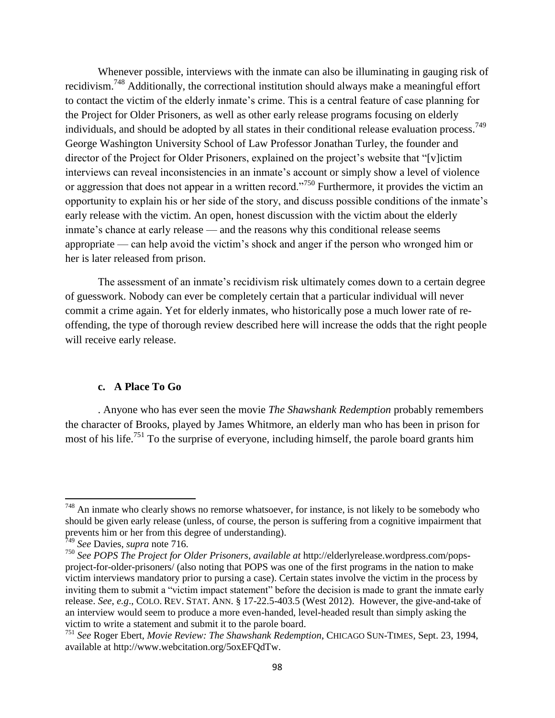Whenever possible, interviews with the inmate can also be illuminating in gauging risk of recidivism.<sup>748</sup> Additionally, the correctional institution should always make a meaningful effort to contact the victim of the elderly inmate's crime. This is a central feature of case planning for the Project for Older Prisoners, as well as other early release programs focusing on elderly individuals, and should be adopted by all states in their conditional release evaluation process.<sup>749</sup> George Washington University School of Law Professor Jonathan Turley, the founder and director of the Project for Older Prisoners, explained on the project's website that "[v]ictim interviews can reveal inconsistencies in an inmate's account or simply show a level of violence or aggression that does not appear in a written record.<sup>7750</sup> Furthermore, it provides the victim an opportunity to explain his or her side of the story, and discuss possible conditions of the inmate's early release with the victim. An open, honest discussion with the victim about the elderly inmate's chance at early release — and the reasons why this conditional release seems appropriate — can help avoid the victim's shock and anger if the person who wronged him or her is later released from prison.

The assessment of an inmate's recidivism risk ultimately comes down to a certain degree of guesswork. Nobody can ever be completely certain that a particular individual will never commit a crime again. Yet for elderly inmates, who historically pose a much lower rate of reoffending, the type of thorough review described here will increase the odds that the right people will receive early release.

### **c. A Place To Go**

. Anyone who has ever seen the movie *The Shawshank Redemption* probably remembers the character of Brooks, played by James Whitmore, an elderly man who has been in prison for most of his life.<sup>751</sup> To the surprise of everyone, including himself, the parole board grants him

 $748$  An inmate who clearly shows no remorse whatsoever, for instance, is not likely to be somebody who should be given early release (unless, of course, the person is suffering from a cognitive impairment that prevents him or her from this degree of understanding).

<sup>749</sup> *See* Davies, *supra* note 716.

<sup>750</sup> *See POPS The Project for Older Prisoners*, *available at* http://elderlyrelease.wordpress.com/popsproject-for-older-prisoners/ (also noting that POPS was one of the first programs in the nation to make victim interviews mandatory prior to pursing a case). Certain states involve the victim in the process by inviting them to submit a "victim impact statement" before the decision is made to grant the inmate early release. *See*, *e.g*., COLO. REV. STAT. ANN. § 17-22.5-403.5 (West 2012). However, the give-and-take of an interview would seem to produce a more even-handed, level-headed result than simply asking the victim to write a statement and submit it to the parole board.

<sup>751</sup> *See* Roger Ebert, *Movie Review: The Shawshank Redemption*, CHICAGO SUN-TIMES, Sept. 23, 1994, available at http://www.webcitation.org/5oxEFQdTw.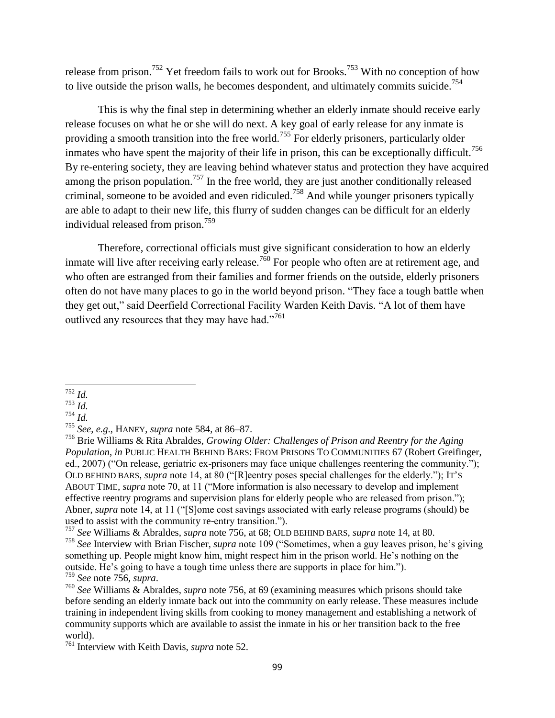release from prison.<sup>752</sup> Yet freedom fails to work out for Brooks.<sup>753</sup> With no conception of how to live outside the prison walls, he becomes despondent, and ultimately commits suicide.<sup>754</sup>

This is why the final step in determining whether an elderly inmate should receive early release focuses on what he or she will do next. A key goal of early release for any inmate is providing a smooth transition into the free world.<sup>755</sup> For elderly prisoners, particularly older inmates who have spent the majority of their life in prison, this can be exceptionally difficult.<sup>756</sup> By re-entering society, they are leaving behind whatever status and protection they have acquired among the prison population.<sup>757</sup> In the free world, they are just another conditionally released criminal, someone to be avoided and even ridiculed.<sup>758</sup> And while younger prisoners typically are able to adapt to their new life, this flurry of sudden changes can be difficult for an elderly individual released from prison.<sup>759</sup>

Therefore, correctional officials must give significant consideration to how an elderly inmate will live after receiving early release.<sup>760</sup> For people who often are at retirement age, and who often are estranged from their families and former friends on the outside, elderly prisoners often do not have many places to go in the world beyond prison. "They face a tough battle when they get out," said Deerfield Correctional Facility Warden Keith Davis. "A lot of them have outlived any resources that they may have had."<sup>761</sup>

 $\overline{\phantom{a}}$ <sup>752</sup> *Id.* 

<sup>753</sup> *Id.* 

<sup>754</sup> *Id.* 

<sup>755</sup> *See*, *e.g*., HANEY, *supra* note 584, at 86–87.

<sup>756</sup> Brie Williams & Rita Abraldes, *Growing Older: Challenges of Prison and Reentry for the Aging Population*, *in* PUBLIC HEALTH BEHIND BARS: FROM PRISONS TO COMMUNITIES 67 (Robert Greifinger, ed., 2007) ("On release, geriatric ex-prisoners may face unique challenges reentering the community."); OLD BEHIND BARS, *supra* note 14, at 80 ("[R]eentry poses special challenges for the elderly."); IT's ABOUT TIME, *supra* note 70, at 11 ("More information is also necessary to develop and implement effective reentry programs and supervision plans for elderly people who are released from prison."); Abner, *supra* note 14, at 11 ("S]ome cost savings associated with early release programs (should) be used to assist with the community re-entry transition.").

<sup>757</sup> *See* Williams & Abraldes, *supra* note 756, at 68; OLD BEHIND BARS, *supra* note 14, at 80.

<sup>&</sup>lt;sup>758</sup> See Interview with Brian Fischer, *supra* note 109 ("Sometimes, when a guy leaves prison, he's giving something up. People might know him, might respect him in the prison world. He's nothing on the outside. He's going to have a tough time unless there are supports in place for him."). <sup>759</sup> *See* note 756, *supra*.

<sup>760</sup> *See* Williams & Abraldes, *supra* note 756, at 69 (examining measures which prisons should take before sending an elderly inmate back out into the community on early release. These measures include training in independent living skills from cooking to money management and establishing a network of community supports which are available to assist the inmate in his or her transition back to the free world).

<sup>761</sup> Interview with Keith Davis, *supra* note 52.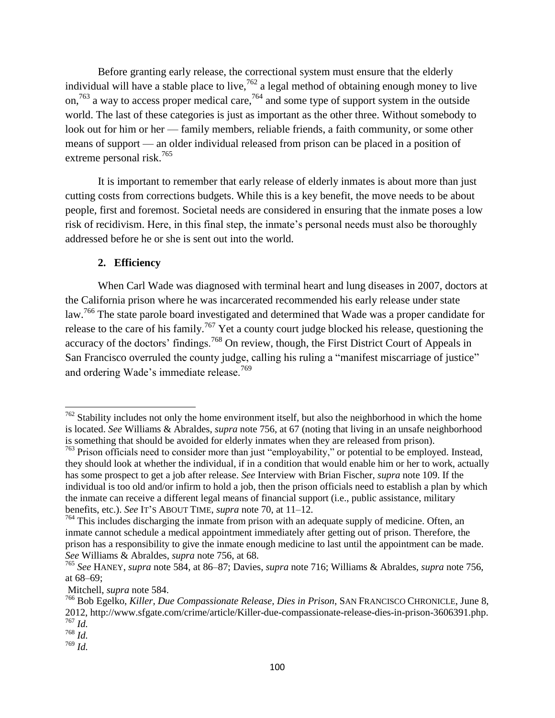Before granting early release, the correctional system must ensure that the elderly individual will have a stable place to live,  $762$  a legal method of obtaining enough money to live on,<sup>763</sup> a way to access proper medical care,<sup>764</sup> and some type of support system in the outside world. The last of these categories is just as important as the other three. Without somebody to look out for him or her — family members, reliable friends, a faith community, or some other means of support — an older individual released from prison can be placed in a position of extreme personal risk.<sup>765</sup>

It is important to remember that early release of elderly inmates is about more than just cutting costs from corrections budgets. While this is a key benefit, the move needs to be about people, first and foremost. Societal needs are considered in ensuring that the inmate poses a low risk of recidivism. Here, in this final step, the inmate's personal needs must also be thoroughly addressed before he or she is sent out into the world.

## **2. Efficiency**

When Carl Wade was diagnosed with terminal heart and lung diseases in 2007, doctors at the California prison where he was incarcerated recommended his early release under state law.<sup>766</sup> The state parole board investigated and determined that Wade was a proper candidate for release to the care of his family.<sup>767</sup> Yet a county court judge blocked his release, questioning the accuracy of the doctors' findings.<sup>768</sup> On review, though, the First District Court of Appeals in San Francisco overruled the county judge, calling his ruling a "manifest miscarriage of justice" and ordering Wade's immediate release.<sup>769</sup>

 $\overline{a}$ 

 $762$  Stability includes not only the home environment itself, but also the neighborhood in which the home is located. *See* Williams & Abraldes, *supra* note 756, at 67 (noting that living in an unsafe neighborhood is something that should be avoided for elderly inmates when they are released from prison).

 $763$  Prison officials need to consider more than just "employability," or potential to be employed. Instead, they should look at whether the individual, if in a condition that would enable him or her to work, actually has some prospect to get a job after release. *See* Interview with Brian Fischer, *supra* note 109. If the individual is too old and/or infirm to hold a job, then the prison officials need to establish a plan by which the inmate can receive a different legal means of financial support (i.e., public assistance, military benefits, etc.). *See* IT'S ABOUT TIME, *supra* note 70, at 11–12.

<sup>&</sup>lt;sup>764</sup> This includes discharging the inmate from prison with an adequate supply of medicine. Often, an inmate cannot schedule a medical appointment immediately after getting out of prison. Therefore, the prison has a responsibility to give the inmate enough medicine to last until the appointment can be made. *See* Williams & Abraldes, *supra* note 756, at 68.

<sup>765</sup> *See* HANEY, *supra* note 584, at 86–87; Davies, *supra* note 716; Williams & Abraldes, *supra* note 756, at 68–69;

Mitchell, *supra* note 584.

<sup>766</sup> Bob Egelko, *Killer, Due Compassionate Release, Dies in Prison*, SAN FRANCISCO CHRONICLE, June 8, 2012, http://www.sfgate.com/crime/article/Killer-due-compassionate-release-dies-in-prison-3606391.php. <sup>767</sup> *Id.* 

<sup>768</sup> *Id.* 

<sup>769</sup> *Id.*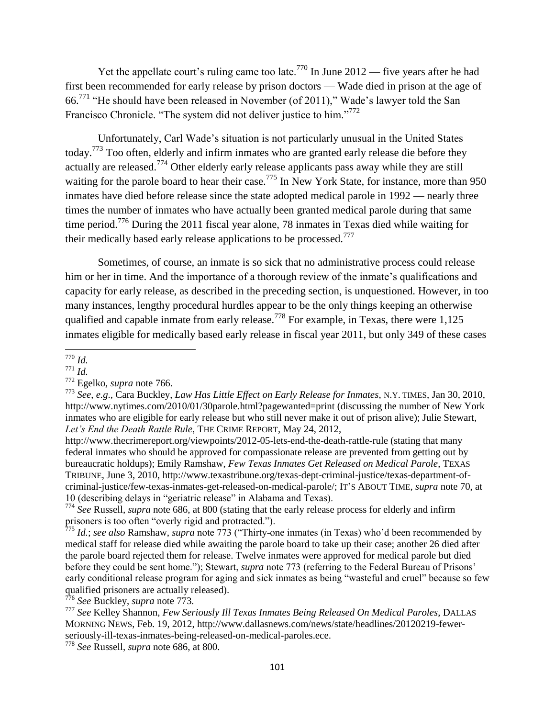Yet the appellate court's ruling came too late.<sup>770</sup> In June 2012 — five years after he had first been recommended for early release by prison doctors — Wade died in prison at the age of 66.<sup>771</sup> "He should have been released in November (of 2011)," Wade's lawyer told the San Francisco Chronicle. "The system did not deliver justice to him."<sup>772</sup>

Unfortunately, Carl Wade's situation is not particularly unusual in the United States today.<sup>773</sup> Too often, elderly and infirm inmates who are granted early release die before they actually are released.<sup>774</sup> Other elderly early release applicants pass away while they are still waiting for the parole board to hear their case.<sup>775</sup> In New York State, for instance, more than 950 inmates have died before release since the state adopted medical parole in 1992 — nearly three times the number of inmates who have actually been granted medical parole during that same time period.<sup>776</sup> During the 2011 fiscal year alone, 78 inmates in Texas died while waiting for their medically based early release applications to be processed.<sup>777</sup>

Sometimes, of course, an inmate is so sick that no administrative process could release him or her in time. And the importance of a thorough review of the inmate's qualifications and capacity for early release, as described in the preceding section, is unquestioned. However, in too many instances, lengthy procedural hurdles appear to be the only things keeping an otherwise qualified and capable inmate from early release.<sup>778</sup> For example, in Texas, there were 1,125 inmates eligible for medically based early release in fiscal year 2011, but only 349 of these cases

<sup>776</sup> *See* Buckley, *supra* note 773.

l <sup>770</sup> *Id.* 

<sup>771</sup> *Id.* 

<sup>772</sup> Egelko, *supra* note 766.

<sup>773</sup> *See*, *e.g*., Cara Buckley, *Law Has Little Effect on Early Release for Inmates*, N.Y. TIMES, Jan 30, 2010, http://www.nytimes.com/2010/01/30parole.html?pagewanted=print (discussing the number of New York inmates who are eligible for early release but who still never make it out of prison alive); Julie Stewart, Let's End the Death Rattle Rule, THE CRIME REPORT, May 24, 2012,

http://www.thecrimereport.org/viewpoints/2012-05-lets-end-the-death-rattle-rule (stating that many federal inmates who should be approved for compassionate release are prevented from getting out by bureaucratic holdups); Emily Ramshaw, *Few Texas Inmates Get Released on Medical Parole*, TEXAS TRIBUNE, June 3, 2010, http://www.texastribune.org/texas-dept-criminal-justice/texas-department-ofcriminal-justice/few-texas-inmates-get-released-on-medical-parole/; IT'S ABOUT TIME, *supra* note 70, at 10 (describing delays in "geriatric release" in Alabama and Texas).

<sup>774</sup> *See* Russell, *supra* note 686, at 800 (stating that the early release process for elderly and infirm prisoners is too often "overly rigid and protracted.").

 $775$  *Id.*; *see also* Ramshaw, *supra* note 773 ("Thirty-one inmates (in Texas) who'd been recommended by medical staff for release died while awaiting the parole board to take up their case; another 26 died after the parole board rejected them for release. Twelve inmates were approved for medical parole but died before they could be sent home."); Stewart, *supra* note 773 (referring to the Federal Bureau of Prisons' early conditional release program for aging and sick inmates as being "wasteful and cruel" because so few qualified prisoners are actually released).

<sup>777</sup> *See* Kelley Shannon, *Few Seriously Ill Texas Inmates Being Released On Medical Paroles*, DALLAS MORNING NEWS, Feb. 19, 2012, http://www.dallasnews.com/news/state/headlines/20120219-fewerseriously-ill-texas-inmates-being-released-on-medical-paroles.ece.

<sup>778</sup> *See* Russell, *supra* note 686, at 800.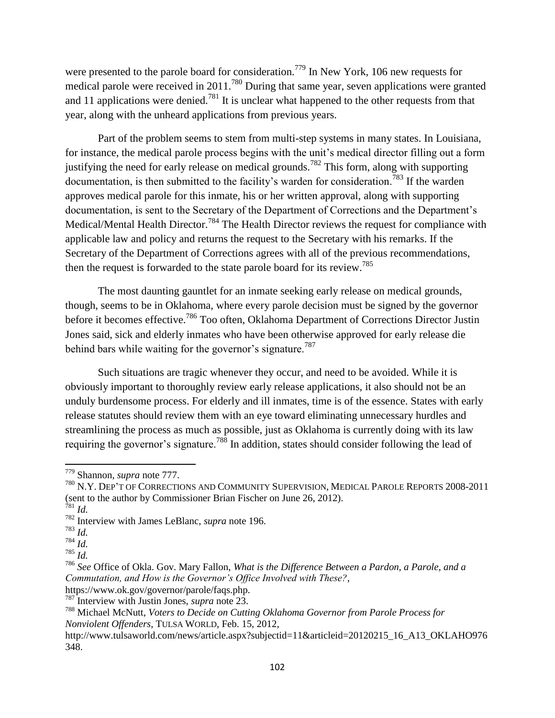were presented to the parole board for consideration.<sup>779</sup> In New York, 106 new requests for medical parole were received in 2011.<sup>780</sup> During that same year, seven applications were granted and 11 applications were denied.<sup>781</sup> It is unclear what happened to the other requests from that year, along with the unheard applications from previous years.

Part of the problem seems to stem from multi-step systems in many states. In Louisiana, for instance, the medical parole process begins with the unit's medical director filling out a form justifying the need for early release on medical grounds.<sup>782</sup> This form, along with supporting documentation, is then submitted to the facility's warden for consideration.<sup>783</sup> If the warden approves medical parole for this inmate, his or her written approval, along with supporting documentation, is sent to the Secretary of the Department of Corrections and the Department's Medical/Mental Health Director.<sup>784</sup> The Health Director reviews the request for compliance with applicable law and policy and returns the request to the Secretary with his remarks. If the Secretary of the Department of Corrections agrees with all of the previous recommendations, then the request is forwarded to the state parole board for its review.<sup>785</sup>

The most daunting gauntlet for an inmate seeking early release on medical grounds, though, seems to be in Oklahoma, where every parole decision must be signed by the governor before it becomes effective.<sup>786</sup> Too often, Oklahoma Department of Corrections Director Justin Jones said, sick and elderly inmates who have been otherwise approved for early release die behind bars while waiting for the governor's signature.<sup>787</sup>

Such situations are tragic whenever they occur, and need to be avoided. While it is obviously important to thoroughly review early release applications, it also should not be an unduly burdensome process. For elderly and ill inmates, time is of the essence. States with early release statutes should review them with an eye toward eliminating unnecessary hurdles and streamlining the process as much as possible, just as Oklahoma is currently doing with its law requiring the governor's signature.<sup>788</sup> In addition, states should consider following the lead of

<sup>779</sup> Shannon, *supra* note 777.

<sup>780</sup> N.Y. DEP'T OF CORRECTIONS AND COMMUNITY SUPERVISION, MEDICAL PAROLE REPORTS 2008-2011 (sent to the author by Commissioner Brian Fischer on June 26, 2012).

<sup>781</sup> *Id.*  <sup>782</sup> Interview with James LeBlanc, *supra* note 196.

<sup>783</sup> *Id.* 

<sup>784</sup> *Id.* 

<sup>785</sup> *Id.* 

<sup>786</sup> *See* Office of Okla. Gov. Mary Fallon, *What is the Difference Between a Pardon, a Parole, and a Commutation, and How is the Governor"s Office Involved with These?*,

https://www.ok.gov/governor/parole/faqs.php.

<sup>787</sup> Interview with Justin Jones, *supra* note 23.

<sup>788</sup> Michael McNutt, *Voters to Decide on Cutting Oklahoma Governor from Parole Process for Nonviolent Offenders*, TULSA WORLD, Feb. 15, 2012,

http://www.tulsaworld.com/news/article.aspx?subjectid=11&articleid=20120215\_16\_A13\_OKLAHO976 348.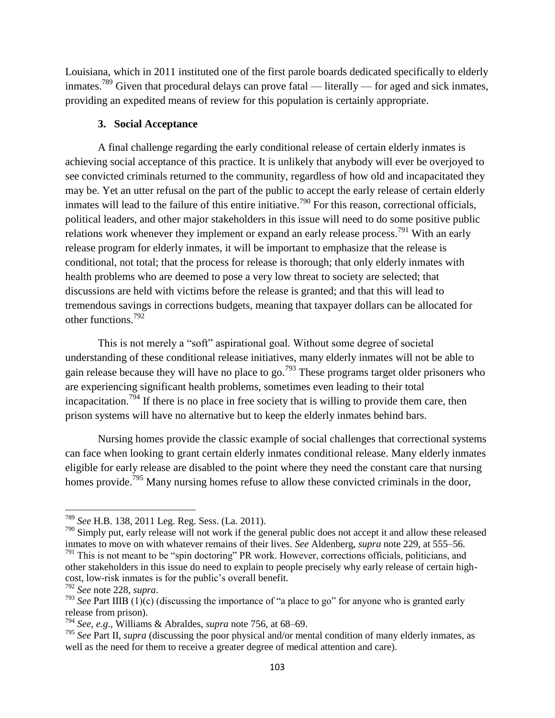Louisiana, which in 2011 instituted one of the first parole boards dedicated specifically to elderly inmates.<sup>789</sup> Given that procedural delays can prove fatal — literally — for aged and sick inmates, providing an expedited means of review for this population is certainly appropriate.

### **3. Social Acceptance**

A final challenge regarding the early conditional release of certain elderly inmates is achieving social acceptance of this practice. It is unlikely that anybody will ever be overjoyed to see convicted criminals returned to the community, regardless of how old and incapacitated they may be. Yet an utter refusal on the part of the public to accept the early release of certain elderly inmates will lead to the failure of this entire initiative.<sup>790</sup> For this reason, correctional officials, political leaders, and other major stakeholders in this issue will need to do some positive public relations work whenever they implement or expand an early release process.<sup>791</sup> With an early release program for elderly inmates, it will be important to emphasize that the release is conditional, not total; that the process for release is thorough; that only elderly inmates with health problems who are deemed to pose a very low threat to society are selected; that discussions are held with victims before the release is granted; and that this will lead to tremendous savings in corrections budgets, meaning that taxpayer dollars can be allocated for other functions.<sup>792</sup>

This is not merely a "soft" aspirational goal. Without some degree of societal understanding of these conditional release initiatives, many elderly inmates will not be able to gain release because they will have no place to go.<sup>793</sup> These programs target older prisoners who are experiencing significant health problems, sometimes even leading to their total incapacitation.<sup>794</sup> If there is no place in free society that is willing to provide them care, then prison systems will have no alternative but to keep the elderly inmates behind bars.

Nursing homes provide the classic example of social challenges that correctional systems can face when looking to grant certain elderly inmates conditional release. Many elderly inmates eligible for early release are disabled to the point where they need the constant care that nursing homes provide.<sup>795</sup> Many nursing homes refuse to allow these convicted criminals in the door,

l

<sup>789</sup> *See* H.B. 138, 2011 Leg. Reg. Sess. (La. 2011).

<sup>&</sup>lt;sup>790</sup> Simply put, early release will not work if the general public does not accept it and allow these released inmates to move on with whatever remains of their lives. *See* Aldenberg, *supra* note 229, at 555–56.

<sup>791</sup> This is not meant to be "spin doctoring" PR work. However, corrections officials, politicians, and other stakeholders in this issue do need to explain to people precisely why early release of certain highcost, low-risk inmates is for the public's overall benefit.

<sup>792</sup> *See* note 228, *supra*.

 $793$  *See* Part IIIB (1)(c) (discussing the importance of "a place to go" for anyone who is granted early release from prison).

<sup>794</sup> *See*, *e.g*., Williams & Abraldes, *supra* note 756, at 68–69.

<sup>795</sup> *See* Part II, *supra* (discussing the poor physical and/or mental condition of many elderly inmates, as well as the need for them to receive a greater degree of medical attention and care).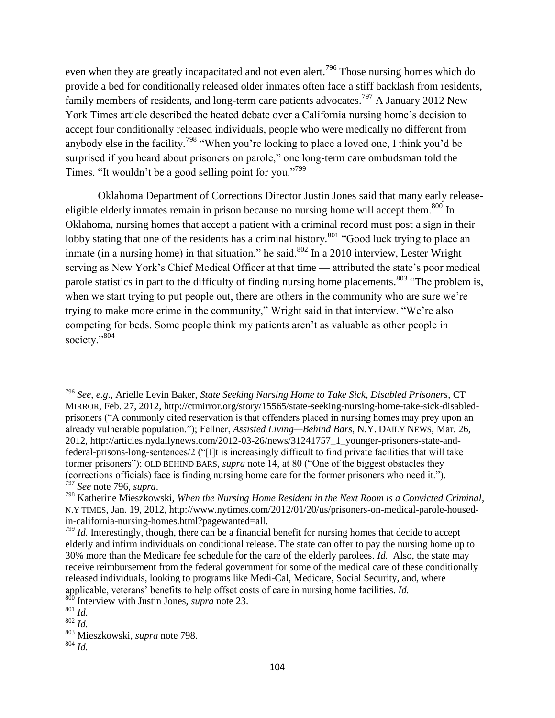even when they are greatly incapacitated and not even alert.<sup>796</sup> Those nursing homes which do provide a bed for conditionally released older inmates often face a stiff backlash from residents, family members of residents, and long-term care patients advocates.<sup>797</sup> A January 2012 New York Times article described the heated debate over a California nursing home's decision to accept four conditionally released individuals, people who were medically no different from anybody else in the facility.<sup>798</sup> "When you're looking to place a loved one, I think you'd be surprised if you heard about prisoners on parole," one long-term care ombudsman told the Times. "It wouldn't be a good selling point for you."<sup>799</sup>

Oklahoma Department of Corrections Director Justin Jones said that many early releaseeligible elderly inmates remain in prison because no nursing home will accept them.<sup>800</sup> In Oklahoma, nursing homes that accept a patient with a criminal record must post a sign in their lobby stating that one of the residents has a criminal history.<sup>801</sup> "Good luck trying to place an inmate (in a nursing home) in that situation," he said. $802$  In a 2010 interview, Lester Wright serving as New York's Chief Medical Officer at that time — attributed the state's poor medical parole statistics in part to the difficulty of finding nursing home placements.<sup>803</sup> "The problem is, when we start trying to put people out, there are others in the community who are sure we're trying to make more crime in the community," Wright said in that interview. "We're also competing for beds. Some people think my patients aren't as valuable as other people in society."804

<sup>796</sup> *See*, *e.g*., Arielle Levin Baker, *State Seeking Nursing Home to Take Sick, Disabled Prisoners*, CT MIRROR, Feb. 27, 2012, http://ctmirror.org/story/15565/state-seeking-nursing-home-take-sick-disabledprisoners ("A commonly cited reservation is that offenders placed in nursing homes may prey upon an already vulnerable population."); Fellner, *Assisted Living—Behind Bars*, N.Y. DAILY NEWS, Mar. 26, 2012, http://articles.nydailynews.com/2012-03-26/news/31241757\_1\_younger-prisoners-state-andfederal-prisons-long-sentences/2 ("IIt is increasingly difficult to find private facilities that will take former prisoners"); OLD BEHIND BARS, *supra* note 14, at 80 ("One of the biggest obstacles they (corrections officials) face is finding nursing home care for the former prisoners who need it."). <sup>797</sup> *See* note 796, *supra*.

<sup>798</sup> Katherine Mieszkowski, *When the Nursing Home Resident in the Next Room is a Convicted Criminal*, N.Y TIMES, Jan. 19, 2012, http://www.nytimes.com/2012/01/20/us/prisoners-on-medical-parole-housedin-california-nursing-homes.html?pagewanted=all.

<sup>&</sup>lt;sup>799</sup> *Id.* Interestingly, though, there can be a financial benefit for nursing homes that decide to accept elderly and infirm individuals on conditional release. The state can offer to pay the nursing home up to 30% more than the Medicare fee schedule for the care of the elderly parolees. *Id.* Also, the state may receive reimbursement from the federal government for some of the medical care of these conditionally released individuals, looking to programs like Medi-Cal, Medicare, Social Security, and, where applicable, veterans' benefits to help offset costs of care in nursing home facilities. *Id.* <sup>800</sup> Interview with  $\overline{X}$ 

Interview with Justin Jones, *supra* note 23.

 $\overline{\phantom{a}801}$  *Id.* 

<sup>802</sup> *Id.* 

<sup>803</sup> Mieszkowski, *supra* note 798.

 $804$  *Id.*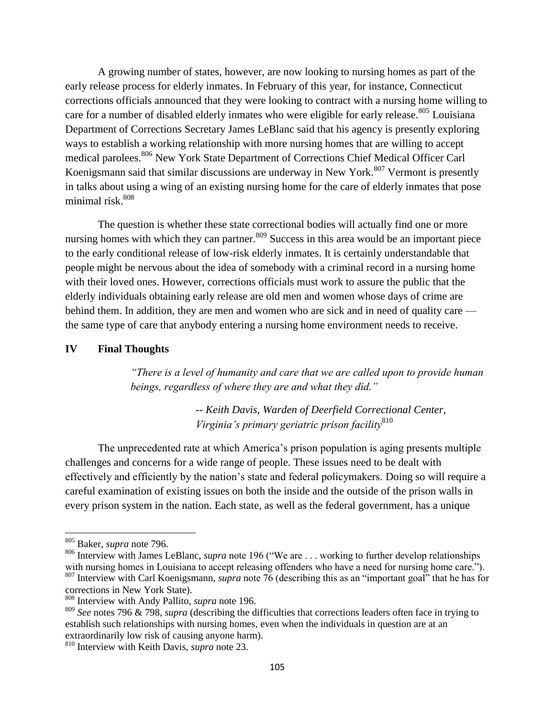A growing number of states, however, are now looking to nursing homes as part of the early release process for elderly inmates. In February of this year, for instance, Connecticut corrections officials announced that they were looking to contract with a nursing home willing to care for a number of disabled elderly inmates who were eligible for early release.<sup>805</sup> Louisiana Department of Corrections Secretary James LeBlanc said that his agency is presently exploring ways to establish a working relationship with more nursing homes that are willing to accept medical parolees.<sup>806</sup> New York State Department of Corrections Chief Medical Officer Carl Koenigsmann said that similar discussions are underway in New York.<sup>807</sup> Vermont is presently in talks about using a wing of an existing nursing home for the care of elderly inmates that pose minimal risk. 808

The question is whether these state correctional bodies will actually find one or more nursing homes with which they can partner.<sup>809</sup> Success in this area would be an important piece to the early conditional release of low-risk elderly inmates. It is certainly understandable that people might be nervous about the idea of somebody with a criminal record in a nursing home with their loved ones. However, corrections officials must work to assure the public that the elderly individuals obtaining early release are old men and women whose days of crime are behind them. In addition, they are men and women who are sick and in need of quality care the same type of care that anybody entering a nursing home environment needs to receive.

### **IV Final Thoughts**

*"There is a level of humanity and care that we are called upon to provide human beings, regardless of where they are and what they did."* 

> *-- Keith Davis, Warden of Deerfield Correctional Center, Virginia"s primary geriatric prison facility*<sup>810</sup>

The unprecedented rate at which America's prison population is aging presents multiple challenges and concerns for a wide range of people. These issues need to be dealt with effectively and efficiently by the nation's state and federal policymakers. Doing so will require a careful examination of existing issues on both the inside and the outside of the prison walls in every prison system in the nation. Each state, as well as the federal government, has a unique

<sup>805</sup> Baker, *supra* note 796.

<sup>&</sup>lt;sup>806</sup> Interview with James LeBlanc, *supra* note 196 ("We are . . . working to further develop relationships with nursing homes in Louisiana to accept releasing offenders who have a need for nursing home care."). 807 Interview with Carl Koenigsmann, *supra* note 76 (describing this as an "important goal" that he has for

corrections in New York State).

<sup>808</sup> Interview with Andy Pallito, *supra* note 196.

<sup>809</sup> *See* notes 796 & 798, *supra* (describing the difficulties that corrections leaders often face in trying to establish such relationships with nursing homes, even when the individuals in question are at an extraordinarily low risk of causing anyone harm).

<sup>810</sup> Interview with Keith Davis, *supra* note 23.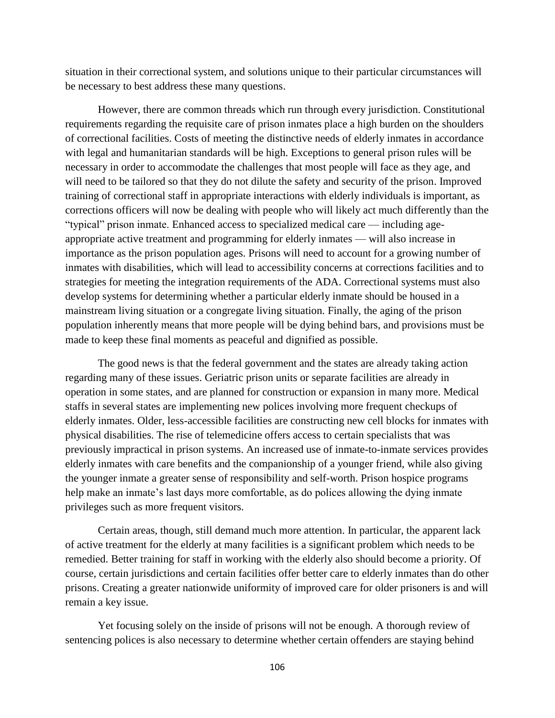situation in their correctional system, and solutions unique to their particular circumstances will be necessary to best address these many questions.

However, there are common threads which run through every jurisdiction. Constitutional requirements regarding the requisite care of prison inmates place a high burden on the shoulders of correctional facilities. Costs of meeting the distinctive needs of elderly inmates in accordance with legal and humanitarian standards will be high. Exceptions to general prison rules will be necessary in order to accommodate the challenges that most people will face as they age, and will need to be tailored so that they do not dilute the safety and security of the prison. Improved training of correctional staff in appropriate interactions with elderly individuals is important, as corrections officers will now be dealing with people who will likely act much differently than the "typical" prison inmate. Enhanced access to specialized medical care — including ageappropriate active treatment and programming for elderly inmates — will also increase in importance as the prison population ages. Prisons will need to account for a growing number of inmates with disabilities, which will lead to accessibility concerns at corrections facilities and to strategies for meeting the integration requirements of the ADA. Correctional systems must also develop systems for determining whether a particular elderly inmate should be housed in a mainstream living situation or a congregate living situation. Finally, the aging of the prison population inherently means that more people will be dying behind bars, and provisions must be made to keep these final moments as peaceful and dignified as possible.

The good news is that the federal government and the states are already taking action regarding many of these issues. Geriatric prison units or separate facilities are already in operation in some states, and are planned for construction or expansion in many more. Medical staffs in several states are implementing new polices involving more frequent checkups of elderly inmates. Older, less-accessible facilities are constructing new cell blocks for inmates with physical disabilities. The rise of telemedicine offers access to certain specialists that was previously impractical in prison systems. An increased use of inmate-to-inmate services provides elderly inmates with care benefits and the companionship of a younger friend, while also giving the younger inmate a greater sense of responsibility and self-worth. Prison hospice programs help make an inmate's last days more comfortable, as do polices allowing the dying inmate privileges such as more frequent visitors.

Certain areas, though, still demand much more attention. In particular, the apparent lack of active treatment for the elderly at many facilities is a significant problem which needs to be remedied. Better training for staff in working with the elderly also should become a priority. Of course, certain jurisdictions and certain facilities offer better care to elderly inmates than do other prisons. Creating a greater nationwide uniformity of improved care for older prisoners is and will remain a key issue.

Yet focusing solely on the inside of prisons will not be enough. A thorough review of sentencing polices is also necessary to determine whether certain offenders are staying behind